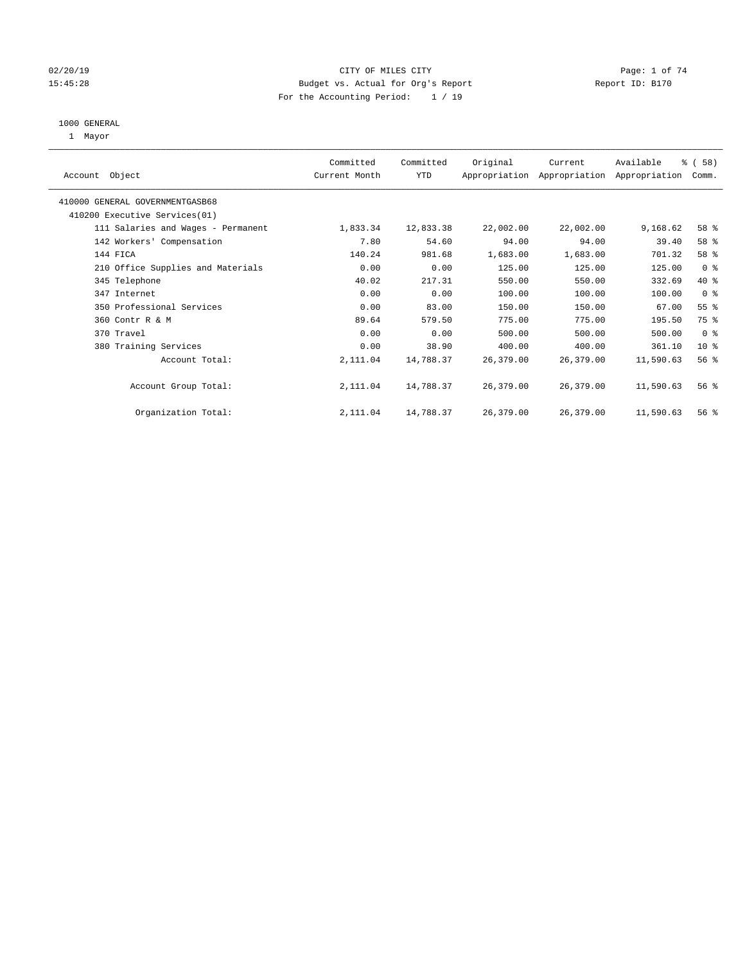### 02/20/19 CITY OF MILES CITY CHECK CITY CONTROL Page: 1 of 74 15:45:28 Budget vs. Actual for Org's Report Report ID: B170 For the Accounting Period: 1 / 19

#### 1000 GENERAL

1 Mayor

|                                    | Committed     | Committed | Original  | Current   | Available                                 | % (58)          |  |
|------------------------------------|---------------|-----------|-----------|-----------|-------------------------------------------|-----------------|--|
| Account Object                     | Current Month | YTD       |           |           | Appropriation Appropriation Appropriation | Comm.           |  |
| 410000 GENERAL GOVERNMENTGASB68    |               |           |           |           |                                           |                 |  |
| 410200 Executive Services (01)     |               |           |           |           |                                           |                 |  |
| 111 Salaries and Wages - Permanent | 1,833.34      | 12,833.38 | 22,002.00 | 22,002.00 | 9,168.62                                  | 58 %            |  |
| 142 Workers' Compensation          | 7.80          | 54.60     | 94.00     | 94.00     | 39.40                                     | 58 %            |  |
| 144 FICA                           | 140.24        | 981.68    | 1,683.00  | 1,683.00  | 701.32                                    | 58 %            |  |
| 210 Office Supplies and Materials  | 0.00          | 0.00      | 125.00    | 125.00    | 125.00                                    | 0 <sub>8</sub>  |  |
| 345 Telephone                      | 40.02         | 217.31    | 550.00    | 550.00    | 332.69                                    | 40 %            |  |
| 347 Internet                       | 0.00          | 0.00      | 100.00    | 100.00    | 100.00                                    | 0 <sup>8</sup>  |  |
| 350 Professional Services          | 0.00          | 83.00     | 150.00    | 150.00    | 67.00                                     | $55$ $%$        |  |
| 360 Contr R & M                    | 89.64         | 579.50    | 775.00    | 775.00    | 195.50                                    | 75 %            |  |
| 370 Travel                         | 0.00          | 0.00      | 500.00    | 500.00    | 500.00                                    | 0 <sup>8</sup>  |  |
| 380 Training Services              | 0.00          | 38.90     | 400.00    | 400.00    | 361.10                                    | 10 <sup>8</sup> |  |
| Account Total:                     | 2,111.04      | 14,788.37 | 26,379.00 | 26,379.00 | 11,590.63                                 | 56 <sup>8</sup> |  |
|                                    |               |           |           |           |                                           |                 |  |
| Account Group Total:               | 2,111.04      | 14,788.37 | 26,379.00 | 26,379.00 | 11,590.63                                 | 56%             |  |
| Organization Total:                | 2,111.04      | 14,788.37 | 26,379.00 | 26,379.00 | 11,590.63                                 | 56%             |  |
|                                    |               |           |           |           |                                           |                 |  |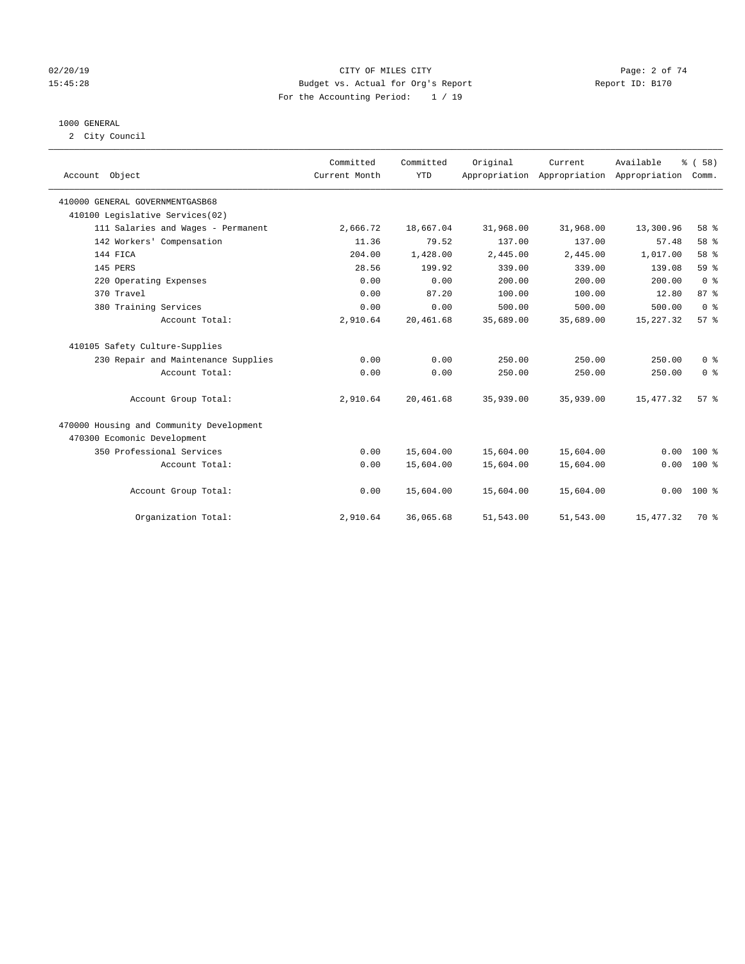#### 02/20/19 CITY OF MILES CITY Page: 2 of 74 15:45:28 Budget vs. Actual for Org's Report Report ID: B170 For the Accounting Period: 1 / 19

#### 1000 GENERAL

2 City Council

|                                          | Committed     | Committed  | Original  | Current                                   | Available  | % (58)         |
|------------------------------------------|---------------|------------|-----------|-------------------------------------------|------------|----------------|
| Account Object                           | Current Month | <b>YTD</b> |           | Appropriation Appropriation Appropriation |            | Comm.          |
|                                          |               |            |           |                                           |            |                |
| 410000 GENERAL GOVERNMENTGASB68          |               |            |           |                                           |            |                |
| 410100 Legislative Services(02)          |               |            |           |                                           |            |                |
| 111 Salaries and Wages - Permanent       | 2,666.72      | 18,667.04  | 31,968.00 | 31,968.00                                 | 13,300.96  | 58 %           |
| 142 Workers' Compensation                | 11.36         | 79.52      | 137.00    | 137.00                                    | 57.48      | 58 %           |
| 144 FICA                                 | 204.00        | 1,428.00   | 2,445.00  | 2,445.00                                  | 1,017.00   | 58 %           |
| 145 PERS                                 | 28.56         | 199.92     | 339.00    | 339.00                                    | 139.08     | 59 %           |
| 220 Operating Expenses                   | 0.00          | 0.00       | 200.00    | 200.00                                    | 200.00     | 0 <sup>8</sup> |
| 370 Travel                               | 0.00          | 87.20      | 100.00    | 100.00                                    | 12.80      | 87 %           |
| 380 Training Services                    | 0.00          | 0.00       | 500.00    | 500.00                                    | 500.00     | 0 <sup>8</sup> |
| Account Total:                           | 2,910.64      | 20,461.68  | 35,689.00 | 35,689.00                                 | 15,227.32  | 57%            |
| 410105 Safety Culture-Supplies           |               |            |           |                                           |            |                |
| 230 Repair and Maintenance Supplies      | 0.00          | 0.00       | 250.00    | 250.00                                    | 250.00     | 0 <sup>8</sup> |
| Account Total:                           | 0.00          | 0.00       | 250.00    | 250.00                                    | 250.00     | 0 <sup>8</sup> |
| Account Group Total:                     | 2,910.64      | 20,461.68  | 35,939.00 | 35,939.00                                 | 15, 477.32 | 57%            |
| 470000 Housing and Community Development |               |            |           |                                           |            |                |
| 470300 Ecomonic Development              |               |            |           |                                           |            |                |
| 350 Professional Services                | 0.00          | 15,604.00  | 15,604.00 | 15,604.00                                 | 0.00       | $100*$         |
| Account Total:                           | 0.00          | 15,604.00  | 15,604.00 | 15,604.00                                 | 0.00       | $100*$         |
| Account Group Total:                     | 0.00          | 15,604.00  | 15,604.00 | 15,604.00                                 | 0.00       | 100 %          |
| Organization Total:                      | 2,910.64      | 36,065.68  | 51,543.00 | 51,543.00                                 | 15, 477.32 | 70 %           |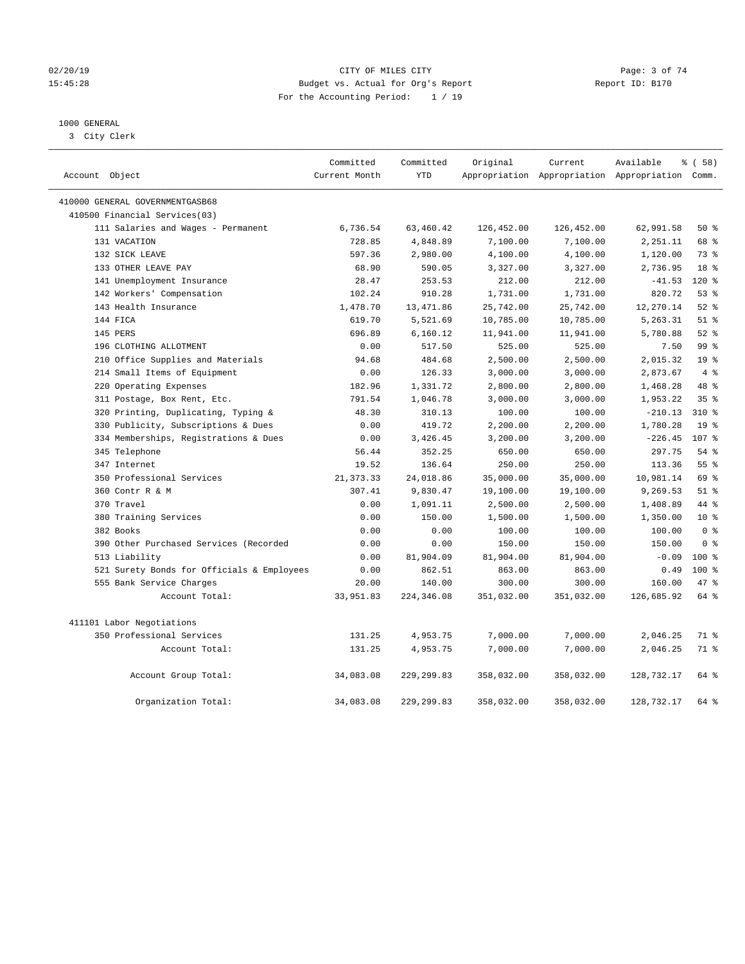#### 02/20/19 CITY OF MILES CITY Page: 3 of 74 15:45:28 Budget vs. Actual for Org's Report Report ID: B170 For the Accounting Period: 1 / 19

### 1000 GENERAL

3 City Clerk

|                                            | Committed     | Committed   | Original   | Current    | Available                                       | 8 ( 58 )        |
|--------------------------------------------|---------------|-------------|------------|------------|-------------------------------------------------|-----------------|
| Account Object                             | Current Month | <b>YTD</b>  |            |            | Appropriation Appropriation Appropriation Comm. |                 |
| 410000 GENERAL GOVERNMENTGASB68            |               |             |            |            |                                                 |                 |
| 410500 Financial Services(03)              |               |             |            |            |                                                 |                 |
| 111 Salaries and Wages - Permanent         | 6,736.54      | 63,460.42   | 126,452.00 | 126,452.00 | 62,991.58                                       | 50%             |
| 131 VACATION                               | 728.85        | 4,848.89    | 7,100.00   | 7,100.00   | 2,251.11                                        | 68 %            |
| 132 SICK LEAVE                             | 597.36        | 2,980.00    | 4,100.00   | 4,100.00   | 1,120.00                                        | 73 %            |
| 133 OTHER LEAVE PAY                        | 68.90         | 590.05      | 3,327.00   | 3,327.00   | 2,736.95                                        | 18 <sup>8</sup> |
| 141 Unemployment Insurance                 | 28.47         | 253.53      | 212.00     | 212.00     | $-41.53$                                        | $120*$          |
| 142 Workers' Compensation                  | 102.24        | 910.28      | 1,731.00   | 1,731.00   | 820.72                                          | 53%             |
| 143 Health Insurance                       | 1,478.70      | 13,471.86   | 25,742.00  | 25,742.00  | 12,270.14                                       | $52$ $%$        |
| 144 FICA                                   | 619.70        | 5,521.69    | 10,785.00  | 10,785.00  | 5,263.31                                        | $51$ %          |
| 145 PERS                                   | 696.89        | 6,160.12    | 11,941.00  | 11,941.00  | 5,780.88                                        | $52$ $%$        |
| 196 CLOTHING ALLOTMENT                     | 0.00          | 517.50      | 525.00     | 525.00     | 7.50                                            | 99 <sub>8</sub> |
| 210 Office Supplies and Materials          | 94.68         | 484.68      | 2,500.00   | 2,500.00   | 2,015.32                                        | 19 <sup>°</sup> |
| 214 Small Items of Equipment               | 0.00          | 126.33      | 3,000.00   | 3,000.00   | 2,873.67                                        | 4%              |
| 220 Operating Expenses                     | 182.96        | 1,331.72    | 2,800.00   | 2,800.00   | 1,468.28                                        | 48 %            |
| 311 Postage, Box Rent, Etc.                | 791.54        | 1,046.78    | 3,000.00   | 3,000.00   | 1,953.22                                        | 35%             |
| 320 Printing, Duplicating, Typing &        | 48.30         | 310.13      | 100.00     | 100.00     | $-210.13$                                       | $310*$          |
| 330 Publicity, Subscriptions & Dues        | 0.00          | 419.72      | 2,200.00   | 2,200.00   | 1,780.28                                        | 19 <sup>8</sup> |
| 334 Memberships, Registrations & Dues      | 0.00          | 3,426.45    | 3,200.00   | 3,200.00   | $-226.45$                                       | 107 %           |
| 345 Telephone                              | 56.44         | 352.25      | 650.00     | 650.00     | 297.75                                          | 54%             |
| 347 Internet                               | 19.52         | 136.64      | 250.00     | 250.00     | 113.36                                          | 55 <sup>8</sup> |
| 350 Professional Services                  | 21, 373. 33   | 24,018.86   | 35,000.00  | 35,000.00  | 10,981.14                                       | 69 %            |
| 360 Contr R & M                            | 307.41        | 9,830.47    | 19,100.00  | 19,100.00  | 9,269.53                                        | $51$ %          |
| 370 Travel                                 | 0.00          | 1,091.11    | 2,500.00   | 2,500.00   | 1,408.89                                        | 44 %            |
| 380 Training Services                      | 0.00          | 150.00      | 1,500.00   | 1,500.00   | 1,350.00                                        | 10 <sup>8</sup> |
| 382 Books                                  | 0.00          | 0.00        | 100.00     | 100.00     | 100.00                                          | 0 <sup>8</sup>  |
| 390 Other Purchased Services (Recorded     | 0.00          | 0.00        | 150.00     | 150.00     | 150.00                                          | 0 <sup>8</sup>  |
| 513 Liability                              | 0.00          | 81,904.09   | 81,904.00  | 81,904.00  | $-0.09$                                         | $100*$          |
| 521 Surety Bonds for Officials & Employees | 0.00          | 862.51      | 863.00     | 863.00     | 0.49                                            | $100*$          |
| 555 Bank Service Charges                   | 20.00         | 140.00      | 300.00     | 300.00     | 160.00                                          | 47.8            |
| Account Total:                             | 33,951.83     | 224,346.08  | 351,032.00 | 351,032.00 | 126,685.92                                      | 64 %            |
| 411101 Labor Negotiations                  |               |             |            |            |                                                 |                 |
| 350 Professional Services                  | 131.25        | 4,953.75    | 7,000.00   | 7,000.00   | 2,046.25                                        | 71 %            |
| Account Total:                             | 131.25        | 4,953.75    | 7,000.00   | 7,000.00   | 2,046.25                                        | 71 %            |
| Account Group Total:                       | 34,083.08     | 229, 299.83 | 358,032.00 | 358,032.00 | 128,732.17                                      | 64 %            |
| Organization Total:                        | 34,083.08     | 229, 299.83 | 358,032.00 | 358,032.00 | 128,732.17                                      | 64 %            |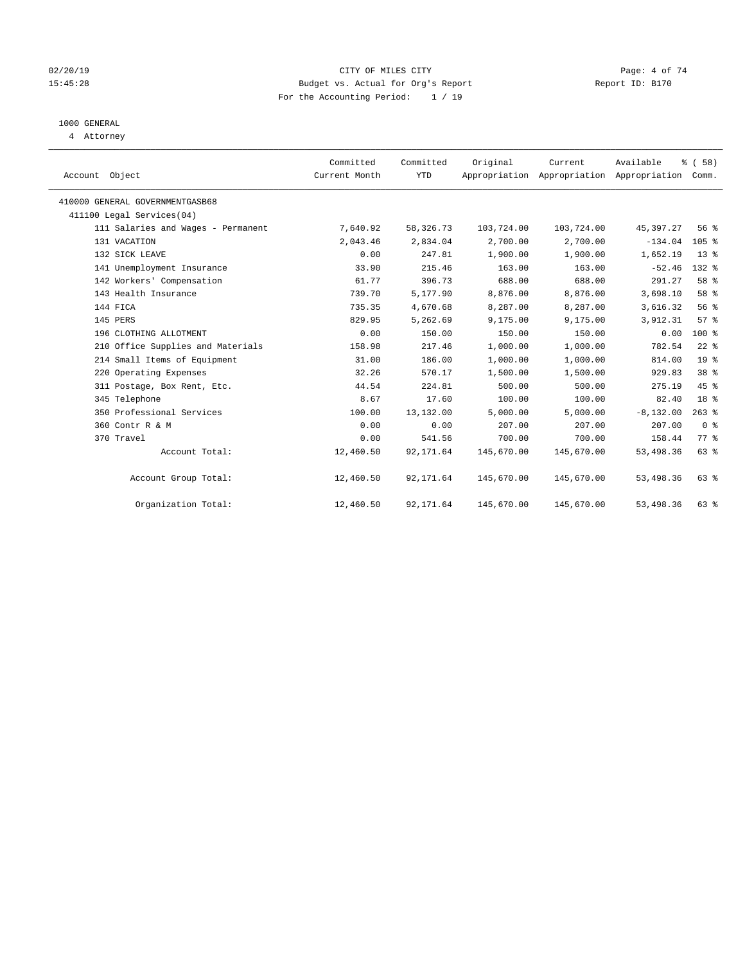#### 02/20/19 CITY OF MILES CITY Page: 4 of 74 15:45:28 Budget vs. Actual for Org's Report Report ID: B170 For the Accounting Period: 1 / 19

## 1000 GENERAL

4 Attorney

| Account Object                     | Committed<br>Current Month | Committed<br><b>YTD</b> | Original   | Current<br>Appropriation Appropriation Appropriation | Available    | % (58)<br>Comm. |  |
|------------------------------------|----------------------------|-------------------------|------------|------------------------------------------------------|--------------|-----------------|--|
| 410000 GENERAL GOVERNMENTGASB68    |                            |                         |            |                                                      |              |                 |  |
| 411100 Legal Services(04)          |                            |                         |            |                                                      |              |                 |  |
| 111 Salaries and Wages - Permanent | 7,640.92                   | 58,326.73               | 103,724.00 | 103,724.00                                           | 45,397.27    | 56%             |  |
| 131 VACATION                       | 2,043.46                   | 2,834.04                | 2,700.00   | 2,700.00                                             | $-134.04$    | $105$ %         |  |
| 132 SICK LEAVE                     | 0.00                       | 247.81                  | 1,900.00   | 1,900.00                                             | 1,652.19     | $13*$           |  |
| 141 Unemployment Insurance         | 33.90                      | 215.46                  | 163.00     | 163.00                                               | $-52.46$     | $132$ $%$       |  |
| 142 Workers' Compensation          | 61.77                      | 396.73                  | 688.00     | 688.00                                               | 291.27       | 58 %            |  |
| 143 Health Insurance               | 739.70                     | 5,177.90                | 8,876.00   | 8,876.00                                             | 3,698.10     | 58 %            |  |
| 144 FICA                           | 735.35                     | 4,670.68                | 8,287.00   | 8,287.00                                             | 3,616.32     | 56%             |  |
| 145 PERS                           | 829.95                     | 5,262.69                | 9,175.00   | 9,175.00                                             | 3,912.31     | 57%             |  |
| 196 CLOTHING ALLOTMENT             | 0.00                       | 150.00                  | 150.00     | 150.00                                               | 0.00         | $100*$          |  |
| 210 Office Supplies and Materials  | 158.98                     | 217.46                  | 1,000.00   | 1,000.00                                             | 782.54       | $22$ %          |  |
| 214 Small Items of Equipment       | 31.00                      | 186.00                  | 1,000.00   | 1,000.00                                             | 814.00       | 19 <sup>°</sup> |  |
| 220 Operating Expenses             | 32.26                      | 570.17                  | 1,500.00   | 1,500.00                                             | 929.83       | 38 %            |  |
| 311 Postage, Box Rent, Etc.        | 44.54                      | 224.81                  | 500.00     | 500.00                                               | 275.19       | 45%             |  |
| 345 Telephone                      | 8.67                       | 17.60                   | 100.00     | 100.00                                               | 82.40        | 18 <sup>°</sup> |  |
| 350 Professional Services          | 100.00                     | 13,132.00               | 5,000.00   | 5,000.00                                             | $-8, 132.00$ | $263$ $%$       |  |
| 360 Contr R & M                    | 0.00                       | 0.00                    | 207.00     | 207.00                                               | 207.00       | 0 <sup>8</sup>  |  |
| 370 Travel                         | 0.00                       | 541.56                  | 700.00     | 700.00                                               | 158.44       | 77.8            |  |
| Account Total:                     | 12,460.50                  | 92, 171.64              | 145,670.00 | 145,670.00                                           | 53, 498.36   | 63%             |  |
| Account Group Total:               | 12,460.50                  | 92, 171.64              | 145,670.00 | 145,670.00                                           | 53,498.36    | 63%             |  |
| Organization Total:                | 12,460.50                  | 92,171.64               | 145,670.00 | 145,670.00                                           | 53,498.36    | 63 %            |  |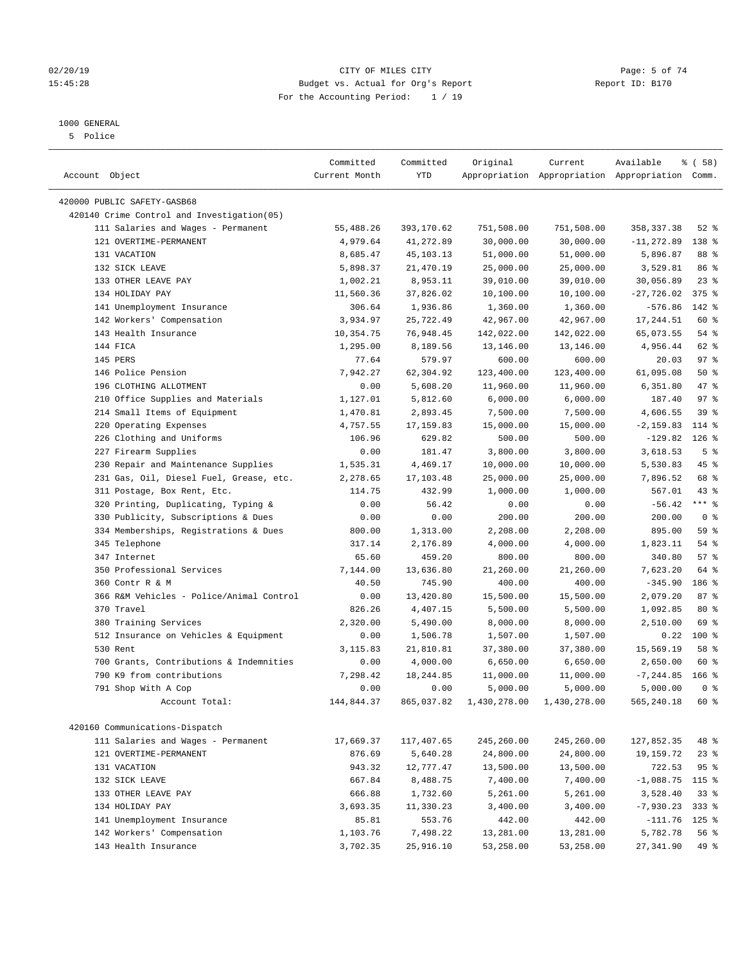#### 1000 GENERAL

5 Police

|                                             | Committed     | Committed  | Original     | Current      | Available                                       | 8 ( 58 )         |  |
|---------------------------------------------|---------------|------------|--------------|--------------|-------------------------------------------------|------------------|--|
| Account Object                              | Current Month | YTD        |              |              | Appropriation Appropriation Appropriation Comm. |                  |  |
|                                             |               |            |              |              |                                                 |                  |  |
| 420000 PUBLIC SAFETY-GASB68                 |               |            |              |              |                                                 |                  |  |
| 420140 Crime Control and Investigation (05) |               |            |              |              |                                                 |                  |  |
| 111 Salaries and Wages - Permanent          | 55,488.26     | 393,170.62 | 751,508.00   | 751,508.00   | 358, 337.38                                     | $52$ $%$         |  |
| 121 OVERTIME-PERMANENT                      | 4,979.64      | 41,272.89  | 30,000.00    | 30,000.00    | $-11, 272.89$                                   | 138 %            |  |
| 131 VACATION                                | 8,685.47      | 45,103.13  | 51,000.00    | 51,000.00    | 5,896.87                                        | 88 %             |  |
| 132 SICK LEAVE                              | 5,898.37      | 21,470.19  | 25,000.00    | 25,000.00    | 3,529.81                                        | 86 %             |  |
| 133 OTHER LEAVE PAY                         | 1,002.21      | 8,953.11   | 39,010.00    | 39,010.00    | 30,056.89                                       | 23%<br>$375$ $%$ |  |
| 134 HOLIDAY PAY                             | 11,560.36     | 37,826.02  | 10,100.00    | 10,100.00    | $-27,726.02$                                    |                  |  |
| 141 Unemployment Insurance                  | 306.64        | 1,936.86   | 1,360.00     | 1,360.00     | $-576.86$                                       | 142 %            |  |
| 142 Workers' Compensation                   | 3,934.97      | 25,722.49  | 42,967.00    | 42,967.00    | 17,244.51                                       | 60 %             |  |
| 143 Health Insurance                        | 10,354.75     | 76,948.45  | 142,022.00   | 142,022.00   | 65,073.55                                       | $54$ %           |  |
| 144 FICA                                    | 1,295.00      | 8,189.56   | 13,146.00    | 13,146.00    | 4,956.44                                        | 62 %             |  |
| 145 PERS                                    | 77.64         | 579.97     | 600.00       | 600.00       | 20.03                                           | 97%              |  |
| 146 Police Pension                          | 7,942.27      | 62,304.92  | 123,400.00   | 123,400.00   | 61,095.08                                       | 50%              |  |
| 196 CLOTHING ALLOTMENT                      | 0.00          | 5,608.20   | 11,960.00    | 11,960.00    | 6,351.80                                        | 47 %             |  |
| 210 Office Supplies and Materials           | 1,127.01      | 5,812.60   | 6,000.00     | 6,000.00     | 187.40                                          | 97 <sub>8</sub>  |  |
| 214 Small Items of Equipment                | 1,470.81      | 2,893.45   | 7,500.00     | 7,500.00     | 4,606.55                                        | 39 %             |  |
| 220 Operating Expenses                      | 4,757.55      | 17,159.83  | 15,000.00    | 15,000.00    | $-2, 159.83$                                    | 114 %            |  |
| 226 Clothing and Uniforms                   | 106.96        | 629.82     | 500.00       | 500.00       | $-129.82$                                       | $126$ %          |  |
| 227 Firearm Supplies                        | 0.00          | 181.47     | 3,800.00     | 3,800.00     | 3,618.53                                        | 5 <sup>°</sup>   |  |
| 230 Repair and Maintenance Supplies         | 1,535.31      | 4,469.17   | 10,000.00    | 10,000.00    | 5,530.83                                        | 45 %             |  |
| 231 Gas, Oil, Diesel Fuel, Grease, etc.     | 2,278.65      | 17,103.48  | 25,000.00    | 25,000.00    | 7,896.52                                        | 68 %             |  |
| 311 Postage, Box Rent, Etc.                 | 114.75        | 432.99     | 1,000.00     | 1,000.00     | 567.01                                          | $43$ %           |  |
| 320 Printing, Duplicating, Typing &         | 0.00          | 56.42      | 0.00         | 0.00         | $-56.42$                                        | $***$ $_{8}$     |  |
| 330 Publicity, Subscriptions & Dues         | 0.00          | 0.00       | 200.00       | 200.00       | 200.00                                          | 0 <sup>8</sup>   |  |
| 334 Memberships, Registrations & Dues       | 800.00        | 1,313.00   | 2,208.00     | 2,208.00     | 895.00                                          | 59 %             |  |
| 345 Telephone                               | 317.14        | 2,176.89   | 4,000.00     | 4,000.00     | 1,823.11                                        | 54 %             |  |
| 347 Internet                                | 65.60         | 459.20     | 800.00       | 800.00       | 340.80                                          | 57%              |  |
| 350 Professional Services                   | 7,144.00      | 13,636.80  | 21,260.00    | 21,260.00    | 7,623.20                                        | 64 %             |  |
| 360 Contr R & M                             | 40.50         | 745.90     | 400.00       | 400.00       | $-345.90$                                       | 186 %            |  |
| 366 R&M Vehicles - Police/Animal Control    | 0.00          | 13,420.80  | 15,500.00    | 15,500.00    | 2,079.20                                        | 87%              |  |
| 370 Travel                                  | 826.26        | 4,407.15   | 5,500.00     | 5,500.00     | 1,092.85                                        | 80 %             |  |
| 380 Training Services                       | 2,320.00      | 5,490.00   | 8,000.00     | 8,000.00     | 2,510.00                                        | 69 %             |  |
| 512 Insurance on Vehicles & Equipment       | 0.00          | 1,506.78   | 1,507.00     | 1,507.00     | 0.22                                            | $100*$           |  |
| 530 Rent                                    | 3,115.83      | 21,810.81  | 37,380.00    | 37,380.00    | 15,569.19                                       | 58 %             |  |
| 700 Grants, Contributions & Indemnities     | 0.00          | 4,000.00   | 6,650.00     | 6,650.00     | 2,650.00                                        | 60 %             |  |
| 790 K9 from contributions                   | 7,298.42      | 18, 244.85 | 11,000.00    | 11,000.00    | $-7, 244.85$                                    | $166$ %          |  |
| 791 Shop With A Cop                         | 0.00          | 0.00       | 5,000.00     | 5,000.00     | 5,000.00                                        | 0 <sup>8</sup>   |  |
| Account Total:                              | 144,844.37    | 865,037.82 | 1,430,278.00 | 1,430,278.00 | 565,240.18                                      | 60 %             |  |
| 420160 Communications-Dispatch              |               |            |              |              |                                                 |                  |  |
|                                             |               |            | 245,260.00   | 245,260.00   |                                                 | 48 %             |  |
| 111 Salaries and Wages - Permanent          | 17,669.37     | 117,407.65 |              |              | 127,852.35                                      |                  |  |
| 121 OVERTIME-PERMANENT                      | 876.69        | 5,640.28   | 24,800.00    | 24,800.00    | 19,159.72                                       | $23$ %           |  |
| 131 VACATION                                | 943.32        | 12,777.47  | 13,500.00    | 13,500.00    | 722.53                                          | 95 %             |  |
| 132 SICK LEAVE                              | 667.84        | 8,488.75   | 7,400.00     | 7,400.00     | $-1,088.75$                                     | 115 %            |  |
| 133 OTHER LEAVE PAY                         | 666.88        | 1,732.60   | 5,261.00     | 5,261.00     | 3,528.40                                        | 33%              |  |
| 134 HOLIDAY PAY                             | 3,693.35      | 11,330.23  | 3,400.00     | 3,400.00     | $-7,930.23$                                     | $333$ %          |  |
| 141 Unemployment Insurance                  | 85.81         | 553.76     | 442.00       | 442.00       | $-111.76$                                       | $125$ %          |  |
| 142 Workers' Compensation                   | 1,103.76      | 7,498.22   | 13,281.00    | 13,281.00    | 5,782.78                                        | 56 %             |  |
| 143 Health Insurance                        | 3,702.35      | 25,916.10  | 53,258.00    | 53,258.00    | 27, 341.90                                      | 49 %             |  |

### 02/20/19 CITY OF MILES CITY CHARGES CITY CONTROL Page: 5 of 74 15:45:28 Budget vs. Actual for Org's Report Report ID: B170 For the Accounting Period: 1 / 19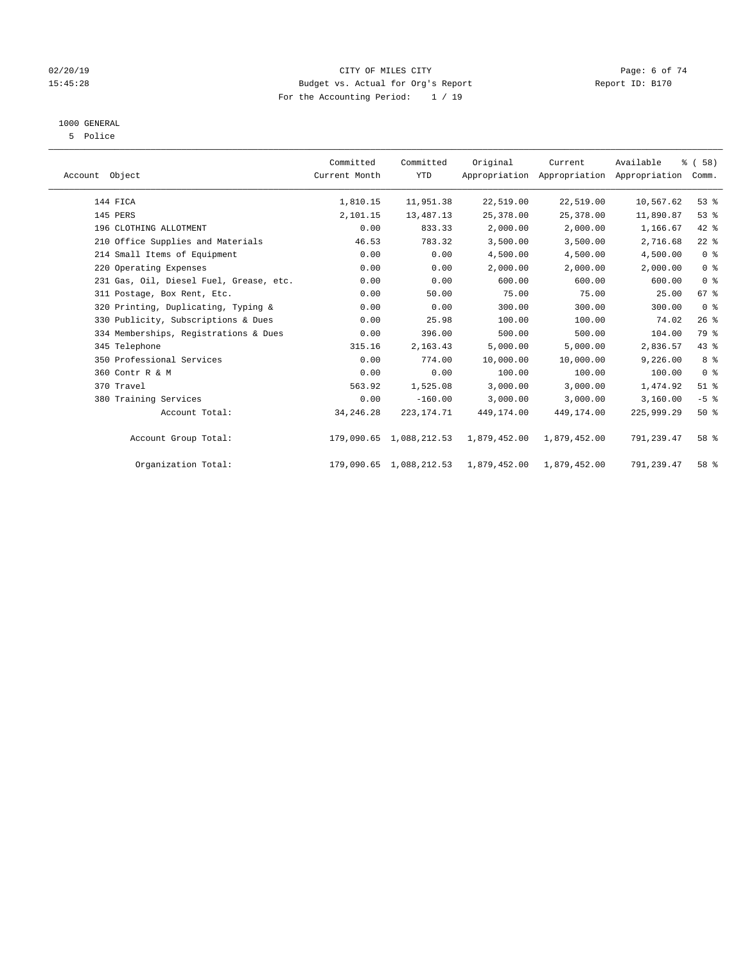#### 02/20/19 CITY OF MILES CITY Page: 6 of 74 15:45:28 Budget vs. Actual for Org's Report Report ID: B170 For the Accounting Period: 1 / 19

### 1000 GENERAL

5 Police

| Account Object |                                         | Committed<br>Current Month | Committed<br><b>YTD</b> | Original     | Current<br>Appropriation Appropriation Appropriation | Available  | % (58)<br>Comm. |
|----------------|-----------------------------------------|----------------------------|-------------------------|--------------|------------------------------------------------------|------------|-----------------|
|                | 144 FICA                                | 1,810.15                   | 11,951.38               | 22,519.00    | 22,519.00                                            | 10,567.62  | 53%             |
|                | 145 PERS                                | 2,101.15                   | 13,487.13               | 25,378.00    | 25,378.00                                            | 11,890.87  | 53%             |
|                | 196 CLOTHING ALLOTMENT                  | 0.00                       | 833.33                  | 2,000.00     | 2,000.00                                             | 1,166.67   | 42 %            |
|                | 210 Office Supplies and Materials       | 46.53                      | 783.32                  | 3,500.00     | 3,500.00                                             | 2,716.68   | $22$ %          |
|                | 214 Small Items of Equipment            | 0.00                       | 0.00                    | 4,500.00     | 4,500.00                                             | 4,500.00   | 0 <sup>8</sup>  |
|                | 220 Operating Expenses                  | 0.00                       | 0.00                    | 2,000.00     | 2,000.00                                             | 2,000.00   | 0 <sup>8</sup>  |
|                | 231 Gas, Oil, Diesel Fuel, Grease, etc. | 0.00                       | 0.00                    | 600.00       | 600.00                                               | 600.00     | 0 <sup>8</sup>  |
|                | 311 Postage, Box Rent, Etc.             | 0.00                       | 50.00                   | 75.00        | 75.00                                                | 25.00      | 67 %            |
|                | 320 Printing, Duplicating, Typing &     | 0.00                       | 0.00                    | 300.00       | 300.00                                               | 300.00     | 0 <sup>8</sup>  |
|                | 330 Publicity, Subscriptions & Dues     | 0.00                       | 25.98                   | 100.00       | 100.00                                               | 74.02      | 26%             |
|                | 334 Memberships, Registrations & Dues   | 0.00                       | 396.00                  | 500.00       | 500.00                                               | 104.00     | 79 %            |
|                | 345 Telephone                           | 315.16                     | 2,163.43                | 5,000.00     | 5,000.00                                             | 2,836.57   | 43 %            |
|                | 350 Professional Services               | 0.00                       | 774.00                  | 10,000.00    | 10,000.00                                            | 9,226.00   | 8%              |
|                | 360 Contr R & M                         | 0.00                       | 0.00                    | 100.00       | 100.00                                               | 100.00     | 0 <sup>8</sup>  |
|                | 370 Travel                              | 563.92                     | 1,525.08                | 3,000.00     | 3,000.00                                             | 1,474.92   | $51$ %          |
|                | 380 Training Services                   | 0.00                       | $-160.00$               | 3,000.00     | 3,000.00                                             | 3,160.00   | $-5$ $%$        |
|                | Account Total:                          | 34, 246. 28                | 223, 174. 71            | 449,174.00   | 449, 174, 00                                         | 225,999.29 | 50%             |
|                | Account Group Total:                    |                            | 179,090.65 1,088,212.53 | 1,879,452.00 | 1,879,452.00                                         | 791,239.47 | 58 %            |
|                | Organization Total:                     |                            | 179,090.65 1,088,212.53 | 1,879,452.00 | 1,879,452.00                                         | 791,239.47 | 58 %            |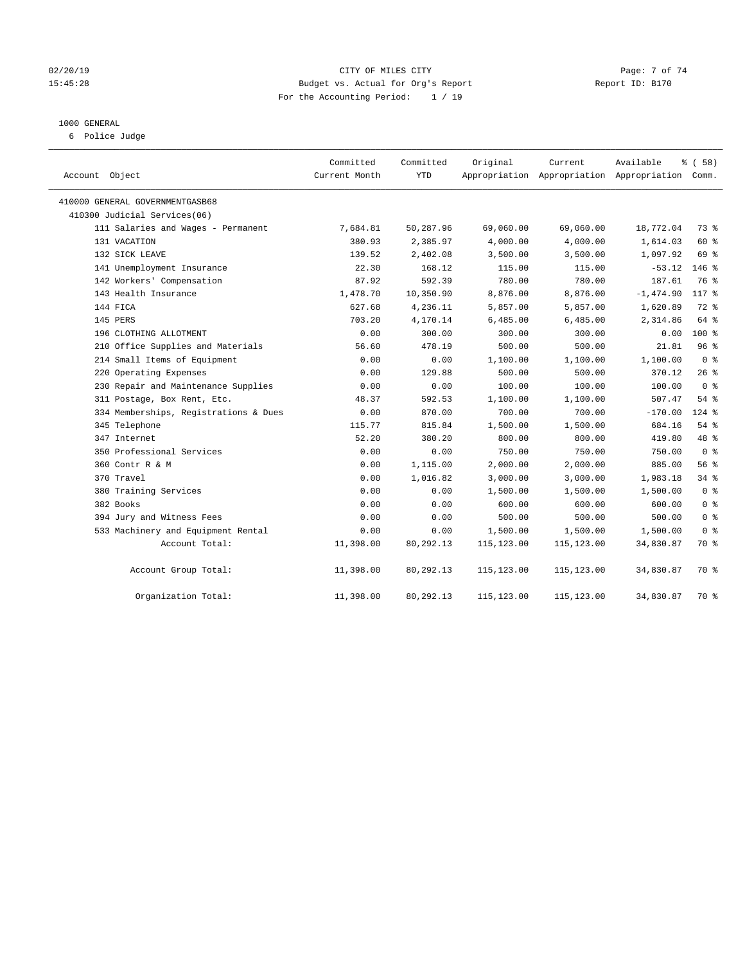#### 02/20/19 CITY OF MILES CITY Page: 7 of 74 15:45:28 Budget vs. Actual for Org's Report Report ID: B170 For the Accounting Period: 1 / 19

#### 1000 GENERAL

6 Police Judge

| Account Object                        | Committed<br>Current Month | Committed<br><b>YTD</b> | Original    | Current    | Available<br>Appropriation Appropriation Appropriation Comm. | 8 ( 58 )       |
|---------------------------------------|----------------------------|-------------------------|-------------|------------|--------------------------------------------------------------|----------------|
| 410000 GENERAL GOVERNMENTGASB68       |                            |                         |             |            |                                                              |                |
| 410300 Judicial Services(06)          |                            |                         |             |            |                                                              |                |
| 111 Salaries and Wages - Permanent    | 7,684.81                   | 50,287.96               | 69,060.00   | 69,060.00  | 18,772.04                                                    | 73 %           |
| 131 VACATION                          | 380.93                     | 2,385.97                | 4,000.00    | 4,000.00   | 1,614.03                                                     | 60 %           |
| 132 SICK LEAVE                        | 139.52                     | 2,402.08                | 3,500.00    | 3,500.00   | 1,097.92                                                     | 69 %           |
| 141 Unemployment Insurance            | 22.30                      | 168.12                  | 115.00      | 115.00     | $-53.12$                                                     | $146$ %        |
| 142 Workers' Compensation             | 87.92                      | 592.39                  | 780.00      | 780.00     | 187.61                                                       | 76 %           |
| 143 Health Insurance                  | 1,478.70                   | 10,350.90               | 8,876.00    | 8,876.00   | $-1,474.90$                                                  | 117 %          |
| 144 FICA                              | 627.68                     | 4,236.11                | 5,857.00    | 5,857.00   | 1,620.89                                                     | $72$ $%$       |
| 145 PERS                              | 703.20                     | 4,170.14                | 6,485.00    | 6,485.00   | 2,314.86                                                     | 64 %           |
| 196 CLOTHING ALLOTMENT                | 0.00                       | 300.00                  | 300.00      | 300.00     | 0.00                                                         | $100*$         |
| 210 Office Supplies and Materials     | 56.60                      | 478.19                  | 500.00      | 500.00     | 21.81                                                        | 96%            |
| 214 Small Items of Equipment          | 0.00                       | 0.00                    | 1,100.00    | 1,100.00   | 1,100.00                                                     | 0 <sup>8</sup> |
| 220 Operating Expenses                | 0.00                       | 129.88                  | 500.00      | 500.00     | 370.12                                                       | 26%            |
| 230 Repair and Maintenance Supplies   | 0.00                       | 0.00                    | 100.00      | 100.00     | 100.00                                                       | 0 <sup>8</sup> |
| 311 Postage, Box Rent, Etc.           | 48.37                      | 592.53                  | 1,100.00    | 1,100.00   | 507.47                                                       | 54 %           |
| 334 Memberships, Registrations & Dues | 0.00                       | 870.00                  | 700.00      | 700.00     | $-170.00$                                                    | $124$ %        |
| 345 Telephone                         | 115.77                     | 815.84                  | 1,500.00    | 1,500.00   | 684.16                                                       | $54$ %         |
| 347 Internet                          | 52.20                      | 380.20                  | 800.00      | 800.00     | 419.80                                                       | 48 %           |
| 350 Professional Services             | 0.00                       | 0.00                    | 750.00      | 750.00     | 750.00                                                       | 0 <sup>8</sup> |
| 360 Contr R & M                       | 0.00                       | 1,115.00                | 2,000.00    | 2,000.00   | 885.00                                                       | 56%            |
| 370 Travel                            | 0.00                       | 1,016.82                | 3,000.00    | 3,000.00   | 1,983.18                                                     | 34%            |
| 380 Training Services                 | 0.00                       | 0.00                    | 1,500.00    | 1,500.00   | 1,500.00                                                     | 0 <sup>8</sup> |
| 382 Books                             | 0.00                       | 0.00                    | 600.00      | 600.00     | 600.00                                                       | 0 <sup>8</sup> |
| 394 Jury and Witness Fees             | 0.00                       | 0.00                    | 500.00      | 500.00     | 500.00                                                       | 0 <sup>8</sup> |
| 533 Machinery and Equipment Rental    | 0.00                       | 0.00                    | 1,500.00    | 1,500.00   | 1,500.00                                                     | 0 <sup>8</sup> |
| Account Total:                        | 11,398.00                  | 80,292.13               | 115, 123.00 | 115,123.00 | 34,830.87                                                    | 70 %           |
| Account Group Total:                  | 11,398.00                  | 80,292.13               | 115,123.00  | 115,123.00 | 34,830.87                                                    | 70 %           |
| Organization Total:                   | 11,398.00                  | 80,292.13               | 115,123.00  | 115,123.00 | 34,830.87                                                    | 70 %           |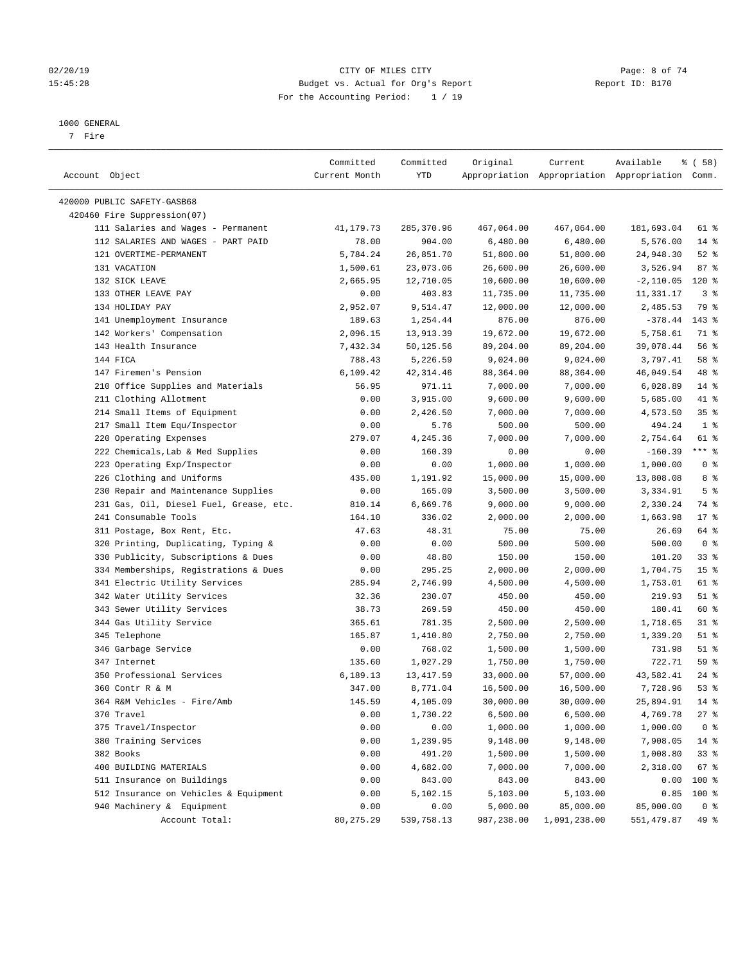#### 02/20/19 CITY OF MILES CITY Page: 8 of 74 15:45:28 Budget vs. Actual for Org's Report Report ID: B170 For the Accounting Period: 1 / 19

————————————————————————————————————————————————————————————————————————————————————————————————————————————————————————————————————

#### 1000 GENERAL

7 Fire

|                                                                    | Committed         | Committed          | Original               | Current                   | Available                                       | 8 ( 58 )               |
|--------------------------------------------------------------------|-------------------|--------------------|------------------------|---------------------------|-------------------------------------------------|------------------------|
| Account Object                                                     | Current Month     | YTD                |                        |                           | Appropriation Appropriation Appropriation Comm. |                        |
| 420000 PUBLIC SAFETY-GASB68                                        |                   |                    |                        |                           |                                                 |                        |
| 420460 Fire Suppression(07)                                        |                   |                    |                        |                           |                                                 |                        |
| 111 Salaries and Wages - Permanent                                 | 41,179.73         | 285,370.96         | 467,064.00             | 467,064.00                | 181,693.04                                      | 61 %                   |
| 112 SALARIES AND WAGES - PART PAID                                 | 78.00             | 904.00             | 6,480.00               | 6,480.00                  | 5,576.00                                        | $14*$                  |
| 121 OVERTIME-PERMANENT                                             | 5,784.24          | 26,851.70          | 51,800.00              | 51,800.00                 | 24,948.30                                       | $52$ $%$               |
| 131 VACATION                                                       | 1,500.61          | 23,073.06          | 26,600.00              | 26,600.00                 | 3,526.94                                        | 87%                    |
| 132 SICK LEAVE                                                     | 2,665.95          | 12,710.05          | 10,600.00              | 10,600.00                 | $-2,110.05$                                     | $120*$                 |
| 133 OTHER LEAVE PAY                                                | 0.00              | 403.83             | 11,735.00              | 11,735.00                 | 11,331.17                                       | 3%                     |
| 134 HOLIDAY PAY                                                    | 2,952.07          | 9,514.47           | 12,000.00              | 12,000.00                 | 2,485.53                                        | 79 %                   |
| 141 Unemployment Insurance                                         | 189.63            | 1,254.44           | 876.00                 | 876.00                    | $-378.44$                                       | 143 %                  |
| 142 Workers' Compensation                                          | 2,096.15          | 13,913.39          | 19,672.00              | 19,672.00                 | 5,758.61                                        | 71 %                   |
| 143 Health Insurance                                               | 7,432.34          | 50,125.56          | 89,204.00              | 89,204.00                 | 39,078.44                                       | 56%                    |
| 144 FICA                                                           | 788.43            | 5,226.59           | 9,024.00               | 9,024.00                  | 3,797.41                                        | 58 %                   |
| 147 Firemen's Pension                                              | 6,109.42          | 42, 314.46         | 88,364.00              | 88,364.00                 | 46,049.54                                       | 48 %                   |
| 210 Office Supplies and Materials                                  | 56.95             | 971.11             | 7,000.00               | 7,000.00                  | 6,028.89                                        | $14*$                  |
| 211 Clothing Allotment                                             | 0.00              | 3,915.00           | 9,600.00               | 9,600.00                  | 5,685.00                                        | 41 %                   |
| 214 Small Items of Equipment                                       | 0.00              | 2,426.50           | 7,000.00               | 7,000.00                  | 4,573.50                                        | 35%                    |
| 217 Small Item Equ/Inspector                                       | 0.00              | 5.76               | 500.00                 | 500.00                    | 494.24                                          | 1 <sup>°</sup>         |
| 220 Operating Expenses                                             | 279.07            | 4,245.36           | 7,000.00               | 7,000.00                  | 2,754.64                                        | 61 %                   |
| 222 Chemicals, Lab & Med Supplies                                  | 0.00              | 160.39             | 0.00                   | 0.00                      | $-160.39$                                       | $***$ $-$              |
| 223 Operating Exp/Inspector                                        | 0.00              | 0.00               | 1,000.00               | 1,000.00                  | 1,000.00                                        | 0 <sup>8</sup>         |
| 226 Clothing and Uniforms                                          | 435.00            | 1,191.92           | 15,000.00              | 15,000.00                 | 13,808.08                                       | 8%                     |
| 230 Repair and Maintenance Supplies                                | 0.00              | 165.09             | 3,500.00               | 3,500.00                  | 3,334.91                                        | 5 <sup>°</sup>         |
| 231 Gas, Oil, Diesel Fuel, Grease, etc.                            | 810.14            | 6,669.76           | 9,000.00               | 9,000.00                  | 2,330.24                                        | 74 %                   |
| 241 Consumable Tools                                               | 164.10            | 336.02             | 2,000.00               | 2,000.00                  | 1,663.98                                        | $17*$                  |
| 311 Postage, Box Rent, Etc.                                        | 47.63             | 48.31              | 75.00                  | 75.00                     | 26.69                                           | 64 %                   |
| 320 Printing, Duplicating, Typing &                                | 0.00              | 0.00               | 500.00                 | 500.00                    | 500.00                                          | 0 <sup>8</sup>         |
| 330 Publicity, Subscriptions & Dues                                | 0.00              | 48.80              | 150.00                 | 150.00                    | 101.20                                          | 33%                    |
| 334 Memberships, Registrations & Dues                              | 0.00              | 295.25             | 2,000.00               | 2,000.00                  | 1,704.75                                        | 15 <sup>8</sup>        |
| 341 Electric Utility Services                                      | 285.94            | 2,746.99           | 4,500.00               | 4,500.00                  | 1,753.01                                        | 61 %                   |
| 342 Water Utility Services                                         | 32.36             | 230.07             | 450.00                 | 450.00                    | 219.93                                          | $51$ %                 |
| 343 Sewer Utility Services                                         | 38.73             | 269.59             | 450.00                 | 450.00                    | 180.41                                          | 60 %                   |
| 344 Gas Utility Service                                            | 365.61            | 781.35             | 2,500.00               | 2,500.00                  | 1,718.65                                        | $31$ %                 |
| 345 Telephone                                                      | 165.87            | 1,410.80           | 2,750.00               | 2,750.00                  | 1,339.20                                        | $51$ %                 |
| 346 Garbage Service                                                | 0.00              | 768.02             | 1,500.00               | 1,500.00                  | 731.98                                          | $51$ %                 |
| 347 Internet                                                       | 135.60            | 1,027.29           | 1,750.00               | 1,750.00                  | 722.71                                          | 59 %                   |
| 350 Professional Services                                          | 6,189.13          | 13, 417.59         | 33,000.00              | 57,000.00                 | 43,582.41                                       | $24$ %                 |
| 360 Contr R & M                                                    | 347.00            | 8,771.04           | 16,500.00              | 16,500.00                 | 7,728.96                                        | 53%                    |
| 364 R&M Vehicles - Fire/Amb                                        | 145.59            |                    |                        |                           | 25,894.91                                       | $14*$                  |
|                                                                    |                   | 4,105.09           | 30,000.00<br>6,500.00  | 30,000.00<br>6,500.00     | 4,769.78                                        | $27$ %                 |
| 370 Travel<br>375 Travel/Inspector                                 | 0.00<br>0.00      | 1,730.22<br>0.00   |                        |                           |                                                 |                        |
|                                                                    |                   | 1,239.95           | 1,000.00               | 1,000.00                  | 1,000.00                                        | 0 <sup>8</sup>         |
| 380 Training Services                                              | 0.00              | 491.20             | 9,148.00               | 9,148.00                  | 7,908.05                                        | $14*$                  |
| 382 Books                                                          | 0.00              |                    | 1,500.00               | 1,500.00<br>7,000.00      | 1,008.80                                        | 33%                    |
| 400 BUILDING MATERIALS                                             | 0.00              | 4,682.00           | 7,000.00               |                           | 2,318.00                                        | 67%                    |
| 511 Insurance on Buildings                                         | 0.00              | 843.00<br>5,102.15 | 843.00                 | 843.00                    | 0.00                                            | 100 %                  |
| 512 Insurance on Vehicles & Equipment<br>940 Machinery & Equipment | 0.00              |                    | 5,103.00               | 5,103.00                  | 0.85                                            | 100 %                  |
| Account Total:                                                     | 0.00<br>80,275.29 | 0.00<br>539,758.13 | 5,000.00<br>987,238.00 | 85,000.00<br>1,091,238.00 | 85,000.00<br>551,479.87                         | 0 <sup>8</sup><br>49 % |
|                                                                    |                   |                    |                        |                           |                                                 |                        |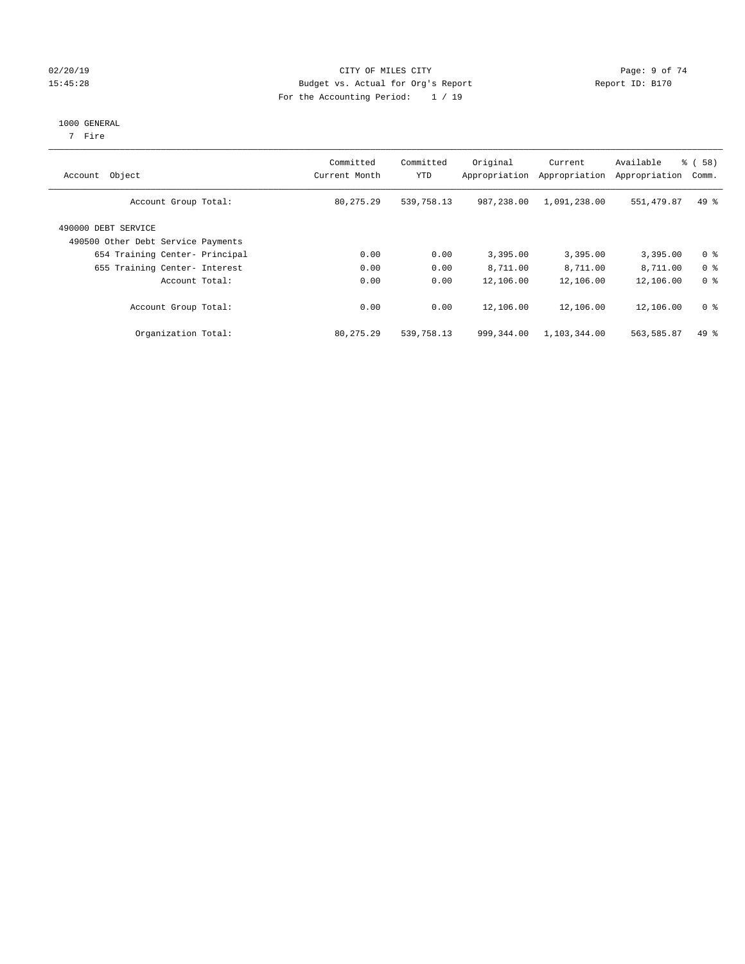#### 02/20/19 CITY OF MILES CITY Page: 9 of 74 15:45:28 Budget vs. Actual for Org's Report Report ID: B170 For the Accounting Period: 1 / 19

#### 1000 GENERAL

7 Fire

| Account Object                                            | Committed<br>Current Month | Committed<br>YTD | Original<br>Appropriation | Current<br>Appropriation | Available<br>Appropriation | % ( 58 )<br>Comm. |
|-----------------------------------------------------------|----------------------------|------------------|---------------------------|--------------------------|----------------------------|-------------------|
| Account Group Total:                                      | 80, 275. 29                | 539,758.13       | 987,238,00                | 1,091,238.00             | 551,479.87                 | $49*$             |
| 490000 DEBT SERVICE<br>490500 Other Debt Service Payments |                            |                  |                           |                          |                            |                   |
| 654 Training Center- Principal                            | 0.00                       | 0.00             | 3,395.00                  | 3,395.00                 | 3,395.00                   | 0 <sup>8</sup>    |
| 655 Training Center- Interest                             | 0.00                       | 0.00             | 8,711.00                  | 8,711.00                 | 8,711.00                   | 0 <sup>8</sup>    |
| Account Total:                                            | 0.00                       | 0.00             | 12,106.00                 | 12,106.00                | 12,106.00                  | 0 <sup>8</sup>    |
| Account Group Total:                                      | 0.00                       | 0.00             | 12,106.00                 | 12,106.00                | 12,106.00                  | 0 <sup>8</sup>    |
| Organization Total:                                       | 80, 275. 29                | 539,758.13       | 999,344.00                | 1,103,344.00             | 563,585.87                 | $49*$             |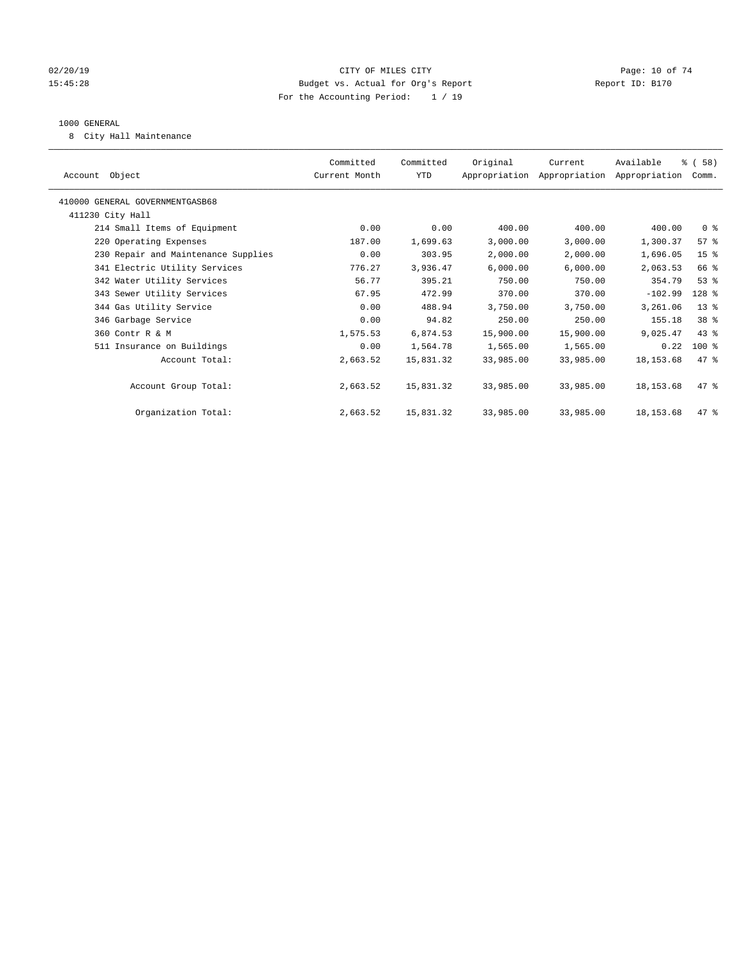#### $O(2/20/19$  Page: 10 of 74 15:45:28 Budget vs. Actual for Org's Report Report ID: B170 For the Accounting Period: 1 / 19

#### 1000 GENERAL

8 City Hall Maintenance

| Account Object                      | Committed<br>Current Month | Committed<br>YTD | Original  | Current<br>Appropriation Appropriation Appropriation | Available   | % (58)<br>Comm. |
|-------------------------------------|----------------------------|------------------|-----------|------------------------------------------------------|-------------|-----------------|
|                                     |                            |                  |           |                                                      |             |                 |
| 410000 GENERAL GOVERNMENTGASB68     |                            |                  |           |                                                      |             |                 |
| 411230 City Hall                    |                            |                  |           |                                                      |             |                 |
| 214 Small Items of Equipment        | 0.00                       | 0.00             | 400.00    | 400.00                                               | 400.00      | 0 <sup>8</sup>  |
| 220 Operating Expenses              | 187.00                     | 1,699.63         | 3,000.00  | 3,000.00                                             | 1,300.37    | 57%             |
| 230 Repair and Maintenance Supplies | 0.00                       | 303.95           | 2,000.00  | 2,000.00                                             | 1,696.05    | 15 <sup>8</sup> |
| 341 Electric Utility Services       | 776.27                     | 3,936.47         | 6,000.00  | 6,000.00                                             | 2,063.53    | 66 %            |
| 342 Water Utility Services          | 56.77                      | 395.21           | 750.00    | 750.00                                               | 354.79      | 53%             |
| 343 Sewer Utility Services          | 67.95                      | 472.99           | 370.00    | 370.00                                               | $-102.99$   | 128 %           |
| 344 Gas Utility Service             | 0.00                       | 488.94           | 3,750.00  | 3,750.00                                             | 3,261.06    | $13$ %          |
| 346 Garbage Service                 | 0.00                       | 94.82            | 250.00    | 250.00                                               | 155.18      | 38 %            |
| 360 Contr R & M                     | 1,575.53                   | 6,874.53         | 15,900.00 | 15,900.00                                            | 9,025.47    | $43$ %          |
| 511 Insurance on Buildings          | 0.00                       | 1,564.78         | 1,565.00  | 1,565.00                                             | 0.22        | $100*$          |
| Account Total:                      | 2,663.52                   | 15,831.32        | 33,985.00 | 33,985.00                                            | 18, 153.68  | 47.8            |
|                                     |                            |                  |           |                                                      |             |                 |
| Account Group Total:                | 2,663.52                   | 15,831.32        | 33,985.00 | 33,985.00                                            | 18, 153.68  | 47.8            |
|                                     |                            |                  |           |                                                      |             |                 |
| Organization Total:                 | 2,663.52                   | 15,831.32        | 33,985.00 | 33,985.00                                            | 18, 153. 68 | 47.8            |
|                                     |                            |                  |           |                                                      |             |                 |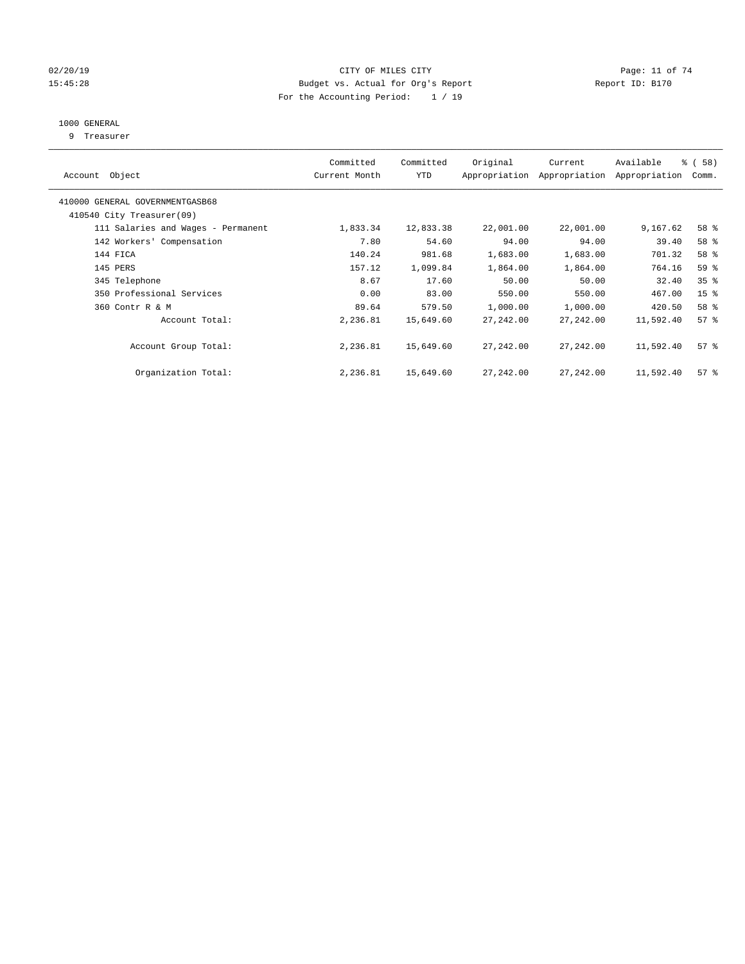#### $O(2/20/19$  Page: 11 of 74 15:45:28 Budget vs. Actual for Org's Report Report ID: B170 For the Accounting Period: 1 / 19

## 1000 GENERAL

9 Treasurer

| Account Object                                               | Committed<br>Current Month | Committed<br><b>YTD</b> | Original   | Current<br>Appropriation Appropriation | Available<br>Appropriation | % (58)<br>Comm. |
|--------------------------------------------------------------|----------------------------|-------------------------|------------|----------------------------------------|----------------------------|-----------------|
| 410000 GENERAL GOVERNMENTGASB68<br>410540 City Treasurer(09) |                            |                         |            |                                        |                            |                 |
| 111 Salaries and Wages - Permanent                           | 1,833.34                   | 12,833.38               | 22,001.00  | 22,001.00                              | 9,167.62                   | 58 %            |
| 142 Workers' Compensation                                    | 7.80                       | 54.60                   | 94.00      | 94.00                                  | 39.40                      | 58 %            |
| 144 FICA                                                     | 140.24                     | 981.68                  | 1,683.00   | 1,683.00                               | 701.32                     | 58 %            |
|                                                              |                            |                         |            |                                        |                            |                 |
| 145 PERS                                                     | 157.12                     | 1,099.84                | 1,864.00   | 1,864.00                               | 764.16                     | 59 %            |
| 345 Telephone                                                | 8.67                       | 17.60                   | 50.00      | 50.00                                  | 32.40                      | 35 <sup>8</sup> |
| 350 Professional Services                                    | 0.00                       | 83.00                   | 550.00     | 550.00                                 | 467.00                     | 15 <sup>°</sup> |
| 360 Contr R & M                                              | 89.64                      | 579.50                  | 1,000.00   | 1,000.00                               | 420.50                     | 58 %            |
| Account Total:                                               | 2,236.81                   | 15,649.60               | 27, 242.00 | 27,242.00                              | 11,592.40                  | 57%             |
| Account Group Total:                                         | 2,236.81                   | 15,649.60               | 27,242.00  | 27,242.00                              | 11,592.40                  | 57%             |
| Organization Total:                                          | 2,236.81                   | 15,649.60               | 27,242.00  | 27,242.00                              | 11,592.40                  | 57%             |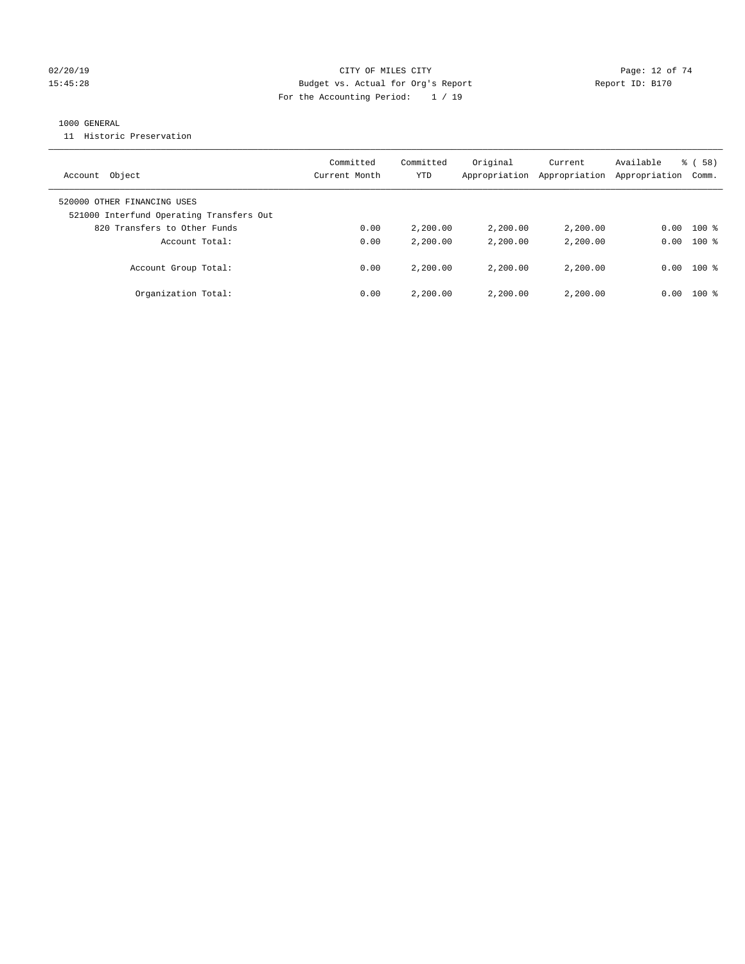#### $O(2/20/19$  Page: 12 of 74 15:45:28 Budget vs. Actual for Org's Report Report ID: B170 For the Accounting Period: 1 / 19

#### 1000 GENERAL

11 Historic Preservation

| Account Object                                                          | Committed<br>Current Month | Committed<br>YTD | Original<br>Appropriation | Current<br>Appropriation | Available<br>Appropriation | $\frac{8}{6}$ (58)<br>Comm. |
|-------------------------------------------------------------------------|----------------------------|------------------|---------------------------|--------------------------|----------------------------|-----------------------------|
| 520000 OTHER FINANCING USES<br>521000 Interfund Operating Transfers Out |                            |                  |                           |                          |                            |                             |
| 820 Transfers to Other Funds                                            | 0.00                       | 2,200.00         | 2,200.00                  | 2,200.00                 | 0.00                       | $100*$                      |
|                                                                         |                            |                  |                           |                          |                            |                             |
| Account Total:                                                          | 0.00                       | 2,200.00         | 2,200.00                  | 2,200.00                 | 0.00                       | $100*$                      |
| Account Group Total:                                                    | 0.00                       | 2,200.00         | 2,200.00                  | 2,200,00                 | 0.00                       | $100*$                      |
| Organization Total:                                                     | 0.00                       | 2,200.00         | 2,200.00                  | 2,200.00                 | 0.00                       | $100*$                      |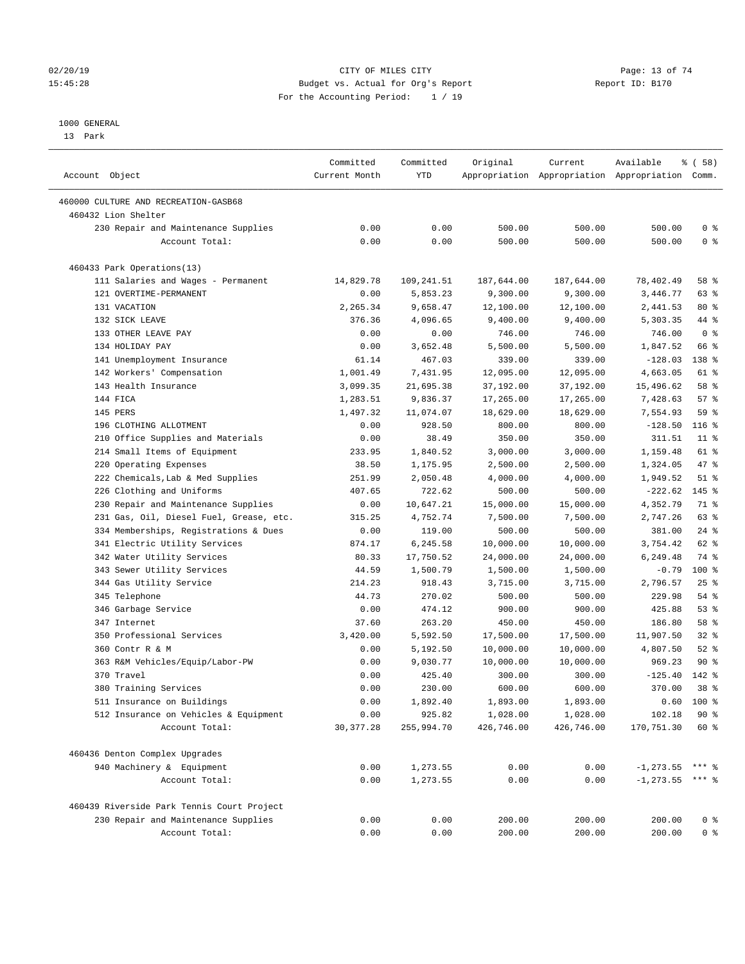#### $O(2/20/19$  Page: 13 of 74 15:45:28 Budget vs. Actual for Org's Report Report ID: B170 For the Accounting Period: 1 / 19

————————————————————————————————————————————————————————————————————————————————————————————————————————————————————————————————————

#### 1000 GENERAL

13 Park

|                                            | Committed       | Committed  | Original   | Current    | Available                                       | 8 ( 58 )        |
|--------------------------------------------|-----------------|------------|------------|------------|-------------------------------------------------|-----------------|
| Account Object                             | Current Month   | <b>YTD</b> |            |            | Appropriation Appropriation Appropriation Comm. |                 |
| 460000 CULTURE AND RECREATION-GASB68       |                 |            |            |            |                                                 |                 |
| 460432 Lion Shelter                        |                 |            |            |            |                                                 |                 |
| 230 Repair and Maintenance Supplies        | 0.00            | 0.00       | 500.00     | 500.00     | 500.00                                          | 0 <sup>8</sup>  |
| Account Total:                             | 0.00            | 0.00       | 500.00     | 500.00     | 500.00                                          | 0 <sup>8</sup>  |
| 460433 Park Operations(13)                 |                 |            |            |            |                                                 |                 |
| 111 Salaries and Wages - Permanent         | 14,829.78       | 109,241.51 | 187,644.00 | 187,644.00 | 78,402.49                                       | 58 %            |
| 121 OVERTIME-PERMANENT                     | 0.00            | 5,853.23   | 9,300.00   | 9,300.00   | 3,446.77                                        | 63%             |
| 131 VACATION                               | 2,265.34        | 9,658.47   | 12,100.00  | 12,100.00  | 2,441.53                                        | $80*$           |
| 132 SICK LEAVE                             | 376.36          | 4,096.65   | 9,400.00   | 9,400.00   | 5,303.35                                        | 44 %            |
| 133 OTHER LEAVE PAY                        | 0.00            | 0.00       | 746.00     | 746.00     | 746.00                                          | 0 <sup>8</sup>  |
| 134 HOLIDAY PAY                            | 0.00            | 3,652.48   | 5,500.00   | 5,500.00   | 1,847.52                                        | 66 %            |
| 141 Unemployment Insurance                 | 61.14           | 467.03     | 339.00     | 339.00     | $-128.03$                                       | 138 %           |
| 142 Workers' Compensation                  | 1,001.49        | 7,431.95   | 12,095.00  | 12,095.00  | 4,663.05                                        | 61 %            |
| 143 Health Insurance                       | 3,099.35        | 21,695.38  | 37,192.00  | 37,192.00  | 15,496.62                                       | 58 %            |
| 144 FICA                                   | 1,283.51        | 9,836.37   | 17,265.00  | 17,265.00  | 7,428.63                                        | 57%             |
| 145 PERS                                   | 1,497.32        | 11,074.07  | 18,629.00  | 18,629.00  | 7,554.93                                        | 59 %            |
| 196 CLOTHING ALLOTMENT                     | 0.00            | 928.50     | 800.00     | 800.00     | $-128.50$                                       | $116$ %         |
| 210 Office Supplies and Materials          | 0.00            | 38.49      | 350.00     | 350.00     | 311.51                                          | $11$ %          |
| 214 Small Items of Equipment               | 233.95          | 1,840.52   | 3,000.00   | 3,000.00   | 1,159.48                                        | 61 %            |
| 220 Operating Expenses                     | 38.50           | 1,175.95   | 2,500.00   | 2,500.00   | 1,324.05                                        | 47 %            |
| 222 Chemicals, Lab & Med Supplies          | 251.99          | 2,050.48   | 4,000.00   | 4,000.00   | 1,949.52                                        | $51$ %          |
| 226 Clothing and Uniforms                  | 407.65          | 722.62     | 500.00     | 500.00     | $-222.62$                                       | $145$ %         |
| 230 Repair and Maintenance Supplies        | 0.00            | 10,647.21  | 15,000.00  | 15,000.00  | 4,352.79                                        | 71 %            |
| 231 Gas, Oil, Diesel Fuel, Grease, etc.    | 315.25          | 4,752.74   | 7,500.00   | 7,500.00   | 2,747.26                                        | 63 %            |
| 334 Memberships, Registrations & Dues      | 0.00            | 119.00     | 500.00     | 500.00     | 381.00                                          | $24$ %          |
|                                            |                 |            |            |            |                                                 | 62 %            |
| 341 Electric Utility Services              | 874.17<br>80.33 | 6,245.58   | 10,000.00  | 10,000.00  | 3,754.42<br>6,249.48                            | 74 %            |
| 342 Water Utility Services                 |                 | 17,750.52  | 24,000.00  | 24,000.00  |                                                 |                 |
| 343 Sewer Utility Services                 | 44.59           | 1,500.79   | 1,500.00   | 1,500.00   | $-0.79$                                         | $100*$          |
| 344 Gas Utility Service                    | 214.23          | 918.43     | 3,715.00   | 3,715.00   | 2,796.57                                        | $25$ %          |
| 345 Telephone                              | 44.73           | 270.02     | 500.00     | 500.00     | 229.98                                          | $54$ %          |
| 346 Garbage Service                        | 0.00            | 474.12     | 900.00     | 900.00     | 425.88                                          | 53%             |
| 347 Internet                               | 37.60           | 263.20     | 450.00     | 450.00     | 186.80                                          | 58 %            |
| 350 Professional Services                  | 3,420.00        | 5,592.50   | 17,500.00  | 17,500.00  | 11,907.50                                       | $32$ $%$        |
| 360 Contr R & M                            | 0.00            | 5,192.50   | 10,000.00  | 10,000.00  | 4,807.50                                        | $52$ $%$        |
| 363 R&M Vehicles/Equip/Labor-PW            | 0.00            | 9,030.77   | 10,000.00  | 10,000.00  | 969.23                                          | $90*$           |
| 370 Travel                                 | 0.00            | 425.40     | 300.00     | 300.00     | $-125.40$                                       | 142 %           |
| 380 Training Services                      | 0.00            | 230.00     | 600.00     | 600.00     | 370.00                                          | 38 <sup>8</sup> |
| 511 Insurance on Buildings                 | 0.00            | 1,892.40   | 1,893.00   | 1,893.00   |                                                 | $0.60$ 100 %    |
| 512 Insurance on Vehicles & Equipment      | 0.00            | 925.82     | 1,028.00   | 1,028.00   | 102.18                                          | $90*$           |
| Account Total:                             | 30, 377.28      | 255,994.70 | 426,746.00 | 426,746.00 | 170,751.30                                      | 60 %            |
| 460436 Denton Complex Upgrades             |                 |            |            |            |                                                 |                 |
| 940 Machinery & Equipment                  | 0.00            | 1,273.55   | 0.00       | 0.00       | $-1, 273.55$ *** %                              |                 |
| Account Total:                             | 0.00            | 1,273.55   | 0.00       | 0.00       | $-1, 273.55$ *** %                              |                 |
| 460439 Riverside Park Tennis Court Project |                 |            |            |            |                                                 |                 |
| 230 Repair and Maintenance Supplies        | 0.00            | 0.00       | 200.00     | 200.00     | 200.00                                          | 0 <sup>8</sup>  |
| Account Total:                             | 0.00            | 0.00       | 200.00     | 200.00     | 200.00                                          | 0 <sup>8</sup>  |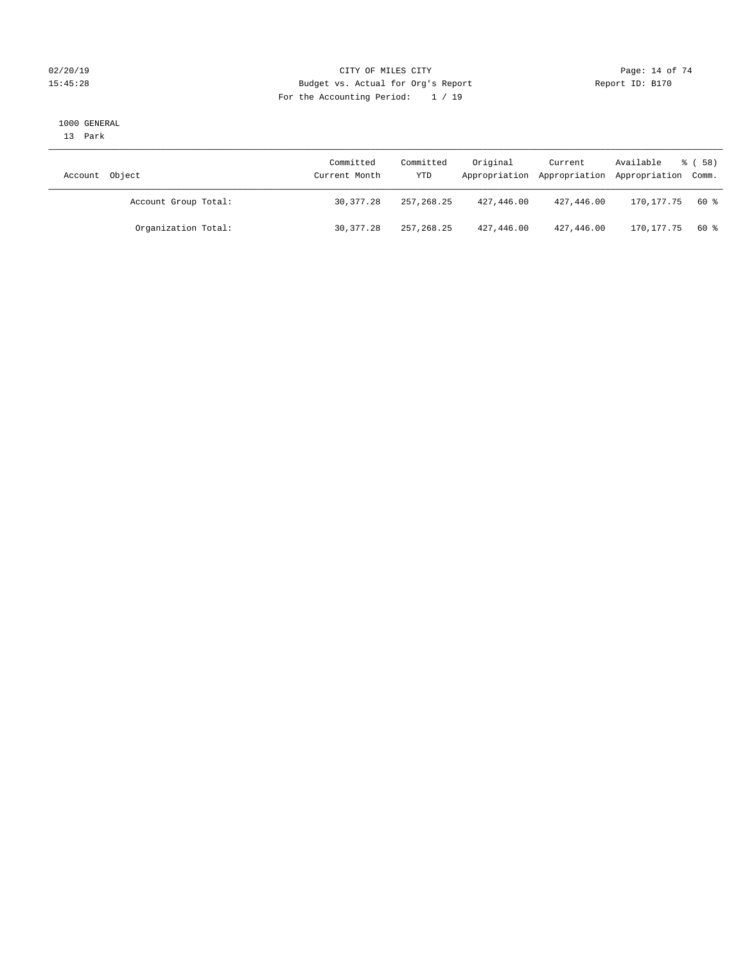#### $O(2/20/19$  Page: 14 of 74 15:45:28 Budget vs. Actual for Org's Report Report ID: B170 For the Accounting Period: 1 / 19

#### 1000 GENERAL

13 Park

| Account Object       | Committed<br>Current Month | Committed<br>YTD | Original   | Current    | Available<br>Appropriation Appropriation Appropriation Comm. | 8 ( 58 ) |
|----------------------|----------------------------|------------------|------------|------------|--------------------------------------------------------------|----------|
| Account Group Total: | 30, 377, 28                | 257,268.25       | 427,446.00 | 427,446.00 | 170.177.75                                                   | 60 %     |
| Organization Total:  | 30, 377, 28                | 257,268.25       | 427,446.00 | 427,446.00 | 170,177.75                                                   | 60 %     |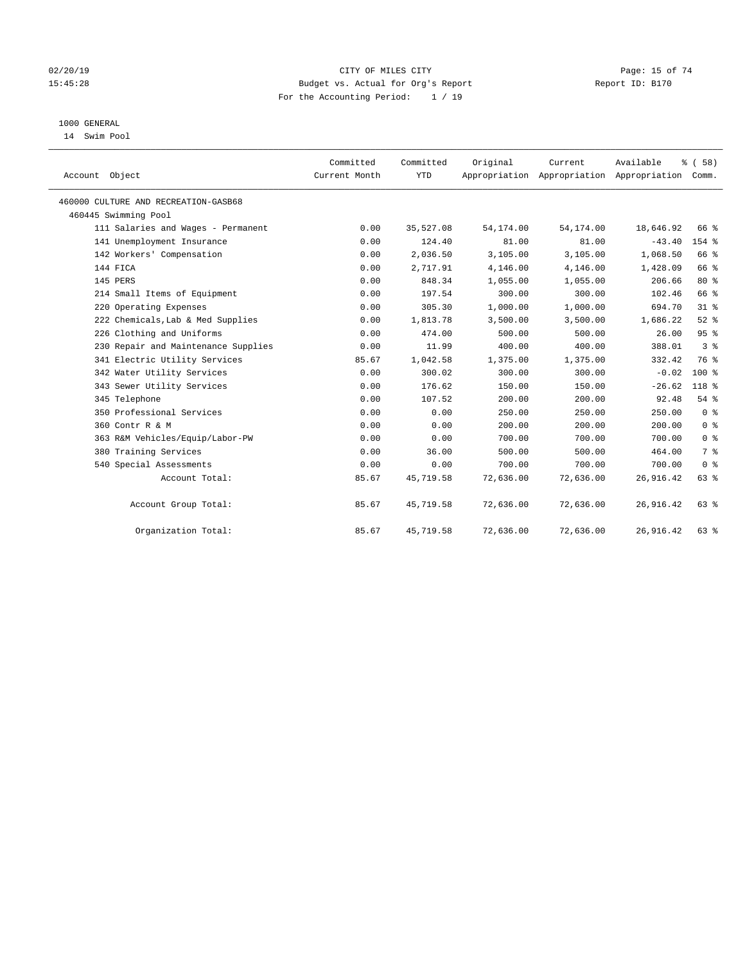#### $O(2/20/19$  Page: 15 of 74 15:45:28 Budget vs. Actual for Org's Report Report ID: B170 For the Accounting Period: 1 / 19

## 1000 GENERAL

14 Swim Pool

| Account Object                       | Committed<br>Current Month | Committed<br><b>YTD</b> | Original   | Current<br>Appropriation Appropriation Appropriation Comm. | Available  | % (58)         |
|--------------------------------------|----------------------------|-------------------------|------------|------------------------------------------------------------|------------|----------------|
| 460000 CULTURE AND RECREATION-GASB68 |                            |                         |            |                                                            |            |                |
| 460445 Swimming Pool                 |                            |                         |            |                                                            |            |                |
| 111 Salaries and Wages - Permanent   | 0.00                       | 35,527.08               | 54, 174.00 | 54, 174.00                                                 | 18,646.92  | 66 %           |
| 141 Unemployment Insurance           | 0.00                       | 124.40                  | 81.00      | 81.00                                                      | $-43.40$   | $154$ $%$      |
| 142 Workers' Compensation            | 0.00                       | 2,036.50                | 3,105.00   | 3,105.00                                                   | 1,068.50   | 66 %           |
| 144 FICA                             | 0.00                       | 2,717.91                | 4,146.00   | 4,146.00                                                   | 1,428.09   | 66 %           |
| 145 PERS                             | 0.00                       | 848.34                  | 1,055.00   | 1,055.00                                                   | 206.66     | $80*$          |
| 214 Small Items of Equipment         | 0.00                       | 197.54                  | 300.00     | 300.00                                                     | 102.46     | 66 %           |
| 220 Operating Expenses               | 0.00                       | 305.30                  | 1,000.00   | 1,000.00                                                   | 694.70     | $31$ %         |
| 222 Chemicals, Lab & Med Supplies    | 0.00                       | 1,813.78                | 3,500.00   | 3,500.00                                                   | 1,686.22   | $52$ $%$       |
| 226 Clothing and Uniforms            | 0.00                       | 474.00                  | 500.00     | 500.00                                                     | 26.00      | 95%            |
| 230 Repair and Maintenance Supplies  | 0.00                       | 11.99                   | 400.00     | 400.00                                                     | 388.01     | 3 <sup>8</sup> |
| 341 Electric Utility Services        | 85.67                      | 1,042.58                | 1,375.00   | 1,375.00                                                   | 332.42     | 76 %           |
| 342 Water Utility Services           | 0.00                       | 300.02                  | 300.00     | 300.00                                                     | $-0.02$    | $100*$         |
| 343 Sewer Utility Services           | 0.00                       | 176.62                  | 150.00     | 150.00                                                     | $-26.62$   | 118 %          |
| 345 Telephone                        | 0.00                       | 107.52                  | 200.00     | 200.00                                                     | 92.48      | 54%            |
| 350 Professional Services            | 0.00                       | 0.00                    | 250.00     | 250.00                                                     | 250.00     | 0 <sup>8</sup> |
| 360 Contr R & M                      | 0.00                       | 0.00                    | 200.00     | 200.00                                                     | 200.00     | 0 <sup>8</sup> |
| 363 R&M Vehicles/Equip/Labor-PW      | 0.00                       | 0.00                    | 700.00     | 700.00                                                     | 700.00     | 0 <sup>8</sup> |
| 380 Training Services                | 0.00                       | 36.00                   | 500.00     | 500.00                                                     | 464.00     | 7 <sup>°</sup> |
| 540 Special Assessments              | 0.00                       | 0.00                    | 700.00     | 700.00                                                     | 700.00     | 0 <sup>8</sup> |
| Account Total:                       | 85.67                      | 45,719.58               | 72,636.00  | 72,636.00                                                  | 26,916.42  | 63 %           |
| Account Group Total:                 | 85.67                      | 45,719.58               | 72,636.00  | 72,636.00                                                  | 26,916.42  | 63%            |
| Organization Total:                  | 85.67                      | 45,719.58               | 72,636.00  | 72,636.00                                                  | 26, 916.42 | $63$ $%$       |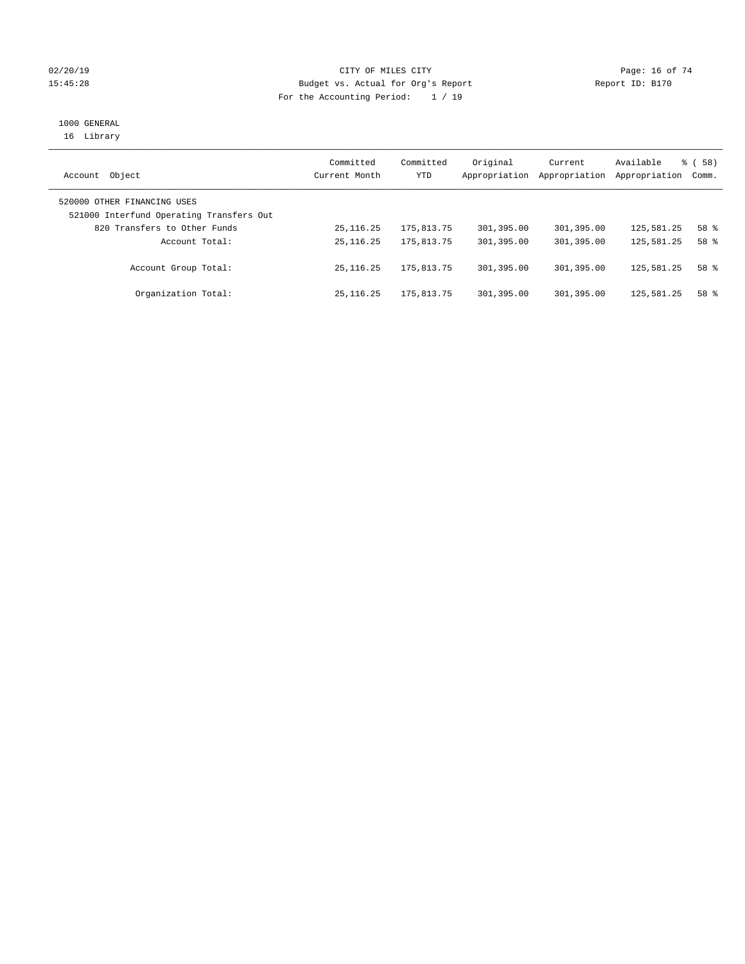#### $O(2/20/19$  Page: 16 of 74 15:45:28 Budget vs. Actual for Org's Report Report ID: B170 For the Accounting Period: 1 / 19

# 1000 GENERAL

16 Library

| Object<br>Account                                                       | Committed<br>Current Month | Committed<br>YTD | Original<br>Appropriation | Current<br>Appropriation | Available<br>Appropriation | % ( 58 )<br>Comm. |
|-------------------------------------------------------------------------|----------------------------|------------------|---------------------------|--------------------------|----------------------------|-------------------|
| 520000 OTHER FINANCING USES<br>521000 Interfund Operating Transfers Out |                            |                  |                           |                          |                            |                   |
| 820 Transfers to Other Funds                                            | 25, 116. 25                | 175,813.75       | 301,395.00                | 301,395.00               | 125,581.25                 | 58 %              |
| Account Total:                                                          | 25, 116. 25                | 175,813.75       | 301,395.00                | 301,395.00               | 125,581.25                 | 58 %              |
| Account Group Total:                                                    | 25, 116, 25                | 175,813.75       | 301,395.00                | 301,395.00               | 125,581.25                 | 58 %              |
| Organization Total:                                                     | 25, 116, 25                | 175,813.75       | 301,395.00                | 301,395.00               | 125,581.25                 | 58 %              |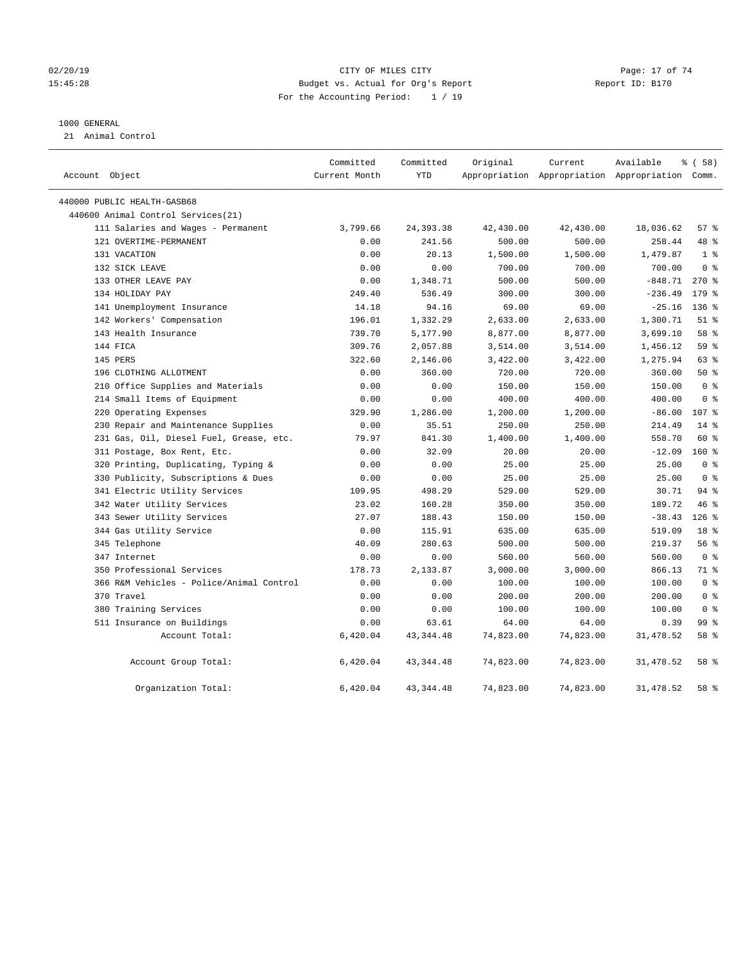#### 02/20/19 **Page: 17 of 74** CITY OF MILES CITY **CITY Page: 17 of 74** 15:45:28 Budget vs. Actual for Org's Report Report ID: B170 For the Accounting Period: 1 / 19

#### 1000 GENERAL

21 Animal Control

| Account Object                           | Committed<br>Current Month | Committed<br><b>YTD</b> | Original  | Current   | Available<br>Appropriation Appropriation Appropriation Comm. | 8 ( 58 )         |
|------------------------------------------|----------------------------|-------------------------|-----------|-----------|--------------------------------------------------------------|------------------|
| 440000 PUBLIC HEALTH-GASB68              |                            |                         |           |           |                                                              |                  |
| 440600 Animal Control Services (21)      |                            |                         |           |           |                                                              |                  |
| 111 Salaries and Wages - Permanent       | 3,799.66                   | 24, 393.38              | 42,430.00 | 42,430.00 | 18,036.62                                                    | 57%              |
| 121 OVERTIME-PERMANENT                   | 0.00                       | 241.56                  | 500.00    | 500.00    | 258.44                                                       | 48 %             |
| 131 VACATION                             | 0.00                       | 20.13                   | 1,500.00  | 1,500.00  | 1,479.87                                                     | 1 <sup>°</sup>   |
| 132 SICK LEAVE                           | 0.00                       | 0.00                    | 700.00    | 700.00    | 700.00                                                       | 0 <sup>8</sup>   |
| 133 OTHER LEAVE PAY                      | 0.00                       | 1,348.71                | 500.00    | 500.00    | $-848.71$                                                    | $270*$           |
| 134 HOLIDAY PAY                          | 249.40                     | 536.49                  | 300.00    | 300.00    | $-236.49$                                                    | 179.8            |
| 141 Unemployment Insurance               | 14.18                      | 94.16                   | 69.00     | 69.00     | $-25.16$                                                     | $136$ %          |
| 142 Workers' Compensation                | 196.01                     | 1,332.29                | 2,633.00  | 2,633.00  | 1,300.71                                                     | $51$ %           |
| 143 Health Insurance                     | 739.70                     | 5,177.90                | 8,877.00  | 8,877.00  | 3,699.10                                                     | 58 %             |
| 144 FICA                                 | 309.76                     | 2,057.88                | 3,514.00  | 3,514.00  | 1,456.12                                                     | 59 %             |
| 145 PERS                                 | 322.60                     | 2,146.06                | 3,422.00  | 3,422.00  | 1,275.94                                                     | 63%              |
| 196 CLOTHING ALLOTMENT                   | 0.00                       | 360.00                  | 720.00    | 720.00    | 360.00                                                       | 50%              |
| 210 Office Supplies and Materials        | 0.00                       | 0.00                    | 150.00    | 150.00    | 150.00                                                       | 0 <sup>8</sup>   |
| 214 Small Items of Equipment             | 0.00                       | 0.00                    | 400.00    | 400.00    | 400.00                                                       | 0 <sup>8</sup>   |
| 220 Operating Expenses                   | 329.90                     | 1,286.00                | 1,200.00  | 1,200.00  | $-86.00$                                                     | 107 <sub>8</sub> |
| 230 Repair and Maintenance Supplies      | 0.00                       | 35.51                   | 250.00    | 250.00    | 214.49                                                       | $14*$            |
| 231 Gas, Oil, Diesel Fuel, Grease, etc.  | 79.97                      | 841.30                  | 1,400.00  | 1,400.00  | 558.70                                                       | 60 %             |
| 311 Postage, Box Rent, Etc.              | 0.00                       | 32.09                   | 20.00     | 20.00     | $-12.09$                                                     | $160*$           |
| 320 Printing, Duplicating, Typing &      | 0.00                       | 0.00                    | 25.00     | 25.00     | 25.00                                                        | 0 <sup>8</sup>   |
| 330 Publicity, Subscriptions & Dues      | 0.00                       | 0.00                    | 25.00     | 25.00     | 25.00                                                        | 0 <sup>8</sup>   |
| 341 Electric Utility Services            | 109.95                     | 498.29                  | 529.00    | 529.00    | 30.71                                                        | 94%              |
| 342 Water Utility Services               | 23.02                      | 160.28                  | 350.00    | 350.00    | 189.72                                                       | 46 %             |
| 343 Sewer Utility Services               | 27.07                      | 188.43                  | 150.00    | 150.00    | $-38.43$                                                     | $126$ %          |
| 344 Gas Utility Service                  | 0.00                       | 115.91                  | 635.00    | 635.00    | 519.09                                                       | 18 <sup>8</sup>  |
| 345 Telephone                            | 40.09                      | 280.63                  | 500.00    | 500.00    | 219.37                                                       | 56%              |
| 347 Internet                             | 0.00                       | 0.00                    | 560.00    | 560.00    | 560.00                                                       | 0 <sup>8</sup>   |
| 350 Professional Services                | 178.73                     | 2,133.87                | 3,000.00  | 3,000.00  | 866.13                                                       | 71.8             |
| 366 R&M Vehicles - Police/Animal Control | 0.00                       | 0.00                    | 100.00    | 100.00    | 100.00                                                       | 0 <sup>8</sup>   |
| 370 Travel                               | 0.00                       | 0.00                    | 200.00    | 200.00    | 200.00                                                       | 0 <sup>8</sup>   |
| 380 Training Services                    | 0.00                       | 0.00                    | 100.00    | 100.00    | 100.00                                                       | 0 <sup>8</sup>   |
| 511 Insurance on Buildings               | 0.00                       | 63.61                   | 64.00     | 64.00     | 0.39                                                         | 99 <sub>8</sub>  |
| Account Total:                           | 6,420.04                   | 43, 344. 48             | 74,823.00 | 74,823.00 | 31,478.52                                                    | 58 %             |
| Account Group Total:                     | 6,420.04                   | 43, 344. 48             | 74,823.00 | 74,823.00 | 31, 478.52                                                   | 58 %             |
| Organization Total:                      | 6,420.04                   | 43, 344.48              | 74,823.00 | 74,823.00 | 31,478.52                                                    | 58 %             |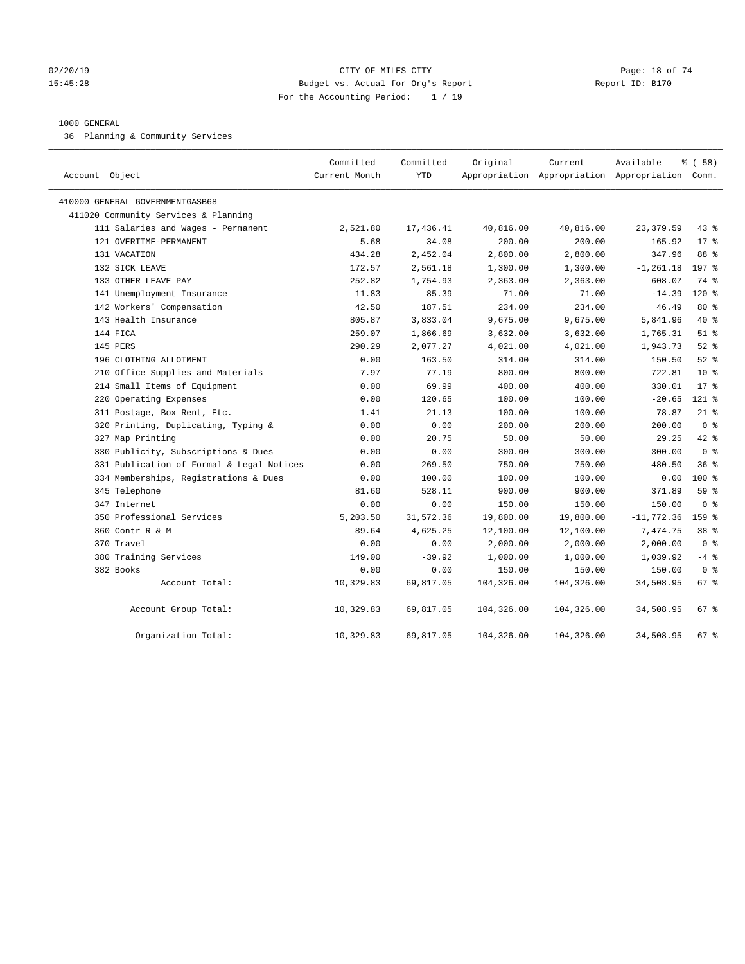#### $O(2/20/19$  Page: 18 of 74 15:45:28 Budget vs. Actual for Org's Report Report ID: B170 For the Accounting Period: 1 / 19

#### 1000 GENERAL

36 Planning & Community Services

| Account Object                            | Committed<br>Current Month | Committed<br><b>YTD</b> | Original   | Current    | Available<br>Appropriation Appropriation Appropriation Comm. | 8 ( 58 )         |
|-------------------------------------------|----------------------------|-------------------------|------------|------------|--------------------------------------------------------------|------------------|
| 410000 GENERAL GOVERNMENTGASB68           |                            |                         |            |            |                                                              |                  |
| 411020 Community Services & Planning      |                            |                         |            |            |                                                              |                  |
| 111 Salaries and Wages - Permanent        | 2,521.80                   | 17,436.41               | 40,816.00  | 40,816.00  | 23, 379.59                                                   | $43$ %           |
| 121 OVERTIME-PERMANENT                    | 5.68                       | 34.08                   | 200.00     | 200.00     | 165.92                                                       | $17*$            |
| 131 VACATION                              | 434.28                     | 2,452.04                | 2,800.00   | 2,800.00   | 347.96                                                       | 88 %             |
| 132 SICK LEAVE                            | 172.57                     | 2,561.18                | 1,300.00   | 1,300.00   | $-1, 261.18$                                                 | $197$ %          |
| 133 OTHER LEAVE PAY                       | 252.82                     | 1,754.93                | 2,363.00   | 2,363.00   | 608.07                                                       | 74 %             |
| 141 Unemployment Insurance                | 11.83                      | 85.39                   | 71.00      | 71.00      | $-14.39$                                                     | $120*$           |
| 142 Workers' Compensation                 | 42.50                      | 187.51                  | 234.00     | 234.00     | 46.49                                                        | 80 %             |
| 143 Health Insurance                      | 805.87                     | 3,833.04                | 9,675.00   | 9,675.00   | 5,841.96                                                     | 40 %             |
| 144 FICA                                  | 259.07                     | 1,866.69                | 3,632.00   | 3,632.00   | 1,765.31                                                     | $51$ %           |
| 145 PERS                                  | 290.29                     | 2,077.27                | 4,021.00   | 4,021.00   | 1,943.73                                                     | $52$ $%$         |
| 196 CLOTHING ALLOTMENT                    | 0.00                       | 163.50                  | 314.00     | 314.00     | 150.50                                                       | $52$ $%$         |
| 210 Office Supplies and Materials         | 7.97                       | 77.19                   | 800.00     | 800.00     | 722.81                                                       | 10 <sup>8</sup>  |
| 214 Small Items of Equipment              | 0.00                       | 69.99                   | 400.00     | 400.00     | 330.01                                                       | $17*$            |
| 220 Operating Expenses                    | 0.00                       | 120.65                  | 100.00     | 100.00     | $-20.65$                                                     | $121$ %          |
| 311 Postage, Box Rent, Etc.               | 1.41                       | 21.13                   | 100.00     | 100.00     | 78.87                                                        | $21$ %           |
| 320 Printing, Duplicating, Typing &       | 0.00                       | 0.00                    | 200.00     | 200.00     | 200.00                                                       | 0 <sup>8</sup>   |
| 327 Map Printing                          | 0.00                       | 20.75                   | 50.00      | 50.00      | 29.25                                                        | 42 %             |
| 330 Publicity, Subscriptions & Dues       | 0.00                       | 0.00                    | 300.00     | 300.00     | 300.00                                                       | 0 <sup>8</sup>   |
| 331 Publication of Formal & Legal Notices | 0.00                       | 269.50                  | 750.00     | 750.00     | 480.50                                                       | 36%              |
| 334 Memberships, Registrations & Dues     | 0.00                       | 100.00                  | 100.00     | 100.00     | 0.00                                                         | $100*$           |
| 345 Telephone                             | 81.60                      | 528.11                  | 900.00     | 900.00     | 371.89                                                       | 59 %             |
| 347 Internet                              | 0.00                       | 0.00                    | 150.00     | 150.00     | 150.00                                                       | 0 <sup>8</sup>   |
| 350 Professional Services                 | 5,203.50                   | 31,572.36               | 19,800.00  | 19,800.00  | $-11,772.36$                                                 | 159 <sub>8</sub> |
| 360 Contr R & M                           | 89.64                      | 4,625.25                | 12,100.00  | 12,100.00  | 7,474.75                                                     | 38 <sup>8</sup>  |
| 370 Travel                                | 0.00                       | 0.00                    | 2,000.00   | 2,000.00   | 2,000.00                                                     | 0 <sup>8</sup>   |
| 380 Training Services                     | 149.00                     | $-39.92$                | 1,000.00   | 1,000.00   | 1,039.92                                                     | $-4$ %           |
| 382 Books                                 | 0.00                       | 0.00                    | 150.00     | 150.00     | 150.00                                                       | 0 <sup>8</sup>   |
| Account Total:                            | 10,329.83                  | 69,817.05               | 104,326.00 | 104,326.00 | 34,508.95                                                    | 67 %             |
| Account Group Total:                      | 10,329.83                  | 69,817.05               | 104,326.00 | 104,326.00 | 34,508.95                                                    | $67$ %           |
| Organization Total:                       | 10,329.83                  | 69,817.05               | 104,326.00 | 104,326.00 | 34,508.95                                                    | 67 <sup>8</sup>  |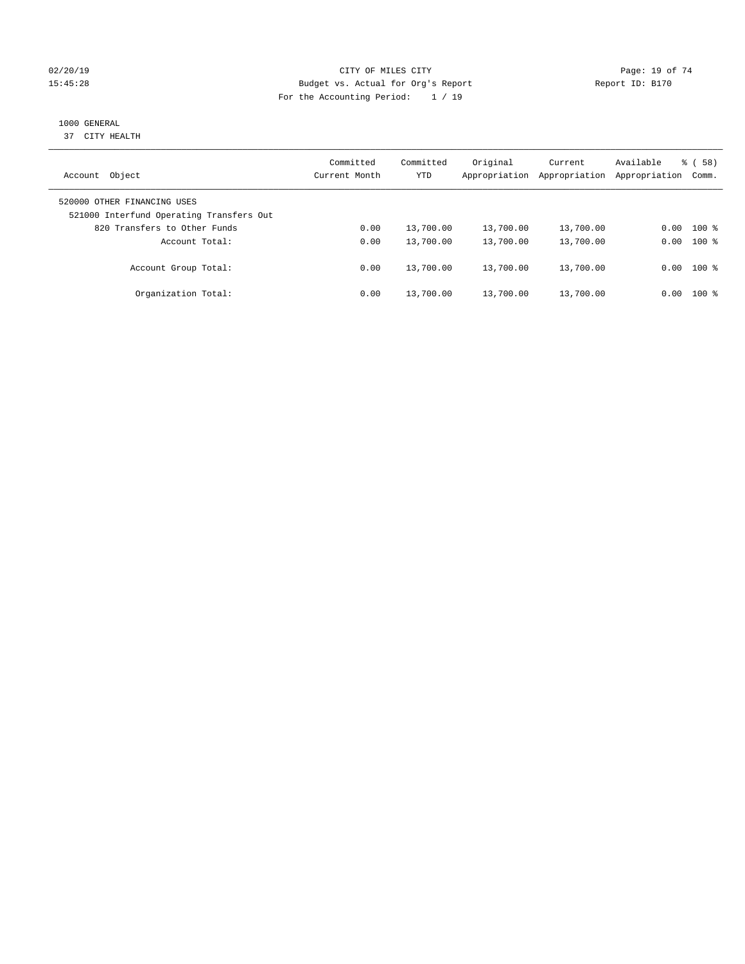#### $O(2/20/19$  Page: 19 of 74 15:45:28 Budget vs. Actual for Org's Report Report ID: B170 For the Accounting Period: 1 / 19

# 1000 GENERAL

37 CITY HEALTH

| Object<br>Account                                                       | Committed<br>Current Month | Committed<br><b>YTD</b> | Original<br>Appropriation | Current<br>Appropriation | Available<br>Appropriation | % ( 58 )<br>Comm. |
|-------------------------------------------------------------------------|----------------------------|-------------------------|---------------------------|--------------------------|----------------------------|-------------------|
| 520000 OTHER FINANCING USES<br>521000 Interfund Operating Transfers Out |                            |                         |                           |                          |                            |                   |
| 820 Transfers to Other Funds                                            | 0.00                       | 13,700.00               | 13,700.00                 | 13,700.00                | 0.00                       | $100$ %           |
| Account Total:                                                          | 0.00                       | 13,700.00               | 13,700.00                 | 13,700.00                | 0.00                       | $100*$            |
| Account Group Total:                                                    | 0.00                       | 13,700.00               | 13,700.00                 | 13,700.00                |                            | $0.00$ 100 %      |
| Organization Total:                                                     | 0.00                       | 13,700.00               | 13,700.00                 | 13,700.00                | 0.00                       | 100 %             |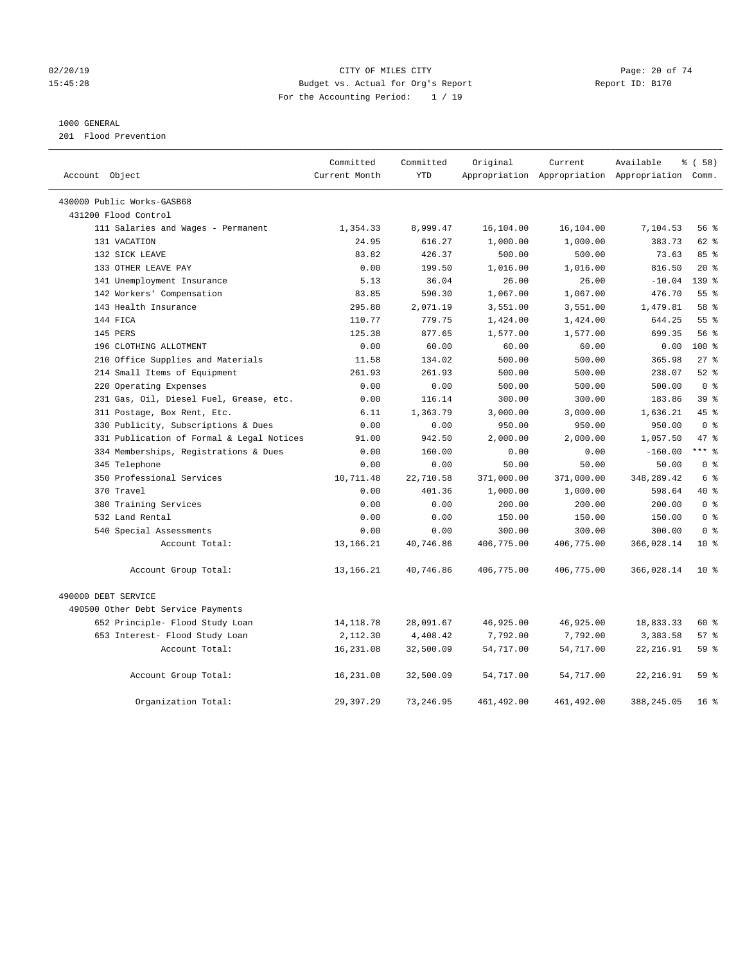#### $O(2/20/19$  Page: 20 of 74 15:45:28 Budget vs. Actual for Org's Report Report ID: B170 For the Accounting Period: 1 / 19

#### 1000 GENERAL

201 Flood Prevention

|                                           | Committed     | Committed  | Original   | Current     | Available                                       | 8 ( 58 )         |
|-------------------------------------------|---------------|------------|------------|-------------|-------------------------------------------------|------------------|
| Account Object                            | Current Month | <b>YTD</b> |            |             | Appropriation Appropriation Appropriation Comm. |                  |
| 430000 Public Works-GASB68                |               |            |            |             |                                                 |                  |
| 431200 Flood Control                      |               |            |            |             |                                                 |                  |
| 111 Salaries and Wages - Permanent        | 1,354.33      | 8,999.47   | 16,104.00  | 16,104.00   | 7,104.53                                        | 56%              |
| 131 VACATION                              | 24.95         | 616.27     | 1,000.00   | 1,000.00    | 383.73                                          | $62$ $%$         |
| 132 SICK LEAVE                            | 83.82         | 426.37     | 500.00     | 500.00      | 73.63                                           | 85%              |
| 133 OTHER LEAVE PAY                       | 0.00          | 199.50     | 1,016.00   | 1,016.00    | 816.50                                          | $20*$            |
| 141 Unemployment Insurance                | 5.13          | 36.04      | 26.00      | 26.00       | $-10.04$                                        | 139 <sub>8</sub> |
| 142 Workers' Compensation                 | 83.85         | 590.30     | 1,067.00   | 1,067.00    | 476.70                                          | 55 <sup>8</sup>  |
| 143 Health Insurance                      | 295.88        | 2,071.19   | 3,551.00   | 3,551.00    | 1,479.81                                        | 58 %             |
| 144 FICA                                  | 110.77        | 779.75     | 1,424.00   | 1,424.00    | 644.25                                          | 55%              |
| 145 PERS                                  | 125.38        | 877.65     | 1,577.00   | 1,577.00    | 699.35                                          | 56%              |
| 196 CLOTHING ALLOTMENT                    | 0.00          | 60.00      | 60.00      | 60.00       | 0.00                                            | $100*$           |
| 210 Office Supplies and Materials         | 11.58         | 134.02     | 500.00     | 500.00      | 365.98                                          | 278              |
| 214 Small Items of Equipment              | 261.93        | 261.93     | 500.00     | 500.00      | 238.07                                          | $52$ $%$         |
| 220 Operating Expenses                    | 0.00          | 0.00       | 500.00     | 500.00      | 500.00                                          | 0 <sup>8</sup>   |
| 231 Gas, Oil, Diesel Fuel, Grease, etc.   | 0.00          | 116.14     | 300.00     | 300.00      | 183.86                                          | 39 <sup>8</sup>  |
| 311 Postage, Box Rent, Etc.               | 6.11          | 1,363.79   | 3,000.00   | 3,000.00    | 1,636.21                                        | 45 %             |
| 330 Publicity, Subscriptions & Dues       | 0.00          | 0.00       | 950.00     | 950.00      | 950.00                                          | 0 <sup>8</sup>   |
| 331 Publication of Formal & Legal Notices | 91.00         | 942.50     | 2,000.00   | 2,000.00    | 1,057.50                                        | 47.8             |
| 334 Memberships, Registrations & Dues     | 0.00          | 160.00     | 0.00       | 0.00        | $-160.00$                                       | $***$ $_{8}$     |
| 345 Telephone                             | 0.00          | 0.00       | 50.00      | 50.00       | 50.00                                           | 0 <sup>8</sup>   |
| 350 Professional Services                 | 10,711.48     | 22,710.58  | 371,000.00 | 371,000.00  | 348,289.42                                      | $6\degree$       |
| 370 Travel                                | 0.00          | 401.36     | 1,000.00   | 1,000.00    | 598.64                                          | $40*$            |
| 380 Training Services                     | 0.00          | 0.00       | 200.00     | 200.00      | 200.00                                          | 0 <sup>8</sup>   |
| 532 Land Rental                           | 0.00          | 0.00       | 150.00     | 150.00      | 150.00                                          | 0 <sup>8</sup>   |
| 540 Special Assessments                   | 0.00          | 0.00       | 300.00     | 300.00      | 300.00                                          | 0 <sup>8</sup>   |
| Account Total:                            | 13,166.21     | 40,746.86  | 406,775.00 | 406,775.00  | 366,028.14                                      | $10*$            |
| Account Group Total:                      | 13,166.21     | 40,746.86  | 406,775.00 | 406,775.00  | 366,028.14                                      | $10*$            |
| 490000 DEBT SERVICE                       |               |            |            |             |                                                 |                  |
| 490500 Other Debt Service Payments        |               |            |            |             |                                                 |                  |
| 652 Principle- Flood Study Loan           | 14, 118.78    | 28,091.67  | 46,925.00  | 46,925.00   | 18,833.33                                       | 60 %             |
| 653 Interest- Flood Study Loan            | 2,112.30      | 4,408.42   | 7,792.00   | 7,792.00    | 3,383.58                                        | 57%              |
| Account Total:                            | 16,231.08     | 32,500.09  | 54,717.00  | 54,717.00   | 22, 216.91                                      | 59%              |
| Account Group Total:                      | 16,231.08     | 32,500.09  | 54,717.00  | 54,717.00   | 22, 216.91                                      | 59 %             |
| Organization Total:                       | 29,397.29     | 73, 246.95 | 461,492.00 | 461, 492.00 | 388, 245.05                                     | 16 <sup>8</sup>  |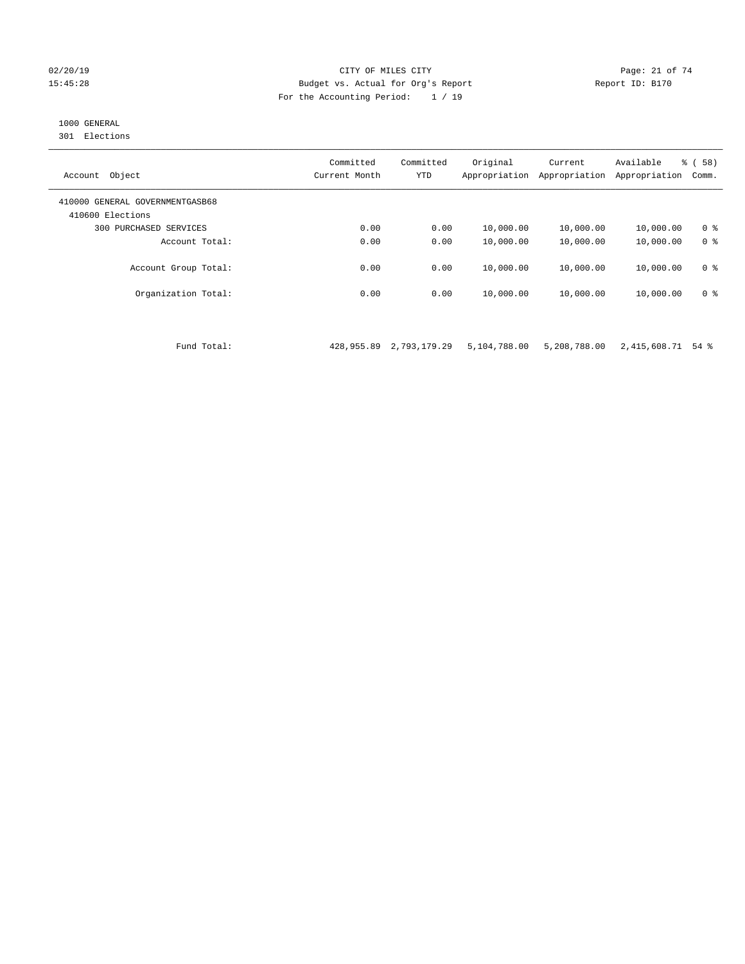#### 02/20/19 CITY OF MILES CITY Page: 21 of 74 15:45:28 Budget vs. Actual for Org's Report Report ID: B170 For the Accounting Period: 1 / 19

# 1000 GENERAL

301 Elections

| Object<br>Account                                   | Committed<br>Current Month | Committed<br><b>YTD</b> | Original<br>Appropriation | Current<br>Appropriation | Available<br>Appropriation | % ( 58 )<br>Comm. |
|-----------------------------------------------------|----------------------------|-------------------------|---------------------------|--------------------------|----------------------------|-------------------|
| 410000 GENERAL GOVERNMENTGASB68<br>410600 Elections |                            |                         |                           |                          |                            |                   |
| 300<br>PURCHASED SERVICES                           | 0.00                       | 0.00                    | 10,000.00                 | 10,000.00                | 10,000.00                  | 0 <sup>8</sup>    |
| Account Total:                                      | 0.00                       | 0.00                    | 10,000.00                 | 10,000.00                | 10,000.00                  | 0 <sup>8</sup>    |
| Account Group Total:                                | 0.00                       | 0.00                    | 10,000.00                 | 10,000.00                | 10,000.00                  | 0 <sup>8</sup>    |
| Organization Total:                                 | 0.00                       | 0.00                    | 10,000.00                 | 10,000.00                | 10,000.00                  | 0 <sup>8</sup>    |

Fund Total: 428,955.89 2,793,179.29 5,104,788.00 5,208,788.00 2,415,608.71 54 %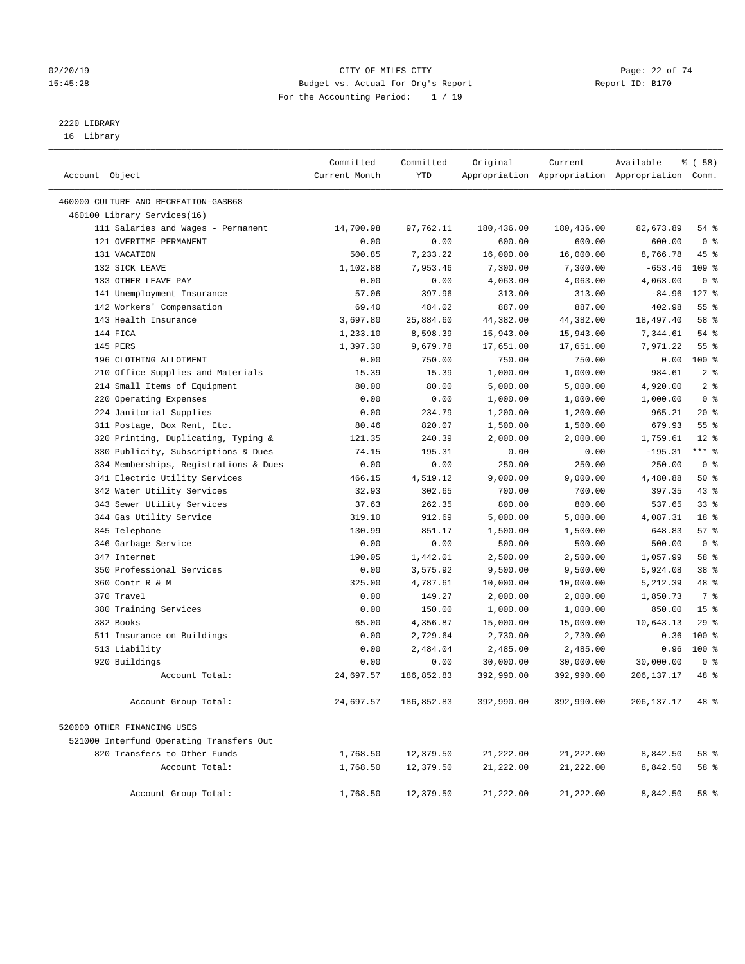#### $O(2/20/19$  Page: 22 of 74 15:45:28 Budget vs. Actual for Org's Report Report ID: B170 For the Accounting Period: 1 / 19

————————————————————————————————————————————————————————————————————————————————————————————————————————————————————————————————————

# 2220 LIBRARY

16 Library

|                                             | Committed     | Committed            | Original             | Current              | Available                                       | १ ( 58)                |  |
|---------------------------------------------|---------------|----------------------|----------------------|----------------------|-------------------------------------------------|------------------------|--|
| Account Object                              | Current Month | YTD                  |                      |                      | Appropriation Appropriation Appropriation Comm. |                        |  |
| 460000 CULTURE AND RECREATION-GASB68        |               |                      |                      |                      |                                                 |                        |  |
| 460100 Library Services(16)                 |               |                      |                      |                      |                                                 |                        |  |
| 111 Salaries and Wages - Permanent          | 14,700.98     | 97,762.11            | 180,436.00           | 180,436.00           | 82,673.89                                       | 54 %                   |  |
| 121 OVERTIME-PERMANENT                      | 0.00          | 0.00                 | 600.00               | 600.00               | 600.00                                          | 0 <sup>8</sup>         |  |
| 131 VACATION                                | 500.85        | 7,233.22             | 16,000.00            | 16,000.00            | 8,766.78                                        | 45 %                   |  |
| 132 SICK LEAVE                              | 1,102.88      | 7,953.46             | 7,300.00             | 7,300.00             | $-653.46$                                       | $109$ %                |  |
| 133 OTHER LEAVE PAY                         | 0.00          | 0.00                 | 4,063.00             | 4,063.00             | 4,063.00                                        | 0 <sup>8</sup>         |  |
| 141 Unemployment Insurance                  | 57.06         | 397.96               | 313.00               | 313.00               | $-84.96$                                        | $127$ %                |  |
| 142 Workers' Compensation                   | 69.40         | 484.02               | 887.00               | 887.00               | 402.98                                          | 55 <sup>8</sup>        |  |
| 143 Health Insurance                        | 3,697.80      | 25,884.60            | 44,382.00            | 44,382.00            | 18,497.40                                       | 58 %                   |  |
| 144 FICA                                    | 1,233.10      | 8,598.39             | 15,943.00            | 15,943.00            | 7,344.61                                        | $54$ %                 |  |
| 145 PERS                                    | 1,397.30      | 9,679.78             | 17,651.00            | 17,651.00            | 7,971.22                                        | 55%                    |  |
| 196 CLOTHING ALLOTMENT                      | 0.00          | 750.00               | 750.00               | 750.00               | 0.00                                            | 100%                   |  |
| 210 Office Supplies and Materials           | 15.39         | 15.39                | 1,000.00             | 1,000.00             | 984.61                                          | 2 <sub>8</sub>         |  |
| 214 Small Items of Equipment                | 80.00         | 80.00                | 5,000.00             | 5,000.00             | 4,920.00                                        | 2 <sup>°</sup>         |  |
| 220 Operating Expenses                      | 0.00          | 0.00                 | 1,000.00             | 1,000.00             | 1,000.00                                        | 0 <sup>8</sup>         |  |
| 224 Janitorial Supplies                     | 0.00          | 234.79               | 1,200.00             | 1,200.00             | 965.21                                          | $20*$                  |  |
| 311 Postage, Box Rent, Etc.                 | 80.46         | 820.07               | 1,500.00             | 1,500.00             | 679.93                                          | 55 <sup>8</sup>        |  |
| 320 Printing, Duplicating, Typing &         | 121.35        | 240.39               | 2,000.00             | 2,000.00             | 1,759.61                                        | $12*$                  |  |
| 330 Publicity, Subscriptions & Dues         | 74.15         | 195.31               | 0.00                 | 0.00                 | $-195.31$                                       | $***$ $%$              |  |
| 334 Memberships, Registrations & Dues       | 0.00          | 0.00                 | 250.00               | 250.00               | 250.00                                          | 0 <sup>8</sup>         |  |
| 341 Electric Utility Services               | 466.15        | 4,519.12             | 9,000.00             | 9,000.00             | 4,480.88                                        | 50%                    |  |
| 342 Water Utility Services                  | 32.93         | 302.65               | 700.00               | 700.00               | 397.35                                          | 43 %                   |  |
| 343 Sewer Utility Services                  | 37.63         | 262.35               | 800.00               | 800.00               | 537.65                                          | $33$ $%$               |  |
| 344 Gas Utility Service                     | 319.10        | 912.69               | 5,000.00             | 5,000.00             | 4,087.31                                        | 18 %                   |  |
| 345 Telephone                               | 130.99        | 851.17               | 1,500.00             | 1,500.00             | 648.83                                          | 57%                    |  |
| 346 Garbage Service                         | 0.00          | 0.00                 | 500.00               | 500.00               | 500.00                                          | 0 <sup>8</sup>         |  |
| 347 Internet                                | 190.05        | 1,442.01             | 2,500.00             | 2,500.00             | 1,057.99                                        | 58 %                   |  |
| 350 Professional Services                   | 0.00          | 3,575.92             | 9,500.00             | 9,500.00             | 5,924.08                                        | 38 <sup>8</sup>        |  |
| 360 Contr R & M                             | 325.00        | 4,787.61             | 10,000.00            | 10,000.00            | 5,212.39                                        | 48 %                   |  |
| 370 Travel                                  | 0.00          | 149.27               | 2,000.00             | 2,000.00             | 1,850.73                                        | 7 %                    |  |
| 380 Training Services<br>382 Books          | 0.00          | 150.00               | 1,000.00             | 1,000.00             | 850.00                                          | 15 <sup>°</sup><br>29% |  |
|                                             | 65.00<br>0.00 | 4,356.87             | 15,000.00            | 15,000.00            | 10,643.13<br>0.36                               | $100*$                 |  |
| 511 Insurance on Buildings<br>513 Liability | 0.00          | 2,729.64<br>2,484.04 | 2,730.00<br>2,485.00 | 2,730.00<br>2,485.00 | 0.96                                            | $100*$                 |  |
| 920 Buildings                               | 0.00          | 0.00                 | 30,000.00            | 30,000.00            | 30,000.00                                       | 0 <sup>8</sup>         |  |
| Account Total:                              | 24,697.57     | 186,852.83           | 392,990.00           | 392,990.00           | 206, 137. 17                                    | 48 %                   |  |
|                                             |               |                      |                      |                      |                                                 |                        |  |
| Account Group Total:                        | 24,697.57     | 186,852.83           | 392,990.00           | 392,990.00           | 206,137.17                                      | $48*$                  |  |
| 520000 OTHER FINANCING USES                 |               |                      |                      |                      |                                                 |                        |  |
| 521000 Interfund Operating Transfers Out    |               |                      |                      |                      |                                                 |                        |  |
| 820 Transfers to Other Funds                | 1,768.50      | 12,379.50            | 21,222.00            | 21,222.00            | 8,842.50                                        | 58 %                   |  |
| Account Total:                              | 1,768.50      | 12,379.50            | 21,222.00            | 21,222.00            | 8,842.50                                        | 58 %                   |  |
| Account Group Total:                        | 1,768.50      | 12,379.50            | 21,222.00            | 21,222.00            | 8,842.50                                        | 58 %                   |  |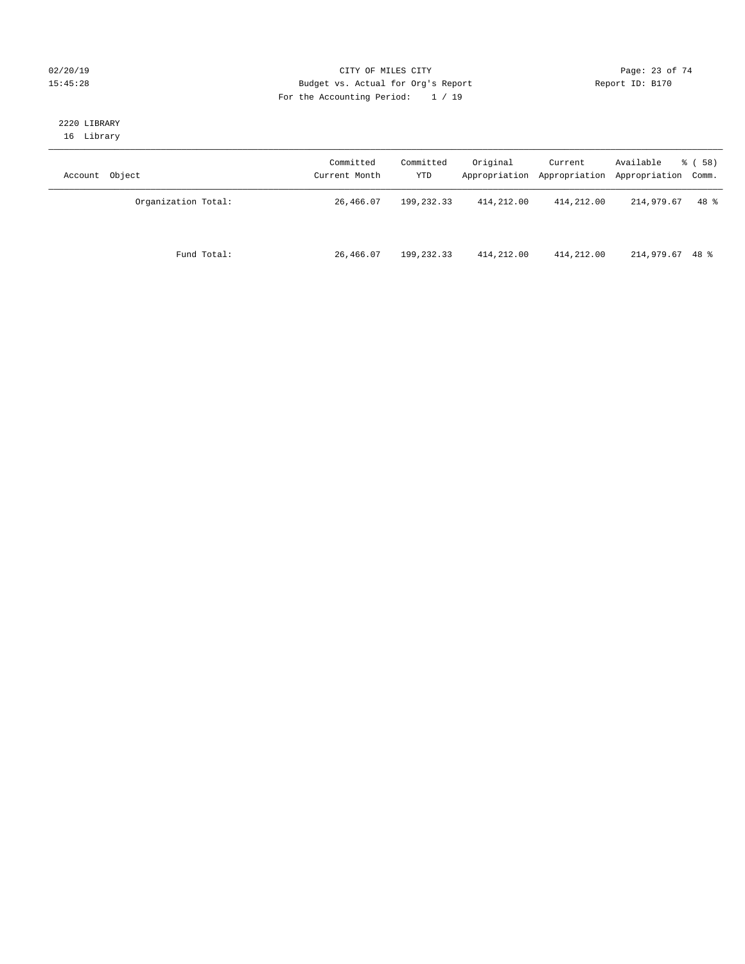#### $O(2/20/19$  Page: 23 of 74 15:45:28 Budget vs. Actual for Org's Report Report ID: B170 For the Accounting Period: 1 / 19

#### 2220 LIBRARY 16 Library

| Account Object      | Committed<br>Current Month | Committed<br>YTD | Original   | Current    | Available<br>Appropriation Appropriation Appropriation Comm. | 8 ( 58 ) |
|---------------------|----------------------------|------------------|------------|------------|--------------------------------------------------------------|----------|
| Organization Total: | 26,466.07                  | 199,232.33       | 414,212.00 | 414,212.00 | 214,979.67                                                   | 48 %     |
| Fund Total:         | 26,466.07                  | 199,232.33       | 414,212.00 | 414,212.00 | 214,979.67 48 %                                              |          |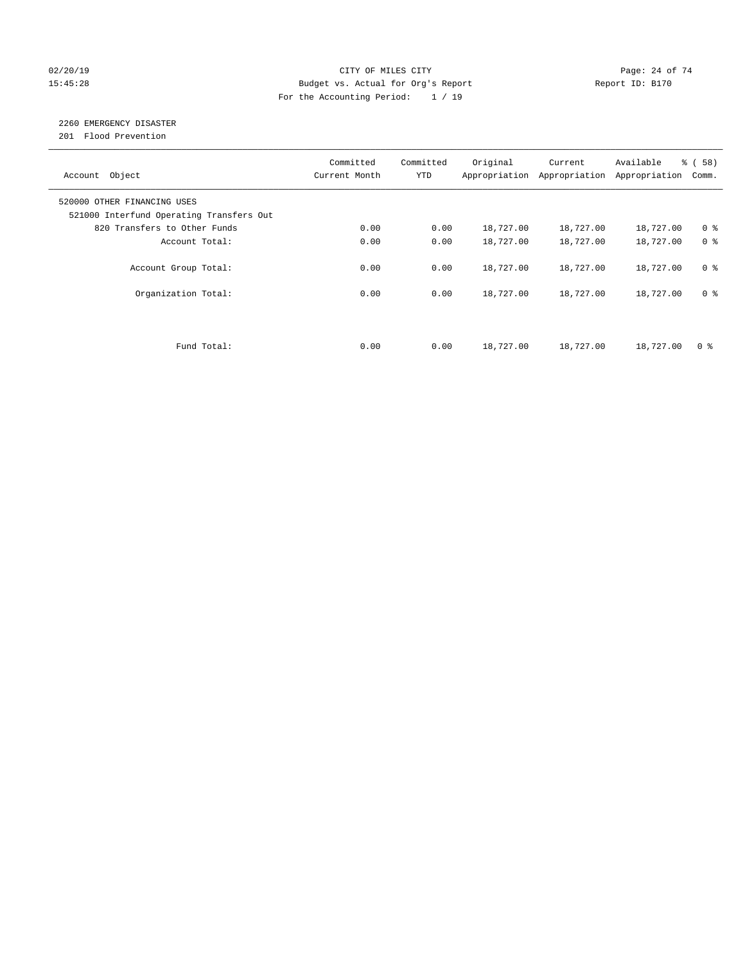#### $O(2/20/19$  Page: 24 of 74 15:45:28 Budget vs. Actual for Org's Report Report ID: B170 For the Accounting Period: 1 / 19

# 2260 EMERGENCY DISASTER

201 Flood Prevention

| Account Object                                                          | Committed<br>Current Month | Committed<br><b>YTD</b> | Original  | Current<br>Appropriation Appropriation | Available<br>Appropriation | % ( 58 )<br>Comm. |
|-------------------------------------------------------------------------|----------------------------|-------------------------|-----------|----------------------------------------|----------------------------|-------------------|
| 520000 OTHER FINANCING USES<br>521000 Interfund Operating Transfers Out |                            |                         |           |                                        |                            |                   |
| 820 Transfers to Other Funds                                            | 0.00                       | 0.00                    | 18,727.00 | 18,727.00                              | 18,727.00                  | 0 <sup>8</sup>    |
| Account Total:                                                          | 0.00                       | 0.00                    | 18,727.00 | 18,727.00                              | 18,727.00                  | 0 <sup>8</sup>    |
| Account Group Total:                                                    | 0.00                       | 0.00                    | 18,727.00 | 18,727.00                              | 18,727.00                  | 0 <sup>8</sup>    |
| Organization Total:                                                     | 0.00                       | 0.00                    | 18,727.00 | 18,727.00                              | 18,727.00                  | 0 <sup>8</sup>    |
|                                                                         |                            |                         |           |                                        |                            |                   |
| Fund Total:                                                             | 0.00                       | 0.00                    | 18,727.00 | 18,727.00                              | 18,727.00                  | 0 %               |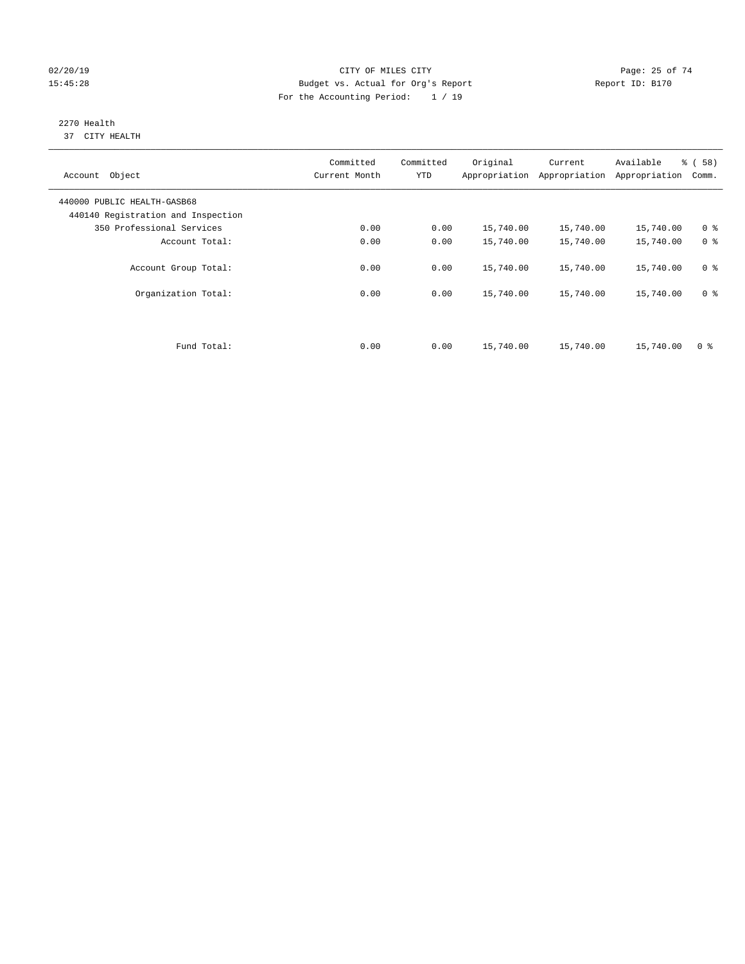#### $O(2/20/19$  Page: 25 of 74 15:45:28 Budget vs. Actual for Org's Report Report ID: B170 For the Accounting Period: 1 / 19

#### 2270 Health 37 CITY HEALTH

| Account Object                                                    | Committed<br>Current Month | Committed<br><b>YTD</b> | Original  | Current<br>Appropriation Appropriation | Available<br>Appropriation | % (58)<br>Comm. |
|-------------------------------------------------------------------|----------------------------|-------------------------|-----------|----------------------------------------|----------------------------|-----------------|
| 440000 PUBLIC HEALTH-GASB68<br>440140 Registration and Inspection |                            |                         |           |                                        |                            |                 |
| 350 Professional Services                                         | 0.00                       | 0.00                    | 15,740.00 | 15,740.00                              | 15,740.00                  | 0 <sup>8</sup>  |
| Account Total:                                                    | 0.00                       | 0.00                    | 15,740.00 | 15,740.00                              | 15,740.00                  | 0 <sup>8</sup>  |
| Account Group Total:                                              | 0.00                       | 0.00                    | 15,740.00 | 15,740.00                              | 15,740.00                  | 0 <sup>8</sup>  |
| Organization Total:                                               | 0.00                       | 0.00                    | 15,740.00 | 15,740.00                              | 15,740.00                  | 0 <sup>8</sup>  |
|                                                                   |                            |                         |           |                                        |                            |                 |
| Fund Total:                                                       | 0.00                       | 0.00                    | 15,740.00 | 15,740.00                              | 15,740.00                  | 0 <sup>8</sup>  |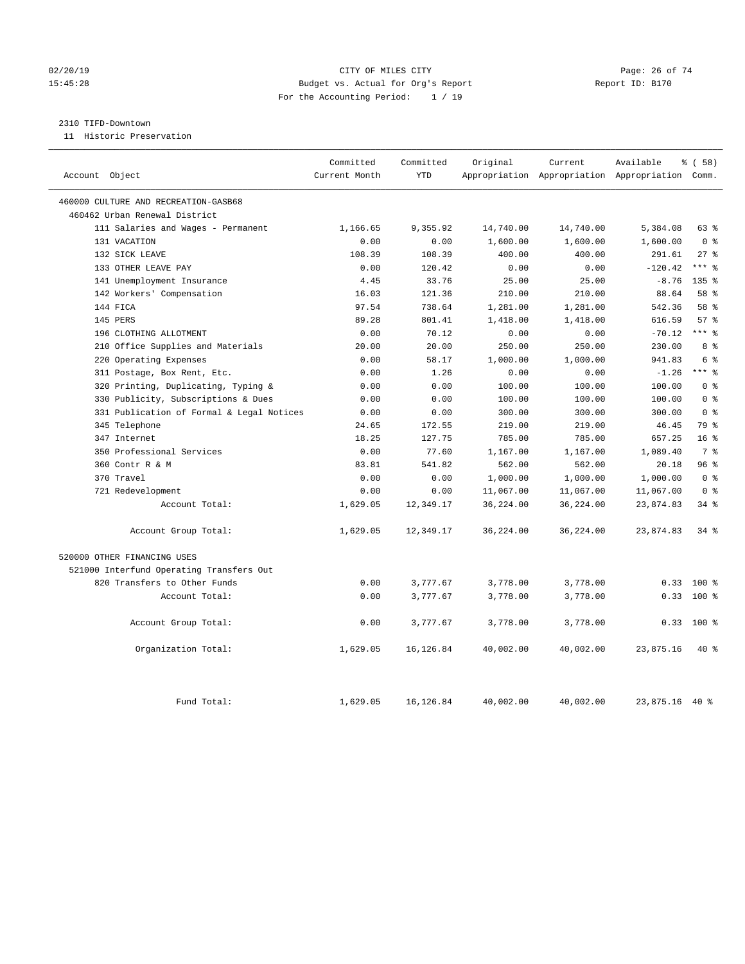#### $O(2/20/19$  Page: 26 of 74 15:45:28 Budget vs. Actual for Org's Report Report ID: B170 For the Accounting Period: 1 / 19

#### 2310 TIFD-Downtown

11 Historic Preservation

|                                           | Committed     | Committed  | Original  | Current   | Available                                       | % (58)           |
|-------------------------------------------|---------------|------------|-----------|-----------|-------------------------------------------------|------------------|
| Account Object                            | Current Month | <b>YTD</b> |           |           | Appropriation Appropriation Appropriation Comm. |                  |
| 460000 CULTURE AND RECREATION-GASB68      |               |            |           |           |                                                 |                  |
| 460462 Urban Renewal District             |               |            |           |           |                                                 |                  |
| 111 Salaries and Wages - Permanent        | 1,166.65      | 9,355.92   | 14,740.00 | 14,740.00 | 5,384.08                                        | 63 %             |
| 131 VACATION                              | 0.00          | 0.00       | 1,600.00  | 1,600.00  | 1,600.00                                        | 0 <sup>8</sup>   |
| 132 SICK LEAVE                            | 108.39        | 108.39     | 400.00    | 400.00    | 291.61                                          | $27$ %           |
| 133 OTHER LEAVE PAY                       | 0.00          | 120.42     | 0.00      | 0.00      | $-120.42$                                       | $***$ %          |
| 141 Unemployment Insurance                | 4.45          | 33.76      | 25.00     | 25.00     | $-8.76$                                         | 135 <sub>8</sub> |
| 142 Workers' Compensation                 | 16.03         | 121.36     | 210.00    | 210.00    | 88.64                                           | 58 %             |
| 144 FICA                                  | 97.54         | 738.64     | 1,281.00  | 1,281.00  | 542.36                                          | 58 %             |
| 145 PERS                                  | 89.28         | 801.41     | 1,418.00  | 1,418.00  | 616.59                                          | 57%              |
| 196 CLOTHING ALLOTMENT                    | 0.00          | 70.12      | 0.00      | 0.00      | $-70.12$                                        | $***$ $%$        |
| 210 Office Supplies and Materials         | 20.00         | 20.00      | 250.00    | 250.00    | 230.00                                          | 8 %              |
| 220 Operating Expenses                    | 0.00          | 58.17      | 1,000.00  | 1,000.00  | 941.83                                          | 6 %              |
| 311 Postage, Box Rent, Etc.               | 0.00          | 1.26       | 0.00      | 0.00      | $-1.26$                                         | $***$ $%$        |
| 320 Printing, Duplicating, Typing &       | 0.00          | 0.00       | 100.00    | 100.00    | 100.00                                          | 0 <sup>8</sup>   |
| 330 Publicity, Subscriptions & Dues       | 0.00          | 0.00       | 100.00    | 100.00    | 100.00                                          | 0 <sup>8</sup>   |
| 331 Publication of Formal & Legal Notices | 0.00          | 0.00       | 300.00    | 300.00    | 300.00                                          | 0 <sup>8</sup>   |
| 345 Telephone                             | 24.65         | 172.55     | 219.00    | 219.00    | 46.45                                           | 79 %             |
| 347 Internet                              | 18.25         | 127.75     | 785.00    | 785.00    | 657.25                                          | 16 <sup>8</sup>  |
| 350 Professional Services                 | 0.00          | 77.60      | 1,167.00  | 1,167.00  | 1,089.40                                        | 7 %              |
| 360 Contr R & M                           | 83.81         | 541.82     | 562.00    | 562.00    | 20.18                                           | 96%              |
| 370 Travel                                | 0.00          | 0.00       | 1,000.00  | 1,000.00  | 1,000.00                                        | 0 <sup>8</sup>   |
| 721 Redevelopment                         | 0.00          | 0.00       | 11,067.00 | 11,067.00 | 11,067.00                                       | 0 <sup>8</sup>   |
| Account Total:                            | 1,629.05      | 12,349.17  | 36,224.00 | 36,224.00 | 23,874.83                                       | 34%              |
| Account Group Total:                      | 1,629.05      | 12,349.17  | 36,224.00 | 36,224.00 | 23,874.83                                       | $34$ $%$         |
| 520000 OTHER FINANCING USES               |               |            |           |           |                                                 |                  |
| 521000 Interfund Operating Transfers Out  |               |            |           |           |                                                 |                  |
| 820 Transfers to Other Funds              | 0.00          | 3,777.67   | 3,778.00  | 3,778.00  | 0.33                                            | $100*$           |
| Account Total:                            | 0.00          | 3,777.67   | 3,778.00  | 3,778.00  | 0.33                                            | 100%             |
| Account Group Total:                      | 0.00          | 3,777.67   | 3,778.00  | 3,778.00  | 0.33                                            | $100*$           |
| Organization Total:                       | 1,629.05      | 16, 126.84 | 40,002.00 | 40,002.00 | 23,875.16                                       | $40*$            |
| Fund Total:                               | 1,629.05      | 16,126.84  | 40,002.00 | 40,002.00 | 23,875.16                                       | 40 %             |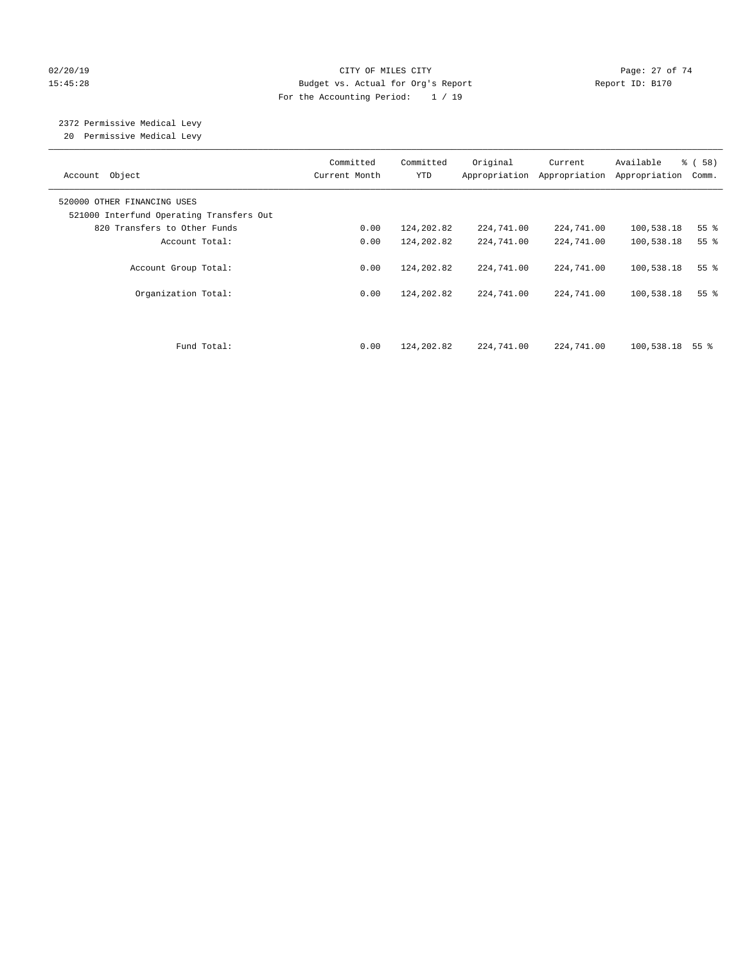#### 02/20/19 **Page: 27 of 74** CITY OF MILES CITY **CITY Page: 27 of 74** 15:45:28 Budget vs. Actual for Org's Report Report ID: B170 For the Accounting Period: 1 / 19

# 2372 Permissive Medical Levy

20 Permissive Medical Levy

| Account Object                                                          | Committed<br>Current Month | Committed<br><b>YTD</b> | Original<br>Appropriation | Current<br>Appropriation | Available<br>Appropriation | % ( 58 )<br>Comm. |
|-------------------------------------------------------------------------|----------------------------|-------------------------|---------------------------|--------------------------|----------------------------|-------------------|
| 520000 OTHER FINANCING USES<br>521000 Interfund Operating Transfers Out |                            |                         |                           |                          |                            |                   |
| 820 Transfers to Other Funds                                            | 0.00                       | 124,202.82              | 224,741.00                | 224,741.00               | 100,538.18                 | 55 <sup>8</sup>   |
| Account Total:                                                          | 0.00                       | 124,202.82              | 224,741.00                | 224,741.00               | 100,538.18                 | 55 <sup>8</sup>   |
| Account Group Total:                                                    | 0.00                       | 124,202.82              | 224,741.00                | 224,741.00               | 100,538.18                 | 55 <sup>8</sup>   |
| Organization Total:                                                     | 0.00                       | 124,202.82              | 224,741.00                | 224,741.00               | 100,538.18                 | 55 <sup>8</sup>   |
| Fund Total:                                                             | 0.00                       | 124,202.82              | 224,741.00                | 224,741.00               | 100,538.18                 | 55 %              |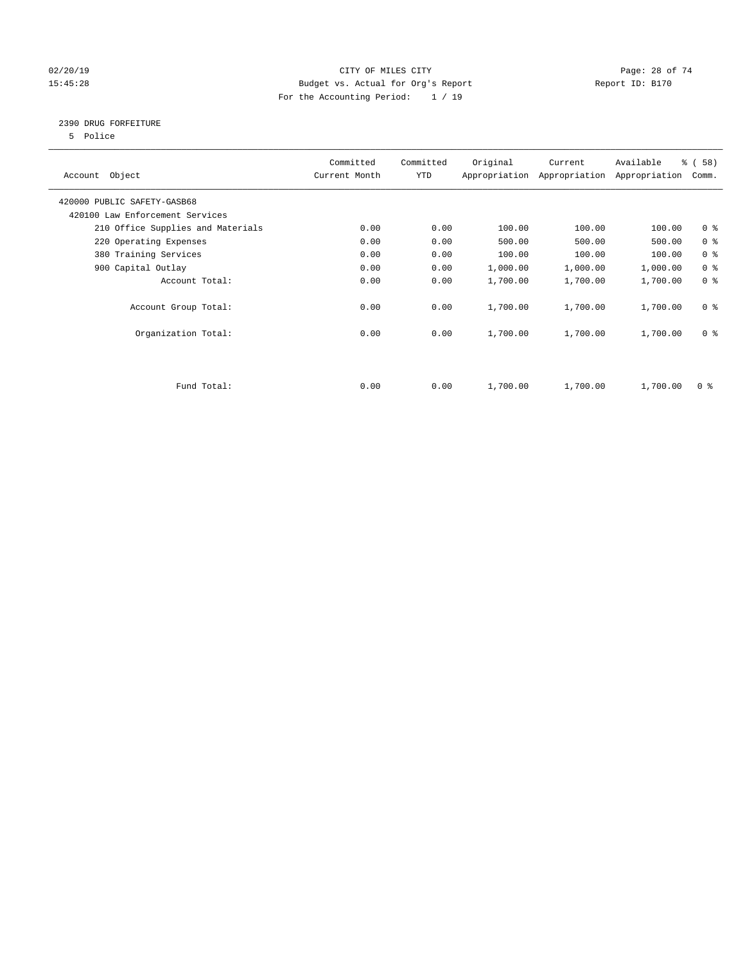#### $O(2/20/19$  Page: 28 of 74 15:45:28 Budget vs. Actual for Org's Report Report ID: B170 For the Accounting Period: 1 / 19

#### 2390 DRUG FORFEITURE

5 Police

| Account Object                    | Committed<br>Current Month | Committed<br>YTD | Original | Current<br>Appropriation Appropriation | Available<br>Appropriation | % ( 58 )<br>Comm. |
|-----------------------------------|----------------------------|------------------|----------|----------------------------------------|----------------------------|-------------------|
| 420000 PUBLIC SAFETY-GASB68       |                            |                  |          |                                        |                            |                   |
| 420100 Law Enforcement Services   |                            |                  |          |                                        |                            |                   |
| 210 Office Supplies and Materials | 0.00                       | 0.00             | 100.00   | 100.00                                 | 100.00                     | 0 <sup>8</sup>    |
| 220 Operating Expenses            | 0.00                       | 0.00             | 500.00   | 500.00                                 | 500.00                     | 0 <sup>8</sup>    |
| 380 Training Services             | 0.00                       | 0.00             | 100.00   | 100.00                                 | 100.00                     | 0 <sup>8</sup>    |
| 900 Capital Outlay                | 0.00                       | 0.00             | 1,000.00 | 1,000.00                               | 1,000.00                   | 0 <sup>8</sup>    |
| Account Total:                    | 0.00                       | 0.00             | 1,700.00 | 1,700.00                               | 1,700.00                   | 0 <sup>8</sup>    |
| Account Group Total:              | 0.00                       | 0.00             | 1,700.00 | 1,700.00                               | 1,700.00                   | 0 <sup>8</sup>    |
| Organization Total:               | 0.00                       | 0.00             | 1,700.00 | 1,700.00                               | 1,700.00                   | 0 <sup>8</sup>    |
|                                   |                            |                  |          |                                        |                            |                   |
| Fund Total:                       | 0.00                       | 0.00             | 1,700.00 | 1,700.00                               | 1,700.00                   | 0 %               |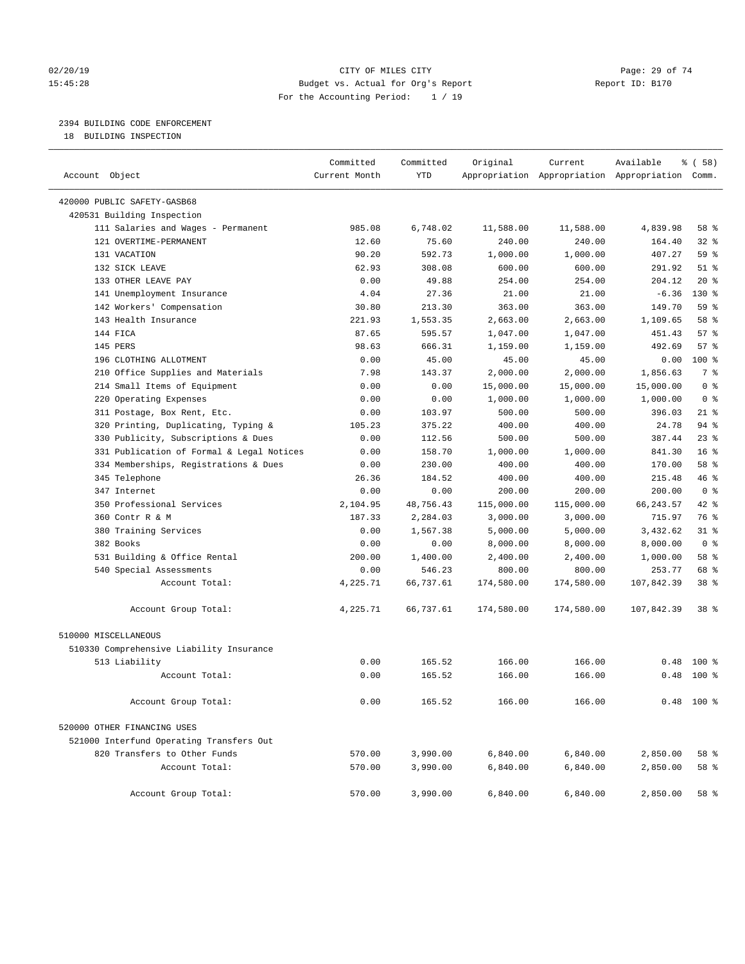#### $O(2/20/19$  Page: 29 of 74 15:45:28 Budget vs. Actual for Org's Report Report ID: B170 For the Accounting Period: 1 / 19

#### 2394 BUILDING CODE ENFORCEMENT

18 BUILDING INSPECTION

|                                           | Committed     | Committed  | Original   | Current    | Available                                       | % ( 58 )        |
|-------------------------------------------|---------------|------------|------------|------------|-------------------------------------------------|-----------------|
| Account Object                            | Current Month | <b>YTD</b> |            |            | Appropriation Appropriation Appropriation Comm. |                 |
| 420000 PUBLIC SAFETY-GASB68               |               |            |            |            |                                                 |                 |
| 420531 Building Inspection                |               |            |            |            |                                                 |                 |
| 111 Salaries and Wages - Permanent        | 985.08        | 6,748.02   | 11,588.00  | 11,588.00  | 4,839.98                                        | 58 %            |
| 121 OVERTIME-PERMANENT                    | 12.60         | 75.60      | 240.00     | 240.00     | 164.40                                          | 32%             |
| 131 VACATION                              | 90.20         | 592.73     | 1,000.00   | 1,000.00   | 407.27                                          | 59%             |
| 132 SICK LEAVE                            | 62.93         | 308.08     | 600.00     | 600.00     | 291.92                                          | $51$ %          |
| 133 OTHER LEAVE PAY                       | 0.00          | 49.88      | 254.00     | 254.00     | 204.12                                          | $20*$           |
| 141 Unemployment Insurance                | 4.04          | 27.36      | 21.00      | 21.00      | $-6.36$                                         | $130*$          |
| 142 Workers' Compensation                 | 30.80         | 213.30     | 363.00     | 363.00     | 149.70                                          | 59 %            |
| 143 Health Insurance                      | 221.93        | 1,553.35   | 2,663.00   | 2,663.00   | 1,109.65                                        | 58 %            |
| 144 FICA                                  | 87.65         | 595.57     | 1,047.00   | 1,047.00   | 451.43                                          | 57%             |
| 145 PERS                                  | 98.63         | 666.31     | 1,159.00   | 1,159.00   | 492.69                                          | 57%             |
| 196 CLOTHING ALLOTMENT                    | 0.00          | 45.00      | 45.00      | 45.00      | 0.00                                            | $100*$          |
| 210 Office Supplies and Materials         | 7.98          | 143.37     | 2,000.00   | 2,000.00   | 1,856.63                                        | 7 <sup>°</sup>  |
| 214 Small Items of Equipment              | 0.00          | 0.00       | 15,000.00  | 15,000.00  | 15,000.00                                       | 0 <sup>8</sup>  |
| 220 Operating Expenses                    | 0.00          | 0.00       | 1,000.00   | 1,000.00   | 1,000.00                                        | 0 <sup>8</sup>  |
| 311 Postage, Box Rent, Etc.               | 0.00          | 103.97     | 500.00     | 500.00     | 396.03                                          | $21$ %          |
| 320 Printing, Duplicating, Typing &       | 105.23        | 375.22     | 400.00     | 400.00     | 24.78                                           | $94$ %          |
| 330 Publicity, Subscriptions & Dues       | 0.00          | 112.56     | 500.00     | 500.00     | 387.44                                          | 23%             |
| 331 Publication of Formal & Legal Notices | 0.00          | 158.70     | 1,000.00   | 1,000.00   | 841.30                                          | 16 <sup>8</sup> |
| 334 Memberships, Registrations & Dues     | 0.00          | 230.00     | 400.00     | 400.00     | 170.00                                          | 58 %            |
| 345 Telephone                             | 26.36         | 184.52     | 400.00     | 400.00     | 215.48                                          | 46 %            |
| 347 Internet                              | 0.00          | 0.00       | 200.00     | 200.00     | 200.00                                          | 0 <sup>8</sup>  |
| 350 Professional Services                 | 2,104.95      | 48,756.43  | 115,000.00 | 115,000.00 | 66, 243.57                                      | 42 %            |
| 360 Contr R & M                           | 187.33        | 2,284.03   | 3,000.00   | 3,000.00   | 715.97                                          | 76 %            |
| 380 Training Services                     | 0.00          | 1,567.38   | 5,000.00   | 5,000.00   | 3,432.62                                        | 31.8            |
| 382 Books                                 | 0.00          | 0.00       | 8,000.00   | 8,000.00   | 8,000.00                                        | 0 <sup>8</sup>  |
| 531 Building & Office Rental              | 200.00        | 1,400.00   | 2,400.00   | 2,400.00   | 1,000.00                                        | 58 %            |
| 540 Special Assessments                   | 0.00          | 546.23     | 800.00     | 800.00     | 253.77                                          | 68 %            |
| Account Total:                            | 4,225.71      | 66,737.61  | 174,580.00 | 174,580.00 | 107,842.39                                      | 38 <sup>8</sup> |
|                                           |               |            |            |            |                                                 |                 |
| Account Group Total:                      | 4,225.71      | 66,737.61  | 174,580.00 | 174,580.00 | 107,842.39                                      | 38 <sup>8</sup> |
|                                           |               |            |            |            |                                                 |                 |
| 510000 MISCELLANEOUS                      |               |            |            |            |                                                 |                 |
| 510330 Comprehensive Liability Insurance  |               |            |            |            |                                                 |                 |
| 513 Liability                             | 0.00          | 165.52     | 166.00     | 166.00     | 0.48                                            | $100*$          |
| Account Total:                            | 0.00          | 165.52     | 166.00     | 166.00     | 0.48                                            | $100*$          |
|                                           |               |            |            |            |                                                 |                 |
| Account Group Total:                      | 0.00          | 165.52     | 166.00     | 166.00     |                                                 | $0.48$ 100 %    |
|                                           |               |            |            |            |                                                 |                 |
| 520000 OTHER FINANCING USES               |               |            |            |            |                                                 |                 |
| 521000 Interfund Operating Transfers Out  |               |            |            |            |                                                 |                 |
| 820 Transfers to Other Funds              | 570.00        | 3,990.00   | 6,840.00   | 6,840.00   | 2,850.00                                        | 58 %            |
| Account Total:                            | 570.00        | 3,990.00   | 6,840.00   | 6,840.00   | 2,850.00                                        | 58 %            |
|                                           |               |            |            |            |                                                 |                 |
| Account Group Total:                      | 570.00        | 3,990.00   | 6,840.00   | 6,840.00   | 2,850.00                                        | 58 %            |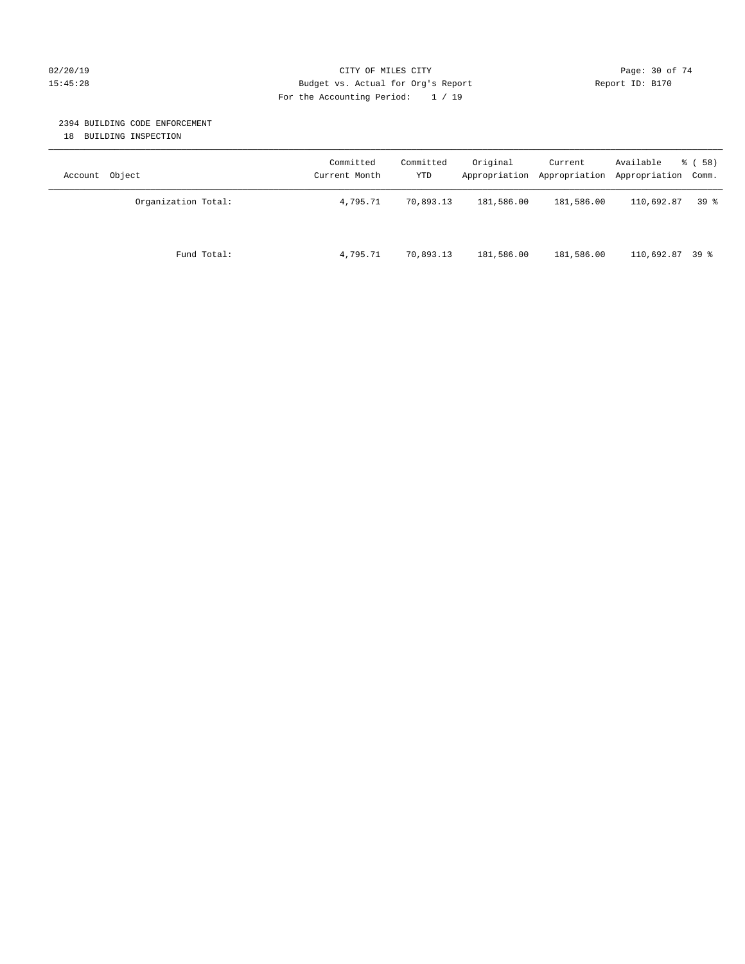#### $O(2/20/19$  Page: 30 of 74 15:45:28 Budget vs. Actual for Org's Report Report ID: B170 For the Accounting Period: 1 / 19

#### 2394 BUILDING CODE ENFORCEMENT

18 BUILDING INSPECTION

| Account Object      | Committed<br>Current Month | Committed<br>YTD | Original   | Current<br>Appropriation Appropriation | Available<br>Appropriation Comm. | 8 ( 58 ) |
|---------------------|----------------------------|------------------|------------|----------------------------------------|----------------------------------|----------|
| Organization Total: | 4,795.71                   | 70,893.13        | 181,586.00 | 181,586.00                             | 110,692.87                       | 398      |
| Fund Total:         | 4,795.71                   | 70,893.13        | 181,586.00 | 181,586.00                             | $110,692.87$ 39 %                |          |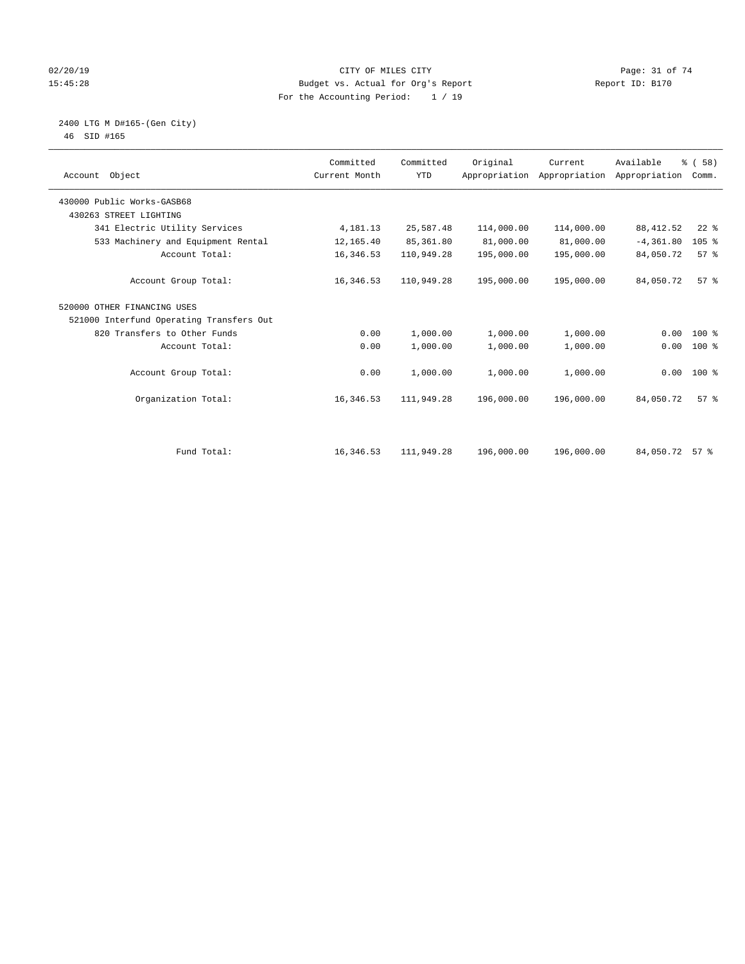#### $O(2/20/19$  Page: 31 of 74 15:45:28 Budget vs. Actual for Org's Report Report ID: B170 For the Accounting Period: 1 / 19

 2400 LTG M D#165-(Gen City) 46 SID #165

| Account Object                           | Committed<br>Current Month | Committed<br><b>YTD</b> | Original   | Current<br>Appropriation Appropriation Appropriation | Available      | % (58)<br>Comm. |  |
|------------------------------------------|----------------------------|-------------------------|------------|------------------------------------------------------|----------------|-----------------|--|
| 430000 Public Works-GASB68               |                            |                         |            |                                                      |                |                 |  |
| 430263 STREET LIGHTING                   |                            |                         |            |                                                      |                |                 |  |
| 341 Electric Utility Services            | 4,181.13                   | 25,587.48               | 114,000.00 | 114,000.00                                           | 88, 412.52     | $22$ %          |  |
| 533 Machinery and Equipment Rental       | 12,165.40                  | 85,361.80               | 81,000.00  | 81,000.00                                            | $-4, 361.80$   | 105%            |  |
| Account Total:                           | 16,346.53                  | 110,949.28              | 195,000.00 | 195,000.00                                           | 84,050.72      | 57%             |  |
| Account Group Total:                     | 16,346.53                  | 110,949.28              | 195,000.00 | 195,000.00                                           | 84,050.72      | 57 <sup>8</sup> |  |
| 520000 OTHER FINANCING USES              |                            |                         |            |                                                      |                |                 |  |
| 521000 Interfund Operating Transfers Out |                            |                         |            |                                                      |                |                 |  |
| 820 Transfers to Other Funds             | 0.00                       | 1,000.00                | 1,000.00   | 1,000.00                                             | 0.00           | 100 %           |  |
| Account Total:                           | 0.00                       | 1,000.00                | 1,000.00   | 1,000.00                                             | 0.00           | 100 %           |  |
| Account Group Total:                     | 0.00                       | 1,000.00                | 1,000.00   | 1,000.00                                             |                | $0.00 100$ %    |  |
| Organization Total:                      | 16, 346.53                 | 111,949.28              | 196,000.00 | 196,000.00                                           | 84,050.72      | 57 <sup>8</sup> |  |
|                                          |                            |                         |            |                                                      |                |                 |  |
| Fund Total:                              | 16,346.53                  | 111,949.28              | 196,000.00 | 196,000.00                                           | 84,050.72 57 % |                 |  |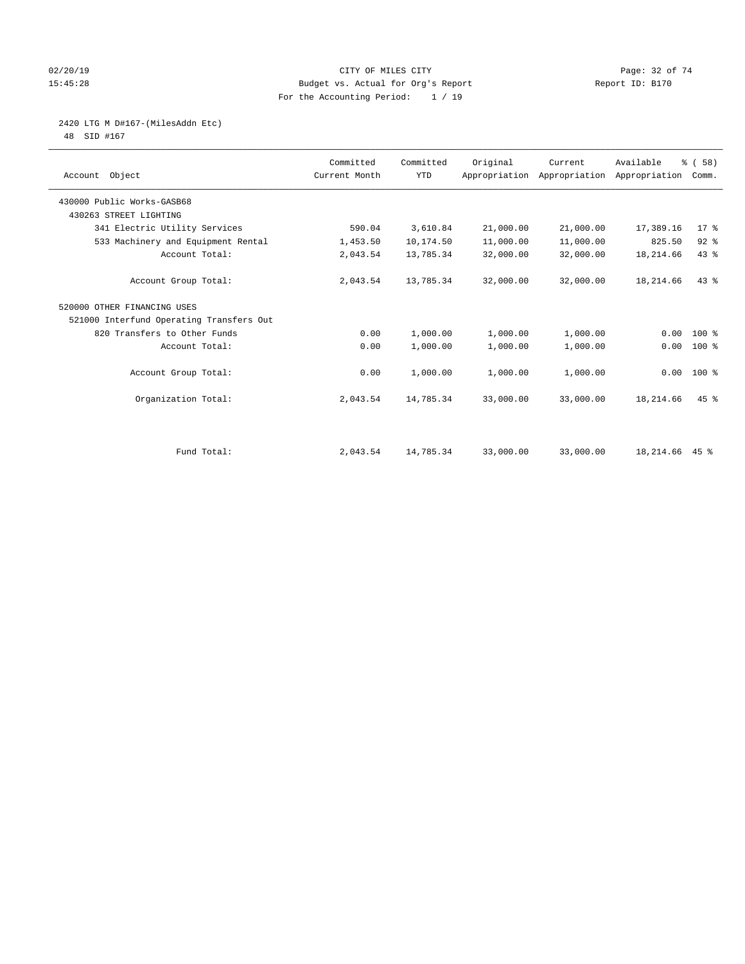#### $O(2/20/19$  Page: 32 of 74 15:45:28 Budget vs. Actual for Org's Report Report ID: B170 For the Accounting Period: 1 / 19

2420 LTG M D#167-(MilesAddn Etc)

48 SID #167

| Account Object                           | Committed<br>Current Month | Committed<br><b>YTD</b> | Original  | Current<br>Appropriation Appropriation Appropriation | Available      | % (58)<br>Comm. |  |
|------------------------------------------|----------------------------|-------------------------|-----------|------------------------------------------------------|----------------|-----------------|--|
| 430000 Public Works-GASB68               |                            |                         |           |                                                      |                |                 |  |
| 430263 STREET LIGHTING                   |                            |                         |           |                                                      |                |                 |  |
| 341 Electric Utility Services            | 590.04                     | 3,610.84                | 21,000.00 | 21,000.00                                            | 17,389.16      | $17$ %          |  |
| 533 Machinery and Equipment Rental       | 1,453.50                   | 10,174.50               | 11,000.00 | 11,000.00                                            | 825.50         | $92$ %          |  |
| Account Total:                           | 2,043.54                   | 13,785.34               | 32,000.00 | 32,000.00                                            | 18,214.66      | 43%             |  |
| Account Group Total:                     | 2,043.54                   | 13,785.34               | 32,000.00 | 32,000.00                                            | 18,214.66      | $43*$           |  |
| 520000 OTHER FINANCING USES              |                            |                         |           |                                                      |                |                 |  |
| 521000 Interfund Operating Transfers Out |                            |                         |           |                                                      |                |                 |  |
| 820 Transfers to Other Funds             | 0.00                       | 1,000.00                | 1,000.00  | 1,000.00                                             | 0.00           | $100*$          |  |
| Account Total:                           | 0.00                       | 1,000.00                | 1,000.00  | 1,000.00                                             | 0.00           | $100$ %         |  |
| Account Group Total:                     | 0.00                       | 1,000.00                | 1,000.00  | 1,000.00                                             |                | $0.00 100$ %    |  |
| Organization Total:                      | 2,043.54                   | 14,785.34               | 33,000.00 | 33,000.00                                            | 18,214.66      | $45$ $%$        |  |
|                                          |                            |                         |           |                                                      |                |                 |  |
| Fund Total:                              | 2,043.54                   | 14,785.34               | 33,000.00 | 33,000.00                                            | 18,214.66 45 % |                 |  |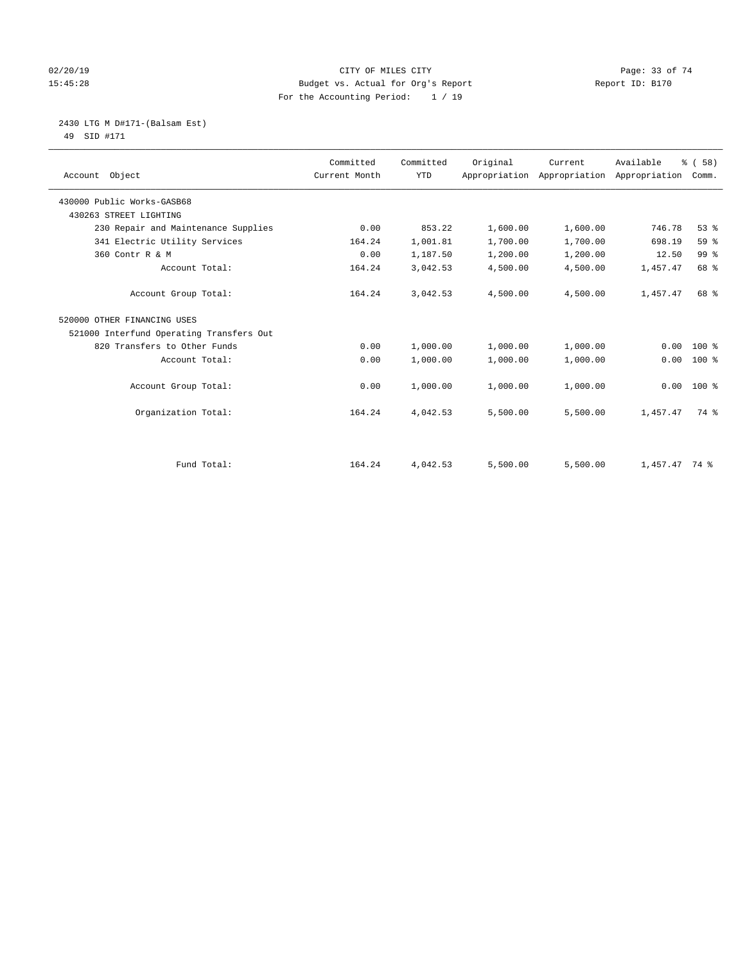#### $O(2/20/19$  Page: 33 of 74 15:45:28 Budget vs. Actual for Org's Report Report ID: B170 For the Accounting Period: 1 / 19

 2430 LTG M D#171-(Balsam Est) 49 SID #171

| Account Object                           | Committed<br>Current Month | Committed<br><b>YTD</b> | Original | Current<br>Appropriation Appropriation | Available<br>Appropriation | % (58)<br>Comm. |
|------------------------------------------|----------------------------|-------------------------|----------|----------------------------------------|----------------------------|-----------------|
| 430000 Public Works-GASB68               |                            |                         |          |                                        |                            |                 |
| 430263 STREET LIGHTING                   |                            |                         |          |                                        |                            |                 |
| 230 Repair and Maintenance Supplies      | 0.00                       | 853.22                  | 1,600.00 | 1,600.00                               | 746.78                     | 53%             |
| 341 Electric Utility Services            | 164.24                     | 1,001.81                | 1,700.00 | 1,700.00                               | 698.19                     | 59%             |
| 360 Contr R & M                          | 0.00                       | 1,187.50                | 1,200.00 | 1,200.00                               | 12.50                      | 99 <sup>°</sup> |
| Account Total:                           | 164.24                     | 3,042.53                | 4,500.00 | 4,500.00                               | 1,457.47                   | 68 %            |
| Account Group Total:                     | 164.24                     | 3,042.53                | 4,500.00 | 4,500.00                               | 1,457.47                   | 68 %            |
| 520000 OTHER FINANCING USES              |                            |                         |          |                                        |                            |                 |
| 521000 Interfund Operating Transfers Out |                            |                         |          |                                        |                            |                 |
| 820 Transfers to Other Funds             | 0.00                       | 1,000.00                | 1,000.00 | 1,000.00                               | 0.00                       | $100*$          |
| Account Total:                           | 0.00                       | 1,000.00                | 1,000.00 | 1,000.00                               | 0.00                       | $100$ %         |
| Account Group Total:                     | 0.00                       | 1,000.00                | 1,000.00 | 1,000.00                               | 0.00                       | $100*$          |
| Organization Total:                      | 164.24                     | 4,042.53                | 5,500.00 | 5,500.00                               | 1,457.47                   | 74 %            |
|                                          |                            |                         |          |                                        |                            |                 |
| Fund Total:                              | 164.24                     | 4,042.53                | 5,500.00 | 5,500.00                               | $1,457.47$ 74 %            |                 |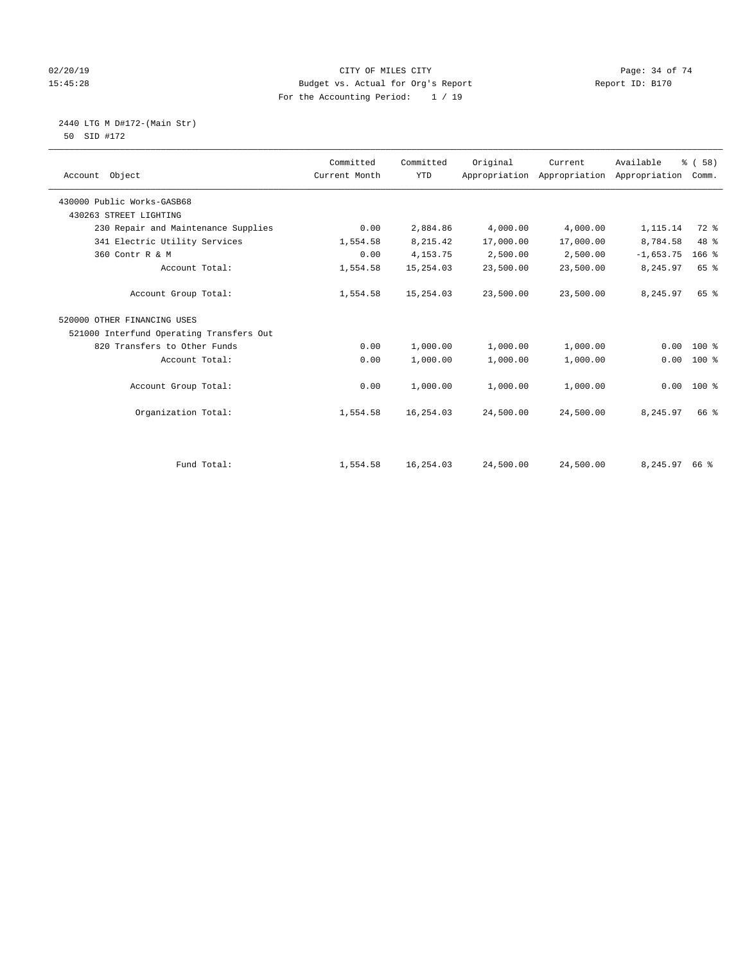#### 02/20/19 CITY OF MILES CITY Page: 34 of 74 15:45:28 Budget vs. Actual for Org's Report Report ID: B170 For the Accounting Period: 1 / 19

 2440 LTG M D#172-(Main Str) 50 SID #172

| Account Object                           | Committed<br>Current Month | Committed<br><b>YTD</b> | Original  | Current<br>Appropriation Appropriation | Available<br>Appropriation | % (58)<br>Comm. |
|------------------------------------------|----------------------------|-------------------------|-----------|----------------------------------------|----------------------------|-----------------|
|                                          |                            |                         |           |                                        |                            |                 |
| 430000 Public Works-GASB68               |                            |                         |           |                                        |                            |                 |
| 430263 STREET LIGHTING                   |                            |                         |           |                                        |                            |                 |
| 230 Repair and Maintenance Supplies      | 0.00                       | 2,884.86                | 4,000.00  | 4,000.00                               | 1,115.14                   | 72 %            |
| 341 Electric Utility Services            | 1,554.58                   | 8,215.42                | 17,000.00 | 17,000.00                              | 8,784.58                   | 48 %            |
| 360 Contr R & M                          | 0.00                       | 4, 153. 75              | 2,500.00  | 2,500.00                               | $-1,653.75$                | $166$ %         |
| Account Total:                           | 1,554.58                   | 15,254.03               | 23,500.00 | 23,500.00                              | 8,245.97                   | 65 %            |
| Account Group Total:                     | 1,554.58                   | 15,254.03               | 23,500.00 | 23,500.00                              | 8,245.97                   | 65 %            |
| 520000 OTHER FINANCING USES              |                            |                         |           |                                        |                            |                 |
| 521000 Interfund Operating Transfers Out |                            |                         |           |                                        |                            |                 |
| 820 Transfers to Other Funds             | 0.00                       | 1,000.00                | 1,000.00  | 1,000.00                               | 0.00                       | $100$ %         |
| Account Total:                           | 0.00                       | 1,000.00                | 1,000.00  | 1,000.00                               | 0.00                       | 100 %           |
| Account Group Total:                     | 0.00                       | 1,000.00                | 1,000.00  | 1,000.00                               | 0.00                       | $100*$          |
| Organization Total:                      | 1,554.58                   | 16,254.03               | 24,500.00 | 24,500.00                              | 8,245.97                   | 66 %            |
|                                          |                            |                         |           |                                        |                            |                 |
| Fund Total:                              | 1,554.58                   | 16,254.03               | 24,500.00 | 24,500.00                              | 8,245.97 66 %              |                 |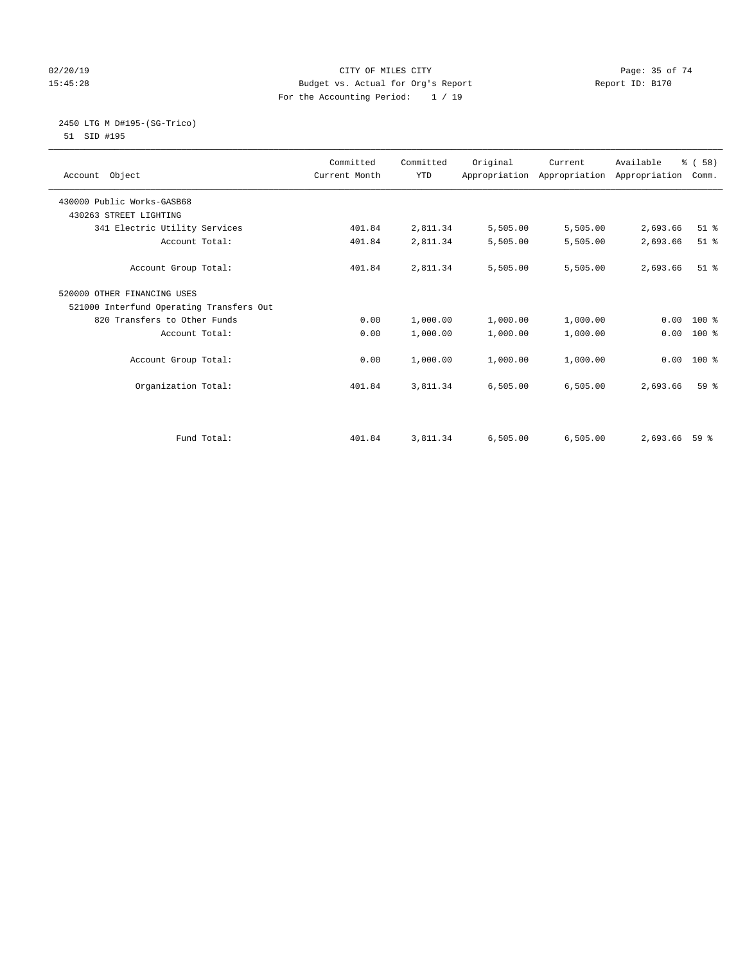#### $O(2/20/19$  Page: 35 of 74 15:45:28 Budget vs. Actual for Org's Report Report ID: B170 For the Accounting Period: 1 / 19

#### 2450 LTG M D#195-(SG-Trico) 51 SID #195

| Account Object                           | Committed<br>Current Month | Committed<br><b>YTD</b> | Original | Current<br>Appropriation Appropriation Appropriation | Available | % (58)<br>Comm. |
|------------------------------------------|----------------------------|-------------------------|----------|------------------------------------------------------|-----------|-----------------|
| 430000 Public Works-GASB68               |                            |                         |          |                                                      |           |                 |
| 430263 STREET LIGHTING                   |                            |                         |          |                                                      |           |                 |
| 341 Electric Utility Services            | 401.84                     | 2,811.34                | 5,505.00 | 5,505.00                                             | 2,693.66  | $51$ %          |
| Account Total:                           | 401.84                     | 2,811.34                | 5,505.00 | 5,505.00                                             | 2,693.66  | $51$ %          |
| Account Group Total:                     | 401.84                     | 2,811.34                | 5,505.00 | 5,505.00                                             | 2,693.66  | $51$ %          |
| 520000 OTHER FINANCING USES              |                            |                         |          |                                                      |           |                 |
| 521000 Interfund Operating Transfers Out |                            |                         |          |                                                      |           |                 |
| 820 Transfers to Other Funds             | 0.00                       | 1,000.00                | 1,000.00 | 1,000.00                                             | 0.00      | $100*$          |
| Account Total:                           | 0.00                       | 1,000.00                | 1,000.00 | 1,000.00                                             | 0.00      | $100$ %         |
| Account Group Total:                     | 0.00                       | 1,000.00                | 1,000.00 | 1,000.00                                             | 0.00      | $100*$          |
| Organization Total:                      | 401.84                     | 3,811.34                | 6,505.00 | 6,505.00                                             | 2,693.66  | 59 <sup>8</sup> |
|                                          |                            |                         |          |                                                      |           |                 |
| Fund Total:                              | 401.84                     | 3,811.34                | 6,505.00 | 6,505.00                                             | 2,693.66  | 59 %            |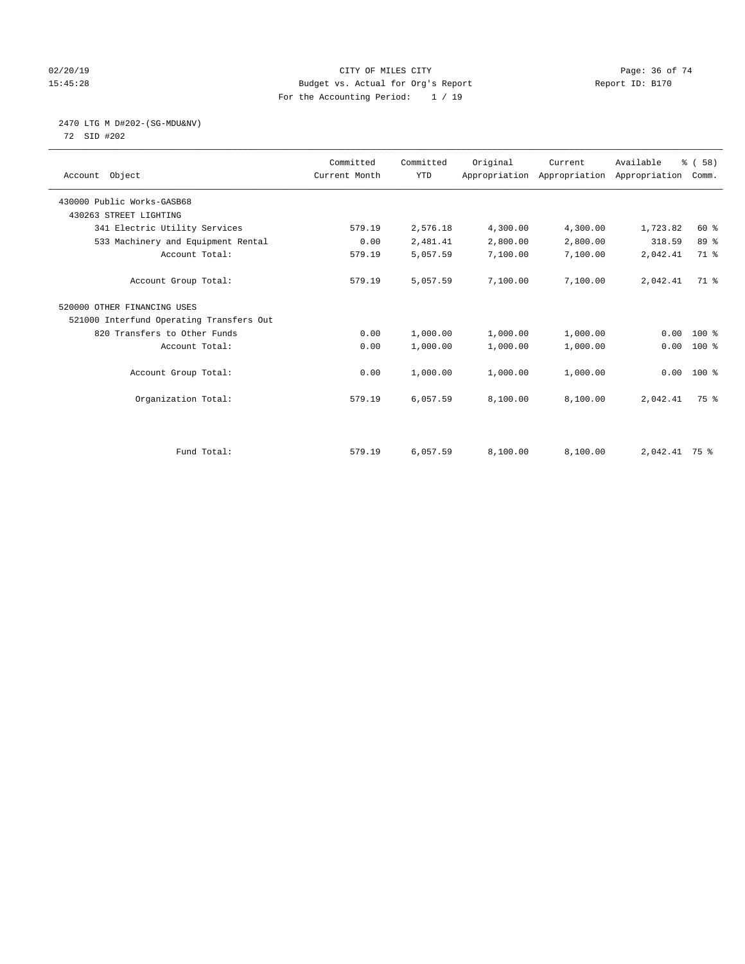#### $O(2/20/19$  Page: 36 of 74 15:45:28 Budget vs. Actual for Org's Report Report ID: B170 For the Accounting Period: 1 / 19

# 2470 LTG M D#202-(SG-MDU&NV)

72 SID #202

| Account Object                           | Committed<br>Current Month | Committed<br><b>YTD</b> | Original | Current<br>Appropriation Appropriation Appropriation | Available     | % (58)<br>Comm. |
|------------------------------------------|----------------------------|-------------------------|----------|------------------------------------------------------|---------------|-----------------|
| 430000 Public Works-GASB68               |                            |                         |          |                                                      |               |                 |
| 430263 STREET LIGHTING                   |                            |                         |          |                                                      |               |                 |
| 341 Electric Utility Services            | 579.19                     | 2,576.18                | 4,300.00 | 4,300.00                                             | 1,723.82      | $60*$           |
| 533 Machinery and Equipment Rental       | 0.00                       | 2,481.41                | 2,800.00 | 2,800.00                                             | 318.59        | 89 %            |
| Account Total:                           | 579.19                     | 5,057.59                | 7,100.00 | 7,100.00                                             | 2,042.41      | 71.8            |
| Account Group Total:                     | 579.19                     | 5,057.59                | 7,100.00 | 7,100.00                                             | 2,042.41      | 71.8            |
| 520000 OTHER FINANCING USES              |                            |                         |          |                                                      |               |                 |
| 521000 Interfund Operating Transfers Out |                            |                         |          |                                                      |               |                 |
| 820 Transfers to Other Funds             | 0.00                       | 1,000.00                | 1,000.00 | 1,000.00                                             | 0.00          | $100*$          |
| Account Total:                           | 0.00                       | 1,000.00                | 1,000.00 | 1,000.00                                             | 0.00          | $100$ %         |
| Account Group Total:                     | 0.00                       | 1,000.00                | 1,000.00 | 1,000.00                                             |               | $0.00 100$ %    |
| Organization Total:                      | 579.19                     | 6,057.59                | 8,100.00 | 8,100.00                                             | 2,042.41      | 75 %            |
|                                          |                            |                         |          |                                                      |               |                 |
| Fund Total:                              | 579.19                     | 6,057.59                | 8,100.00 | 8,100.00                                             | 2,042.41 75 % |                 |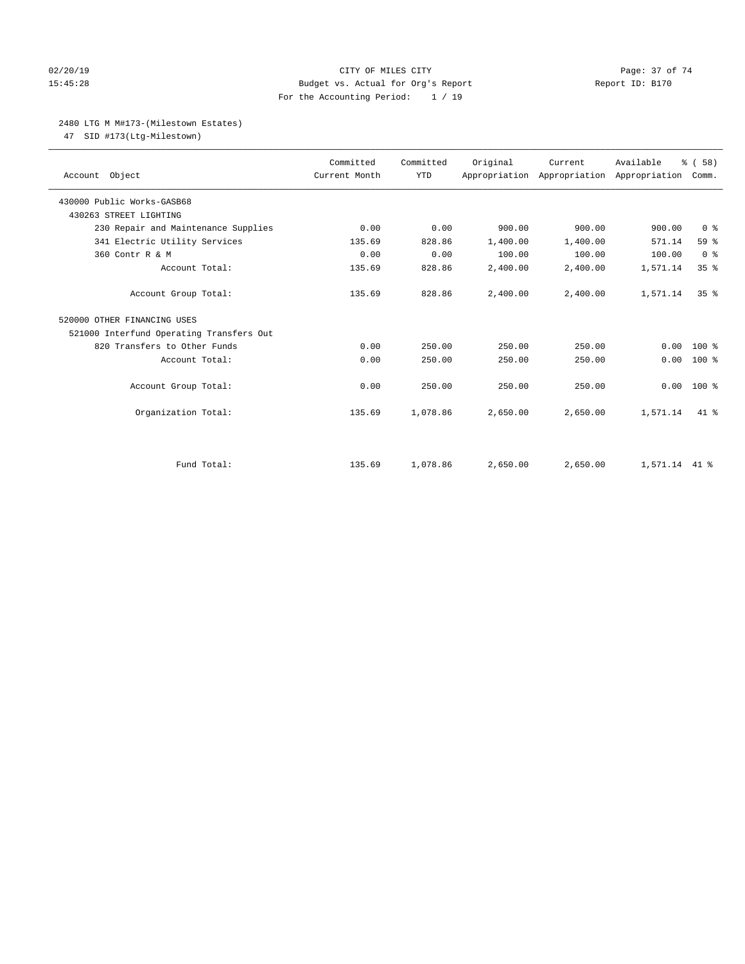#### 02/20/19 Page: 37 of 74 15:45:28 Budget vs. Actual for Org's Report Report ID: B170 For the Accounting Period: 1 / 19

#### 2480 LTG M M#173-(Milestown Estates)

47 SID #173(Ltg-Milestown)

| Account Object                           | Committed<br>Current Month | Committed<br><b>YTD</b> | Original | Current<br>Appropriation Appropriation Appropriation | Available     | % (58)<br>Comm. |
|------------------------------------------|----------------------------|-------------------------|----------|------------------------------------------------------|---------------|-----------------|
| 430000 Public Works-GASB68               |                            |                         |          |                                                      |               |                 |
| 430263 STREET LIGHTING                   |                            |                         |          |                                                      |               |                 |
| 230 Repair and Maintenance Supplies      | 0.00                       | 0.00                    | 900.00   | 900.00                                               | 900.00        | 0 <sup>8</sup>  |
| 341 Electric Utility Services            | 135.69                     | 828.86                  | 1,400.00 | 1,400.00                                             | 571.14        | 59 <sub>8</sub> |
| 360 Contr R & M                          | 0.00                       | 0.00                    | 100.00   | 100.00                                               | 100.00        | 0 <sup>8</sup>  |
| Account Total:                           | 135.69                     | 828.86                  | 2,400.00 | 2,400.00                                             | 1,571.14      | 35%             |
| Account Group Total:                     | 135.69                     | 828.86                  | 2.400.00 | 2.400.00                                             | 1,571.14      | 35 <sup>8</sup> |
| 520000 OTHER FINANCING USES              |                            |                         |          |                                                      |               |                 |
| 521000 Interfund Operating Transfers Out |                            |                         |          |                                                      |               |                 |
| 820 Transfers to Other Funds             | 0.00                       | 250.00                  | 250.00   | 250.00                                               | 0.00          | $100*$          |
| Account Total:                           | 0.00                       | 250.00                  | 250.00   | 250.00                                               | 0.00          | $100*$          |
| Account Group Total:                     | 0.00                       | 250.00                  | 250.00   | 250.00                                               | 0.00          | $100*$          |
| Organization Total:                      | 135.69                     | 1,078.86                | 2,650.00 | 2,650.00                                             | 1,571.14      | $41*$           |
|                                          |                            |                         |          |                                                      |               |                 |
| Fund Total:                              | 135.69                     | 1,078.86                | 2,650.00 | 2,650.00                                             | 1,571.14 41 % |                 |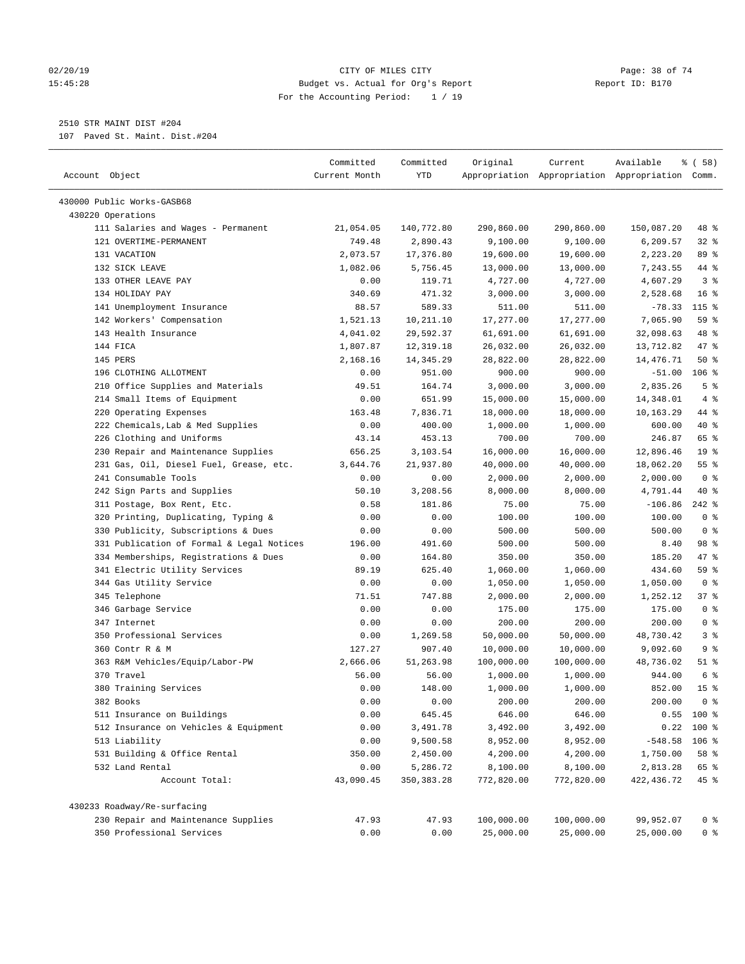#### 02/20/19 CITY OF MILES CITY Page: 38 of 74 15:45:28 Budget vs. Actual for Org's Report Report ID: B170 For the Accounting Period: 1 / 19

————————————————————————————————————————————————————————————————————————————————————————————————————————————————————————————————————

# 2510 STR MAINT DIST #204

107 Paved St. Maint. Dist.#204

|                                           | Committed     | Committed    | Original   | Current    | Available                                       | 8 ( 58 )        |
|-------------------------------------------|---------------|--------------|------------|------------|-------------------------------------------------|-----------------|
| Account Object                            | Current Month | YTD          |            |            | Appropriation Appropriation Appropriation Comm. |                 |
| 430000 Public Works-GASB68                |               |              |            |            |                                                 |                 |
| 430220 Operations                         |               |              |            |            |                                                 |                 |
| 111 Salaries and Wages - Permanent        | 21,054.05     | 140,772.80   | 290,860.00 | 290,860.00 | 150,087.20                                      | 48 %            |
| 121 OVERTIME-PERMANENT                    | 749.48        | 2,890.43     | 9,100.00   | 9,100.00   | 6,209.57                                        | $32$ $%$        |
| 131 VACATION                              | 2,073.57      | 17,376.80    | 19,600.00  | 19,600.00  | 2,223.20                                        | 89 %            |
| 132 SICK LEAVE                            | 1,082.06      | 5,756.45     | 13,000.00  | 13,000.00  | 7,243.55                                        | 44 %            |
| 133 OTHER LEAVE PAY                       | 0.00          | 119.71       | 4,727.00   | 4,727.00   | 4,607.29                                        | 3 <sup>8</sup>  |
| 134 HOLIDAY PAY                           | 340.69        | 471.32       | 3,000.00   | 3,000.00   | 2,528.68                                        | 16 <sup>8</sup> |
| 141 Unemployment Insurance                | 88.57         | 589.33       | 511.00     | 511.00     | $-78.33$                                        | $115$ %         |
| 142 Workers' Compensation                 | 1,521.13      | 10,211.10    | 17,277.00  | 17,277.00  | 7,065.90                                        | 59 %            |
| 143 Health Insurance                      | 4,041.02      | 29,592.37    | 61,691.00  | 61,691.00  | 32,098.63                                       | 48 %            |
| 144 FICA                                  | 1,807.87      | 12,319.18    | 26,032.00  | 26,032.00  | 13,712.82                                       | 47 %            |
| 145 PERS                                  | 2,168.16      | 14,345.29    | 28,822.00  | 28,822.00  | 14,476.71                                       | 50%             |
| 196 CLOTHING ALLOTMENT                    | 0.00          | 951.00       | 900.00     | 900.00     | $-51.00$                                        | $106$ %         |
| 210 Office Supplies and Materials         | 49.51         | 164.74       | 3,000.00   | 3,000.00   | 2,835.26                                        | 5 <sup>8</sup>  |
| 214 Small Items of Equipment              | 0.00          | 651.99       | 15,000.00  | 15,000.00  | 14,348.01                                       | 4%              |
| 220 Operating Expenses                    | 163.48        | 7,836.71     | 18,000.00  | 18,000.00  | 10,163.29                                       | 44 %            |
| 222 Chemicals, Lab & Med Supplies         | 0.00          | 400.00       | 1,000.00   | 1,000.00   | 600.00                                          | 40 %            |
| 226 Clothing and Uniforms                 | 43.14         | 453.13       | 700.00     | 700.00     | 246.87                                          | 65 %            |
| 230 Repair and Maintenance Supplies       | 656.25        | 3,103.54     | 16,000.00  | 16,000.00  | 12,896.46                                       | 19 <sup>°</sup> |
| 231 Gas, Oil, Diesel Fuel, Grease, etc.   | 3,644.76      | 21,937.80    | 40,000.00  | 40,000.00  | 18,062.20                                       | $55$ $%$        |
| 241 Consumable Tools                      | 0.00          | 0.00         | 2,000.00   | 2,000.00   | 2,000.00                                        | 0 <sup>8</sup>  |
| 242 Sign Parts and Supplies               | 50.10         | 3,208.56     | 8,000.00   | 8,000.00   | 4,791.44                                        | 40 %            |
| 311 Postage, Box Rent, Etc.               | 0.58          | 181.86       | 75.00      | 75.00      | $-106.86$                                       | $242$ %         |
| 320 Printing, Duplicating, Typing &       | 0.00          | 0.00         | 100.00     | 100.00     | 100.00                                          | 0 <sup>8</sup>  |
| 330 Publicity, Subscriptions & Dues       | 0.00          | 0.00         | 500.00     | 500.00     | 500.00                                          | 0 <sup>8</sup>  |
| 331 Publication of Formal & Legal Notices | 196.00        | 491.60       | 500.00     | 500.00     | 8.40                                            | 98 %            |
| 334 Memberships, Registrations & Dues     | 0.00          | 164.80       | 350.00     | 350.00     | 185.20                                          | 47 %            |
| 341 Electric Utility Services             | 89.19         | 625.40       | 1,060.00   | 1,060.00   | 434.60                                          | 59 %            |
| 344 Gas Utility Service                   | 0.00          | 0.00         | 1,050.00   | 1,050.00   | 1,050.00                                        | 0 <sup>8</sup>  |
| 345 Telephone                             | 71.51         | 747.88       | 2,000.00   | 2,000.00   | 1,252.12                                        | 37%             |
| 346 Garbage Service                       | 0.00          | 0.00         | 175.00     | 175.00     | 175.00                                          | 0 <sup>8</sup>  |
| 347 Internet                              | 0.00          | 0.00         | 200.00     | 200.00     | 200.00                                          | 0 <sup>°</sup>  |
| 350 Professional Services                 | 0.00          | 1,269.58     | 50,000.00  | 50,000.00  | 48,730.42                                       | 3%              |
| 360 Contr R & M                           | 127.27        | 907.40       | 10,000.00  | 10,000.00  | 9,092.60                                        | 9%              |
| 363 R&M Vehicles/Equip/Labor-PW           | 2,666.06      | 51,263.98    | 100,000.00 | 100,000.00 | 48,736.02                                       | $51$ %          |
| 370 Travel                                | 56.00         | 56.00        | 1,000.00   | 1,000.00   | 944.00                                          | 6 %             |
| 380 Training Services                     | 0.00          | 148.00       | 1,000.00   | 1,000.00   | 852.00                                          | 15 <sup>8</sup> |
| 382 Books                                 | 0.00          | 0.00         | 200.00     | 200.00     | 200.00                                          | 0 ៖             |
| 511 Insurance on Buildings                | 0.00          | 645.45       | 646.00     | 646.00     |                                                 | $0.55$ 100 %    |
| 512 Insurance on Vehicles & Equipment     | 0.00          | 3,491.78     | 3,492.00   | 3,492.00   |                                                 | $0.22$ 100 %    |
| 513 Liability                             | 0.00          | 9,500.58     | 8,952.00   | 8,952.00   | $-548.58$                                       | $106$ %         |
| 531 Building & Office Rental              | 350.00        | 2,450.00     | 4,200.00   | 4,200.00   | 1,750.00                                        | 58 %            |
| 532 Land Rental                           | 0.00          | 5,286.72     | 8,100.00   | 8,100.00   | 2,813.28                                        | 65 %            |
| Account Total:                            | 43,090.45     | 350, 383. 28 | 772,820.00 | 772,820.00 | 422, 436.72                                     | 45 %            |
| 430233 Roadway/Re-surfacing               |               |              |            |            |                                                 |                 |
| 230 Repair and Maintenance Supplies       | 47.93         | 47.93        | 100,000.00 | 100,000.00 | 99,952.07                                       | 0 <sup>8</sup>  |
| 350 Professional Services                 | 0.00          | 0.00         | 25,000.00  | 25,000.00  | 25,000.00                                       | 0 <sup>8</sup>  |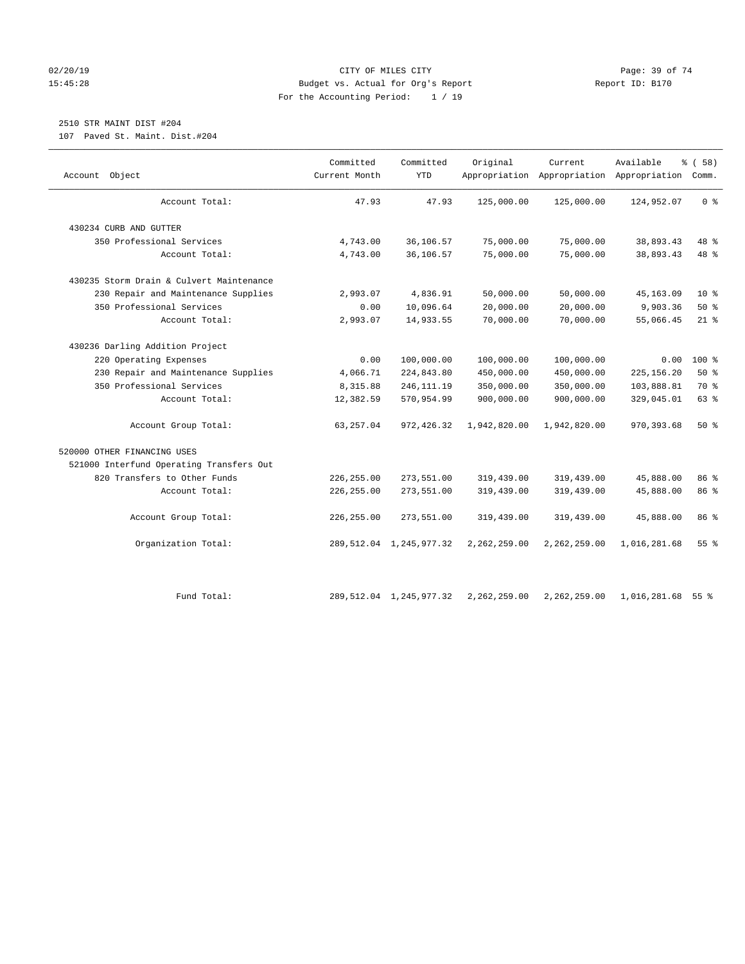#### 02/20/19 CITY OF MILES CITY Page: 39 of 74 15:45:28 Budget vs. Actual for Org's Report Report ID: B170 For the Accounting Period: 1 / 19

# 2510 STR MAINT DIST #204

107 Paved St. Maint. Dist.#204

| Object<br>Account                        | Committed<br>Current Month | Committed<br><b>YTD</b>    | Original     | Current<br>Appropriation Appropriation Appropriation Comm. | Available    | % (58)          |
|------------------------------------------|----------------------------|----------------------------|--------------|------------------------------------------------------------|--------------|-----------------|
|                                          |                            |                            |              |                                                            |              |                 |
| Account Total:                           | 47.93                      | 47.93                      | 125,000.00   | 125,000.00                                                 | 124,952.07   | 0 <sup>8</sup>  |
| 430234 CURB AND GUTTER                   |                            |                            |              |                                                            |              |                 |
| 350 Professional Services                | 4,743.00                   | 36,106.57                  | 75,000.00    | 75,000.00                                                  | 38,893.43    | 48 %            |
| Account Total:                           | 4,743.00                   | 36,106.57                  | 75,000.00    | 75,000.00                                                  | 38,893.43    | 48 %            |
| 430235 Storm Drain & Culvert Maintenance |                            |                            |              |                                                            |              |                 |
| 230 Repair and Maintenance Supplies      | 2,993.07                   | 4,836.91                   | 50,000.00    | 50,000.00                                                  | 45, 163.09   | $10*$           |
| 350 Professional Services                | 0.00                       | 10,096.64                  | 20,000.00    | 20,000.00                                                  | 9,903.36     | 50%             |
| Account Total:                           | 2,993.07                   | 14,933.55                  | 70,000.00    | 70,000.00                                                  | 55,066.45    | $21$ %          |
| 430236 Darling Addition Project          |                            |                            |              |                                                            |              |                 |
| 220 Operating Expenses                   | 0.00                       | 100,000.00                 | 100,000.00   | 100,000.00                                                 | 0.00         | $100$ %         |
| 230 Repair and Maintenance Supplies      | 4,066.71                   | 224,843.80                 | 450,000.00   | 450,000.00                                                 | 225, 156.20  | 50%             |
| 350 Professional Services                | 8,315.88                   | 246, 111.19                | 350,000.00   | 350,000.00                                                 | 103,888.81   | 70 %            |
| Account Total:                           | 12,382.59                  | 570,954.99                 | 900,000.00   | 900,000.00                                                 | 329,045.01   | 63 %            |
| Account Group Total:                     | 63,257.04                  | 972,426.32                 | 1,942,820.00 | 1,942,820.00                                               | 970, 393.68  | $50*$           |
| 520000 OTHER FINANCING USES              |                            |                            |              |                                                            |              |                 |
| 521000 Interfund Operating Transfers Out |                            |                            |              |                                                            |              |                 |
| 820 Transfers to Other Funds             | 226, 255.00                | 273,551.00                 | 319,439.00   | 319,439.00                                                 | 45,888.00    | 86 %            |
| Account Total:                           | 226, 255.00                | 273,551.00                 | 319,439.00   | 319,439.00                                                 | 45,888.00    | 86 %            |
| Account Group Total:                     | 226,255.00                 | 273,551.00                 | 319,439.00   | 319,439.00                                                 | 45,888.00    | 86 %            |
| Organization Total:                      |                            | 289, 512.04 1, 245, 977.32 | 2,262,259.00 | 2,262,259.00                                               | 1,016,281.68 | 55%             |
|                                          |                            |                            |              |                                                            |              |                 |
| Fund Total:                              |                            | 289, 512.04 1, 245, 977.32 | 2,262,259.00 | 2,262,259.00                                               | 1,016,281.68 | 55 <sup>8</sup> |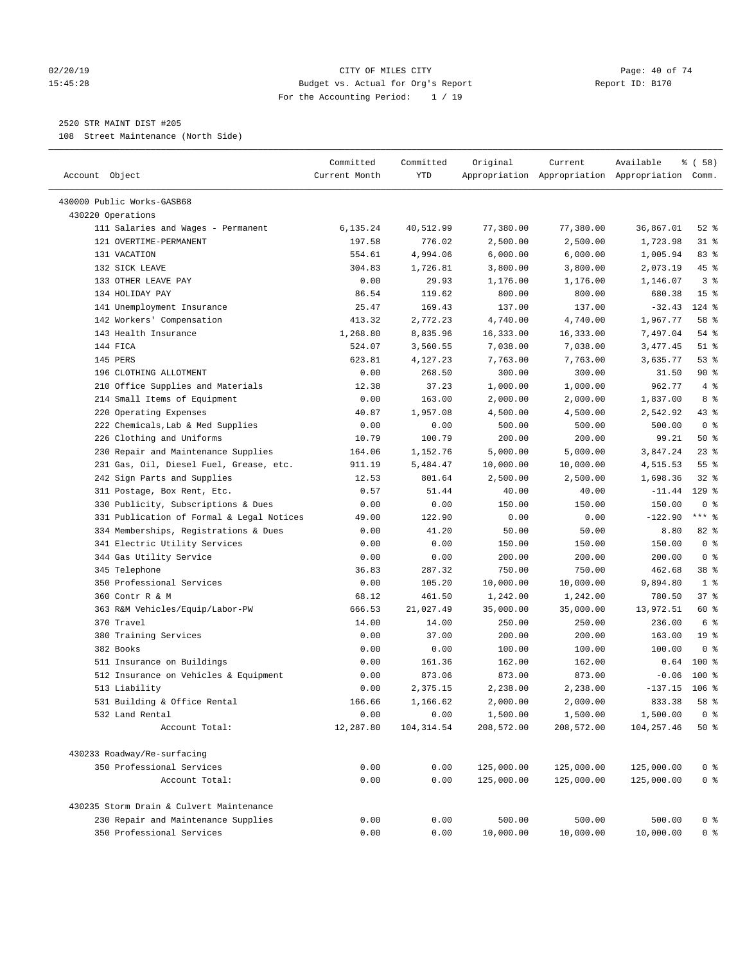#### 02/20/19 CITY OF MILES CITY Page: 40 of 74 15:45:28 Budget vs. Actual for Org's Report Report ID: B170 For the Accounting Period: 1 / 19

————————————————————————————————————————————————————————————————————————————————————————————————————————————————————————————————————

## 2520 STR MAINT DIST #205

108 Street Maintenance (North Side)

| Account Object<br>Current Month<br>YTD<br>Appropriation Appropriation Appropriation Comm.<br>430000 Public Works-GASB68<br>430220 Operations<br>77,380.00<br>$52$ $%$<br>111 Salaries and Wages - Permanent<br>6,135.24<br>40,512.99<br>77,380.00<br>36,867.01<br>776.02<br>121 OVERTIME-PERMANENT<br>197.58<br>2,500.00<br>2,500.00<br>1,723.98<br>31 %<br>131 VACATION<br>554.61<br>4,994.06<br>6,000.00<br>6,000.00<br>1,005.94<br>83 %<br>132 SICK LEAVE<br>45 %<br>304.83<br>1,726.81<br>3,800.00<br>3,800.00<br>2,073.19<br>133 OTHER LEAVE PAY<br>0.00<br>29.93<br>1,146.07<br>3 <sup>8</sup><br>1,176.00<br>1,176.00<br>134 HOLIDAY PAY<br>86.54<br>119.62<br>680.38<br>15 <sup>°</sup><br>800.00<br>800.00<br>141 Unemployment Insurance<br>25.47<br>169.43<br>$-32.43$<br>$124$ %<br>137.00<br>137.00<br>142 Workers' Compensation<br>413.32<br>2,772.23<br>4,740.00<br>4,740.00<br>1,967.77<br>58 %<br>143 Health Insurance<br>1,268.80<br>8,835.96<br>16,333.00<br>16,333.00<br>7,497.04<br>$54$ %<br>144 FICA<br>$51$ %<br>524.07<br>3,560.55<br>7,038.00<br>7,038.00<br>3,477.45<br>145 PERS<br>53%<br>623.81<br>4,127.23<br>7,763.00<br>7,763.00<br>3,635.77<br>$90*$<br>196 CLOTHING ALLOTMENT<br>0.00<br>268.50<br>300.00<br>300.00<br>31.50<br>$4\degree$<br>210 Office Supplies and Materials<br>37.23<br>1,000.00<br>962.77<br>12.38<br>1,000.00<br>214 Small Items of Equipment<br>0.00<br>163.00<br>8 %<br>2,000.00<br>2,000.00<br>1,837.00<br>220 Operating Expenses<br>1,957.08<br>$43$ %<br>40.87<br>4,500.00<br>4,500.00<br>2,542.92<br>0 <sup>8</sup><br>222 Chemicals, Lab & Med Supplies<br>500.00<br>0.00<br>0.00<br>500.00<br>500.00<br>226 Clothing and Uniforms<br>100.79<br>200.00<br>50%<br>10.79<br>200.00<br>99.21<br>$23$ %<br>230 Repair and Maintenance Supplies<br>5,000.00<br>5,000.00<br>3,847.24<br>164.06<br>1,152.76<br>231 Gas, Oil, Diesel Fuel, Grease, etc.<br>5,484.47<br>10,000.00<br>10,000.00<br>$55$ $\frac{6}{3}$<br>911.19<br>4,515.53<br>242 Sign Parts and Supplies<br>1,698.36<br>$32$ $%$<br>12.53<br>801.64<br>2,500.00<br>2,500.00<br>$129$ %<br>311 Postage, Box Rent, Etc.<br>0.57<br>51.44<br>40.00<br>40.00<br>$-11.44$<br>330 Publicity, Subscriptions & Dues<br>150.00<br>0 <sup>8</sup><br>0.00<br>0.00<br>150.00<br>150.00<br>$***$ $_{8}$<br>331 Publication of Formal & Legal Notices<br>49.00<br>$-122.90$<br>122.90<br>0.00<br>0.00<br>334 Memberships, Registrations & Dues<br>41.20<br>50.00<br>50.00<br>82%<br>0.00<br>8.80<br>0 <sup>8</sup><br>341 Electric Utility Services<br>0.00<br>150.00<br>150.00<br>0.00<br>150.00<br>0 <sup>8</sup><br>344 Gas Utility Service<br>200.00<br>0.00<br>0.00<br>200.00<br>200.00<br>345 Telephone<br>36.83<br>287.32<br>750.00<br>750.00<br>462.68<br>38 <sup>8</sup><br>350 Professional Services<br>0.00<br>105.20<br>10,000.00<br>10,000.00<br>9,894.80<br>1 <sup>8</sup><br>360 Contr R & M<br>68.12<br>461.50<br>780.50<br>37%<br>1,242.00<br>1,242.00<br>21,027.49<br>35,000.00<br>13,972.51<br>60 %<br>363 R&M Vehicles/Equip/Labor-PW<br>666.53<br>35,000.00<br>6 <sup>°</sup><br>370 Travel<br>14.00<br>14.00<br>250.00<br>250.00<br>236.00<br>380 Training Services<br>19 <sup>°</sup><br>0.00<br>37.00<br>200.00<br>200.00<br>163.00<br>382 Books<br>0.00<br>100.00<br>0 <sup>8</sup><br>0.00<br>100.00<br>100.00<br>511 Insurance on Buildings<br>0.00<br>161.36<br>$100$ %<br>162.00<br>162.00<br>0.64<br>512 Insurance on Vehicles & Equipment<br>873.06<br>873.00<br>873.00<br>$-0.06$<br>$100*$<br>0.00<br>$-137.15$ 106 %<br>513 Liability<br>0.00<br>2,375.15<br>2,238.00<br>2,238.00<br>833.38<br>166.66<br>1,166.62<br>2,000.00<br>2,000.00<br>58 %<br>531 Building & Office Rental<br>0.00<br>0.00<br>1,500.00<br>1,500.00<br>1,500.00<br>0 <sup>8</sup><br>532 Land Rental<br>Account Total:<br>12,287.80<br>104, 314.54<br>208,572.00<br>208,572.00<br>104,257.46<br>50%<br>430233 Roadway/Re-surfacing<br>350 Professional Services<br>0.00<br>0.00<br>125,000.00<br>125,000.00<br>125,000.00<br>0 <sup>8</sup><br>Account Total:<br>0.00<br>0.00<br>125,000.00<br>125,000.00<br>125,000.00<br>0 <sup>8</sup><br>430235 Storm Drain & Culvert Maintenance<br>230 Repair and Maintenance Supplies<br>500.00<br>0.00<br>0.00<br>500.00<br>500.00<br>0 <sup>8</sup><br>350 Professional Services<br>0.00<br>0.00<br>10,000.00<br>10,000.00<br>0 <sup>8</sup><br>10,000.00 | Committed | Committed | Original | Current | Available | 8 ( 58 ) |
|---------------------------------------------------------------------------------------------------------------------------------------------------------------------------------------------------------------------------------------------------------------------------------------------------------------------------------------------------------------------------------------------------------------------------------------------------------------------------------------------------------------------------------------------------------------------------------------------------------------------------------------------------------------------------------------------------------------------------------------------------------------------------------------------------------------------------------------------------------------------------------------------------------------------------------------------------------------------------------------------------------------------------------------------------------------------------------------------------------------------------------------------------------------------------------------------------------------------------------------------------------------------------------------------------------------------------------------------------------------------------------------------------------------------------------------------------------------------------------------------------------------------------------------------------------------------------------------------------------------------------------------------------------------------------------------------------------------------------------------------------------------------------------------------------------------------------------------------------------------------------------------------------------------------------------------------------------------------------------------------------------------------------------------------------------------------------------------------------------------------------------------------------------------------------------------------------------------------------------------------------------------------------------------------------------------------------------------------------------------------------------------------------------------------------------------------------------------------------------------------------------------------------------------------------------------------------------------------------------------------------------------------------------------------------------------------------------------------------------------------------------------------------------------------------------------------------------------------------------------------------------------------------------------------------------------------------------------------------------------------------------------------------------------------------------------------------------------------------------------------------------------------------------------------------------------------------------------------------------------------------------------------------------------------------------------------------------------------------------------------------------------------------------------------------------------------------------------------------------------------------------------------------------------------------------------------------------------------------------------------------------------------------------------------------------------------------------------------------------------------------------------------------------------------------------------------------------------------------------------------------------------------------------------------------------------------------------------------------------------------------------------------------------------------------------------------------------------------------------------------------------------------------------------------------------------------------------------------------------------------------------------------------------------------------------------------------------------------------------------------------------------------------------------------|-----------|-----------|----------|---------|-----------|----------|
|                                                                                                                                                                                                                                                                                                                                                                                                                                                                                                                                                                                                                                                                                                                                                                                                                                                                                                                                                                                                                                                                                                                                                                                                                                                                                                                                                                                                                                                                                                                                                                                                                                                                                                                                                                                                                                                                                                                                                                                                                                                                                                                                                                                                                                                                                                                                                                                                                                                                                                                                                                                                                                                                                                                                                                                                                                                                                                                                                                                                                                                                                                                                                                                                                                                                                                                                                                                                                                                                                                                                                                                                                                                                                                                                                                                                                                                                                                                                                                                                                                                                                                                                                                                                                                                                                                                                                                                                                     |           |           |          |         |           |          |
|                                                                                                                                                                                                                                                                                                                                                                                                                                                                                                                                                                                                                                                                                                                                                                                                                                                                                                                                                                                                                                                                                                                                                                                                                                                                                                                                                                                                                                                                                                                                                                                                                                                                                                                                                                                                                                                                                                                                                                                                                                                                                                                                                                                                                                                                                                                                                                                                                                                                                                                                                                                                                                                                                                                                                                                                                                                                                                                                                                                                                                                                                                                                                                                                                                                                                                                                                                                                                                                                                                                                                                                                                                                                                                                                                                                                                                                                                                                                                                                                                                                                                                                                                                                                                                                                                                                                                                                                                     |           |           |          |         |           |          |
|                                                                                                                                                                                                                                                                                                                                                                                                                                                                                                                                                                                                                                                                                                                                                                                                                                                                                                                                                                                                                                                                                                                                                                                                                                                                                                                                                                                                                                                                                                                                                                                                                                                                                                                                                                                                                                                                                                                                                                                                                                                                                                                                                                                                                                                                                                                                                                                                                                                                                                                                                                                                                                                                                                                                                                                                                                                                                                                                                                                                                                                                                                                                                                                                                                                                                                                                                                                                                                                                                                                                                                                                                                                                                                                                                                                                                                                                                                                                                                                                                                                                                                                                                                                                                                                                                                                                                                                                                     |           |           |          |         |           |          |
|                                                                                                                                                                                                                                                                                                                                                                                                                                                                                                                                                                                                                                                                                                                                                                                                                                                                                                                                                                                                                                                                                                                                                                                                                                                                                                                                                                                                                                                                                                                                                                                                                                                                                                                                                                                                                                                                                                                                                                                                                                                                                                                                                                                                                                                                                                                                                                                                                                                                                                                                                                                                                                                                                                                                                                                                                                                                                                                                                                                                                                                                                                                                                                                                                                                                                                                                                                                                                                                                                                                                                                                                                                                                                                                                                                                                                                                                                                                                                                                                                                                                                                                                                                                                                                                                                                                                                                                                                     |           |           |          |         |           |          |
|                                                                                                                                                                                                                                                                                                                                                                                                                                                                                                                                                                                                                                                                                                                                                                                                                                                                                                                                                                                                                                                                                                                                                                                                                                                                                                                                                                                                                                                                                                                                                                                                                                                                                                                                                                                                                                                                                                                                                                                                                                                                                                                                                                                                                                                                                                                                                                                                                                                                                                                                                                                                                                                                                                                                                                                                                                                                                                                                                                                                                                                                                                                                                                                                                                                                                                                                                                                                                                                                                                                                                                                                                                                                                                                                                                                                                                                                                                                                                                                                                                                                                                                                                                                                                                                                                                                                                                                                                     |           |           |          |         |           |          |
|                                                                                                                                                                                                                                                                                                                                                                                                                                                                                                                                                                                                                                                                                                                                                                                                                                                                                                                                                                                                                                                                                                                                                                                                                                                                                                                                                                                                                                                                                                                                                                                                                                                                                                                                                                                                                                                                                                                                                                                                                                                                                                                                                                                                                                                                                                                                                                                                                                                                                                                                                                                                                                                                                                                                                                                                                                                                                                                                                                                                                                                                                                                                                                                                                                                                                                                                                                                                                                                                                                                                                                                                                                                                                                                                                                                                                                                                                                                                                                                                                                                                                                                                                                                                                                                                                                                                                                                                                     |           |           |          |         |           |          |
|                                                                                                                                                                                                                                                                                                                                                                                                                                                                                                                                                                                                                                                                                                                                                                                                                                                                                                                                                                                                                                                                                                                                                                                                                                                                                                                                                                                                                                                                                                                                                                                                                                                                                                                                                                                                                                                                                                                                                                                                                                                                                                                                                                                                                                                                                                                                                                                                                                                                                                                                                                                                                                                                                                                                                                                                                                                                                                                                                                                                                                                                                                                                                                                                                                                                                                                                                                                                                                                                                                                                                                                                                                                                                                                                                                                                                                                                                                                                                                                                                                                                                                                                                                                                                                                                                                                                                                                                                     |           |           |          |         |           |          |
|                                                                                                                                                                                                                                                                                                                                                                                                                                                                                                                                                                                                                                                                                                                                                                                                                                                                                                                                                                                                                                                                                                                                                                                                                                                                                                                                                                                                                                                                                                                                                                                                                                                                                                                                                                                                                                                                                                                                                                                                                                                                                                                                                                                                                                                                                                                                                                                                                                                                                                                                                                                                                                                                                                                                                                                                                                                                                                                                                                                                                                                                                                                                                                                                                                                                                                                                                                                                                                                                                                                                                                                                                                                                                                                                                                                                                                                                                                                                                                                                                                                                                                                                                                                                                                                                                                                                                                                                                     |           |           |          |         |           |          |
|                                                                                                                                                                                                                                                                                                                                                                                                                                                                                                                                                                                                                                                                                                                                                                                                                                                                                                                                                                                                                                                                                                                                                                                                                                                                                                                                                                                                                                                                                                                                                                                                                                                                                                                                                                                                                                                                                                                                                                                                                                                                                                                                                                                                                                                                                                                                                                                                                                                                                                                                                                                                                                                                                                                                                                                                                                                                                                                                                                                                                                                                                                                                                                                                                                                                                                                                                                                                                                                                                                                                                                                                                                                                                                                                                                                                                                                                                                                                                                                                                                                                                                                                                                                                                                                                                                                                                                                                                     |           |           |          |         |           |          |
|                                                                                                                                                                                                                                                                                                                                                                                                                                                                                                                                                                                                                                                                                                                                                                                                                                                                                                                                                                                                                                                                                                                                                                                                                                                                                                                                                                                                                                                                                                                                                                                                                                                                                                                                                                                                                                                                                                                                                                                                                                                                                                                                                                                                                                                                                                                                                                                                                                                                                                                                                                                                                                                                                                                                                                                                                                                                                                                                                                                                                                                                                                                                                                                                                                                                                                                                                                                                                                                                                                                                                                                                                                                                                                                                                                                                                                                                                                                                                                                                                                                                                                                                                                                                                                                                                                                                                                                                                     |           |           |          |         |           |          |
|                                                                                                                                                                                                                                                                                                                                                                                                                                                                                                                                                                                                                                                                                                                                                                                                                                                                                                                                                                                                                                                                                                                                                                                                                                                                                                                                                                                                                                                                                                                                                                                                                                                                                                                                                                                                                                                                                                                                                                                                                                                                                                                                                                                                                                                                                                                                                                                                                                                                                                                                                                                                                                                                                                                                                                                                                                                                                                                                                                                                                                                                                                                                                                                                                                                                                                                                                                                                                                                                                                                                                                                                                                                                                                                                                                                                                                                                                                                                                                                                                                                                                                                                                                                                                                                                                                                                                                                                                     |           |           |          |         |           |          |
|                                                                                                                                                                                                                                                                                                                                                                                                                                                                                                                                                                                                                                                                                                                                                                                                                                                                                                                                                                                                                                                                                                                                                                                                                                                                                                                                                                                                                                                                                                                                                                                                                                                                                                                                                                                                                                                                                                                                                                                                                                                                                                                                                                                                                                                                                                                                                                                                                                                                                                                                                                                                                                                                                                                                                                                                                                                                                                                                                                                                                                                                                                                                                                                                                                                                                                                                                                                                                                                                                                                                                                                                                                                                                                                                                                                                                                                                                                                                                                                                                                                                                                                                                                                                                                                                                                                                                                                                                     |           |           |          |         |           |          |
|                                                                                                                                                                                                                                                                                                                                                                                                                                                                                                                                                                                                                                                                                                                                                                                                                                                                                                                                                                                                                                                                                                                                                                                                                                                                                                                                                                                                                                                                                                                                                                                                                                                                                                                                                                                                                                                                                                                                                                                                                                                                                                                                                                                                                                                                                                                                                                                                                                                                                                                                                                                                                                                                                                                                                                                                                                                                                                                                                                                                                                                                                                                                                                                                                                                                                                                                                                                                                                                                                                                                                                                                                                                                                                                                                                                                                                                                                                                                                                                                                                                                                                                                                                                                                                                                                                                                                                                                                     |           |           |          |         |           |          |
|                                                                                                                                                                                                                                                                                                                                                                                                                                                                                                                                                                                                                                                                                                                                                                                                                                                                                                                                                                                                                                                                                                                                                                                                                                                                                                                                                                                                                                                                                                                                                                                                                                                                                                                                                                                                                                                                                                                                                                                                                                                                                                                                                                                                                                                                                                                                                                                                                                                                                                                                                                                                                                                                                                                                                                                                                                                                                                                                                                                                                                                                                                                                                                                                                                                                                                                                                                                                                                                                                                                                                                                                                                                                                                                                                                                                                                                                                                                                                                                                                                                                                                                                                                                                                                                                                                                                                                                                                     |           |           |          |         |           |          |
|                                                                                                                                                                                                                                                                                                                                                                                                                                                                                                                                                                                                                                                                                                                                                                                                                                                                                                                                                                                                                                                                                                                                                                                                                                                                                                                                                                                                                                                                                                                                                                                                                                                                                                                                                                                                                                                                                                                                                                                                                                                                                                                                                                                                                                                                                                                                                                                                                                                                                                                                                                                                                                                                                                                                                                                                                                                                                                                                                                                                                                                                                                                                                                                                                                                                                                                                                                                                                                                                                                                                                                                                                                                                                                                                                                                                                                                                                                                                                                                                                                                                                                                                                                                                                                                                                                                                                                                                                     |           |           |          |         |           |          |
|                                                                                                                                                                                                                                                                                                                                                                                                                                                                                                                                                                                                                                                                                                                                                                                                                                                                                                                                                                                                                                                                                                                                                                                                                                                                                                                                                                                                                                                                                                                                                                                                                                                                                                                                                                                                                                                                                                                                                                                                                                                                                                                                                                                                                                                                                                                                                                                                                                                                                                                                                                                                                                                                                                                                                                                                                                                                                                                                                                                                                                                                                                                                                                                                                                                                                                                                                                                                                                                                                                                                                                                                                                                                                                                                                                                                                                                                                                                                                                                                                                                                                                                                                                                                                                                                                                                                                                                                                     |           |           |          |         |           |          |
|                                                                                                                                                                                                                                                                                                                                                                                                                                                                                                                                                                                                                                                                                                                                                                                                                                                                                                                                                                                                                                                                                                                                                                                                                                                                                                                                                                                                                                                                                                                                                                                                                                                                                                                                                                                                                                                                                                                                                                                                                                                                                                                                                                                                                                                                                                                                                                                                                                                                                                                                                                                                                                                                                                                                                                                                                                                                                                                                                                                                                                                                                                                                                                                                                                                                                                                                                                                                                                                                                                                                                                                                                                                                                                                                                                                                                                                                                                                                                                                                                                                                                                                                                                                                                                                                                                                                                                                                                     |           |           |          |         |           |          |
|                                                                                                                                                                                                                                                                                                                                                                                                                                                                                                                                                                                                                                                                                                                                                                                                                                                                                                                                                                                                                                                                                                                                                                                                                                                                                                                                                                                                                                                                                                                                                                                                                                                                                                                                                                                                                                                                                                                                                                                                                                                                                                                                                                                                                                                                                                                                                                                                                                                                                                                                                                                                                                                                                                                                                                                                                                                                                                                                                                                                                                                                                                                                                                                                                                                                                                                                                                                                                                                                                                                                                                                                                                                                                                                                                                                                                                                                                                                                                                                                                                                                                                                                                                                                                                                                                                                                                                                                                     |           |           |          |         |           |          |
|                                                                                                                                                                                                                                                                                                                                                                                                                                                                                                                                                                                                                                                                                                                                                                                                                                                                                                                                                                                                                                                                                                                                                                                                                                                                                                                                                                                                                                                                                                                                                                                                                                                                                                                                                                                                                                                                                                                                                                                                                                                                                                                                                                                                                                                                                                                                                                                                                                                                                                                                                                                                                                                                                                                                                                                                                                                                                                                                                                                                                                                                                                                                                                                                                                                                                                                                                                                                                                                                                                                                                                                                                                                                                                                                                                                                                                                                                                                                                                                                                                                                                                                                                                                                                                                                                                                                                                                                                     |           |           |          |         |           |          |
|                                                                                                                                                                                                                                                                                                                                                                                                                                                                                                                                                                                                                                                                                                                                                                                                                                                                                                                                                                                                                                                                                                                                                                                                                                                                                                                                                                                                                                                                                                                                                                                                                                                                                                                                                                                                                                                                                                                                                                                                                                                                                                                                                                                                                                                                                                                                                                                                                                                                                                                                                                                                                                                                                                                                                                                                                                                                                                                                                                                                                                                                                                                                                                                                                                                                                                                                                                                                                                                                                                                                                                                                                                                                                                                                                                                                                                                                                                                                                                                                                                                                                                                                                                                                                                                                                                                                                                                                                     |           |           |          |         |           |          |
|                                                                                                                                                                                                                                                                                                                                                                                                                                                                                                                                                                                                                                                                                                                                                                                                                                                                                                                                                                                                                                                                                                                                                                                                                                                                                                                                                                                                                                                                                                                                                                                                                                                                                                                                                                                                                                                                                                                                                                                                                                                                                                                                                                                                                                                                                                                                                                                                                                                                                                                                                                                                                                                                                                                                                                                                                                                                                                                                                                                                                                                                                                                                                                                                                                                                                                                                                                                                                                                                                                                                                                                                                                                                                                                                                                                                                                                                                                                                                                                                                                                                                                                                                                                                                                                                                                                                                                                                                     |           |           |          |         |           |          |
|                                                                                                                                                                                                                                                                                                                                                                                                                                                                                                                                                                                                                                                                                                                                                                                                                                                                                                                                                                                                                                                                                                                                                                                                                                                                                                                                                                                                                                                                                                                                                                                                                                                                                                                                                                                                                                                                                                                                                                                                                                                                                                                                                                                                                                                                                                                                                                                                                                                                                                                                                                                                                                                                                                                                                                                                                                                                                                                                                                                                                                                                                                                                                                                                                                                                                                                                                                                                                                                                                                                                                                                                                                                                                                                                                                                                                                                                                                                                                                                                                                                                                                                                                                                                                                                                                                                                                                                                                     |           |           |          |         |           |          |
|                                                                                                                                                                                                                                                                                                                                                                                                                                                                                                                                                                                                                                                                                                                                                                                                                                                                                                                                                                                                                                                                                                                                                                                                                                                                                                                                                                                                                                                                                                                                                                                                                                                                                                                                                                                                                                                                                                                                                                                                                                                                                                                                                                                                                                                                                                                                                                                                                                                                                                                                                                                                                                                                                                                                                                                                                                                                                                                                                                                                                                                                                                                                                                                                                                                                                                                                                                                                                                                                                                                                                                                                                                                                                                                                                                                                                                                                                                                                                                                                                                                                                                                                                                                                                                                                                                                                                                                                                     |           |           |          |         |           |          |
|                                                                                                                                                                                                                                                                                                                                                                                                                                                                                                                                                                                                                                                                                                                                                                                                                                                                                                                                                                                                                                                                                                                                                                                                                                                                                                                                                                                                                                                                                                                                                                                                                                                                                                                                                                                                                                                                                                                                                                                                                                                                                                                                                                                                                                                                                                                                                                                                                                                                                                                                                                                                                                                                                                                                                                                                                                                                                                                                                                                                                                                                                                                                                                                                                                                                                                                                                                                                                                                                                                                                                                                                                                                                                                                                                                                                                                                                                                                                                                                                                                                                                                                                                                                                                                                                                                                                                                                                                     |           |           |          |         |           |          |
|                                                                                                                                                                                                                                                                                                                                                                                                                                                                                                                                                                                                                                                                                                                                                                                                                                                                                                                                                                                                                                                                                                                                                                                                                                                                                                                                                                                                                                                                                                                                                                                                                                                                                                                                                                                                                                                                                                                                                                                                                                                                                                                                                                                                                                                                                                                                                                                                                                                                                                                                                                                                                                                                                                                                                                                                                                                                                                                                                                                                                                                                                                                                                                                                                                                                                                                                                                                                                                                                                                                                                                                                                                                                                                                                                                                                                                                                                                                                                                                                                                                                                                                                                                                                                                                                                                                                                                                                                     |           |           |          |         |           |          |
|                                                                                                                                                                                                                                                                                                                                                                                                                                                                                                                                                                                                                                                                                                                                                                                                                                                                                                                                                                                                                                                                                                                                                                                                                                                                                                                                                                                                                                                                                                                                                                                                                                                                                                                                                                                                                                                                                                                                                                                                                                                                                                                                                                                                                                                                                                                                                                                                                                                                                                                                                                                                                                                                                                                                                                                                                                                                                                                                                                                                                                                                                                                                                                                                                                                                                                                                                                                                                                                                                                                                                                                                                                                                                                                                                                                                                                                                                                                                                                                                                                                                                                                                                                                                                                                                                                                                                                                                                     |           |           |          |         |           |          |
|                                                                                                                                                                                                                                                                                                                                                                                                                                                                                                                                                                                                                                                                                                                                                                                                                                                                                                                                                                                                                                                                                                                                                                                                                                                                                                                                                                                                                                                                                                                                                                                                                                                                                                                                                                                                                                                                                                                                                                                                                                                                                                                                                                                                                                                                                                                                                                                                                                                                                                                                                                                                                                                                                                                                                                                                                                                                                                                                                                                                                                                                                                                                                                                                                                                                                                                                                                                                                                                                                                                                                                                                                                                                                                                                                                                                                                                                                                                                                                                                                                                                                                                                                                                                                                                                                                                                                                                                                     |           |           |          |         |           |          |
|                                                                                                                                                                                                                                                                                                                                                                                                                                                                                                                                                                                                                                                                                                                                                                                                                                                                                                                                                                                                                                                                                                                                                                                                                                                                                                                                                                                                                                                                                                                                                                                                                                                                                                                                                                                                                                                                                                                                                                                                                                                                                                                                                                                                                                                                                                                                                                                                                                                                                                                                                                                                                                                                                                                                                                                                                                                                                                                                                                                                                                                                                                                                                                                                                                                                                                                                                                                                                                                                                                                                                                                                                                                                                                                                                                                                                                                                                                                                                                                                                                                                                                                                                                                                                                                                                                                                                                                                                     |           |           |          |         |           |          |
|                                                                                                                                                                                                                                                                                                                                                                                                                                                                                                                                                                                                                                                                                                                                                                                                                                                                                                                                                                                                                                                                                                                                                                                                                                                                                                                                                                                                                                                                                                                                                                                                                                                                                                                                                                                                                                                                                                                                                                                                                                                                                                                                                                                                                                                                                                                                                                                                                                                                                                                                                                                                                                                                                                                                                                                                                                                                                                                                                                                                                                                                                                                                                                                                                                                                                                                                                                                                                                                                                                                                                                                                                                                                                                                                                                                                                                                                                                                                                                                                                                                                                                                                                                                                                                                                                                                                                                                                                     |           |           |          |         |           |          |
|                                                                                                                                                                                                                                                                                                                                                                                                                                                                                                                                                                                                                                                                                                                                                                                                                                                                                                                                                                                                                                                                                                                                                                                                                                                                                                                                                                                                                                                                                                                                                                                                                                                                                                                                                                                                                                                                                                                                                                                                                                                                                                                                                                                                                                                                                                                                                                                                                                                                                                                                                                                                                                                                                                                                                                                                                                                                                                                                                                                                                                                                                                                                                                                                                                                                                                                                                                                                                                                                                                                                                                                                                                                                                                                                                                                                                                                                                                                                                                                                                                                                                                                                                                                                                                                                                                                                                                                                                     |           |           |          |         |           |          |
|                                                                                                                                                                                                                                                                                                                                                                                                                                                                                                                                                                                                                                                                                                                                                                                                                                                                                                                                                                                                                                                                                                                                                                                                                                                                                                                                                                                                                                                                                                                                                                                                                                                                                                                                                                                                                                                                                                                                                                                                                                                                                                                                                                                                                                                                                                                                                                                                                                                                                                                                                                                                                                                                                                                                                                                                                                                                                                                                                                                                                                                                                                                                                                                                                                                                                                                                                                                                                                                                                                                                                                                                                                                                                                                                                                                                                                                                                                                                                                                                                                                                                                                                                                                                                                                                                                                                                                                                                     |           |           |          |         |           |          |
|                                                                                                                                                                                                                                                                                                                                                                                                                                                                                                                                                                                                                                                                                                                                                                                                                                                                                                                                                                                                                                                                                                                                                                                                                                                                                                                                                                                                                                                                                                                                                                                                                                                                                                                                                                                                                                                                                                                                                                                                                                                                                                                                                                                                                                                                                                                                                                                                                                                                                                                                                                                                                                                                                                                                                                                                                                                                                                                                                                                                                                                                                                                                                                                                                                                                                                                                                                                                                                                                                                                                                                                                                                                                                                                                                                                                                                                                                                                                                                                                                                                                                                                                                                                                                                                                                                                                                                                                                     |           |           |          |         |           |          |
|                                                                                                                                                                                                                                                                                                                                                                                                                                                                                                                                                                                                                                                                                                                                                                                                                                                                                                                                                                                                                                                                                                                                                                                                                                                                                                                                                                                                                                                                                                                                                                                                                                                                                                                                                                                                                                                                                                                                                                                                                                                                                                                                                                                                                                                                                                                                                                                                                                                                                                                                                                                                                                                                                                                                                                                                                                                                                                                                                                                                                                                                                                                                                                                                                                                                                                                                                                                                                                                                                                                                                                                                                                                                                                                                                                                                                                                                                                                                                                                                                                                                                                                                                                                                                                                                                                                                                                                                                     |           |           |          |         |           |          |
|                                                                                                                                                                                                                                                                                                                                                                                                                                                                                                                                                                                                                                                                                                                                                                                                                                                                                                                                                                                                                                                                                                                                                                                                                                                                                                                                                                                                                                                                                                                                                                                                                                                                                                                                                                                                                                                                                                                                                                                                                                                                                                                                                                                                                                                                                                                                                                                                                                                                                                                                                                                                                                                                                                                                                                                                                                                                                                                                                                                                                                                                                                                                                                                                                                                                                                                                                                                                                                                                                                                                                                                                                                                                                                                                                                                                                                                                                                                                                                                                                                                                                                                                                                                                                                                                                                                                                                                                                     |           |           |          |         |           |          |
|                                                                                                                                                                                                                                                                                                                                                                                                                                                                                                                                                                                                                                                                                                                                                                                                                                                                                                                                                                                                                                                                                                                                                                                                                                                                                                                                                                                                                                                                                                                                                                                                                                                                                                                                                                                                                                                                                                                                                                                                                                                                                                                                                                                                                                                                                                                                                                                                                                                                                                                                                                                                                                                                                                                                                                                                                                                                                                                                                                                                                                                                                                                                                                                                                                                                                                                                                                                                                                                                                                                                                                                                                                                                                                                                                                                                                                                                                                                                                                                                                                                                                                                                                                                                                                                                                                                                                                                                                     |           |           |          |         |           |          |
|                                                                                                                                                                                                                                                                                                                                                                                                                                                                                                                                                                                                                                                                                                                                                                                                                                                                                                                                                                                                                                                                                                                                                                                                                                                                                                                                                                                                                                                                                                                                                                                                                                                                                                                                                                                                                                                                                                                                                                                                                                                                                                                                                                                                                                                                                                                                                                                                                                                                                                                                                                                                                                                                                                                                                                                                                                                                                                                                                                                                                                                                                                                                                                                                                                                                                                                                                                                                                                                                                                                                                                                                                                                                                                                                                                                                                                                                                                                                                                                                                                                                                                                                                                                                                                                                                                                                                                                                                     |           |           |          |         |           |          |
|                                                                                                                                                                                                                                                                                                                                                                                                                                                                                                                                                                                                                                                                                                                                                                                                                                                                                                                                                                                                                                                                                                                                                                                                                                                                                                                                                                                                                                                                                                                                                                                                                                                                                                                                                                                                                                                                                                                                                                                                                                                                                                                                                                                                                                                                                                                                                                                                                                                                                                                                                                                                                                                                                                                                                                                                                                                                                                                                                                                                                                                                                                                                                                                                                                                                                                                                                                                                                                                                                                                                                                                                                                                                                                                                                                                                                                                                                                                                                                                                                                                                                                                                                                                                                                                                                                                                                                                                                     |           |           |          |         |           |          |
|                                                                                                                                                                                                                                                                                                                                                                                                                                                                                                                                                                                                                                                                                                                                                                                                                                                                                                                                                                                                                                                                                                                                                                                                                                                                                                                                                                                                                                                                                                                                                                                                                                                                                                                                                                                                                                                                                                                                                                                                                                                                                                                                                                                                                                                                                                                                                                                                                                                                                                                                                                                                                                                                                                                                                                                                                                                                                                                                                                                                                                                                                                                                                                                                                                                                                                                                                                                                                                                                                                                                                                                                                                                                                                                                                                                                                                                                                                                                                                                                                                                                                                                                                                                                                                                                                                                                                                                                                     |           |           |          |         |           |          |
|                                                                                                                                                                                                                                                                                                                                                                                                                                                                                                                                                                                                                                                                                                                                                                                                                                                                                                                                                                                                                                                                                                                                                                                                                                                                                                                                                                                                                                                                                                                                                                                                                                                                                                                                                                                                                                                                                                                                                                                                                                                                                                                                                                                                                                                                                                                                                                                                                                                                                                                                                                                                                                                                                                                                                                                                                                                                                                                                                                                                                                                                                                                                                                                                                                                                                                                                                                                                                                                                                                                                                                                                                                                                                                                                                                                                                                                                                                                                                                                                                                                                                                                                                                                                                                                                                                                                                                                                                     |           |           |          |         |           |          |
|                                                                                                                                                                                                                                                                                                                                                                                                                                                                                                                                                                                                                                                                                                                                                                                                                                                                                                                                                                                                                                                                                                                                                                                                                                                                                                                                                                                                                                                                                                                                                                                                                                                                                                                                                                                                                                                                                                                                                                                                                                                                                                                                                                                                                                                                                                                                                                                                                                                                                                                                                                                                                                                                                                                                                                                                                                                                                                                                                                                                                                                                                                                                                                                                                                                                                                                                                                                                                                                                                                                                                                                                                                                                                                                                                                                                                                                                                                                                                                                                                                                                                                                                                                                                                                                                                                                                                                                                                     |           |           |          |         |           |          |
|                                                                                                                                                                                                                                                                                                                                                                                                                                                                                                                                                                                                                                                                                                                                                                                                                                                                                                                                                                                                                                                                                                                                                                                                                                                                                                                                                                                                                                                                                                                                                                                                                                                                                                                                                                                                                                                                                                                                                                                                                                                                                                                                                                                                                                                                                                                                                                                                                                                                                                                                                                                                                                                                                                                                                                                                                                                                                                                                                                                                                                                                                                                                                                                                                                                                                                                                                                                                                                                                                                                                                                                                                                                                                                                                                                                                                                                                                                                                                                                                                                                                                                                                                                                                                                                                                                                                                                                                                     |           |           |          |         |           |          |
|                                                                                                                                                                                                                                                                                                                                                                                                                                                                                                                                                                                                                                                                                                                                                                                                                                                                                                                                                                                                                                                                                                                                                                                                                                                                                                                                                                                                                                                                                                                                                                                                                                                                                                                                                                                                                                                                                                                                                                                                                                                                                                                                                                                                                                                                                                                                                                                                                                                                                                                                                                                                                                                                                                                                                                                                                                                                                                                                                                                                                                                                                                                                                                                                                                                                                                                                                                                                                                                                                                                                                                                                                                                                                                                                                                                                                                                                                                                                                                                                                                                                                                                                                                                                                                                                                                                                                                                                                     |           |           |          |         |           |          |
|                                                                                                                                                                                                                                                                                                                                                                                                                                                                                                                                                                                                                                                                                                                                                                                                                                                                                                                                                                                                                                                                                                                                                                                                                                                                                                                                                                                                                                                                                                                                                                                                                                                                                                                                                                                                                                                                                                                                                                                                                                                                                                                                                                                                                                                                                                                                                                                                                                                                                                                                                                                                                                                                                                                                                                                                                                                                                                                                                                                                                                                                                                                                                                                                                                                                                                                                                                                                                                                                                                                                                                                                                                                                                                                                                                                                                                                                                                                                                                                                                                                                                                                                                                                                                                                                                                                                                                                                                     |           |           |          |         |           |          |
|                                                                                                                                                                                                                                                                                                                                                                                                                                                                                                                                                                                                                                                                                                                                                                                                                                                                                                                                                                                                                                                                                                                                                                                                                                                                                                                                                                                                                                                                                                                                                                                                                                                                                                                                                                                                                                                                                                                                                                                                                                                                                                                                                                                                                                                                                                                                                                                                                                                                                                                                                                                                                                                                                                                                                                                                                                                                                                                                                                                                                                                                                                                                                                                                                                                                                                                                                                                                                                                                                                                                                                                                                                                                                                                                                                                                                                                                                                                                                                                                                                                                                                                                                                                                                                                                                                                                                                                                                     |           |           |          |         |           |          |
|                                                                                                                                                                                                                                                                                                                                                                                                                                                                                                                                                                                                                                                                                                                                                                                                                                                                                                                                                                                                                                                                                                                                                                                                                                                                                                                                                                                                                                                                                                                                                                                                                                                                                                                                                                                                                                                                                                                                                                                                                                                                                                                                                                                                                                                                                                                                                                                                                                                                                                                                                                                                                                                                                                                                                                                                                                                                                                                                                                                                                                                                                                                                                                                                                                                                                                                                                                                                                                                                                                                                                                                                                                                                                                                                                                                                                                                                                                                                                                                                                                                                                                                                                                                                                                                                                                                                                                                                                     |           |           |          |         |           |          |
|                                                                                                                                                                                                                                                                                                                                                                                                                                                                                                                                                                                                                                                                                                                                                                                                                                                                                                                                                                                                                                                                                                                                                                                                                                                                                                                                                                                                                                                                                                                                                                                                                                                                                                                                                                                                                                                                                                                                                                                                                                                                                                                                                                                                                                                                                                                                                                                                                                                                                                                                                                                                                                                                                                                                                                                                                                                                                                                                                                                                                                                                                                                                                                                                                                                                                                                                                                                                                                                                                                                                                                                                                                                                                                                                                                                                                                                                                                                                                                                                                                                                                                                                                                                                                                                                                                                                                                                                                     |           |           |          |         |           |          |
|                                                                                                                                                                                                                                                                                                                                                                                                                                                                                                                                                                                                                                                                                                                                                                                                                                                                                                                                                                                                                                                                                                                                                                                                                                                                                                                                                                                                                                                                                                                                                                                                                                                                                                                                                                                                                                                                                                                                                                                                                                                                                                                                                                                                                                                                                                                                                                                                                                                                                                                                                                                                                                                                                                                                                                                                                                                                                                                                                                                                                                                                                                                                                                                                                                                                                                                                                                                                                                                                                                                                                                                                                                                                                                                                                                                                                                                                                                                                                                                                                                                                                                                                                                                                                                                                                                                                                                                                                     |           |           |          |         |           |          |
|                                                                                                                                                                                                                                                                                                                                                                                                                                                                                                                                                                                                                                                                                                                                                                                                                                                                                                                                                                                                                                                                                                                                                                                                                                                                                                                                                                                                                                                                                                                                                                                                                                                                                                                                                                                                                                                                                                                                                                                                                                                                                                                                                                                                                                                                                                                                                                                                                                                                                                                                                                                                                                                                                                                                                                                                                                                                                                                                                                                                                                                                                                                                                                                                                                                                                                                                                                                                                                                                                                                                                                                                                                                                                                                                                                                                                                                                                                                                                                                                                                                                                                                                                                                                                                                                                                                                                                                                                     |           |           |          |         |           |          |
|                                                                                                                                                                                                                                                                                                                                                                                                                                                                                                                                                                                                                                                                                                                                                                                                                                                                                                                                                                                                                                                                                                                                                                                                                                                                                                                                                                                                                                                                                                                                                                                                                                                                                                                                                                                                                                                                                                                                                                                                                                                                                                                                                                                                                                                                                                                                                                                                                                                                                                                                                                                                                                                                                                                                                                                                                                                                                                                                                                                                                                                                                                                                                                                                                                                                                                                                                                                                                                                                                                                                                                                                                                                                                                                                                                                                                                                                                                                                                                                                                                                                                                                                                                                                                                                                                                                                                                                                                     |           |           |          |         |           |          |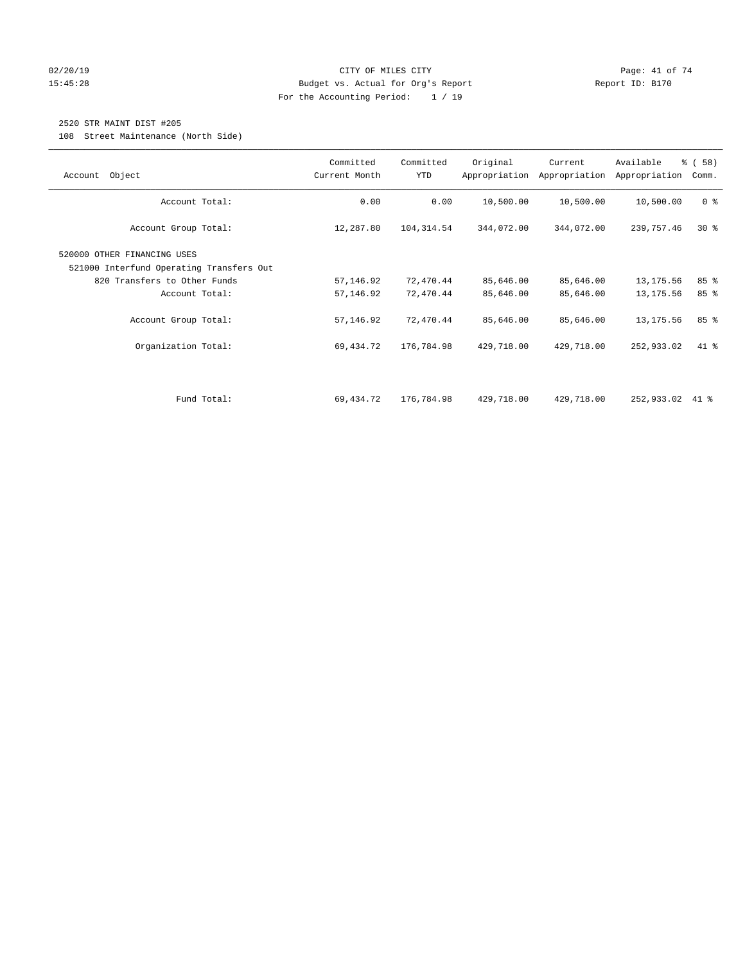#### $O(2/20/19$  Page: 41 of 74 15:45:28 Budget vs. Actual for Org's Report Report ID: B170 For the Accounting Period: 1 / 19

# 2520 STR MAINT DIST #205

108 Street Maintenance (North Side)

| Object<br>Account                                                                                                                                 | Committed<br>Current Month          | Committed<br><b>YTD</b>             | Original                            | Current<br>Appropriation Appropriation | Available<br>Appropriation             | % ( 58 )<br>Comm. |
|---------------------------------------------------------------------------------------------------------------------------------------------------|-------------------------------------|-------------------------------------|-------------------------------------|----------------------------------------|----------------------------------------|-------------------|
| Account Total:                                                                                                                                    | 0.00                                | 0.00                                | 10,500.00                           | 10,500.00                              | 10,500.00                              | 0 <sup>8</sup>    |
| Account Group Total:                                                                                                                              | 12,287.80                           | 104,314.54                          | 344,072.00                          | 344,072.00                             | 239,757.46                             | $30*$             |
| 520000 OTHER FINANCING USES<br>521000 Interfund Operating Transfers Out<br>820 Transfers to Other Funds<br>Account Total:<br>Account Group Total: | 57,146.92<br>57,146.92<br>57,146.92 | 72,470.44<br>72,470.44<br>72,470.44 | 85,646.00<br>85,646.00<br>85,646.00 | 85,646.00<br>85,646.00<br>85,646.00    | 13, 175.56<br>13, 175.56<br>13, 175.56 | 85%<br>85%<br>85% |
| Organization Total:                                                                                                                               | 69,434.72                           | 176,784.98                          | 429,718.00                          | 429,718.00                             | 252,933.02                             | 41 %              |
| Fund Total:                                                                                                                                       | 69,434.72                           | 176,784.98                          | 429,718.00                          | 429,718.00                             | 252,933.02                             | 41 %              |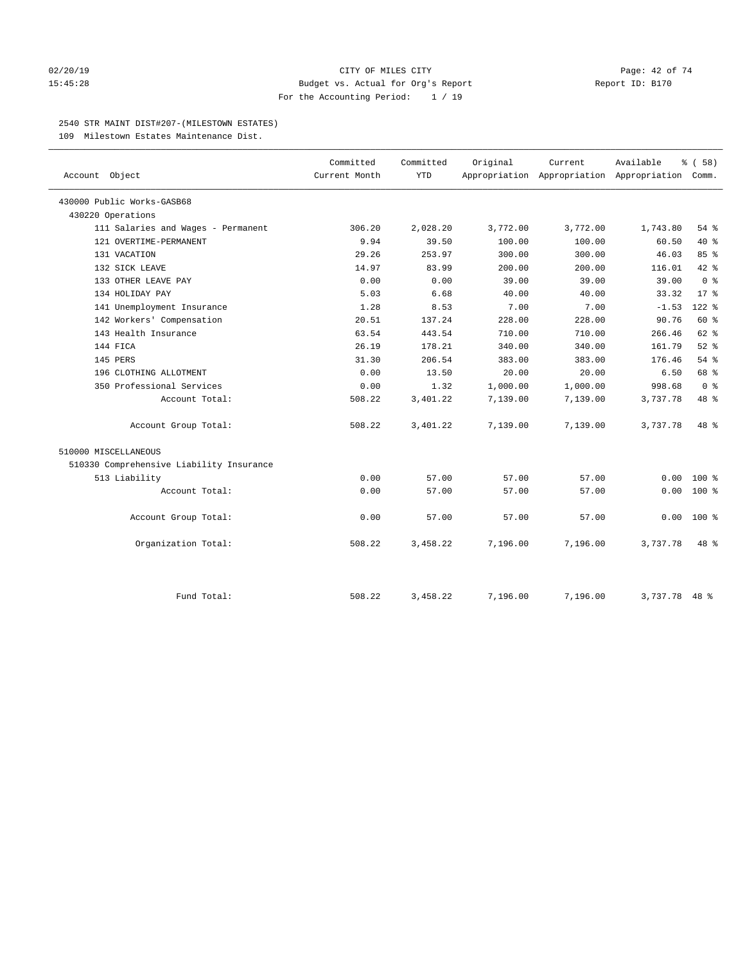#### 02/20/19 CITY OF MILES CITY Page: 42 of 74 15:45:28 Budget vs. Actual for Org's Report Report ID: B170 For the Accounting Period: 1 / 19

#### 2540 STR MAINT DIST#207-(MILESTOWN ESTATES)

109 Milestown Estates Maintenance Dist.

|                                          | Committed     | Committed  | Original | Current                                         | Available     | % (58)         |
|------------------------------------------|---------------|------------|----------|-------------------------------------------------|---------------|----------------|
| Account Object                           | Current Month | <b>YTD</b> |          | Appropriation Appropriation Appropriation Comm. |               |                |
| 430000 Public Works-GASB68               |               |            |          |                                                 |               |                |
| 430220 Operations                        |               |            |          |                                                 |               |                |
| 111 Salaries and Wages - Permanent       | 306.20        | 2,028.20   | 3,772.00 | 3,772.00                                        | 1,743.80      | 54 %           |
| 121 OVERTIME-PERMANENT                   | 9.94          | 39.50      | 100.00   | 100.00                                          | 60.50         | $40*$          |
| 131 VACATION                             | 29.26         | 253.97     | 300.00   | 300.00                                          | 46.03         | 85%            |
| 132 SICK LEAVE                           | 14.97         | 83.99      | 200.00   | 200.00                                          | 116.01        | 42 %           |
| 133 OTHER LEAVE PAY                      | 0.00          | 0.00       | 39.00    | 39.00                                           | 39.00         | 0 <sup>8</sup> |
| 134 HOLIDAY PAY                          | 5.03          | 6.68       | 40.00    | 40.00                                           | 33.32         | $17*$          |
| 141 Unemployment Insurance               | 1.28          | 8.53       | 7.00     | 7.00                                            | $-1.53$       | 122 %          |
| 142 Workers' Compensation                | 20.51         | 137.24     | 228.00   | 228.00                                          | 90.76         | 60 %           |
| 143 Health Insurance                     | 63.54         | 443.54     | 710.00   | 710.00                                          | 266.46        | $62$ $%$       |
| 144 FICA                                 | 26.19         | 178.21     | 340.00   | 340.00                                          | 161.79        | $52$ $%$       |
| 145 PERS                                 | 31.30         | 206.54     | 383.00   | 383.00                                          | 176.46        | 54%            |
| 196 CLOTHING ALLOTMENT                   | 0.00          | 13.50      | 20.00    | 20.00                                           | 6.50          | 68 %           |
| 350 Professional Services                | 0.00          | 1.32       | 1,000.00 | 1,000.00                                        | 998.68        | 0 <sup>8</sup> |
| Account Total:                           | 508.22        | 3,401.22   | 7,139.00 | 7,139.00                                        | 3,737.78      | 48 %           |
| Account Group Total:                     | 508.22        | 3,401.22   | 7,139.00 | 7,139.00                                        | 3,737.78      | 48 %           |
| 510000 MISCELLANEOUS                     |               |            |          |                                                 |               |                |
| 510330 Comprehensive Liability Insurance |               |            |          |                                                 |               |                |
| 513 Liability                            | 0.00          | 57.00      | 57.00    | 57.00                                           | 0.00          | $100*$         |
| Account Total:                           | 0.00          | 57.00      | 57.00    | 57.00                                           | 0.00          | $100*$         |
| Account Group Total:                     | 0.00          | 57.00      | 57.00    | 57.00                                           | 0.00          | $100*$         |
| Organization Total:                      | 508.22        | 3,458.22   | 7,196.00 | 7,196.00                                        | 3,737.78      | 48 %           |
|                                          |               |            |          |                                                 |               |                |
| Fund Total:                              | 508.22        | 3,458.22   | 7,196.00 | 7,196.00                                        | 3,737.78 48 % |                |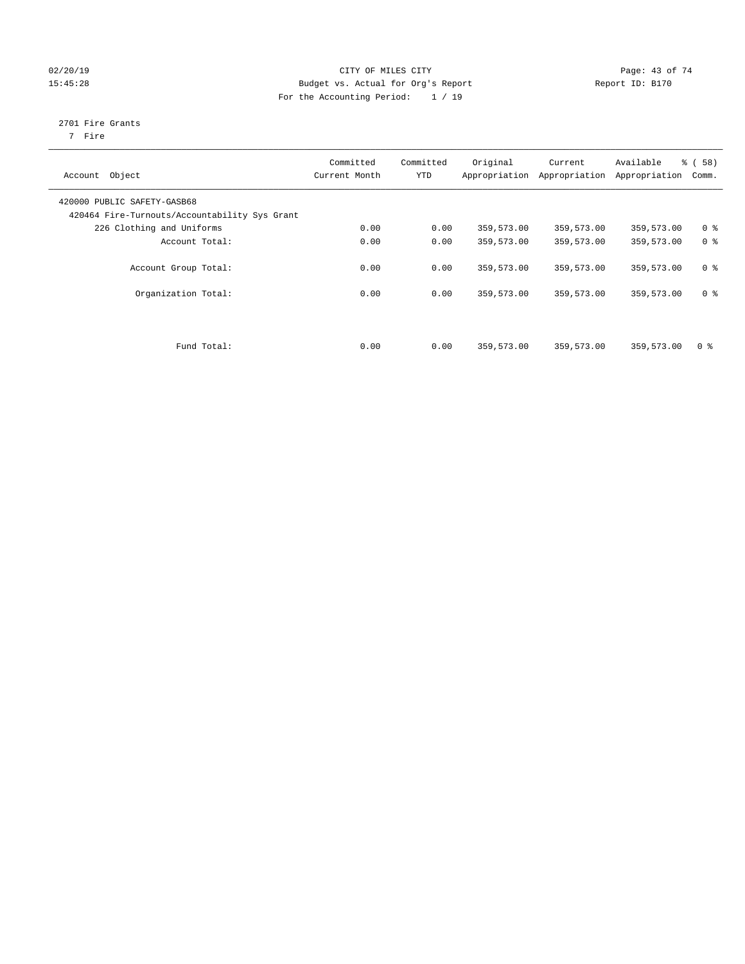## $O2/20/19$  Page: 43 of 74 15:45:28 Budget vs. Actual for Org's Report Report ID: B170 For the Accounting Period: 1 / 19

# 2701 Fire Grants

7 Fire

| Object<br>Account                                                            | Committed<br>Current Month | Committed<br><b>YTD</b> | Original   | Current<br>Appropriation Appropriation | Available<br>Appropriation | % (58)<br>Comm. |
|------------------------------------------------------------------------------|----------------------------|-------------------------|------------|----------------------------------------|----------------------------|-----------------|
| 420000 PUBLIC SAFETY-GASB68<br>420464 Fire-Turnouts/Accountability Sys Grant |                            |                         |            |                                        |                            |                 |
| 226 Clothing and Uniforms                                                    | 0.00                       | 0.00                    | 359,573.00 | 359,573.00                             | 359,573.00                 | 0 <sup>8</sup>  |
| Account Total:                                                               | 0.00                       | 0.00                    | 359,573.00 | 359,573.00                             | 359,573.00                 | 0 <sup>8</sup>  |
| Account Group Total:                                                         | 0.00                       | 0.00                    | 359,573.00 | 359,573.00                             | 359,573.00                 | 0 <sup>8</sup>  |
| Organization Total:                                                          | 0.00                       | 0.00                    | 359,573.00 | 359,573.00                             | 359,573.00                 | 0 <sup>8</sup>  |
|                                                                              |                            |                         |            |                                        |                            |                 |
| Fund Total:                                                                  | 0.00                       | 0.00                    | 359,573.00 | 359,573.00                             | 359,573.00                 | 0 <sup>8</sup>  |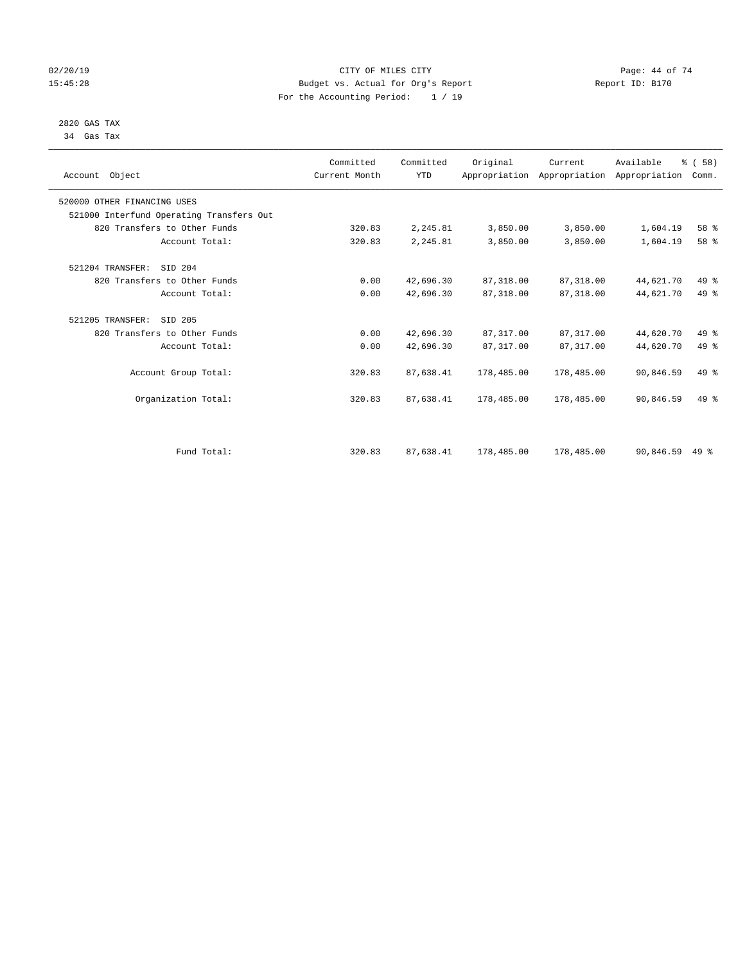#### $O(2/20/19$  Page: 44 of 74 15:45:28 Budget vs. Actual for Org's Report Report ID: B170 For the Accounting Period: 1 / 19

#### 2820 GAS TAX 34 Gas Tax

| Account Object                           | Committed<br>Current Month | Committed<br><b>YTD</b> | Original   | Current<br>Appropriation Appropriation Appropriation | Available | % (58)<br>Comm. |  |
|------------------------------------------|----------------------------|-------------------------|------------|------------------------------------------------------|-----------|-----------------|--|
| 520000 OTHER FINANCING USES              |                            |                         |            |                                                      |           |                 |  |
| 521000 Interfund Operating Transfers Out |                            |                         |            |                                                      |           |                 |  |
| 820 Transfers to Other Funds             | 320.83                     | 2,245.81                | 3,850.00   | 3,850.00                                             | 1,604.19  | 58 %            |  |
| Account Total:                           | 320.83                     | 2,245.81                | 3,850.00   | 3,850.00                                             | 1,604.19  | 58 %            |  |
| 521204 TRANSFER:<br>SID 204              |                            |                         |            |                                                      |           |                 |  |
| 820 Transfers to Other Funds             | 0.00                       | 42,696.30               | 87, 318.00 | 87,318.00                                            | 44,621.70 | 49 %            |  |
| Account Total:                           | 0.00                       | 42,696.30               | 87, 318.00 | 87,318.00                                            | 44,621.70 | 49 %            |  |
| SID 205<br>521205 TRANSFER:              |                            |                         |            |                                                      |           |                 |  |
| 820 Transfers to Other Funds             | 0.00                       | 42,696.30               | 87,317.00  | 87,317.00                                            | 44,620.70 | 49 %            |  |
| Account Total:                           | 0.00                       | 42,696.30               | 87, 317.00 | 87, 317.00                                           | 44,620.70 | 49 %            |  |
| Account Group Total:                     | 320.83                     | 87,638.41               | 178,485.00 | 178,485.00                                           | 90,846.59 | 49 %            |  |
| Organization Total:                      | 320.83                     | 87,638.41               | 178,485.00 | 178,485.00                                           | 90,846.59 | 49 %            |  |
|                                          |                            |                         |            |                                                      |           |                 |  |
| Fund Total:                              | 320.83                     | 87,638.41               | 178,485.00 | 178,485.00                                           | 90,846.59 | $49*$           |  |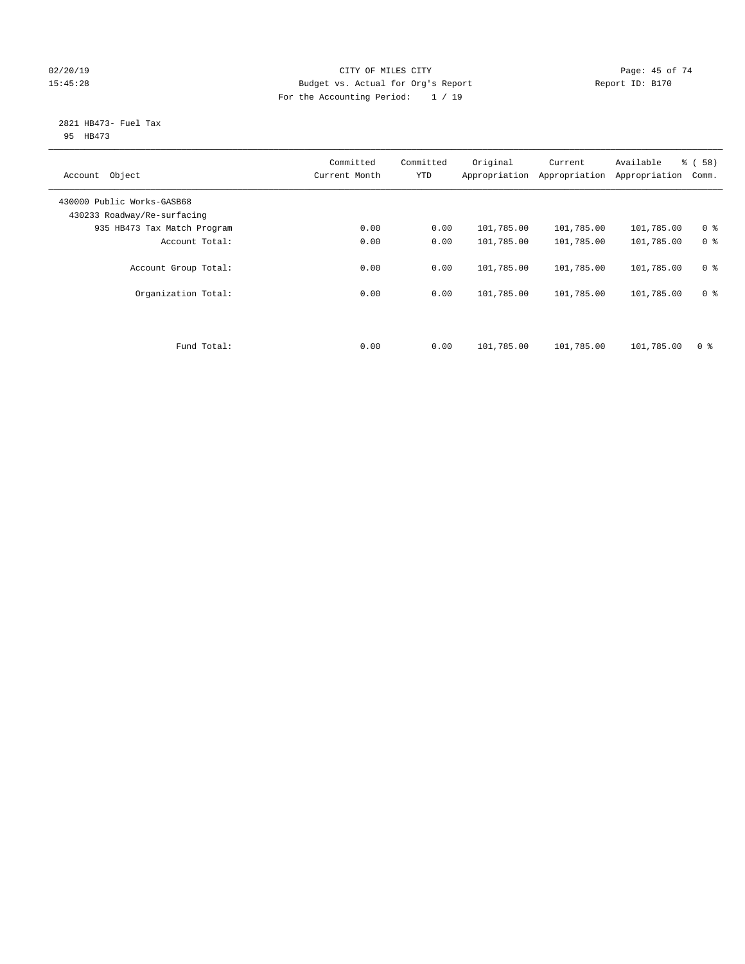### $O(2/20/19$  Page: 45 of 74 15:45:28 Budget vs. Actual for Org's Report Report ID: B170 For the Accounting Period: 1 / 19

#### 2821 HB473- Fuel Tax 95 HB473

| Object<br>Account                                         | Committed<br>Current Month | Committed<br><b>YTD</b> | Original<br>Appropriation | Current<br>Appropriation | Available<br>Appropriation | % (58)<br>Comm. |
|-----------------------------------------------------------|----------------------------|-------------------------|---------------------------|--------------------------|----------------------------|-----------------|
| 430000 Public Works-GASB68<br>430233 Roadway/Re-surfacing |                            |                         |                           |                          |                            |                 |
| 935 HB473 Tax Match Program                               | 0.00                       | 0.00                    | 101,785.00                | 101,785.00               | 101,785.00                 | 0 <sup>8</sup>  |
| Account Total:                                            | 0.00                       | 0.00                    | 101,785.00                | 101,785.00               | 101,785.00                 | 0 <sup>8</sup>  |
| Account Group Total:                                      | 0.00                       | 0.00                    | 101,785.00                | 101,785.00               | 101,785.00                 | 0 <sup>8</sup>  |
| Organization Total:                                       | 0.00                       | 0.00                    | 101,785.00                | 101,785.00               | 101,785.00                 | 0 <sup>8</sup>  |
|                                                           |                            |                         |                           |                          |                            |                 |
| Fund Total:                                               | 0.00                       | 0.00                    | 101,785.00                | 101,785.00               | 101,785.00                 | 0 <sup>8</sup>  |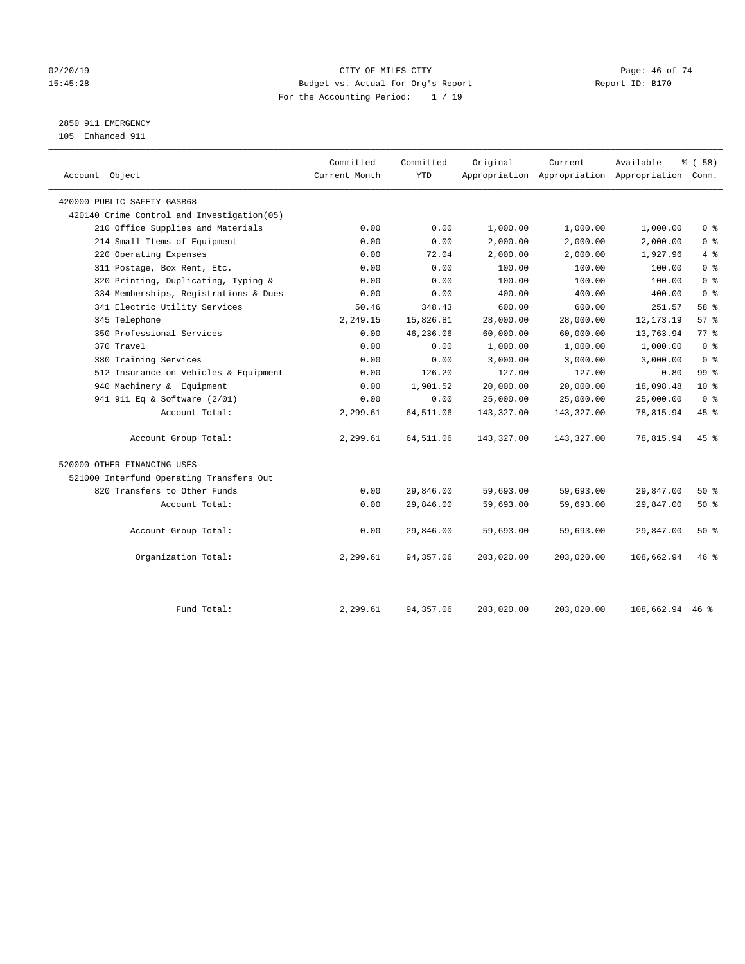#### $O(2/20/19$  Page: 46 of 74 15:45:28 Budget vs. Actual for Org's Report Report ID: B170 For the Accounting Period: 1 / 19

2850 911 EMERGENCY

105 Enhanced 911

| Account Object                              | Committed<br>Current Month | Committed<br><b>YTD</b> | Original   | Current    | Available<br>Appropriation Appropriation Appropriation Comm. | % (58)          |
|---------------------------------------------|----------------------------|-------------------------|------------|------------|--------------------------------------------------------------|-----------------|
| 420000 PUBLIC SAFETY-GASB68                 |                            |                         |            |            |                                                              |                 |
| 420140 Crime Control and Investigation (05) |                            |                         |            |            |                                                              |                 |
| 210 Office Supplies and Materials           | 0.00                       | 0.00                    | 1,000.00   | 1,000.00   | 1,000.00                                                     | 0 <sup>8</sup>  |
| 214 Small Items of Equipment                | 0.00                       | 0.00                    | 2,000.00   | 2,000.00   | 2,000.00                                                     | 0 <sup>8</sup>  |
| 220 Operating Expenses                      | 0.00                       | 72.04                   | 2,000.00   | 2,000.00   | 1,927.96                                                     | 4%              |
| 311 Postage, Box Rent, Etc.                 | 0.00                       | 0.00                    | 100.00     | 100.00     | 100.00                                                       | 0 <sup>8</sup>  |
| 320 Printing, Duplicating, Typing &         | 0.00                       | 0.00                    | 100.00     | 100.00     | 100.00                                                       | 0 <sup>°</sup>  |
| 334 Memberships, Registrations & Dues       | 0.00                       | 0.00                    | 400.00     | 400.00     | 400.00                                                       | 0 <sup>8</sup>  |
| 341 Electric Utility Services               | 50.46                      | 348.43                  | 600.00     | 600.00     | 251.57                                                       | 58 %            |
| 345 Telephone                               | 2,249.15                   | 15,826.81               | 28,000.00  | 28,000.00  | 12, 173. 19                                                  | 57%             |
| 350 Professional Services                   | 0.00                       | 46,236.06               | 60,000.00  | 60,000.00  | 13,763.94                                                    | 77.8            |
| 370 Travel                                  | 0.00                       | 0.00                    | 1,000.00   | 1,000.00   | 1,000.00                                                     | $0 \approx$     |
| 380 Training Services                       | 0.00                       | 0.00                    | 3,000.00   | 3,000.00   | 3,000.00                                                     | 0 <sup>8</sup>  |
| 512 Insurance on Vehicles & Equipment       | 0.00                       | 126.20                  | 127.00     | 127.00     | 0.80                                                         | 99 <sub>8</sub> |
| 940 Machinery & Equipment                   | 0.00                       | 1,901.52                | 20,000.00  | 20,000.00  | 18,098.48                                                    | 10 <sup>8</sup> |
| 941 911 Eq & Software (2/01)                | 0.00                       | 0.00                    | 25,000.00  | 25,000.00  | 25,000.00                                                    | 0 <sup>8</sup>  |
| Account Total:                              | 2,299.61                   | 64,511.06               | 143,327.00 | 143,327.00 | 78,815.94                                                    | 45%             |
| Account Group Total:                        | 2,299.61                   | 64,511.06               | 143,327.00 | 143,327.00 | 78,815.94                                                    | $45$ %          |
| 520000 OTHER FINANCING USES                 |                            |                         |            |            |                                                              |                 |
| 521000 Interfund Operating Transfers Out    |                            |                         |            |            |                                                              |                 |
| 820 Transfers to Other Funds                | 0.00                       | 29,846.00               | 59,693.00  | 59,693.00  | 29,847.00                                                    | 50%             |
| Account Total:                              | 0.00                       | 29,846.00               | 59,693.00  | 59,693.00  | 29,847.00                                                    | 50%             |
| Account Group Total:                        | 0.00                       | 29,846.00               | 59,693.00  | 59,693.00  | 29,847.00                                                    | 50%             |
| Organization Total:                         | 2,299.61                   | 94,357.06               | 203,020.00 | 203,020.00 | 108,662.94                                                   | 46%             |
|                                             |                            |                         |            |            |                                                              |                 |
| Fund Total:                                 | 2,299.61                   | 94, 357.06              | 203,020.00 | 203,020.00 | 108,662.94 46 %                                              |                 |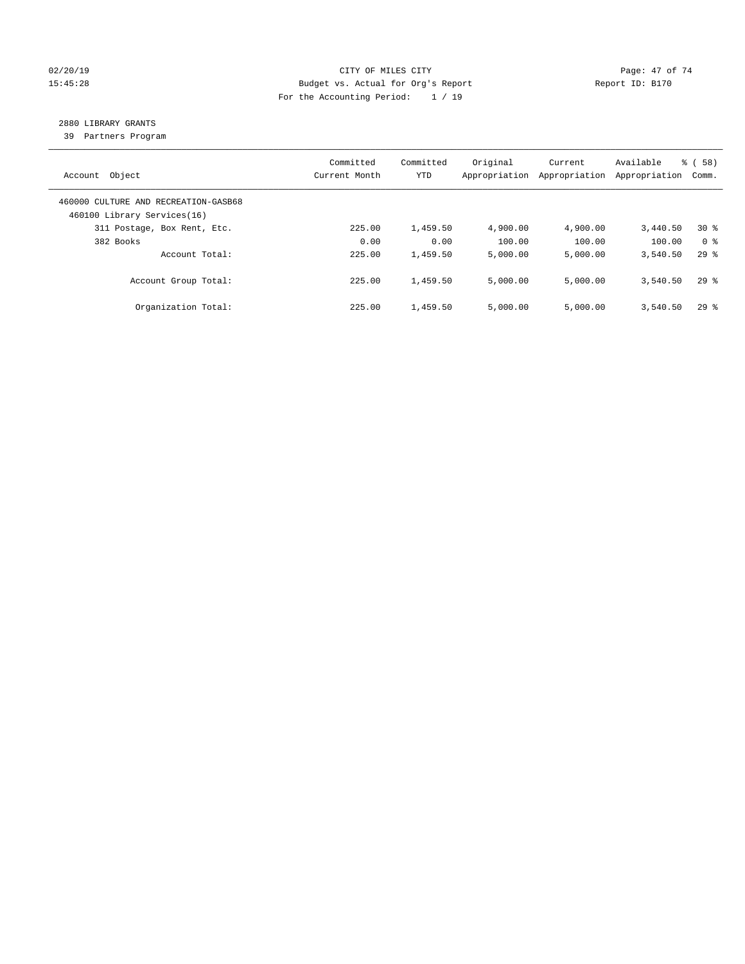#### $O(2/20/19$  Page: 47 of 74 15:45:28 Budget vs. Actual for Org's Report Report ID: B170 For the Accounting Period: 1 / 19

# 2880 LIBRARY GRANTS

39 Partners Program

| Object<br>Account                                                   | Committed<br>Current Month | Committed<br><b>YTD</b> | Original<br>Appropriation | Current<br>Appropriation | Available<br>Appropriation | % ( 58 )<br>Comm.  |
|---------------------------------------------------------------------|----------------------------|-------------------------|---------------------------|--------------------------|----------------------------|--------------------|
| 460000 CULTURE AND RECREATION-GASB68<br>460100 Library Services(16) |                            |                         |                           |                          |                            |                    |
| 311 Postage, Box Rent, Etc.                                         | 225.00                     | 1,459.50                | 4,900.00                  | 4,900.00                 | 3,440.50                   | $30*$              |
| 382 Books                                                           | 0.00                       | 0.00                    | 100.00                    | 100.00                   | 100.00                     | 0 <sup>8</sup>     |
| Account Total:                                                      | 225.00                     | 1,459.50                | 5,000.00                  | 5,000.00                 | 3,540.50                   | $29*$              |
| Account Group Total:                                                | 225.00                     | 1,459.50                | 5,000.00                  | 5,000.00                 | 3,540.50                   | 298                |
| Organization Total:                                                 | 225.00                     | 1,459.50                | 5,000.00                  | 5,000.00                 | 3,540.50                   | $29$ $\frac{6}{3}$ |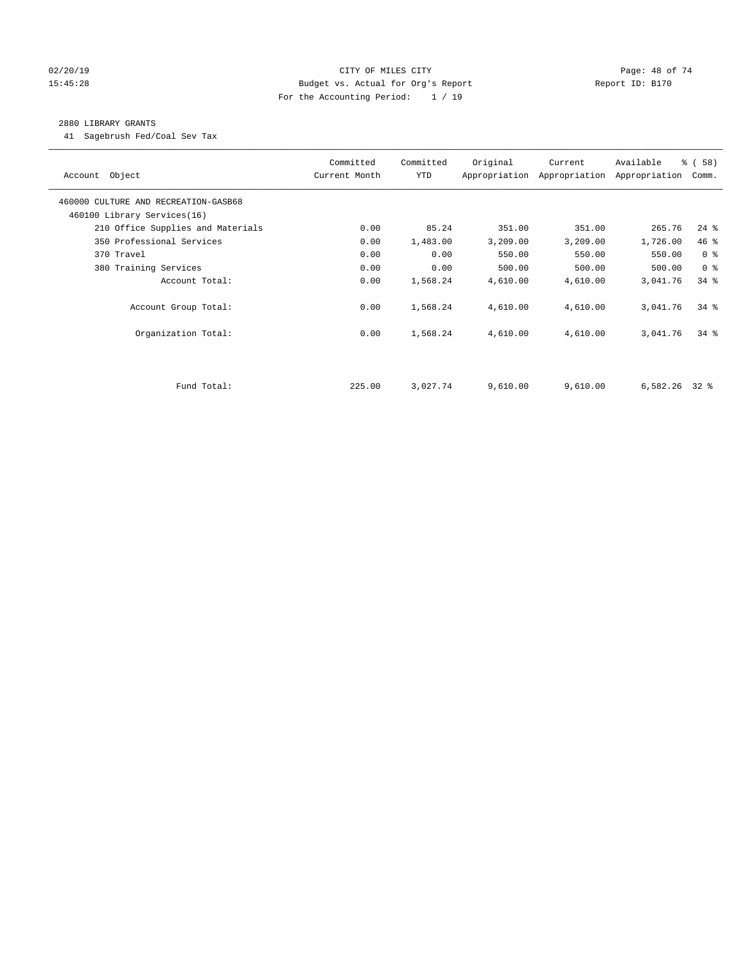#### $O(2/20/19$  Page: 48 of 74 15:45:28 Budget vs. Actual for Org's Report Report ID: B170 For the Accounting Period: 1 / 19

#### 2880 LIBRARY GRANTS

41 Sagebrush Fed/Coal Sev Tax

| Account Object                       | Committed<br>Current Month | Committed<br>YTD | Original | Current<br>Appropriation Appropriation | Available<br>Appropriation | % (58)<br>Comm. |
|--------------------------------------|----------------------------|------------------|----------|----------------------------------------|----------------------------|-----------------|
| 460000 CULTURE AND RECREATION-GASB68 |                            |                  |          |                                        |                            |                 |
| 460100 Library Services(16)          |                            |                  |          |                                        |                            |                 |
| 210 Office Supplies and Materials    | 0.00                       | 85.24            | 351.00   | 351.00                                 | 265.76                     | $24$ %          |
| 350 Professional Services            | 0.00                       | 1,483.00         | 3,209.00 | 3,209.00                               | 1,726.00                   | 46%             |
| 370 Travel                           | 0.00                       | 0.00             | 550.00   | 550.00                                 | 550.00                     | 0 <sup>8</sup>  |
| 380 Training Services                | 0.00                       | 0.00             | 500.00   | 500.00                                 | 500.00                     | 0 <sup>8</sup>  |
| Account Total:                       | 0.00                       | 1,568.24         | 4,610.00 | 4,610.00                               | 3,041.76                   | $34$ $%$        |
| Account Group Total:                 | 0.00                       | 1,568.24         | 4,610.00 | 4,610.00                               | 3,041.76                   | 34%             |
| Organization Total:                  | 0.00                       | 1,568.24         | 4,610.00 | 4,610.00                               | 3,041.76                   | 34%             |
|                                      |                            |                  |          |                                        |                            |                 |
| Fund Total:                          | 225.00                     | 3,027.74         | 9,610.00 | 9,610.00                               | $6,582.26$ 32 %            |                 |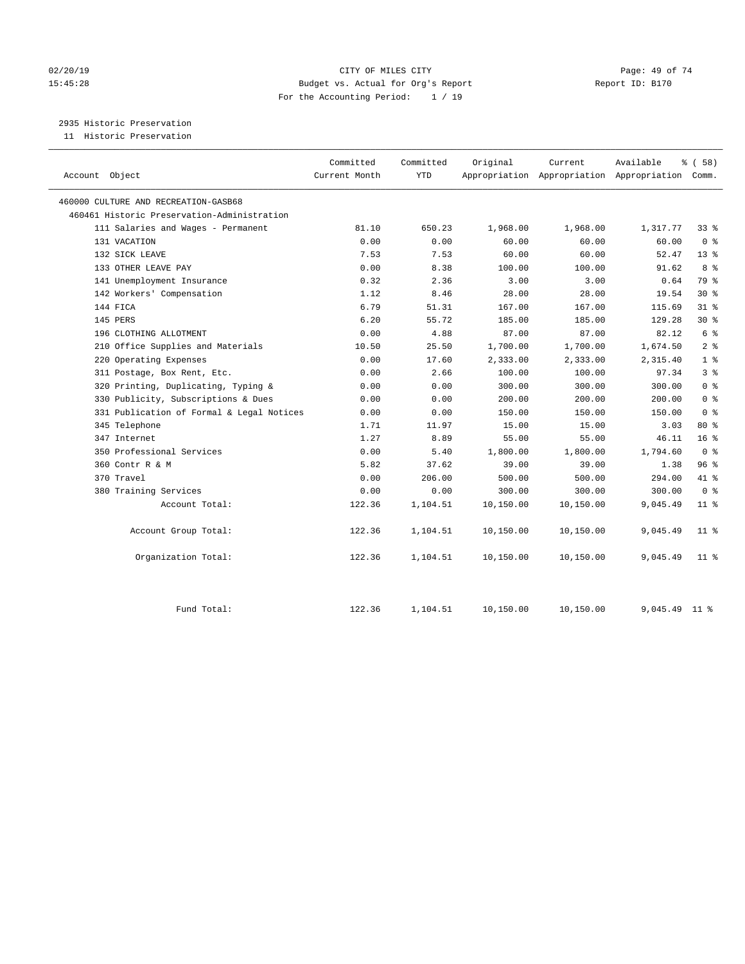### $O(2/20/19$  Page: 49 of 74 15:45:28 Budget vs. Actual for Org's Report Report ID: B170 For the Accounting Period: 1 / 19

2935 Historic Preservation

11 Historic Preservation

|                                             | Committed     | Committed  | Original  | Current   | Available                                       | 8 ( 58 )        |
|---------------------------------------------|---------------|------------|-----------|-----------|-------------------------------------------------|-----------------|
| Account Object                              | Current Month | <b>YTD</b> |           |           | Appropriation Appropriation Appropriation Comm. |                 |
| 460000 CULTURE AND RECREATION-GASB68        |               |            |           |           |                                                 |                 |
| 460461 Historic Preservation-Administration |               |            |           |           |                                                 |                 |
| 111 Salaries and Wages - Permanent          | 81.10         | 650.23     | 1,968.00  | 1,968.00  | 1,317.77                                        | $33$ $%$        |
| 131 VACATION                                | 0.00          | 0.00       | 60.00     | 60.00     | 60.00                                           | 0 <sup>8</sup>  |
| 132 SICK LEAVE                              | 7.53          | 7.53       | 60.00     | 60.00     | 52.47                                           | 13 <sup>8</sup> |
| 133 OTHER LEAVE PAY                         | 0.00          | 8.38       | 100.00    | 100.00    | 91.62                                           | 8 %             |
| 141 Unemployment Insurance                  | 0.32          | 2.36       | 3.00      | 3.00      | 0.64                                            | 79 %            |
| 142 Workers' Compensation                   | 1.12          | 8.46       | 28.00     | 28.00     | 19.54                                           | $30*$           |
| 144 FICA                                    | 6.79          | 51.31      | 167.00    | 167.00    | 115.69                                          | $31$ %          |
| 145 PERS                                    | 6.20          | 55.72      | 185.00    | 185.00    | 129.28                                          | $30*$           |
| 196 CLOTHING ALLOTMENT                      | 0.00          | 4.88       | 87.00     | 87.00     | 82.12                                           | 6 <sup>°</sup>  |
| 210 Office Supplies and Materials           | 10.50         | 25.50      | 1,700.00  | 1,700.00  | 1,674.50                                        | 2 <sup>°</sup>  |
| 220 Operating Expenses                      | 0.00          | 17.60      | 2,333.00  | 2,333.00  | 2,315.40                                        | 1 <sup>8</sup>  |
| 311 Postage, Box Rent, Etc.                 | 0.00          | 2.66       | 100.00    | 100.00    | 97.34                                           | 3 <sup>8</sup>  |
| 320 Printing, Duplicating, Typing &         | 0.00          | 0.00       | 300.00    | 300.00    | 300.00                                          | 0 <sup>8</sup>  |
| 330 Publicity, Subscriptions & Dues         | 0.00          | 0.00       | 200.00    | 200.00    | 200.00                                          | 0 <sup>8</sup>  |
| 331 Publication of Formal & Legal Notices   | 0.00          | 0.00       | 150.00    | 150.00    | 150.00                                          | 0 <sup>8</sup>  |
| 345 Telephone                               | 1.71          | 11.97      | 15.00     | 15.00     | 3.03                                            | 80 %            |
| 347 Internet                                | 1.27          | 8.89       | 55.00     | 55.00     | 46.11                                           | 16 <sup>8</sup> |
| 350 Professional Services                   | 0.00          | 5.40       | 1,800.00  | 1,800.00  | 1,794.60                                        | 0 <sup>8</sup>  |
| 360 Contr R & M                             | 5.82          | 37.62      | 39.00     | 39.00     | 1.38                                            | 96%             |
| 370 Travel                                  | 0.00          | 206.00     | 500.00    | 500.00    | 294.00                                          | 41 %            |
| 380 Training Services                       | 0.00          | 0.00       | 300.00    | 300.00    | 300.00                                          | 0 <sup>8</sup>  |
| Account Total:                              | 122.36        | 1,104.51   | 10,150.00 | 10,150.00 | 9,045.49                                        | $11*$           |
| Account Group Total:                        | 122.36        | 1,104.51   | 10,150.00 | 10,150.00 | 9,045.49                                        | 11 <sup>8</sup> |
| Organization Total:                         | 122.36        | 1,104.51   | 10,150.00 | 10,150.00 | 9,045.49                                        | $11$ %          |
| Fund Total:                                 | 122.36        | 1,104.51   | 10,150.00 | 10,150.00 | 9,045.49                                        | 11 <sup>8</sup> |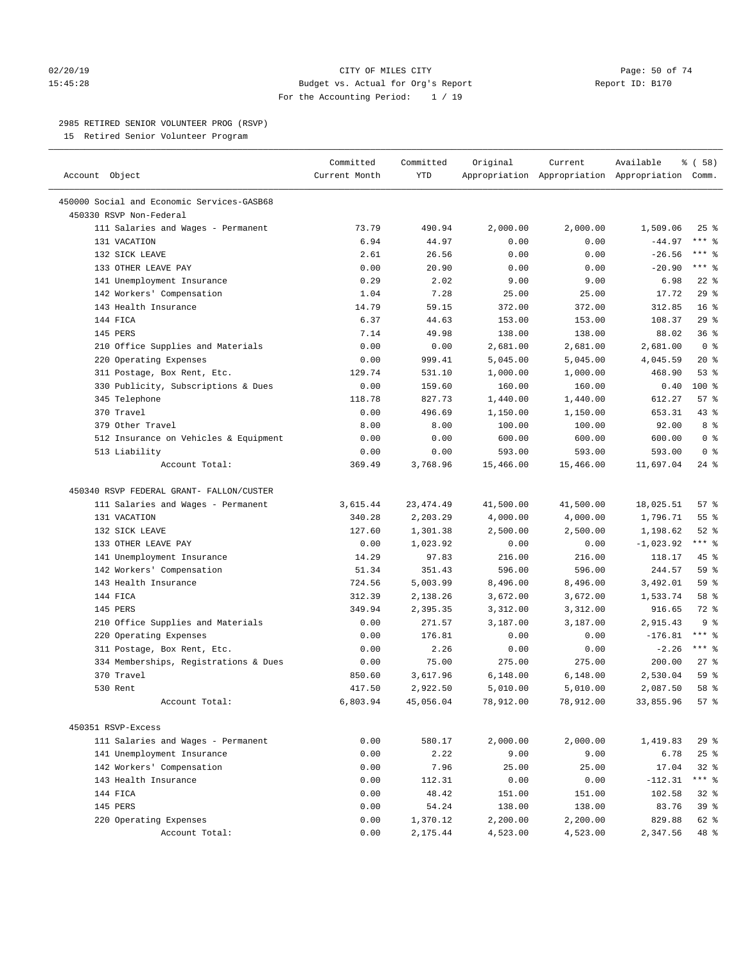#### 02/20/19 CITY OF MILES CITY Page: 50 of 74 15:45:28 Budget vs. Actual for Org's Report Report ID: B170 For the Accounting Period: 1 / 19

————————————————————————————————————————————————————————————————————————————————————————————————————————————————————————————————————

#### 2985 RETIRED SENIOR VOLUNTEER PROG (RSVP)

15 Retired Senior Volunteer Program

|                                            | Committed     | Committed  | Original  | Current   | Available                                       | 8 ( 58 )        |
|--------------------------------------------|---------------|------------|-----------|-----------|-------------------------------------------------|-----------------|
| Account Object                             | Current Month | YTD        |           |           | Appropriation Appropriation Appropriation Comm. |                 |
| 450000 Social and Economic Services-GASB68 |               |            |           |           |                                                 |                 |
| 450330 RSVP Non-Federal                    |               |            |           |           |                                                 |                 |
| 111 Salaries and Wages - Permanent         | 73.79         | 490.94     | 2,000.00  | 2,000.00  | 1,509.06                                        | $25$ %          |
| 131 VACATION                               | 6.94          | 44.97      | 0.00      | 0.00      | $-44.97$                                        | $***$ $%$       |
| 132 SICK LEAVE                             | 2.61          | 26.56      | 0.00      | 0.00      | $-26.56$                                        | $***$ $%$       |
| 133 OTHER LEAVE PAY                        | 0.00          | 20.90      | 0.00      | 0.00      | $-20.90$                                        | $***$ 8         |
| 141 Unemployment Insurance                 | 0.29          | 2.02       | 9.00      | 9.00      | 6.98                                            | $22$ %          |
| 142 Workers' Compensation                  | 1.04          | 7.28       | 25.00     | 25.00     | 17.72                                           | 29%             |
| 143 Health Insurance                       | 14.79         | 59.15      | 372.00    | 372.00    | 312.85                                          | 16 <sup>°</sup> |
| 144 FICA                                   | 6.37          | 44.63      | 153.00    | 153.00    | 108.37                                          | 29%             |
| 145 PERS                                   | 7.14          | 49.98      | 138.00    | 138.00    | 88.02                                           | 36%             |
| 210 Office Supplies and Materials          | 0.00          | 0.00       | 2,681.00  | 2,681.00  | 2,681.00                                        | 0 <sup>8</sup>  |
| 220 Operating Expenses                     | 0.00          | 999.41     | 5,045.00  | 5,045.00  | 4,045.59                                        | $20*$           |
| 311 Postage, Box Rent, Etc.                | 129.74        | 531.10     | 1,000.00  | 1,000.00  | 468.90                                          | 53%             |
| 330 Publicity, Subscriptions & Dues        | 0.00          | 159.60     | 160.00    | 160.00    | 0.40                                            | 100 %           |
| 345 Telephone                              | 118.78        | 827.73     | 1,440.00  | 1,440.00  | 612.27                                          | 57%             |
| 370 Travel                                 | 0.00          | 496.69     | 1,150.00  | 1,150.00  | 653.31                                          | 43 %            |
| 379 Other Travel                           | 8.00          | 8.00       | 100.00    | 100.00    | 92.00                                           | 8%              |
| 512 Insurance on Vehicles & Equipment      | 0.00          | 0.00       | 600.00    | 600.00    | 600.00                                          | 0 <sup>8</sup>  |
| 513 Liability                              | 0.00          | 0.00       | 593.00    | 593.00    | 593.00                                          | 0 <sup>8</sup>  |
| Account Total:                             | 369.49        | 3,768.96   | 15,466.00 | 15,466.00 | 11,697.04                                       | $24$ %          |
|                                            |               |            |           |           |                                                 |                 |
| 450340 RSVP FEDERAL GRANT- FALLON/CUSTER   |               |            |           |           |                                                 |                 |
| 111 Salaries and Wages - Permanent         | 3,615.44      | 23, 474.49 | 41,500.00 | 41,500.00 | 18,025.51                                       | 57%             |
| 131 VACATION                               | 340.28        | 2,203.29   | 4,000.00  | 4,000.00  | 1,796.71                                        | 55 <sup>8</sup> |
| 132 SICK LEAVE                             | 127.60        | 1,301.38   | 2,500.00  | 2,500.00  | 1,198.62                                        | $52$ $%$        |
| 133 OTHER LEAVE PAY                        | 0.00          | 1,023.92   | 0.00      | 0.00      | $-1,023.92$                                     | $***$ $%$       |
| 141 Unemployment Insurance                 | 14.29         | 97.83      | 216.00    | 216.00    | 118.17                                          | 45 %            |
| 142 Workers' Compensation                  | 51.34         | 351.43     | 596.00    | 596.00    | 244.57                                          | 59 %            |
| 143 Health Insurance                       | 724.56        | 5,003.99   | 8,496.00  | 8,496.00  | 3,492.01                                        | 59 %            |
| 144 FICA                                   | 312.39        | 2,138.26   | 3,672.00  | 3,672.00  | 1,533.74                                        | 58 %            |
| 145 PERS                                   | 349.94        | 2,395.35   | 3,312.00  | 3,312.00  | 916.65                                          | 72 %            |
| 210 Office Supplies and Materials          | 0.00          | 271.57     | 3,187.00  | 3,187.00  | 2,915.43                                        | 9 <sup>8</sup>  |
| 220 Operating Expenses                     | 0.00          | 176.81     | 0.00      | 0.00      | $-176.81$                                       | $***$ $%$       |
| 311 Postage, Box Rent, Etc.                | 0.00          | 2.26       | 0.00      | 0.00      | $-2.26$                                         | $***$ $%$       |
| 334 Memberships, Registrations & Dues      | 0.00          | 75.00      | 275.00    | 275.00    | 200.00                                          | $27$ %          |
| 370 Travel                                 | 850.60        | 3,617.96   | 6,148.00  | 6,148.00  | 2,530.04                                        | 59 %            |
| 530 Rent                                   | 417.50        | 2,922.50   | 5,010.00  | 5,010.00  | 2,087.50                                        | 58 %            |
| Account Total:                             | 6,803.94      | 45,056.04  | 78,912.00 | 78,912.00 | 33,855.96                                       | 57%             |
| 450351 RSVP-Excess                         |               |            |           |           |                                                 |                 |
| 111 Salaries and Wages - Permanent         | 0.00          | 580.17     | 2,000.00  | 2,000.00  | 1,419.83                                        | 29%             |
| 141 Unemployment Insurance                 | 0.00          | 2.22       | 9.00      | 9.00      | 6.78                                            | 25%             |
| 142 Workers' Compensation                  | 0.00          | 7.96       | 25.00     | 25.00     | 17.04                                           | $32$ $%$        |
| 143 Health Insurance                       | 0.00          | 112.31     | 0.00      | 0.00      | $-112.31$                                       | *** %           |
| 144 FICA                                   | 0.00          | 48.42      | 151.00    | 151.00    | 102.58                                          | $32$ $%$        |
| 145 PERS                                   | 0.00          | 54.24      | 138.00    | 138.00    | 83.76                                           | 39 %            |
| 220 Operating Expenses                     | 0.00          | 1,370.12   | 2,200.00  | 2,200.00  | 829.88                                          | 62 %            |
| Account Total:                             | 0.00          | 2,175.44   | 4,523.00  | 4,523.00  | 2,347.56                                        | 48 %            |
|                                            |               |            |           |           |                                                 |                 |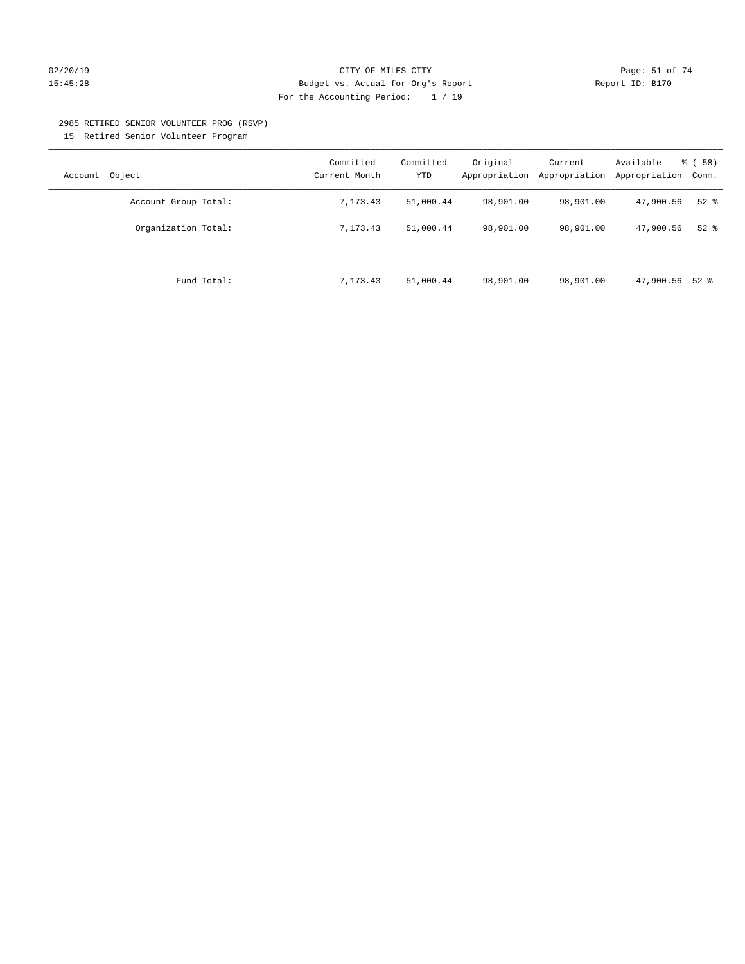## 02/20/19 CITY OF MILES CITY Page: 51 of 74 15:45:28 Budget vs. Actual for Org's Report Report ID: B170 For the Accounting Period: 1 / 19

#### 2985 RETIRED SENIOR VOLUNTEER PROG (RSVP)

15 Retired Senior Volunteer Program

| Object<br>Account    | Committed<br>Current Month | Committed<br>YTD | Original<br>Appropriation | Current<br>Appropriation | Available<br>Appropriation | % ( 58 )<br>Comm. |
|----------------------|----------------------------|------------------|---------------------------|--------------------------|----------------------------|-------------------|
| Account Group Total: | 7,173.43                   | 51,000.44        | 98,901.00                 | 98,901.00                | 47,900.56                  | $52$ $%$          |
| Organization Total:  | 7.173.43                   | 51,000.44        | 98,901.00                 | 98,901.00                | 47,900.56                  | $52$ $%$          |
| Fund Total:          | 7,173.43                   | 51,000.44        | 98,901.00                 | 98,901.00                | 47,900.56 52 %             |                   |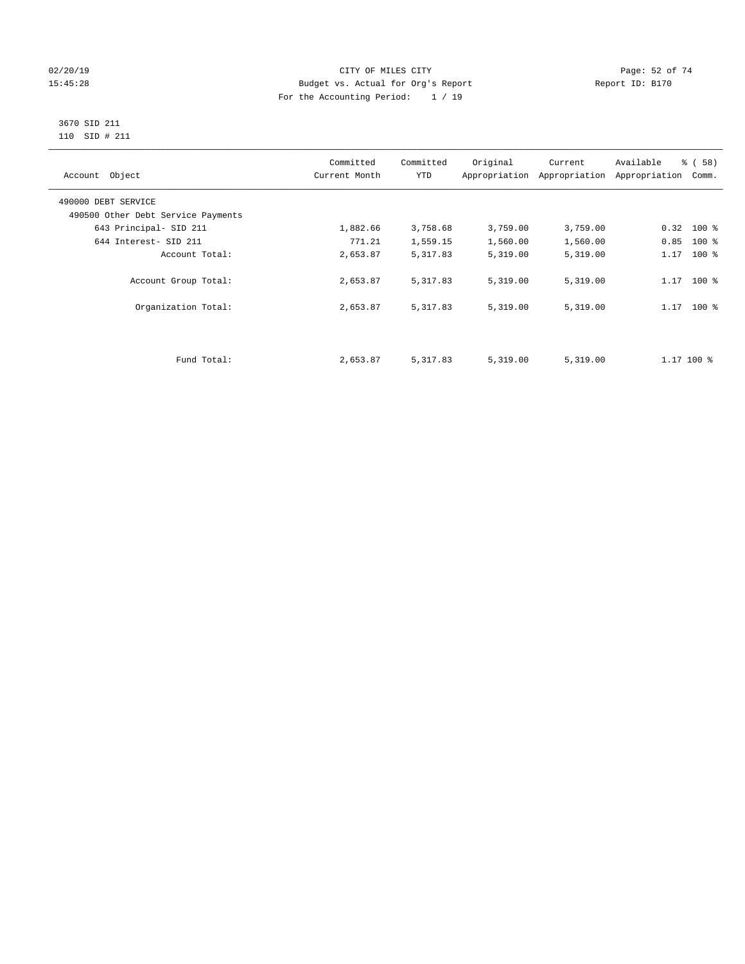### $O(2/20/19$  Page: 52 of 74 15:45:28 Budget vs. Actual for Org's Report Report ID: B170 For the Accounting Period: 1 / 19

#### 3670 SID 211 110 SID # 211

| Account Object                     | Committed<br>Current Month | Committed<br><b>YTD</b> | Original | Current<br>Appropriation Appropriation | Available<br>% (58)<br>Appropriation<br>Comm. |  |
|------------------------------------|----------------------------|-------------------------|----------|----------------------------------------|-----------------------------------------------|--|
| 490000 DEBT SERVICE                |                            |                         |          |                                        |                                               |  |
| 490500 Other Debt Service Payments |                            |                         |          |                                        |                                               |  |
| 643 Principal- SID 211             | 1,882.66                   | 3,758.68                | 3,759.00 | 3,759.00                               | $0.32$ 100 %                                  |  |
| 644 Interest- SID 211              | 771.21                     | 1,559.15                | 1,560.00 | 1,560.00                               | 0.85<br>$100*$                                |  |
| Account Total:                     | 2,653.87                   | 5,317.83                | 5,319.00 | 5,319.00                               | 1.17<br>$100*$                                |  |
| Account Group Total:               | 2,653.87                   | 5,317.83                | 5,319.00 | 5,319.00                               | $100*$<br>1.17                                |  |
| Organization Total:                | 2,653.87                   | 5,317.83                | 5,319.00 | 5,319.00                               | $1.17$ 100 %                                  |  |
|                                    |                            |                         |          |                                        |                                               |  |
| Fund Total:                        | 2,653.87                   | 5,317.83                | 5,319.00 | 5,319.00                               | $1.17$ 100 %                                  |  |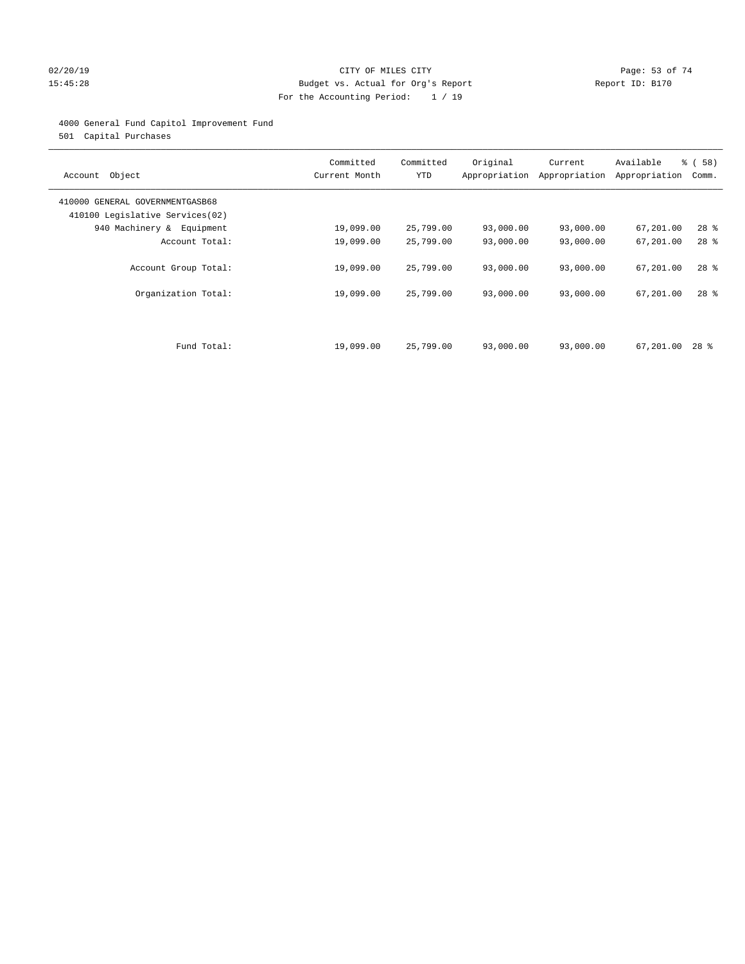#### 02/20/19 CITY OF MILES CITY Page: 53 of 74 15:45:28 Budget vs. Actual for Org's Report Report ID: B170 For the Accounting Period: 1 / 19

#### 4000 General Fund Capitol Improvement Fund

501 Capital Purchases

| Account Object                                                     | Committed<br>Current Month | Committed<br><b>YTD</b> | Original  | Current<br>Appropriation Appropriation | Available<br>Appropriation | % ( 58 )<br>Comm. |
|--------------------------------------------------------------------|----------------------------|-------------------------|-----------|----------------------------------------|----------------------------|-------------------|
| 410000 GENERAL GOVERNMENTGASB68<br>410100 Legislative Services(02) |                            |                         |           |                                        |                            |                   |
| 940 Machinery & Equipment                                          | 19,099.00                  | 25,799.00               | 93,000.00 | 93,000.00                              | 67,201.00                  | $28$ %            |
| Account Total:                                                     | 19,099.00                  | 25,799.00               | 93,000.00 | 93,000.00                              | 67,201.00                  | $28$ %            |
| Account Group Total:                                               | 19,099.00                  | 25,799.00               | 93,000.00 | 93,000.00                              | 67,201.00                  | $28$ %            |
| Organization Total:                                                | 19,099.00                  | 25,799.00               | 93,000.00 | 93,000.00                              | 67,201.00                  | $28$ %            |
|                                                                    |                            |                         |           |                                        |                            |                   |
| Fund Total:                                                        | 19,099.00                  | 25,799.00               | 93,000.00 | 93,000.00                              | 67,201.00                  | 28 %              |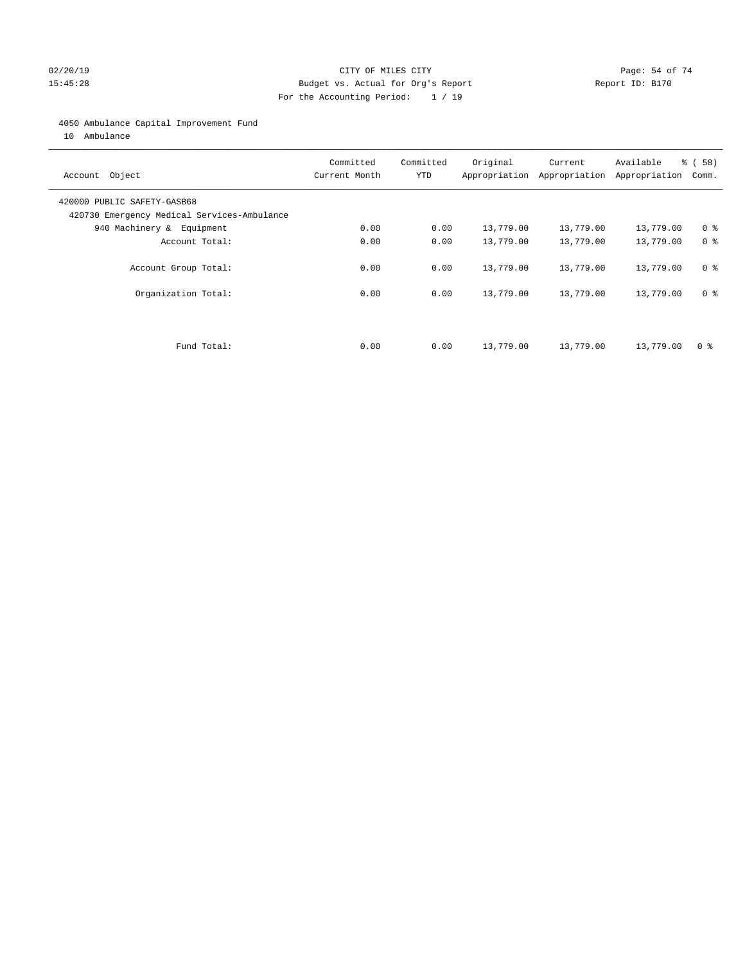#### $O2/20/19$  Page: 54 of 74 15:45:28 Budget vs. Actual for Org's Report Report ID: B170 For the Accounting Period: 1 / 19

#### 4050 Ambulance Capital Improvement Fund

10 Ambulance

| Account Object                                                             | Committed<br>Current Month | Committed<br><b>YTD</b> | Original  | Current<br>Appropriation Appropriation | Available<br>Appropriation | % ( 58 )<br>Comm. |
|----------------------------------------------------------------------------|----------------------------|-------------------------|-----------|----------------------------------------|----------------------------|-------------------|
| 420000 PUBLIC SAFETY-GASB68<br>420730 Emergency Medical Services-Ambulance |                            |                         |           |                                        |                            |                   |
| 940 Machinery & Equipment                                                  | 0.00                       | 0.00                    | 13,779.00 | 13,779.00                              | 13,779.00                  | 0 <sup>8</sup>    |
| Account Total:                                                             | 0.00                       | 0.00                    | 13,779.00 | 13,779.00                              | 13,779.00                  | 0 <sup>8</sup>    |
| Account Group Total:                                                       | 0.00                       | 0.00                    | 13,779.00 | 13,779.00                              | 13,779.00                  | 0 <sup>8</sup>    |
| Organization Total:                                                        | 0.00                       | 0.00                    | 13,779.00 | 13,779.00                              | 13,779.00                  | 0 <sup>8</sup>    |
|                                                                            |                            |                         |           |                                        |                            |                   |
| Fund Total:                                                                | 0.00                       | 0.00                    | 13,779.00 | 13,779.00                              | 13,779.00                  | 0 %               |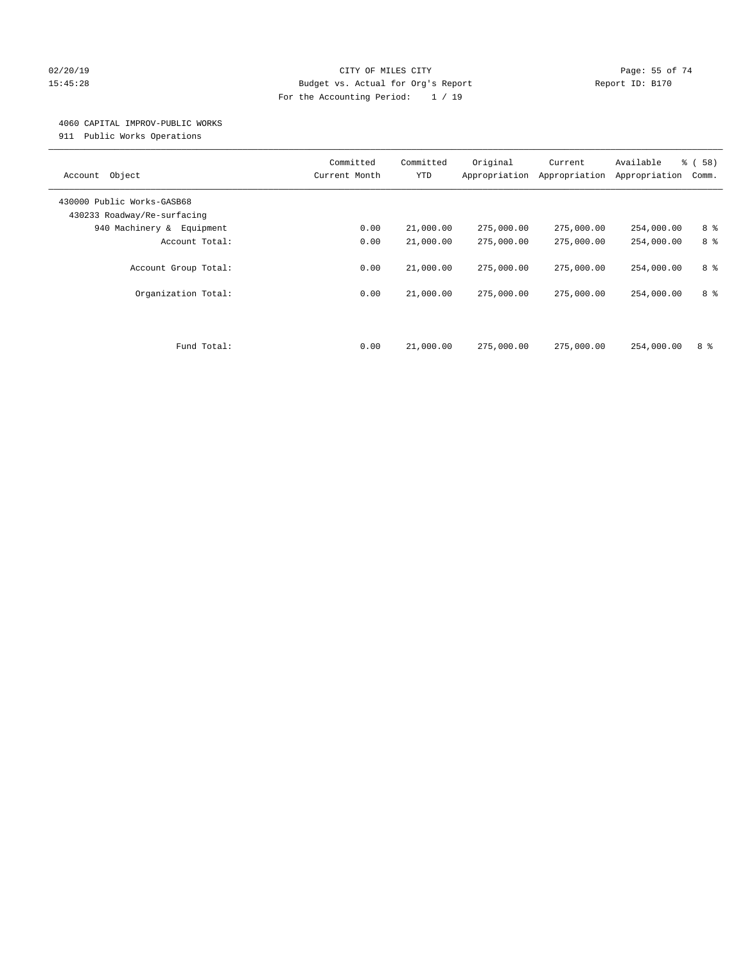#### $O(2/20/19$  Page: 55 of 74 15:45:28 Budget vs. Actual for Org's Report Report ID: B170 For the Accounting Period: 1 / 19

#### 4060 CAPITAL IMPROV-PUBLIC WORKS

911 Public Works Operations

| Object<br>Account                                         | Committed<br>Current Month | Committed<br><b>YTD</b> | Original<br>Appropriation | Current<br>Appropriation | Available<br>Appropriation | % (58)<br>Comm. |
|-----------------------------------------------------------|----------------------------|-------------------------|---------------------------|--------------------------|----------------------------|-----------------|
| 430000 Public Works-GASB68<br>430233 Roadway/Re-surfacing |                            |                         |                           |                          |                            |                 |
| 940 Machinery & Equipment                                 | 0.00                       | 21,000.00               | 275,000.00                | 275,000.00               | 254,000.00                 | 8 %             |
| Account Total:                                            | 0.00                       | 21,000.00               | 275,000.00                | 275,000.00               | 254,000.00                 | 8 %             |
| Account Group Total:                                      | 0.00                       | 21,000.00               | 275,000.00                | 275,000.00               | 254,000.00                 | 8 %             |
| Organization Total:                                       | 0.00                       | 21,000.00               | 275,000.00                | 275,000.00               | 254,000.00                 | 8 %             |
| Fund Total:                                               | 0.00                       | 21,000.00               | 275,000.00                | 275,000.00               | 254,000.00                 | 8 %             |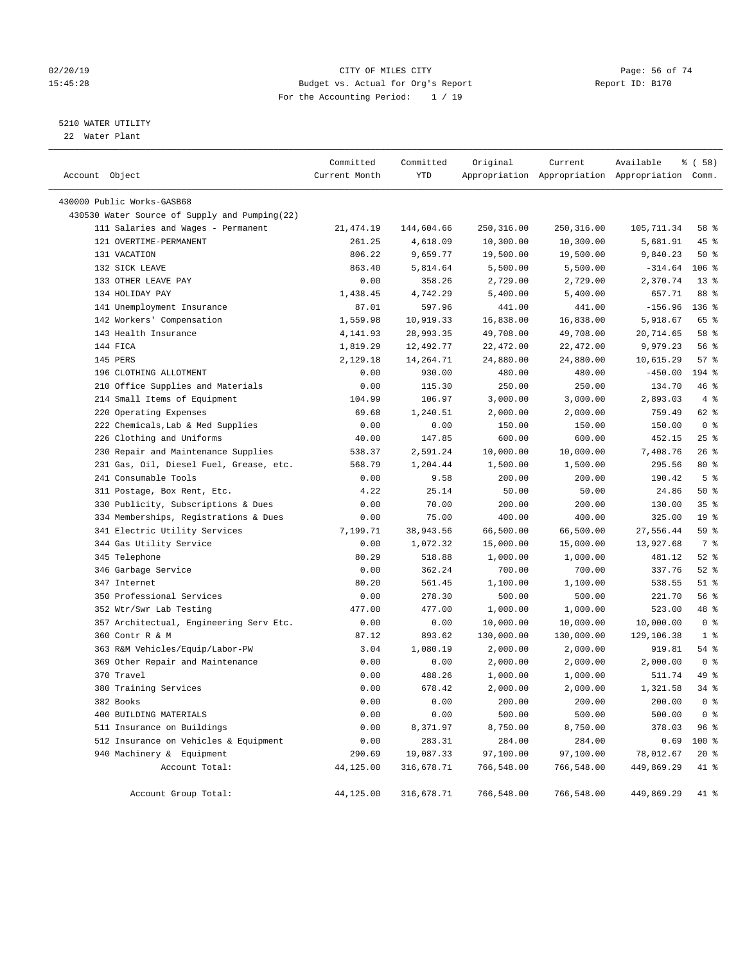#### $O(2/20/19$  Page: 56 of 74 15:45:28 Budget vs. Actual for Org's Report Report ID: B170 For the Accounting Period: 1 / 19

### 5210 WATER UTILITY

22 Water Plant

| Account Object                                                   | Committed<br>Current Month | Committed<br>YTD | Original   | Current     | Available<br>Appropriation Appropriation Appropriation Comm. | % ( 58 )        |
|------------------------------------------------------------------|----------------------------|------------------|------------|-------------|--------------------------------------------------------------|-----------------|
| 430000 Public Works-GASB68                                       |                            |                  |            |             |                                                              |                 |
| 430530 Water Source of Supply and Pumping(22)                    |                            |                  |            |             |                                                              |                 |
| 111 Salaries and Wages - Permanent                               | 21, 474.19                 | 144,604.66       | 250,316.00 | 250, 316.00 | 105,711.34                                                   | 58 %            |
| 121 OVERTIME-PERMANENT                                           | 261.25                     | 4,618.09         | 10,300.00  | 10,300.00   | 5,681.91                                                     | 45 %            |
| 131 VACATION                                                     | 806.22                     | 9,659.77         | 19,500.00  | 19,500.00   | 9,840.23                                                     | 50%             |
| 132 SICK LEAVE                                                   | 863.40                     | 5,814.64         | 5,500.00   | 5,500.00    | $-314.64$                                                    | $106$ %         |
| 133 OTHER LEAVE PAY                                              | 0.00                       | 358.26           | 2,729.00   | 2,729.00    | 2,370.74                                                     | $13*$           |
| 134 HOLIDAY PAY                                                  | 1,438.45                   | 4,742.29         | 5,400.00   | 5,400.00    | 657.71                                                       | 88 %            |
| 141 Unemployment Insurance                                       | 87.01                      | 597.96           | 441.00     | 441.00      | $-156.96$                                                    | $136$ %         |
| 142 Workers' Compensation                                        | 1,559.98                   | 10,919.33        | 16,838.00  | 16,838.00   | 5,918.67                                                     | 65 %            |
| 143 Health Insurance                                             | 4,141.93                   | 28,993.35        | 49,708.00  | 49,708.00   | 20,714.65                                                    | 58 %            |
| 144 FICA                                                         | 1,819.29                   | 12,492.77        | 22,472.00  | 22,472.00   | 9,979.23                                                     | 56%             |
| 145 PERS                                                         | 2,129.18                   | 14,264.71        | 24,880.00  | 24,880.00   | 10,615.29                                                    | 57%             |
| 196 CLOTHING ALLOTMENT                                           | 0.00                       | 930.00           | 480.00     | 480.00      | $-450.00$                                                    | 194 %           |
| 210 Office Supplies and Materials                                | 0.00                       | 115.30           | 250.00     | 250.00      | 134.70                                                       | 46 %            |
|                                                                  |                            | 106.97           | 3,000.00   | 3,000.00    | 2,893.03                                                     | 4%              |
| 214 Small Items of Equipment                                     | 104.99                     |                  |            | 2,000.00    |                                                              | 62 %            |
| 220 Operating Expenses<br>222 Chemicals, Lab & Med Supplies      | 69.68                      | 1,240.51         | 2,000.00   |             | 759.49                                                       | 0 <sup>8</sup>  |
|                                                                  | 0.00                       | 0.00             | 150.00     | 150.00      | 150.00                                                       | 25%             |
| 226 Clothing and Uniforms<br>230 Repair and Maintenance Supplies | 40.00                      | 147.85           | 600.00     | 600.00      | 452.15                                                       | 26%             |
|                                                                  | 538.37                     | 2,591.24         | 10,000.00  | 10,000.00   | 7,408.76                                                     |                 |
| 231 Gas, Oil, Diesel Fuel, Grease, etc.                          | 568.79                     | 1,204.44         | 1,500.00   | 1,500.00    | 295.56                                                       | $80*$           |
| 241 Consumable Tools                                             | 0.00                       | 9.58             | 200.00     | 200.00      | 190.42                                                       | 5 <sup>°</sup>  |
| 311 Postage, Box Rent, Etc.                                      | 4.22                       | 25.14            | 50.00      | 50.00       | 24.86                                                        | 50%             |
| 330 Publicity, Subscriptions & Dues                              | 0.00                       | 70.00            | 200.00     | 200.00      | 130.00                                                       | 35%             |
| 334 Memberships, Registrations & Dues                            | 0.00                       | 75.00            | 400.00     | 400.00      | 325.00                                                       | 19 <sup>°</sup> |
| 341 Electric Utility Services                                    | 7,199.71                   | 38,943.56        | 66,500.00  | 66,500.00   | 27,556.44                                                    | 59 %            |
| 344 Gas Utility Service                                          | 0.00                       | 1,072.32         | 15,000.00  | 15,000.00   | 13,927.68                                                    | 7 %             |
| 345 Telephone                                                    | 80.29                      | 518.88           | 1,000.00   | 1,000.00    | 481.12                                                       | $52$ $%$        |
| 346 Garbage Service                                              | 0.00                       | 362.24           | 700.00     | 700.00      | 337.76                                                       | $52$ %          |
| 347 Internet                                                     | 80.20                      | 561.45           | 1,100.00   | 1,100.00    | 538.55                                                       | $51$ %          |
| 350 Professional Services                                        | 0.00                       | 278.30           | 500.00     | 500.00      | 221.70                                                       | 56%             |
| 352 Wtr/Swr Lab Testing                                          | 477.00                     | 477.00           | 1,000.00   | 1,000.00    | 523.00                                                       | 48 %            |
| 357 Architectual, Engineering Serv Etc.                          | 0.00                       | 0.00             | 10,000.00  | 10,000.00   | 10,000.00                                                    | 0 <sup>8</sup>  |
| 360 Contr R & M                                                  | 87.12                      | 893.62           | 130,000.00 | 130,000.00  | 129,106.38                                                   | 1 <sup>8</sup>  |
| 363 R&M Vehicles/Equip/Labor-PW                                  | 3.04                       | 1,080.19         | 2,000.00   | 2,000.00    | 919.81                                                       | 54 %            |
| 369 Other Repair and Maintenance                                 | 0.00                       | 0.00             | 2,000.00   | 2,000.00    | 2,000.00                                                     | 0 <sup>8</sup>  |
| 370 Travel                                                       | 0.00                       | 488.26           | 1,000.00   | 1,000.00    | 511.74                                                       | 49 %            |
| 380 Training Services                                            | 0.00                       | 678.42           | 2,000.00   | 2,000.00    | 1,321.58                                                     | 34.8            |
| 382 Books                                                        | 0.00                       | 0.00             | 200.00     | 200.00      | 200.00                                                       | 0 <sup>8</sup>  |
| 400 BUILDING MATERIALS                                           | 0.00                       | 0.00             | 500.00     | 500.00      | 500.00                                                       | 0 <sup>8</sup>  |
| 511 Insurance on Buildings                                       | 0.00                       | 8,371.97         | 8,750.00   | 8,750.00    | 378.03                                                       | 96 %            |
| 512 Insurance on Vehicles & Equipment                            | 0.00                       | 283.31           | 284.00     | 284.00      | 0.69                                                         | 100 %           |
| 940 Machinery & Equipment                                        | 290.69                     | 19,087.33        | 97,100.00  | 97,100.00   | 78,012.67                                                    | $20*$           |
| Account Total:                                                   | 44,125.00                  | 316,678.71       | 766,548.00 | 766,548.00  | 449,869.29                                                   | 41 %            |
| Account Group Total:                                             | 44,125.00                  | 316,678.71       | 766,548.00 | 766,548.00  | 449,869.29                                                   | 41 %            |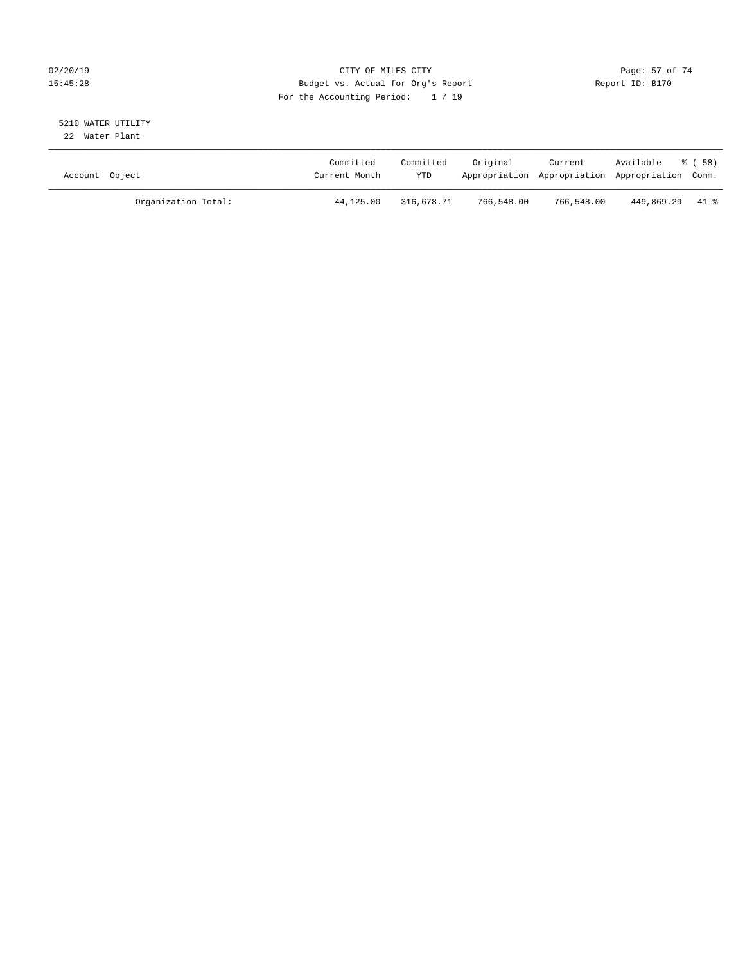### $O(2/20/19$  Page: 57 of 74 15:45:28 Budget vs. Actual for Org's Report Report ID: B170 For the Accounting Period: 1 / 19

#### 5210 WATER UTILITY 22 Water Plant

| Account Object |                     | Committed<br>Current Month | Committed<br>YTD | Original   | Current<br>Appropriation Appropriation Appropriation Comm. | Available       | ී ( 58 ) |
|----------------|---------------------|----------------------------|------------------|------------|------------------------------------------------------------|-----------------|----------|
|                | Organization Total: | 44,125.00                  | 316,678.71       | 766,548.00 | 766,548.00                                                 | 449,869.29 41 % |          |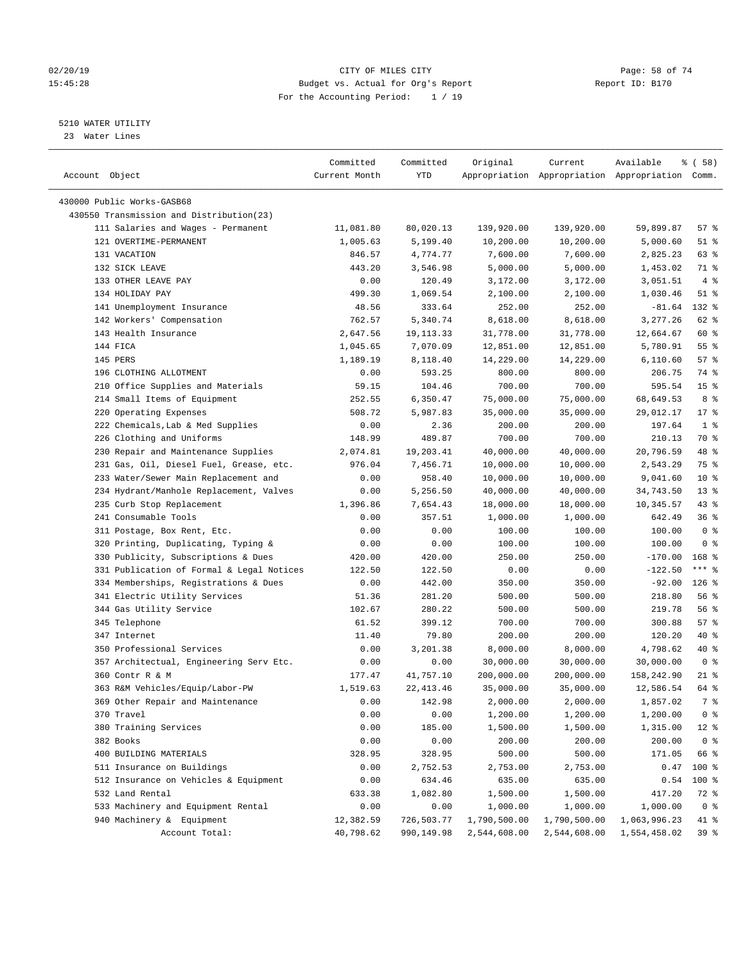#### $O(2/20/19$  Page: 58 of 74 15:45:28 Budget vs. Actual for Org's Report Report ID: B170 For the Accounting Period: 1 / 19

————————————————————————————————————————————————————————————————————————————————————————————————————————————————————————————————————

## 5210 WATER UTILITY

23 Water Lines

|                                           | Committed     | Committed   | Original     | Current      | Available                                       | १८       (६७६४) |
|-------------------------------------------|---------------|-------------|--------------|--------------|-------------------------------------------------|-----------------|
| Account Object                            | Current Month | YTD         |              |              | Appropriation Appropriation Appropriation Comm. |                 |
|                                           |               |             |              |              |                                                 |                 |
| 430000 Public Works-GASB68                |               |             |              |              |                                                 |                 |
| 430550 Transmission and Distribution(23)  |               |             |              |              |                                                 |                 |
| 111 Salaries and Wages - Permanent        | 11,081.80     | 80,020.13   | 139,920.00   | 139,920.00   | 59,899.87                                       | 57%             |
| 121 OVERTIME-PERMANENT                    | 1,005.63      | 5,199.40    | 10,200.00    | 10,200.00    | 5,000.60                                        | $51$ %          |
| 131 VACATION                              | 846.57        | 4,774.77    | 7,600.00     | 7,600.00     | 2,825.23                                        | 63 %            |
| 132 SICK LEAVE                            | 443.20        | 3,546.98    | 5,000.00     | 5,000.00     | 1,453.02                                        | 71 %            |
| 133 OTHER LEAVE PAY                       | 0.00          | 120.49      | 3,172.00     | 3,172.00     | 3,051.51                                        | 4%              |
| 134 HOLIDAY PAY                           | 499.30        | 1,069.54    | 2,100.00     | 2,100.00     | 1,030.46                                        | $51$ %          |
| 141 Unemployment Insurance                | 48.56         | 333.64      | 252.00       | 252.00       | $-81.64$                                        | 132 %           |
| 142 Workers' Compensation                 | 762.57        | 5,340.74    | 8,618.00     | 8,618.00     | 3,277.26                                        | 62 %            |
| 143 Health Insurance                      | 2,647.56      | 19, 113. 33 | 31,778.00    | 31,778.00    | 12,664.67                                       | 60 %            |
| 144 FICA                                  | 1,045.65      | 7,070.09    | 12,851.00    | 12,851.00    | 5,780.91                                        | 55 %            |
| 145 PERS                                  | 1,189.19      | 8,118.40    | 14,229.00    | 14,229.00    | 6,110.60                                        | 57%             |
| 196 CLOTHING ALLOTMENT                    | 0.00          | 593.25      | 800.00       | 800.00       | 206.75                                          | 74 %            |
| 210 Office Supplies and Materials         | 59.15         | 104.46      | 700.00       | 700.00       | 595.54                                          | 15 <sup>°</sup> |
| 214 Small Items of Equipment              | 252.55        | 6,350.47    | 75,000.00    | 75,000.00    | 68,649.53                                       | 8 %             |
| 220 Operating Expenses                    | 508.72        | 5,987.83    | 35,000.00    | 35,000.00    | 29,012.17                                       | $17*$           |
| 222 Chemicals, Lab & Med Supplies         | 0.00          | 2.36        | 200.00       | 200.00       | 197.64                                          | 1 <sup>8</sup>  |
| 226 Clothing and Uniforms                 | 148.99        | 489.87      | 700.00       | 700.00       | 210.13                                          | 70 %            |
| 230 Repair and Maintenance Supplies       | 2,074.81      | 19,203.41   | 40,000.00    | 40,000.00    | 20,796.59                                       | 48 %            |
| 231 Gas, Oil, Diesel Fuel, Grease, etc.   | 976.04        | 7,456.71    | 10,000.00    | 10,000.00    | 2,543.29                                        | 75 %            |
| 233 Water/Sewer Main Replacement and      | 0.00          | 958.40      | 10,000.00    | 10,000.00    | 9,041.60                                        | $10*$           |
| 234 Hydrant/Manhole Replacement, Valves   | 0.00          | 5,256.50    | 40,000.00    | 40,000.00    | 34,743.50                                       | $13*$           |
| 235 Curb Stop Replacement                 | 1,396.86      | 7,654.43    | 18,000.00    | 18,000.00    | 10,345.57                                       | $43$ %          |
| 241 Consumable Tools                      | 0.00          | 357.51      | 1,000.00     | 1,000.00     | 642.49                                          | 36%             |
| 311 Postage, Box Rent, Etc.               | 0.00          | 0.00        | 100.00       | 100.00       | 100.00                                          | 0 <sup>8</sup>  |
| 320 Printing, Duplicating, Typing &       | 0.00          | 0.00        | 100.00       | 100.00       | 100.00                                          | 0 <sup>8</sup>  |
| 330 Publicity, Subscriptions & Dues       | 420.00        | 420.00      | 250.00       | 250.00       | $-170.00$                                       | $168$ %         |
| 331 Publication of Formal & Legal Notices | 122.50        | 122.50      | 0.00         | 0.00         | $-122.50$                                       | $***$ $_{8}$    |
| 334 Memberships, Registrations & Dues     | 0.00          | 442.00      | 350.00       | 350.00       | $-92.00$                                        | $126$ %         |
| 341 Electric Utility Services             | 51.36         | 281.20      | 500.00       | 500.00       | 218.80                                          | 56%             |
| 344 Gas Utility Service                   | 102.67        | 280.22      | 500.00       | 500.00       | 219.78                                          | 56 %            |
| 345 Telephone                             | 61.52         | 399.12      | 700.00       | 700.00       | 300.88                                          | 57%             |
| 347 Internet                              | 11.40         | 79.80       | 200.00       | 200.00       | 120.20                                          | 40 %            |
| 350 Professional Services                 | 0.00          | 3,201.38    | 8,000.00     | 8,000.00     | 4,798.62                                        | 40 %            |
| 357 Architectual, Engineering Serv Etc.   | 0.00          | 0.00        | 30,000.00    | 30,000.00    | 30,000.00                                       | 0 <sup>8</sup>  |
| 360 Contr R & M                           | 177.47        | 41,757.10   | 200,000.00   | 200,000.00   | 158,242.90                                      | $21$ %          |
| 363 R&M Vehicles/Equip/Labor-PW           | 1,519.63      | 22, 413.46  | 35,000.00    | 35,000.00    | 12,586.54                                       | 64 %            |
| 369 Other Repair and Maintenance          | 0.00          | 142.98      | 2,000.00     | 2,000.00     | 1,857.02                                        | 7 %             |
| 370 Travel                                | 0.00          | 0.00        | 1,200.00     | 1,200.00     | 1,200.00                                        | 0 <sup>8</sup>  |
| 380 Training Services                     | 0.00          | 185.00      | 1,500.00     | 1,500.00     | 1,315.00                                        | $12*$           |
| 382 Books                                 | 0.00          | 0.00        | 200.00       | 200.00       | 200.00                                          | 0 <sup>8</sup>  |
| 400 BUILDING MATERIALS                    | 328.95        | 328.95      | 500.00       | 500.00       | 171.05                                          | 66 %            |
| 511 Insurance on Buildings                | 0.00          | 2,752.53    | 2,753.00     | 2,753.00     | 0.47                                            | 100 %           |
| 512 Insurance on Vehicles & Equipment     | 0.00          | 634.46      | 635.00       | 635.00       | 0.54                                            | 100 %           |
| 532 Land Rental                           | 633.38        | 1,082.80    | 1,500.00     | 1,500.00     | 417.20                                          | 72 %            |
| 533 Machinery and Equipment Rental        | 0.00          | 0.00        | 1,000.00     | 1,000.00     | 1,000.00                                        | 0 <sup>8</sup>  |
| 940 Machinery & Equipment                 | 12,382.59     | 726,503.77  | 1,790,500.00 | 1,790,500.00 | 1,063,996.23                                    | 41 %            |
| Account Total:                            | 40,798.62     | 990,149.98  | 2,544,608.00 | 2,544,608.00 | 1,554,458.02                                    | 39 %            |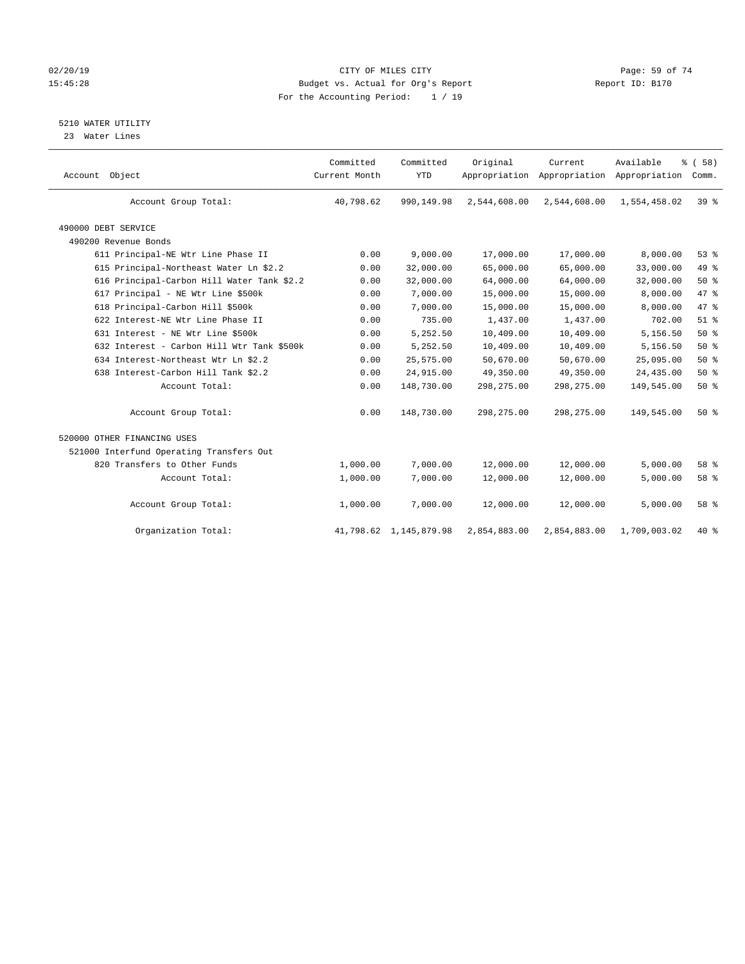### $O(2/20/19$  Page: 59 of 74 15:45:28 Budget vs. Actual for Org's Report Report ID: B170 For the Accounting Period: 1 / 19

5210 WATER UTILITY

23 Water Lines

| Account Object                             | Committed<br>Current Month | Committed<br><b>YTD</b> | Original     | Current<br>Appropriation Appropriation Appropriation | Available    | % (58)<br>Comm. |  |
|--------------------------------------------|----------------------------|-------------------------|--------------|------------------------------------------------------|--------------|-----------------|--|
| Account Group Total:                       | 40,798.62                  | 990,149.98              | 2,544,608.00 | 2,544,608.00                                         | 1,554,458.02 | 39 <sup>8</sup> |  |
| 490000 DEBT SERVICE                        |                            |                         |              |                                                      |              |                 |  |
| 490200 Revenue Bonds                       |                            |                         |              |                                                      |              |                 |  |
| 611 Principal-NE Wtr Line Phase II         | 0.00                       | 9,000.00                | 17,000.00    | 17,000.00                                            | 8,000.00     | 53%             |  |
| 615 Principal-Northeast Water Ln \$2.2     | 0.00                       | 32,000.00               | 65,000.00    | 65,000.00                                            | 33,000.00    | 49 %            |  |
| 616 Principal-Carbon Hill Water Tank \$2.2 | 0.00                       | 32,000.00               | 64,000.00    | 64,000.00                                            | 32,000.00    | $50*$           |  |
| 617 Principal - NE Wtr Line \$500k         | 0.00                       | 7,000.00                | 15,000.00    | 15,000.00                                            | 8,000.00     | 47 %            |  |
| 618 Principal-Carbon Hill \$500k           | 0.00                       | 7,000.00                | 15,000.00    | 15,000.00                                            | 8,000.00     | 47.8            |  |
| 622 Interest-NE Wtr Line Phase II          | 0.00                       | 735.00                  | 1,437.00     | 1,437.00                                             | 702.00       | $51$ $%$        |  |
| 631 Interest - NE Wtr Line \$500k          | 0.00                       | 5,252.50                | 10,409.00    | 10,409.00                                            | 5,156.50     | 50%             |  |
| 632 Interest - Carbon Hill Wtr Tank \$500k | 0.00                       | 5,252.50                | 10,409.00    | 10,409.00                                            | 5,156.50     | 50%             |  |
| 634 Interest-Northeast Wtr Ln \$2.2        | 0.00                       | 25,575.00               | 50,670.00    | 50,670.00                                            | 25,095.00    | 50%             |  |
| 638 Interest-Carbon Hill Tank \$2.2        | 0.00                       | 24,915.00               | 49,350.00    | 49,350.00                                            | 24,435.00    | 50%             |  |
| Account Total:                             | 0.00                       | 148,730.00              | 298, 275.00  | 298,275.00                                           | 149,545.00   | 50%             |  |
| Account Group Total:                       | 0.00                       | 148,730.00              | 298, 275.00  | 298, 275.00                                          | 149,545.00   | 50%             |  |
| 520000 OTHER FINANCING USES                |                            |                         |              |                                                      |              |                 |  |
| 521000 Interfund Operating Transfers Out   |                            |                         |              |                                                      |              |                 |  |
| 820 Transfers to Other Funds               | 1,000.00                   | 7,000.00                | 12,000.00    | 12,000.00                                            | 5,000.00     | 58 %            |  |
| Account Total:                             | 1,000.00                   | 7,000.00                | 12,000.00    | 12,000.00                                            | 5,000.00     | 58 %            |  |
| Account Group Total:                       | 1,000.00                   | 7,000.00                | 12,000.00    | 12,000.00                                            | 5,000.00     | 58 %            |  |
| Organization Total:                        |                            | 41,798.62 1,145,879.98  | 2,854,883.00 | 2,854,883.00                                         | 1,709,003.02 | 40 %            |  |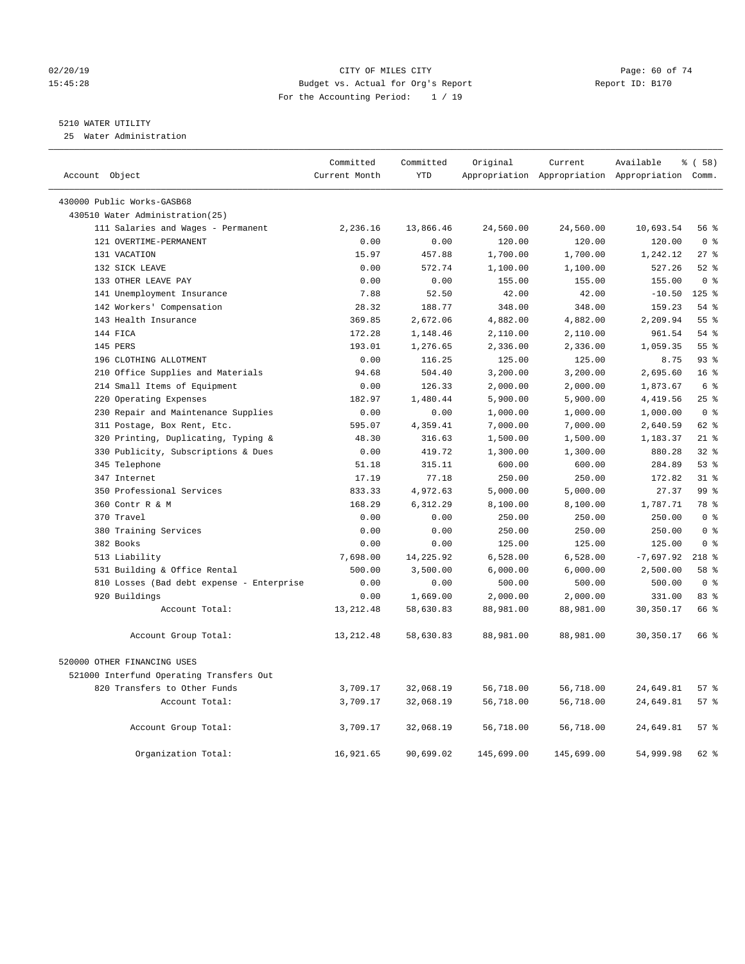#### 02/20/19 CITY OF MILES CITY Page: 60 of 74 15:45:28 Budget vs. Actual for Org's Report Report ID: B170 For the Accounting Period: 1 / 19

## 5210 WATER UTILITY

25 Water Administration

| Account Object                            | Committed<br>Current Month | Committed<br><b>YTD</b> | Original   | Current    | Available<br>Appropriation Appropriation Appropriation Comm. | 8 ( 58 )        |
|-------------------------------------------|----------------------------|-------------------------|------------|------------|--------------------------------------------------------------|-----------------|
| 430000 Public Works-GASB68                |                            |                         |            |            |                                                              |                 |
| 430510 Water Administration(25)           |                            |                         |            |            |                                                              |                 |
| 111 Salaries and Wages - Permanent        | 2,236.16                   | 13,866.46               | 24,560.00  | 24,560.00  | 10,693.54                                                    | 56%             |
| 121 OVERTIME-PERMANENT                    | 0.00                       | 0.00                    | 120.00     | 120.00     | 120.00                                                       | 0 <sup>8</sup>  |
| 131 VACATION                              | 15.97                      | 457.88                  | 1,700.00   | 1,700.00   | 1,242.12                                                     | $27$ %          |
| 132 SICK LEAVE                            | 0.00                       | 572.74                  | 1,100.00   | 1,100.00   | 527.26                                                       | $52$ $%$        |
| 133 OTHER LEAVE PAY                       | 0.00                       | 0.00                    | 155.00     | 155.00     | 155.00                                                       | 0 <sup>8</sup>  |
| 141 Unemployment Insurance                | 7.88                       | 52.50                   | 42.00      | 42.00      | $-10.50$                                                     | $125$ %         |
| 142 Workers' Compensation                 | 28.32                      | 188.77                  | 348.00     | 348.00     | 159.23                                                       | 54%             |
| 143 Health Insurance                      | 369.85                     | 2,672.06                | 4,882.00   | 4,882.00   | 2,209.94                                                     | 55%             |
| 144 FICA                                  | 172.28                     | 1,148.46                | 2,110.00   | 2,110.00   | 961.54                                                       | 54 %            |
| 145 PERS                                  | 193.01                     | 1,276.65                | 2,336.00   | 2,336.00   | 1,059.35                                                     | 55%             |
| 196 CLOTHING ALLOTMENT                    | 0.00                       | 116.25                  | 125.00     | 125.00     | 8.75                                                         | 93%             |
| 210 Office Supplies and Materials         | 94.68                      | 504.40                  | 3,200.00   | 3,200.00   | 2,695.60                                                     | 16 <sup>8</sup> |
| 214 Small Items of Equipment              | 0.00                       | 126.33                  | 2,000.00   | 2,000.00   | 1,873.67                                                     | $6\degree$      |
| 220 Operating Expenses                    | 182.97                     | 1,480.44                | 5,900.00   | 5,900.00   | 4,419.56                                                     | 25%             |
| 230 Repair and Maintenance Supplies       | 0.00                       | 0.00                    | 1,000.00   | 1,000.00   | 1,000.00                                                     | 0 <sup>8</sup>  |
| 311 Postage, Box Rent, Etc.               | 595.07                     | 4,359.41                | 7,000.00   | 7,000.00   | 2,640.59                                                     | 62 %            |
| 320 Printing, Duplicating, Typing &       | 48.30                      | 316.63                  | 1,500.00   | 1,500.00   | 1,183.37                                                     | $21$ %          |
| 330 Publicity, Subscriptions & Dues       | 0.00                       | 419.72                  | 1,300.00   | 1,300.00   | 880.28                                                       | 32%             |
| 345 Telephone                             | 51.18                      | 315.11                  | 600.00     | 600.00     | 284.89                                                       | 53%             |
| 347 Internet                              | 17.19                      | 77.18                   | 250.00     | 250.00     | 172.82                                                       | $31*$           |
| 350 Professional Services                 | 833.33                     | 4,972.63                | 5,000.00   | 5,000.00   | 27.37                                                        | 99%             |
| 360 Contr R & M                           | 168.29                     | 6,312.29                | 8,100.00   | 8,100.00   | 1,787.71                                                     | 78 %            |
| 370 Travel                                | 0.00                       | 0.00                    | 250.00     | 250.00     | 250.00                                                       | 0 <sup>8</sup>  |
| 380 Training Services                     | 0.00                       | 0.00                    | 250.00     | 250.00     | 250.00                                                       | 0 <sup>8</sup>  |
| 382 Books                                 | 0.00                       | 0.00                    | 125.00     | 125.00     | 125.00                                                       | 0 <sup>8</sup>  |
| 513 Liability                             | 7,698.00                   | 14,225.92               | 6,528.00   | 6,528.00   | $-7,697.92$                                                  | $218$ %         |
| 531 Building & Office Rental              | 500.00                     | 3,500.00                | 6,000.00   | 6,000.00   | 2,500.00                                                     | 58 %            |
| 810 Losses (Bad debt expense - Enterprise | 0.00                       | 0.00                    | 500.00     | 500.00     | 500.00                                                       | 0 <sup>8</sup>  |
| 920 Buildings                             | 0.00                       | 1,669.00                | 2,000.00   | 2,000.00   | 331.00                                                       | 83 %            |
| Account Total:                            | 13, 212.48                 | 58,630.83               | 88,981.00  | 88,981.00  | 30, 350.17                                                   | 66 %            |
| Account Group Total:                      | 13, 212.48                 | 58,630.83               | 88,981.00  | 88,981.00  | 30,350.17                                                    | 66 %            |
| 520000 OTHER FINANCING USES               |                            |                         |            |            |                                                              |                 |
| 521000 Interfund Operating Transfers Out  |                            |                         |            |            |                                                              |                 |
| 820 Transfers to Other Funds              | 3,709.17                   | 32,068.19               | 56,718.00  | 56,718.00  | 24,649.81                                                    | 57%             |
| Account Total:                            | 3,709.17                   | 32,068.19               | 56,718.00  | 56,718.00  | 24,649.81                                                    | 57%             |
| Account Group Total:                      | 3,709.17                   | 32,068.19               | 56,718.00  | 56,718.00  | 24,649.81                                                    | 57%             |
| Organization Total:                       | 16,921.65                  | 90,699.02               | 145,699.00 | 145,699.00 | 54,999.98                                                    | $62$ $%$        |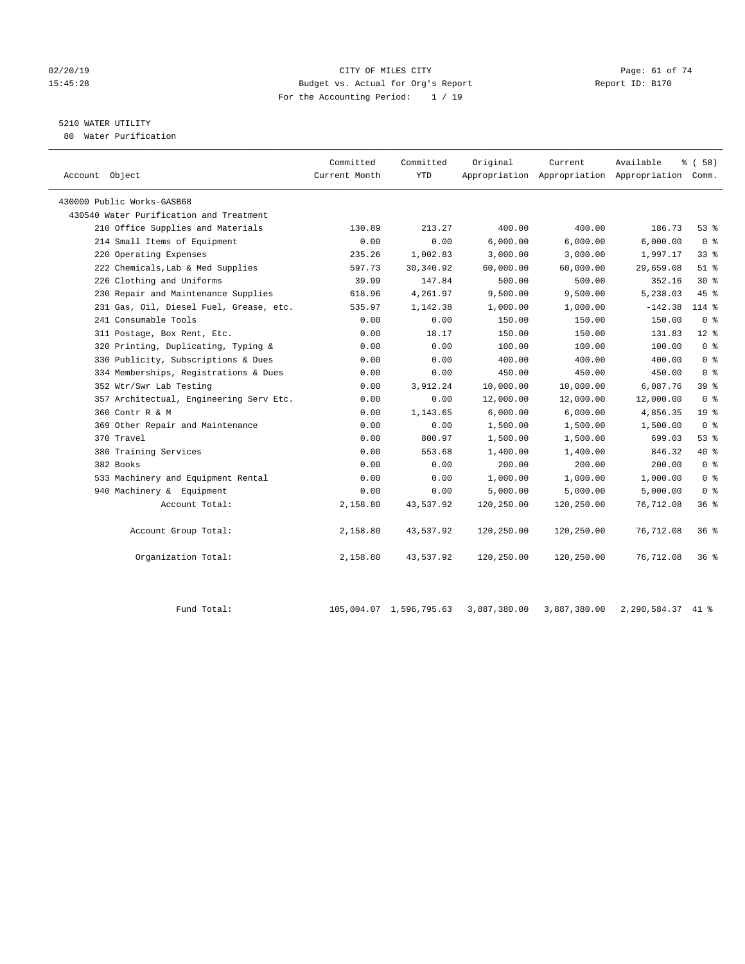#### 02/20/19 CITY OF MILES CITY Page: 61 of 74 15:45:28 Budget vs. Actual for Org's Report Report ID: B170 For the Accounting Period: 1 / 19

# 5210 WATER UTILITY

80 Water Purification

| Account Object                          | Committed<br>Current Month | Committed<br><b>YTD</b> | Original   | Current    | Available<br>Appropriation Appropriation Appropriation Comm. | 8 ( 58 )        |
|-----------------------------------------|----------------------------|-------------------------|------------|------------|--------------------------------------------------------------|-----------------|
| 430000 Public Works-GASB68              |                            |                         |            |            |                                                              |                 |
| 430540 Water Purification and Treatment |                            |                         |            |            |                                                              |                 |
| 210 Office Supplies and Materials       | 130.89                     | 213.27                  | 400.00     | 400.00     | 186.73                                                       | 53%             |
| 214 Small Items of Equipment            | 0.00                       | 0.00                    | 6,000.00   | 6,000.00   | 6,000.00                                                     | 0 <sup>8</sup>  |
| 220 Operating Expenses                  | 235.26                     | 1,002.83                | 3,000.00   | 3,000.00   | 1,997.17                                                     | 33 <sup>8</sup> |
| 222 Chemicals, Lab & Med Supplies       | 597.73                     | 30, 340.92              | 60,000.00  | 60,000.00  | 29,659.08                                                    | $51$ $%$        |
| 226 Clothing and Uniforms               | 39.99                      | 147.84                  | 500.00     | 500.00     | 352.16                                                       | $30*$           |
| 230 Repair and Maintenance Supplies     | 618.96                     | 4,261.97                | 9,500.00   | 9,500.00   | 5,238.03                                                     | 45 %            |
| 231 Gas, Oil, Diesel Fuel, Grease, etc. | 535.97                     | 1,142.38                | 1,000.00   | 1,000.00   | $-142.38$                                                    | $114$ %         |
| 241 Consumable Tools                    | 0.00                       | 0.00                    | 150.00     | 150.00     | 150.00                                                       | 0 <sup>8</sup>  |
| 311 Postage, Box Rent, Etc.             | 0.00                       | 18.17                   | 150.00     | 150.00     | 131.83                                                       | $12*$           |
| 320 Printing, Duplicating, Typing &     | 0.00                       | 0.00                    | 100.00     | 100.00     | 100.00                                                       | 0 <sup>8</sup>  |
| 330 Publicity, Subscriptions & Dues     | 0.00                       | 0.00                    | 400.00     | 400.00     | 400.00                                                       | 0 <sup>8</sup>  |
| 334 Memberships, Registrations & Dues   | 0.00                       | 0.00                    | 450.00     | 450.00     | 450.00                                                       | 0 <sup>8</sup>  |
| 352 Wtr/Swr Lab Testing                 | 0.00                       | 3,912.24                | 10,000.00  | 10,000.00  | 6,087.76                                                     | 39 %            |
| 357 Architectual, Engineering Serv Etc. | 0.00                       | 0.00                    | 12,000.00  | 12,000.00  | 12,000.00                                                    | 0 <sup>8</sup>  |
| 360 Contr R & M                         | 0.00                       | 1,143.65                | 6.000.00   | 6.000.00   | 4,856.35                                                     | 19 <sup>8</sup> |
| 369 Other Repair and Maintenance        | 0.00                       | 0.00                    | 1,500.00   | 1,500.00   | 1,500.00                                                     | 0 <sup>8</sup>  |
| 370 Travel                              | 0.00                       | 800.97                  | 1,500.00   | 1,500.00   | 699.03                                                       | 53%             |
| 380 Training Services                   | 0.00                       | 553.68                  | 1,400.00   | 1,400.00   | 846.32                                                       | 40 %            |
| 382 Books                               | 0.00                       | 0.00                    | 200.00     | 200.00     | 200.00                                                       | 0 <sup>8</sup>  |
| 533 Machinery and Equipment Rental      | 0.00                       | 0.00                    | 1,000.00   | 1,000.00   | 1,000.00                                                     | 0 <sup>8</sup>  |
| 940 Machinery & Equipment               | 0.00                       | 0.00                    | 5,000.00   | 5,000.00   | 5,000.00                                                     | 0 <sup>8</sup>  |
| Account Total:                          | 2,158.80                   | 43,537.92               | 120,250.00 | 120,250.00 | 76,712.08                                                    | 36 <sup>8</sup> |
| Account Group Total:                    | 2,158.80                   | 43,537.92               | 120,250.00 | 120,250.00 | 76,712.08                                                    | 36%             |
| Organization Total:                     | 2,158.80                   | 43,537.92               | 120,250.00 | 120,250.00 | 76,712.08                                                    | 36%             |

Fund Total: 105,004.07 1,596,795.63 3,887,380.00 3,887,380.00 2,290,584.37 41 %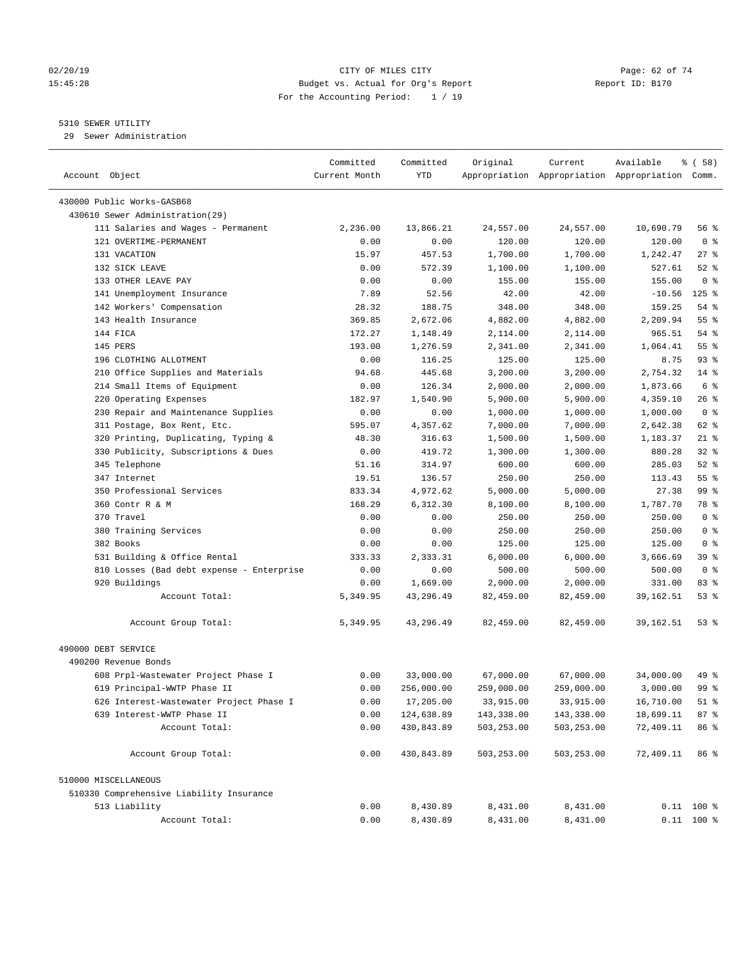#### 02/20/19 CITY OF MILES CITY Page: 62 of 74 15:45:28 Budget vs. Actual for Org's Report Report ID: B170 For the Accounting Period: 1 / 19

————————————————————————————————————————————————————————————————————————————————————————————————————————————————————————————————————

#### 5310 SEWER UTILITY

29 Sewer Administration

|                                           | Committed     | Committed  | Original   | Current                                         | Available | <sub>ර</sub> ි (58) |
|-------------------------------------------|---------------|------------|------------|-------------------------------------------------|-----------|---------------------|
| Account Object                            | Current Month | YTD        |            | Appropriation Appropriation Appropriation Comm. |           |                     |
| 430000 Public Works-GASB68                |               |            |            |                                                 |           |                     |
| 430610 Sewer Administration(29)           |               |            |            |                                                 |           |                     |
| 111 Salaries and Wages - Permanent        | 2,236.00      | 13,866.21  | 24,557.00  | 24,557.00                                       | 10,690.79 | 56 %                |
| 121 OVERTIME-PERMANENT                    | 0.00          | 0.00       | 120.00     | 120.00                                          | 120.00    | 0 <sup>8</sup>      |
| 131 VACATION                              | 15.97         | 457.53     | 1,700.00   | 1,700.00                                        | 1,242.47  | $27$ %              |
| 132 SICK LEAVE                            | 0.00          | 572.39     | 1,100.00   | 1,100.00                                        | 527.61    | $52$ $%$            |
| 133 OTHER LEAVE PAY                       | 0.00          | 0.00       | 155.00     | 155.00                                          | 155.00    | 0 <sup>8</sup>      |
| 141 Unemployment Insurance                | 7.89          | 52.56      | 42.00      | 42.00                                           | $-10.56$  | $125$ %             |
| 142 Workers' Compensation                 | 28.32         | 188.75     | 348.00     | 348.00                                          | 159.25    | $54$ %              |
| 143 Health Insurance                      | 369.85        | 2,672.06   | 4,882.00   | 4,882.00                                        | 2,209.94  | 55 <sup>8</sup>     |
| 144 FICA                                  | 172.27        | 1,148.49   | 2,114.00   | 2,114.00                                        | 965.51    | $54$ %              |
| 145 PERS                                  | 193.00        | 1,276.59   | 2,341.00   | 2,341.00                                        | 1,064.41  | 55%                 |
| 196 CLOTHING ALLOTMENT                    | 0.00          | 116.25     | 125.00     | 125.00                                          | 8.75      | 93 %                |
| 210 Office Supplies and Materials         | 94.68         | 445.68     | 3,200.00   | 3,200.00                                        | 2,754.32  | $14*$               |
| 214 Small Items of Equipment              | 0.00          | 126.34     | 2,000.00   | 2,000.00                                        | 1,873.66  | 6 %                 |
| 220 Operating Expenses                    | 182.97        | 1,540.90   | 5,900.00   | 5,900.00                                        | 4,359.10  | $26$ %              |
| 230 Repair and Maintenance Supplies       | 0.00          | 0.00       | 1,000.00   | 1,000.00                                        | 1,000.00  | 0 <sup>8</sup>      |
| 311 Postage, Box Rent, Etc.               | 595.07        | 4,357.62   | 7,000.00   | 7,000.00                                        | 2,642.38  | 62 %                |
| 320 Printing, Duplicating, Typing &       | 48.30         | 316.63     | 1,500.00   | 1,500.00                                        | 1,183.37  | $21$ %              |
| 330 Publicity, Subscriptions & Dues       | 0.00          | 419.72     | 1,300.00   | 1,300.00                                        | 880.28    | $32$ $%$            |
| 345 Telephone                             | 51.16         | 314.97     | 600.00     | 600.00                                          | 285.03    | $52$ $%$            |
| 347 Internet                              | 19.51         | 136.57     | 250.00     | 250.00                                          | 113.43    | 55%                 |
| 350 Professional Services                 | 833.34        | 4,972.62   | 5,000.00   | 5,000.00                                        | 27.38     | 99 %                |
| 360 Contr R & M                           | 168.29        | 6,312.30   | 8,100.00   | 8,100.00                                        | 1,787.70  | 78 %                |
| 370 Travel                                | 0.00          | 0.00       | 250.00     | 250.00                                          | 250.00    | 0 <sup>8</sup>      |
| 380 Training Services                     | 0.00          | 0.00       | 250.00     | 250.00                                          | 250.00    | 0 <sup>8</sup>      |
| 382 Books                                 | 0.00          | 0.00       | 125.00     | 125.00                                          | 125.00    | 0 <sup>8</sup>      |
| 531 Building & Office Rental              | 333.33        | 2,333.31   | 6,000.00   | 6,000.00                                        | 3,666.69  | 39%                 |
| 810 Losses (Bad debt expense - Enterprise | 0.00          | 0.00       | 500.00     | 500.00                                          | 500.00    | 0 <sup>8</sup>      |
| 920 Buildings                             | 0.00          | 1,669.00   | 2,000.00   | 2,000.00                                        | 331.00    | 83%                 |
| Account Total:                            | 5,349.95      | 43,296.49  | 82,459.00  | 82,459.00                                       | 39,162.51 | 53%                 |
|                                           |               |            |            |                                                 |           |                     |
| Account Group Total:                      | 5,349.95      | 43,296.49  | 82,459.00  | 82,459.00                                       | 39,162.51 | 53 %                |
| 490000 DEBT SERVICE                       |               |            |            |                                                 |           |                     |
| 490200 Revenue Bonds                      |               |            |            |                                                 |           |                     |
| 608 Prpl-Wastewater Project Phase I       | 0.00          | 33,000.00  | 67,000.00  | 67,000.00                                       | 34,000.00 | 49 %                |
| 619 Principal-WWTP Phase II               | 0.00          | 256,000.00 | 259,000.00 | 259,000.00                                      | 3,000.00  | 99 %                |
| 626 Interest-Wastewater Project Phase I   | 0.00          | 17,205.00  | 33,915.00  | 33,915.00                                       | 16,710.00 | 51 %                |
| 639 Interest-WWTP Phase II                | 0.00          | 124,638.89 | 143,338.00 | 143,338.00                                      | 18,699.11 | 87 <sub>8</sub>     |
| Account Total:                            | 0.00          | 430,843.89 | 503,253.00 | 503,253.00                                      | 72,409.11 | 86 %                |
|                                           |               |            | 503,253.00 |                                                 |           |                     |
| Account Group Total:                      | 0.00          | 430,843.89 |            | 503,253.00                                      | 72,409.11 | 86 %                |
| 510000 MISCELLANEOUS                      |               |            |            |                                                 |           |                     |
| 510330 Comprehensive Liability Insurance  |               |            |            |                                                 |           |                     |
| 513 Liability                             | 0.00          | 8,430.89   | 8,431.00   | 8,431.00                                        |           | $0.11$ 100 %        |
| Account Total:                            | 0.00          | 8,430.89   | 8,431.00   | 8,431.00                                        |           | $0.11$ 100 %        |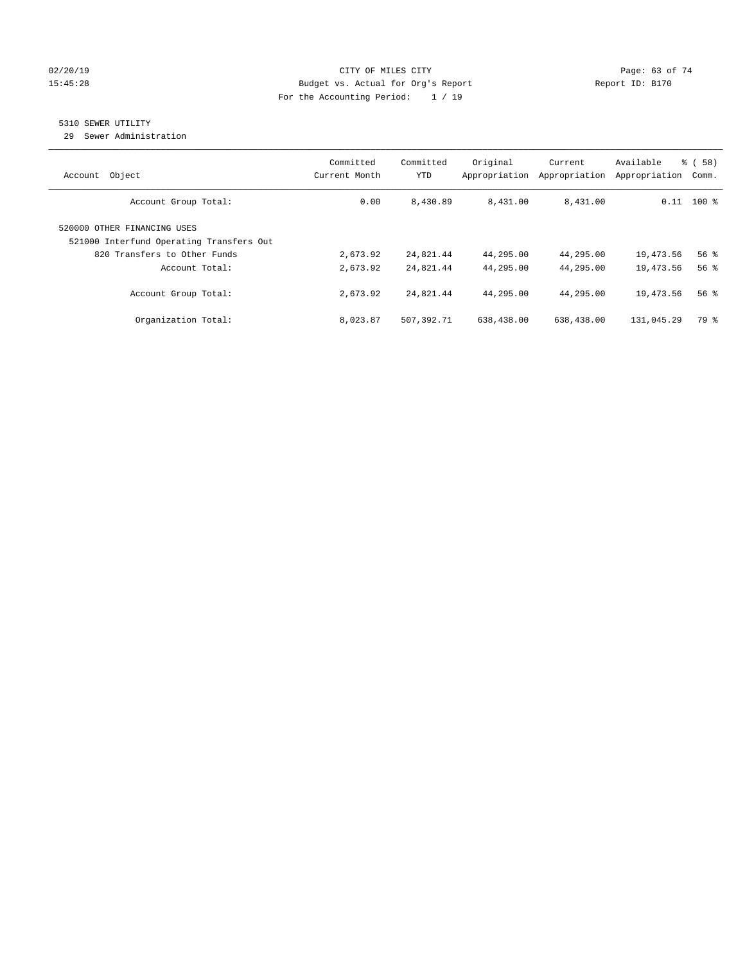#### $O(2/20/19$  Page: 63 of 74 15:45:28 Budget vs. Actual for Org's Report Report ID: B170 For the Accounting Period: 1 / 19

# 5310 SEWER UTILITY

29 Sewer Administration

| Object<br>Account                                                       | Committed<br>Current Month | Committed<br><b>YTD</b> | Original<br>Appropriation | Current<br>Appropriation | Available<br>Appropriation | % ( 58 )<br>Comm. |
|-------------------------------------------------------------------------|----------------------------|-------------------------|---------------------------|--------------------------|----------------------------|-------------------|
| Account Group Total:                                                    | 0.00                       | 8,430.89                | 8,431.00                  | 8,431.00                 |                            | $0.11$ 100 %      |
| 520000 OTHER FINANCING USES<br>521000 Interfund Operating Transfers Out |                            |                         |                           |                          |                            |                   |
| 820 Transfers to Other Funds                                            | 2,673.92                   | 24,821.44               | 44,295.00                 | 44,295.00                | 19,473.56                  | 56 <sup>8</sup>   |
| Account Total:                                                          | 2,673.92                   | 24,821.44               | 44,295.00                 | 44,295.00                | 19,473.56                  | 56%               |
| Account Group Total:                                                    | 2,673.92                   | 24,821.44               | 44,295.00                 | 44,295.00                | 19,473.56                  | 56%               |
| Organization Total:                                                     | 8,023.87                   | 507,392.71              | 638,438.00                | 638,438.00               | 131,045.29                 | 79 %              |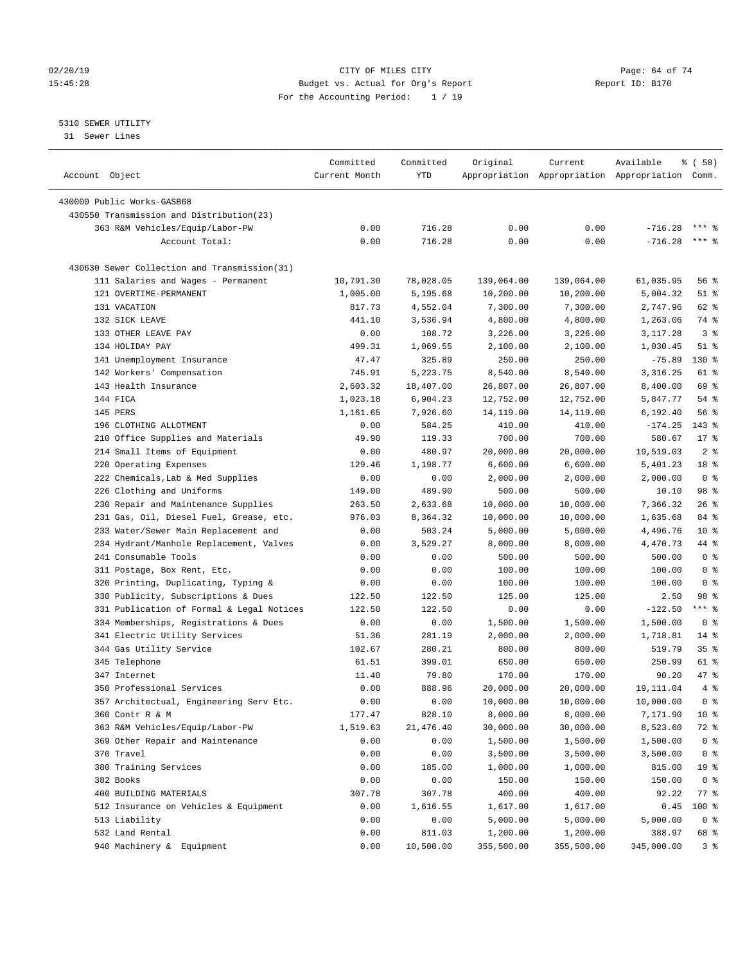#### $O(2/20/19$  Page: 64 of 74 15:45:28 Budget vs. Actual for Org's Report Report ID: B170 For the Accounting Period: 1 / 19

————————————————————————————————————————————————————————————————————————————————————————————————————————————————————————————————————

### 5310 SEWER UTILITY

31 Sewer Lines

|                                              | Committed     | Committed | Original   | Current    | Available                                       | 8 ( 58 )        |
|----------------------------------------------|---------------|-----------|------------|------------|-------------------------------------------------|-----------------|
| Account Object                               | Current Month | YTD       |            |            | Appropriation Appropriation Appropriation Comm. |                 |
|                                              |               |           |            |            |                                                 |                 |
| 430000 Public Works-GASB68                   |               |           |            |            |                                                 |                 |
| 430550 Transmission and Distribution(23)     |               |           |            |            |                                                 |                 |
| 363 R&M Vehicles/Equip/Labor-PW              | 0.00          | 716.28    | 0.00       | 0.00       | $-716.28$                                       | $***$ 8         |
| Account Total:                               | 0.00          | 716.28    | 0.00       | 0.00       | $-716.28$                                       | $***$ $%$       |
| 430630 Sewer Collection and Transmission(31) |               |           |            |            |                                                 |                 |
| 111 Salaries and Wages - Permanent           | 10,791.30     | 78,028.05 | 139,064.00 | 139,064.00 | 61,035.95                                       | 56 %            |
| 121 OVERTIME-PERMANENT                       | 1,005.00      | 5,195.68  | 10,200.00  | 10,200.00  | 5,004.32                                        | $51$ %          |
| 131 VACATION                                 | 817.73        | 4,552.04  | 7,300.00   | 7,300.00   | 2,747.96                                        | 62 %            |
| 132 SICK LEAVE                               | 441.10        | 3,536.94  | 4,800.00   | 4,800.00   | 1,263.06                                        | 74 %            |
| 133 OTHER LEAVE PAY                          | 0.00          | 108.72    | 3,226.00   | 3,226.00   | 3,117.28                                        | 3 <sup>8</sup>  |
| 134 HOLIDAY PAY                              | 499.31        | 1,069.55  | 2,100.00   | 2,100.00   | 1,030.45                                        | $51$ %          |
| 141 Unemployment Insurance                   | 47.47         | 325.89    | 250.00     | 250.00     | $-75.89$                                        | $130*$          |
| 142 Workers' Compensation                    | 745.91        | 5,223.75  | 8,540.00   | 8,540.00   | 3,316.25                                        | 61 %            |
| 143 Health Insurance                         | 2,603.32      | 18,407.00 | 26,807.00  | 26,807.00  | 8,400.00                                        | 69 %            |
| 144 FICA                                     | 1,023.18      | 6,904.23  | 12,752.00  | 12,752.00  | 5,847.77                                        | $54$ %          |
| 145 PERS                                     | 1,161.65      | 7,926.60  | 14,119.00  | 14,119.00  | 6,192.40                                        | 56 %            |
| 196 CLOTHING ALLOTMENT                       | 0.00          | 584.25    | 410.00     | 410.00     | $-174.25$                                       | $143*$          |
| 210 Office Supplies and Materials            | 49.90         | 119.33    | 700.00     | 700.00     | 580.67                                          | $17*$           |
| 214 Small Items of Equipment                 | 0.00          | 480.97    | 20,000.00  | 20,000.00  | 19,519.03                                       | 2 <sup>8</sup>  |
| 220 Operating Expenses                       | 129.46        | 1,198.77  | 6,600.00   | 6,600.00   | 5,401.23                                        | 18 %            |
| 222 Chemicals, Lab & Med Supplies            | 0.00          | 0.00      | 2,000.00   | 2,000.00   | 2,000.00                                        | 0 <sup>8</sup>  |
| 226 Clothing and Uniforms                    | 149.00        | 489.90    | 500.00     | 500.00     | 10.10                                           | 98 %            |
| 230 Repair and Maintenance Supplies          | 263.50        | 2,633.68  | 10,000.00  | 10,000.00  | 7,366.32                                        | $26$ %          |
| 231 Gas, Oil, Diesel Fuel, Grease, etc.      | 976.03        | 8,364.32  | 10,000.00  | 10,000.00  | 1,635.68                                        | 84 %            |
| 233 Water/Sewer Main Replacement and         | 0.00          | 503.24    | 5,000.00   | 5,000.00   | 4,496.76                                        | $10*$           |
| 234 Hydrant/Manhole Replacement, Valves      | 0.00          | 3,529.27  | 8,000.00   | 8,000.00   | 4,470.73                                        | 44 %            |
| 241 Consumable Tools                         | 0.00          | 0.00      | 500.00     | 500.00     | 500.00                                          | 0 <sup>8</sup>  |
| 311 Postage, Box Rent, Etc.                  | 0.00          | 0.00      | 100.00     | 100.00     | 100.00                                          | 0 <sup>8</sup>  |
| 320 Printing, Duplicating, Typing &          | 0.00          | 0.00      | 100.00     | 100.00     | 100.00                                          | 0 <sup>8</sup>  |
| 330 Publicity, Subscriptions & Dues          | 122.50        | 122.50    | 125.00     | 125.00     | 2.50                                            | 98 %            |
| 331 Publication of Formal & Legal Notices    | 122.50        | 122.50    | 0.00       | 0.00       | $-122.50$                                       | *** %           |
| 334 Memberships, Registrations & Dues        | 0.00          | 0.00      | 1,500.00   | 1,500.00   | 1,500.00                                        | 0 <sup>8</sup>  |
| 341 Electric Utility Services                | 51.36         | 281.19    | 2,000.00   | 2,000.00   | 1,718.81                                        | $14*$           |
| 344 Gas Utility Service                      | 102.67        | 280.21    | 800.00     | 800.00     | 519.79                                          | 35%             |
| 345 Telephone                                | 61.51         | 399.01    | 650.00     | 650.00     | 250.99                                          | 61 %            |
| 347 Internet                                 | 11.40         | 79.80     | 170.00     | 170.00     | 90.20                                           | 47 %            |
| 350 Professional Services                    | 0.00          | 888.96    | 20,000.00  | 20,000.00  | 19,111.04                                       | 4%              |
| 357 Architectual, Engineering Serv Etc.      | 0.00          | 0.00      | 10,000.00  | 10,000.00  | 10,000.00                                       | 0 <sup>8</sup>  |
|                                              |               |           | 8,000.00   | 8,000.00   |                                                 | $10*$           |
| 360 Contr R & M                              | 177.47        | 828.10    |            |            | 7,171.90                                        |                 |
| 363 R&M Vehicles/Equip/Labor-PW              | 1,519.63      | 21,476.40 | 30,000.00  | 30,000.00  | 8,523.60                                        | 72 %            |
| 369 Other Repair and Maintenance             | 0.00          | 0.00      | 1,500.00   | 1,500.00   | 1,500.00                                        | 0 <sup>8</sup>  |
| 370 Travel                                   | 0.00          | 0.00      | 3,500.00   | 3,500.00   | 3,500.00                                        | 0 <sup>8</sup>  |
| 380 Training Services                        | 0.00          | 185.00    | 1,000.00   | 1,000.00   | 815.00                                          | 19 <sup>°</sup> |
| 382 Books                                    | 0.00          | 0.00      | 150.00     | 150.00     | 150.00                                          | 0 <sup>8</sup>  |
| 400 BUILDING MATERIALS                       | 307.78        | 307.78    | 400.00     | 400.00     | 92.22                                           | 77 %            |
| 512 Insurance on Vehicles & Equipment        | 0.00          | 1,616.55  | 1,617.00   | 1,617.00   | 0.45                                            | 100 %           |
| 513 Liability                                | 0.00          | 0.00      | 5,000.00   | 5,000.00   | 5,000.00                                        | 0 <sup>8</sup>  |
| 532 Land Rental                              | 0.00          | 811.03    | 1,200.00   | 1,200.00   | 388.97                                          | 68 %            |
| 940 Machinery & Equipment                    | 0.00          | 10,500.00 | 355,500.00 | 355,500.00 | 345,000.00                                      | 3 <sup>°</sup>  |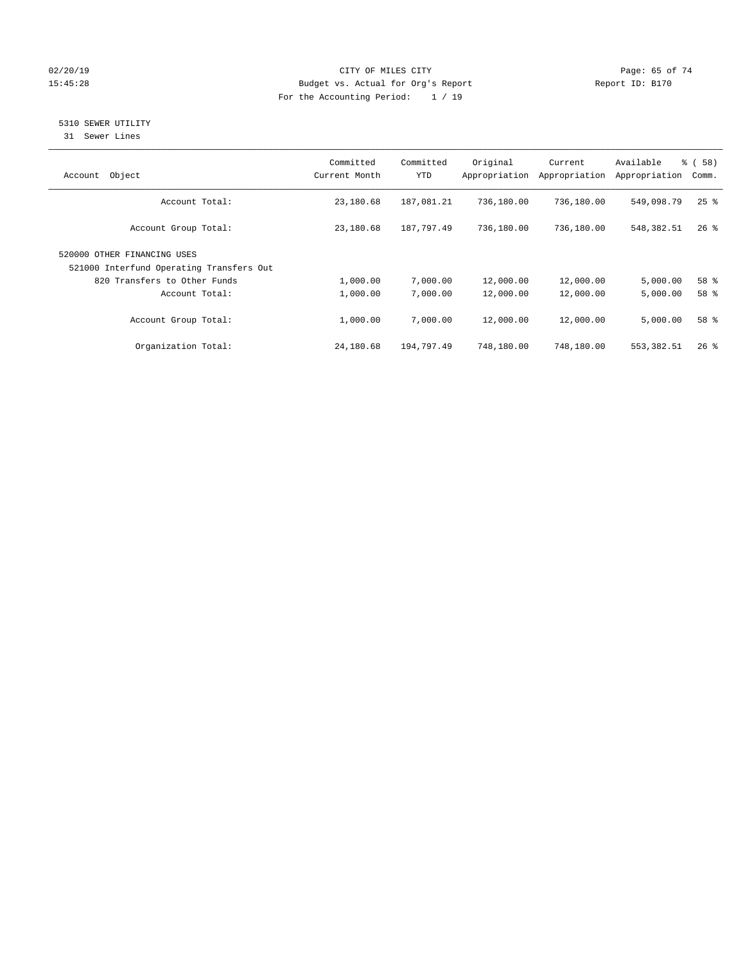### $O(2/20/19$  Page: 65 of 74 15:45:28 Budget vs. Actual for Org's Report Report ID: B170 For the Accounting Period: 1 / 19

# 5310 SEWER UTILITY

31 Sewer Lines

| Object<br>Account                                                       | Committed<br>Current Month | Committed<br><b>YTD</b> | Original<br>Appropriation | Current<br>Appropriation | Available<br>Appropriation | % ( 58 )<br>Comm.  |
|-------------------------------------------------------------------------|----------------------------|-------------------------|---------------------------|--------------------------|----------------------------|--------------------|
| Account Total:                                                          | 23,180.68                  | 187,081.21              | 736,180.00                | 736,180.00               | 549,098.79                 | $25$ $\frac{6}{5}$ |
| Account Group Total:                                                    | 23,180.68                  | 187,797.49              | 736,180.00                | 736,180.00               | 548,382.51                 | $26$ %             |
| 520000 OTHER FINANCING USES<br>521000 Interfund Operating Transfers Out |                            |                         |                           |                          |                            |                    |
|                                                                         |                            |                         |                           |                          |                            |                    |
| 820 Transfers to Other Funds                                            | 1,000.00                   | 7,000.00                | 12,000.00                 | 12,000.00                | 5,000.00                   | 58 %               |
| Account Total:                                                          | 1,000.00                   | 7,000.00                | 12,000.00                 | 12,000.00                | 5,000.00                   | 58 %               |
| Account Group Total:                                                    | 1,000.00                   | 7,000.00                | 12,000.00                 | 12,000.00                | 5,000.00                   | 58 %               |
| Organization Total:                                                     | 24,180.68                  | 194,797.49              | 748,180.00                | 748,180.00               | 553, 382.51                | $26$ %             |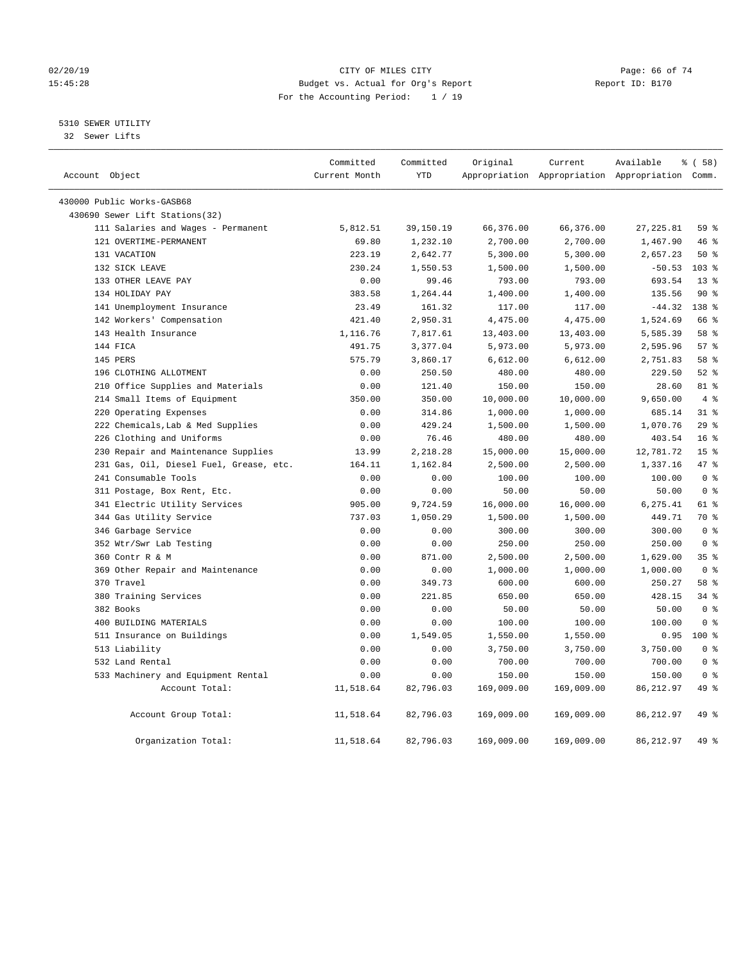#### $O(2/20/19$  Page: 66 of 74 15:45:28 Budget vs. Actual for Org's Report Report ID: B170 For the Accounting Period: 1 / 19

# 5310 SEWER UTILITY

32 Sewer Lifts

| Account Object |                                         | Committed<br>Current Month | Committed<br><b>YTD</b> | Original   | Current    | Available<br>Appropriation Appropriation Appropriation Comm. | % ( 58 )         |  |
|----------------|-----------------------------------------|----------------------------|-------------------------|------------|------------|--------------------------------------------------------------|------------------|--|
|                |                                         |                            |                         |            |            |                                                              |                  |  |
|                | 430000 Public Works-GASB68              |                            |                         |            |            |                                                              |                  |  |
|                | 430690 Sewer Lift Stations(32)          |                            |                         |            |            |                                                              |                  |  |
|                | 111 Salaries and Wages - Permanent      | 5,812.51                   | 39,150.19               | 66,376.00  | 66,376.00  | 27, 225.81                                                   | 59 %             |  |
|                | 121 OVERTIME-PERMANENT                  | 69.80                      | 1,232.10                | 2,700.00   | 2,700.00   | 1,467.90                                                     | 46 %             |  |
|                | 131 VACATION                            | 223.19                     | 2,642.77                | 5,300.00   | 5,300.00   | 2,657.23                                                     | 50%              |  |
|                | 132 SICK LEAVE                          | 230.24                     | 1,550.53                | 1,500.00   | 1,500.00   | $-50.53$                                                     | $103*$           |  |
|                | 133 OTHER LEAVE PAY                     | 0.00                       | 99.46                   | 793.00     | 793.00     | 693.54                                                       | $13*$            |  |
|                | 134 HOLIDAY PAY                         | 383.58                     | 1,264.44                | 1,400.00   | 1,400.00   | 135.56                                                       | 90%              |  |
|                | 141 Unemployment Insurance              | 23.49                      | 161.32                  | 117.00     | 117.00     | $-44.32$                                                     | 138 <sup>8</sup> |  |
|                | 142 Workers' Compensation               | 421.40                     | 2,950.31                | 4,475.00   | 4,475.00   | 1,524.69                                                     | 66 %             |  |
|                | 143 Health Insurance                    | 1,116.76                   | 7,817.61                | 13,403.00  | 13,403.00  | 5,585.39                                                     | 58 %             |  |
|                | 144 FICA                                | 491.75                     | 3,377.04                | 5,973.00   | 5,973.00   | 2,595.96                                                     | 57%              |  |
|                | 145 PERS                                | 575.79                     | 3,860.17                | 6,612.00   | 6,612.00   | 2,751.83                                                     | 58 %             |  |
|                | 196 CLOTHING ALLOTMENT                  | 0.00                       | 250.50                  | 480.00     | 480.00     | 229.50                                                       | $52$ $%$         |  |
|                | 210 Office Supplies and Materials       | 0.00                       | 121.40                  | 150.00     | 150.00     | 28.60                                                        | 81 %             |  |
|                | 214 Small Items of Equipment            | 350.00                     | 350.00                  | 10,000.00  | 10,000.00  | 9,650.00                                                     | $4\degree$       |  |
|                | 220 Operating Expenses                  | 0.00                       | 314.86                  | 1,000.00   | 1,000.00   | 685.14                                                       | $31$ %           |  |
|                | 222 Chemicals, Lab & Med Supplies       | 0.00                       | 429.24                  | 1,500.00   | 1,500.00   | 1,070.76                                                     | 29%              |  |
|                | 226 Clothing and Uniforms               | 0.00                       | 76.46                   | 480.00     | 480.00     | 403.54                                                       | 16 <sup>8</sup>  |  |
|                | 230 Repair and Maintenance Supplies     | 13.99                      | 2,218.28                | 15,000.00  | 15,000.00  | 12,781.72                                                    | 15 <sup>°</sup>  |  |
|                | 231 Gas, Oil, Diesel Fuel, Grease, etc. | 164.11                     | 1,162.84                | 2,500.00   | 2,500.00   | 1,337.16                                                     | 47.8             |  |
|                | 241 Consumable Tools                    | 0.00                       | 0.00                    | 100.00     | 100.00     | 100.00                                                       | 0 <sup>8</sup>   |  |
|                | 311 Postage, Box Rent, Etc.             | 0.00                       | 0.00                    | 50.00      | 50.00      | 50.00                                                        | 0 <sup>8</sup>   |  |
|                | 341 Electric Utility Services           | 905.00                     | 9,724.59                | 16,000.00  | 16,000.00  | 6,275.41                                                     | 61 %             |  |
|                | 344 Gas Utility Service                 | 737.03                     | 1,050.29                | 1,500.00   | 1,500.00   | 449.71                                                       | 70 %             |  |
|                | 346 Garbage Service                     | 0.00                       | 0.00                    | 300.00     | 300.00     | 300.00                                                       | 0 <sup>8</sup>   |  |
|                | 352 Wtr/Swr Lab Testing                 | 0.00                       | 0.00                    | 250.00     | 250.00     | 250.00                                                       | 0 <sup>8</sup>   |  |
|                | 360 Contr R & M                         | 0.00                       | 871.00                  | 2,500.00   | 2,500.00   | 1,629.00                                                     | 35 <sup>8</sup>  |  |
|                | 369 Other Repair and Maintenance        | 0.00                       | 0.00                    | 1,000.00   | 1,000.00   | 1,000.00                                                     | 0 <sup>8</sup>   |  |
|                | 370 Travel                              | 0.00                       | 349.73                  | 600.00     | 600.00     | 250.27                                                       | 58 %             |  |
|                | 380 Training Services                   | 0.00                       | 221.85                  | 650.00     | 650.00     | 428.15                                                       | 34.8             |  |
|                | 382 Books                               | 0.00                       | 0.00                    | 50.00      | 50.00      | 50.00                                                        | 0 <sup>8</sup>   |  |
|                | 400 BUILDING MATERIALS                  | 0.00                       | 0.00                    | 100.00     | 100.00     | 100.00                                                       | 0 <sup>8</sup>   |  |
|                | 511 Insurance on Buildings              | 0.00                       | 1,549.05                | 1,550.00   | 1,550.00   | 0.95                                                         | $100*$           |  |
|                | 513 Liability                           | 0.00                       | 0.00                    | 3,750.00   | 3,750.00   | 3,750.00                                                     | 0 <sup>8</sup>   |  |
|                | 532 Land Rental                         | 0.00                       | 0.00                    | 700.00     | 700.00     | 700.00                                                       | 0 <sup>8</sup>   |  |
|                | 533 Machinery and Equipment Rental      | 0.00                       | 0.00                    | 150.00     | 150.00     | 150.00                                                       | 0 <sup>8</sup>   |  |
|                | Account Total:                          | 11,518.64                  | 82,796.03               | 169,009.00 | 169,009.00 | 86, 212.97                                                   | 49 %             |  |
|                | Account Group Total:                    | 11,518.64                  | 82,796.03               | 169,009.00 | 169,009.00 | 86, 212.97                                                   | 49 %             |  |
|                | Organization Total:                     | 11,518.64                  | 82,796.03               | 169,009.00 | 169,009.00 | 86, 212.97                                                   | 49 %             |  |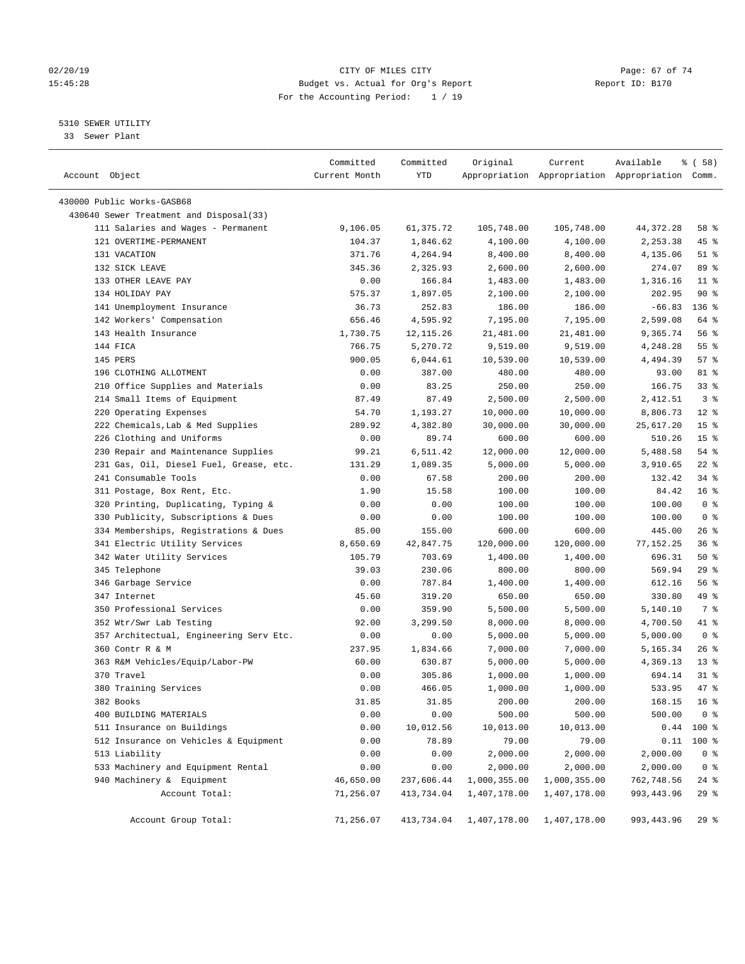#### $O(2/20/19$  Page: 67 of 74 15:45:28 Budget vs. Actual for Org's Report Report ID: B170 For the Accounting Period: 1 / 19

————————————————————————————————————————————————————————————————————————————————————————————————————————————————————————————————————

### 5310 SEWER UTILITY

33 Sewer Plant

|                                         | Committed     | Committed  | Original     | Current      | Available                                       | % ( 58 )        |  |
|-----------------------------------------|---------------|------------|--------------|--------------|-------------------------------------------------|-----------------|--|
| Account Object                          | Current Month | YTD        |              |              | Appropriation Appropriation Appropriation Comm. |                 |  |
|                                         |               |            |              |              |                                                 |                 |  |
| 430000 Public Works-GASB68              |               |            |              |              |                                                 |                 |  |
| 430640 Sewer Treatment and Disposal(33) |               |            |              |              |                                                 |                 |  |
| 111 Salaries and Wages - Permanent      | 9,106.05      | 61,375.72  | 105,748.00   | 105,748.00   | 44, 372. 28                                     | 58 %            |  |
| 121 OVERTIME-PERMANENT                  | 104.37        | 1,846.62   | 4,100.00     | 4,100.00     | 2,253.38                                        | 45 %            |  |
| 131 VACATION                            | 371.76        | 4,264.94   | 8,400.00     | 8,400.00     | 4,135.06                                        | $51$ %          |  |
| 132 SICK LEAVE                          | 345.36        | 2,325.93   | 2,600.00     | 2,600.00     | 274.07                                          | 89 %            |  |
| 133 OTHER LEAVE PAY                     | 0.00          | 166.84     | 1,483.00     | 1,483.00     | 1,316.16                                        | $11$ %          |  |
| 134 HOLIDAY PAY                         | 575.37        | 1,897.05   | 2,100.00     | 2,100.00     | 202.95                                          | $90*$           |  |
| 141 Unemployment Insurance              | 36.73         | 252.83     | 186.00       | 186.00       | $-66.83$                                        | 136 %           |  |
| 142 Workers' Compensation               | 656.46        | 4,595.92   | 7,195.00     | 7,195.00     | 2,599.08                                        | 64 %            |  |
| 143 Health Insurance                    | 1,730.75      | 12, 115.26 | 21,481.00    | 21,481.00    | 9,365.74                                        | 56%             |  |
| 144 FICA                                | 766.75        | 5,270.72   | 9,519.00     | 9,519.00     | 4,248.28                                        | 55 <sup>8</sup> |  |
| 145 PERS                                | 900.05        | 6,044.61   | 10,539.00    | 10,539.00    | 4,494.39                                        | 57%             |  |
| 196 CLOTHING ALLOTMENT                  | 0.00          | 387.00     | 480.00       | 480.00       | 93.00                                           | 81 %            |  |
| 210 Office Supplies and Materials       | 0.00          | 83.25      | 250.00       | 250.00       | 166.75                                          | 33%             |  |
| 214 Small Items of Equipment            | 87.49         | 87.49      | 2,500.00     | 2,500.00     | 2,412.51                                        | 3 <sup>8</sup>  |  |
| 220 Operating Expenses                  | 54.70         | 1,193.27   | 10,000.00    | 10,000.00    | 8,806.73                                        | $12*$           |  |
| 222 Chemicals, Lab & Med Supplies       | 289.92        | 4,382.80   | 30,000.00    | 30,000.00    | 25,617.20                                       | 15 <sup>°</sup> |  |
| 226 Clothing and Uniforms               | 0.00          | 89.74      | 600.00       | 600.00       | 510.26                                          | 15 <sup>°</sup> |  |
| 230 Repair and Maintenance Supplies     | 99.21         | 6,511.42   | 12,000.00    | 12,000.00    | 5,488.58                                        | 54 %            |  |
| 231 Gas, Oil, Diesel Fuel, Grease, etc. | 131.29        | 1,089.35   | 5,000.00     | 5,000.00     | 3,910.65                                        | $22$ %          |  |
| 241 Consumable Tools                    | 0.00          | 67.58      | 200.00       | 200.00       | 132.42                                          | 34%             |  |
| 311 Postage, Box Rent, Etc.             | 1.90          | 15.58      | 100.00       | 100.00       | 84.42                                           | 16 <sup>8</sup> |  |
| 320 Printing, Duplicating, Typing &     | 0.00          | 0.00       | 100.00       | 100.00       | 100.00                                          | 0 <sup>8</sup>  |  |
| 330 Publicity, Subscriptions & Dues     | 0.00          | 0.00       | 100.00       | 100.00       | 100.00                                          | 0 <sup>8</sup>  |  |
| 334 Memberships, Registrations & Dues   | 85.00         | 155.00     | 600.00       | 600.00       | 445.00                                          | $26$ %          |  |
| 341 Electric Utility Services           | 8,650.69      | 42,847.75  | 120,000.00   | 120,000.00   | 77,152.25                                       | 36%             |  |
| 342 Water Utility Services              | 105.79        | 703.69     | 1,400.00     | 1,400.00     | 696.31                                          | 50%             |  |
| 345 Telephone                           | 39.03         | 230.06     | 800.00       | 800.00       | 569.94                                          | 29%             |  |
| 346 Garbage Service                     | 0.00          | 787.84     | 1,400.00     | 1,400.00     | 612.16                                          | 56%             |  |
| 347 Internet                            | 45.60         | 319.20     | 650.00       | 650.00       | 330.80                                          | 49 %            |  |
| 350 Professional Services               | 0.00          | 359.90     | 5,500.00     | 5,500.00     | 5,140.10                                        | 7 %             |  |
| 352 Wtr/Swr Lab Testing                 | 92.00         | 3,299.50   | 8,000.00     | 8,000.00     | 4,700.50                                        | 41 %            |  |
| 357 Architectual, Engineering Serv Etc. | 0.00          | 0.00       | 5,000.00     | 5,000.00     | 5,000.00                                        | 0 <sup>8</sup>  |  |
| 360 Contr R & M                         | 237.95        | 1,834.66   | 7,000.00     | 7,000.00     | 5,165.34                                        | $26$ %          |  |
| 363 R&M Vehicles/Equip/Labor-PW         | 60.00         | 630.87     | 5,000.00     | 5,000.00     | 4,369.13                                        | $13*$           |  |
| 370 Travel                              | 0.00          | 305.86     | 1,000.00     | 1,000.00     | 694.14                                          | $31$ %          |  |
| 380 Training Services                   | 0.00          | 466.05     | 1,000.00     | 1,000.00     | 533.95                                          | 47 %            |  |
| 382 Books                               | 31.85         | 31.85      | 200.00       | 200.00       | 168.15                                          | 16 <sup>8</sup> |  |
| 400 BUILDING MATERIALS                  | 0.00          | 0.00       | 500.00       | 500.00       | 500.00                                          | 0 <sup>8</sup>  |  |
| 511 Insurance on Buildings              | 0.00          | 10,012.56  | 10,013.00    | 10,013.00    | 0.44                                            | 100 %           |  |
| 512 Insurance on Vehicles & Equipment   | 0.00          | 78.89      | 79.00        | 79.00        | 0.11                                            | $100$ %         |  |
| 513 Liability                           | 0.00          | 0.00       | 2,000.00     | 2,000.00     | 2,000.00                                        | 0 <sup>8</sup>  |  |
| 533 Machinery and Equipment Rental      | 0.00          | 0.00       | 2,000.00     | 2,000.00     | 2,000.00                                        | 0 <sup>8</sup>  |  |
| 940 Machinery & Equipment               | 46,650.00     | 237,606.44 | 1,000,355.00 | 1,000,355.00 | 762,748.56                                      | 24 %            |  |
| Account Total:                          | 71,256.07     | 413,734.04 | 1,407,178.00 | 1,407,178.00 | 993,443.96                                      | 29%             |  |
| Account Group Total:                    | 71,256.07     | 413,734.04 | 1,407,178.00 | 1,407,178.00 | 993,443.96                                      | $29$ %          |  |
|                                         |               |            |              |              |                                                 |                 |  |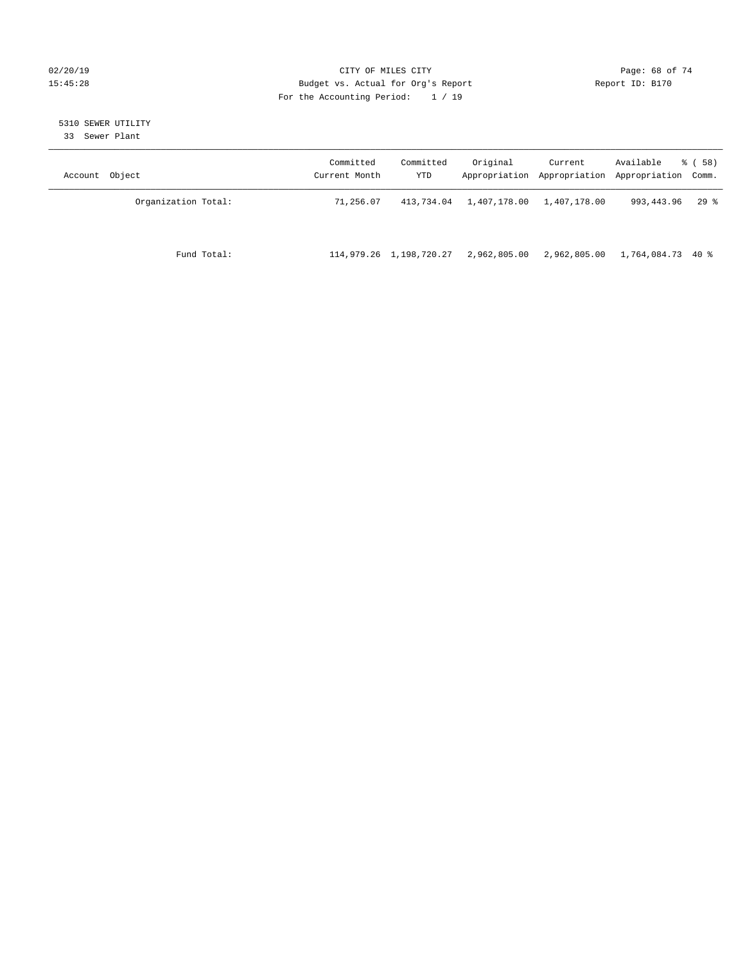### $O(2/20/19$  Page: 68 of 74 15:45:28 Budget vs. Actual for Org's Report Report ID: B170 For the Accounting Period: 1 / 19

# 5310 SEWER UTILITY

33 Sewer Plant

| Object<br>Account   | Committed<br>Current Month | Committed<br>YTD        | Original     | Current<br>Appropriation Appropriation | Available<br>Appropriation Comm. | 8 ( 58 ) |
|---------------------|----------------------------|-------------------------|--------------|----------------------------------------|----------------------------------|----------|
| Organization Total: | 71,256.07                  | 413,734.04              | 1,407,178.00 | 1,407,178.00                           | 993,443.96                       | $29*$    |
| Fund Total:         |                            | 114,979.26 1,198,720.27 | 2,962,805.00 | 2,962,805.00                           | 1,764,084.73 40 %                |          |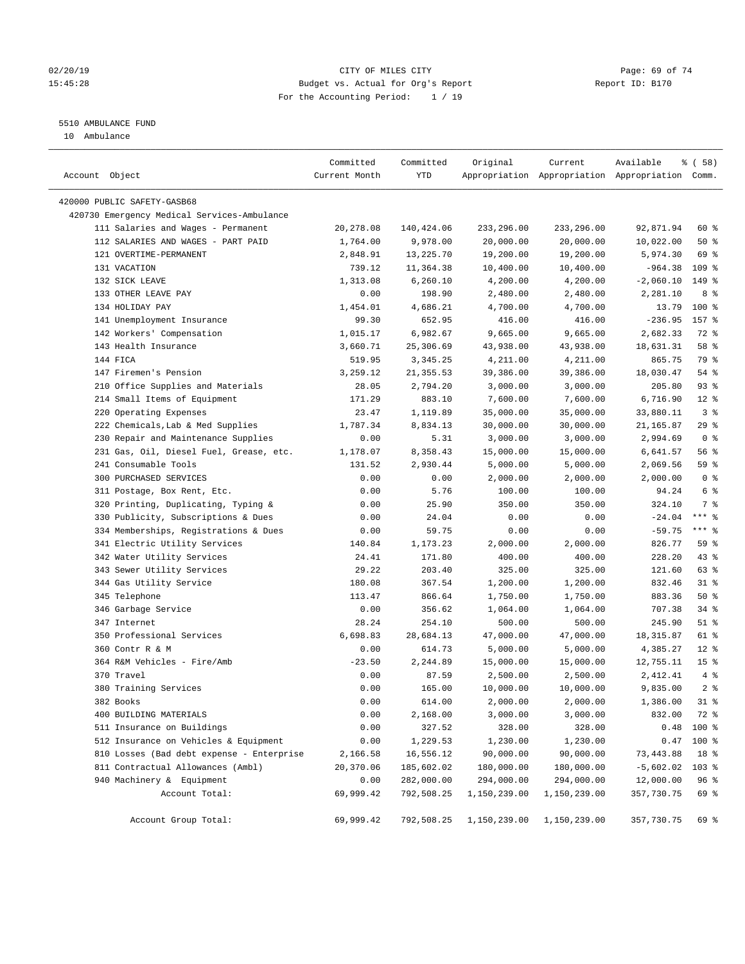#### $O(2/20/19$  Page: 69 of 74 15:45:28 Budget vs. Actual for Org's Report Report ID: B170 For the Accounting Period: 1 / 19

————————————————————————————————————————————————————————————————————————————————————————————————————————————————————————————————————

## 5510 AMBULANCE FUND

10 Ambulance

|                                             | Committed      | Committed    | Original             | Current              | Available                                       | 8 ( 58 )        |
|---------------------------------------------|----------------|--------------|----------------------|----------------------|-------------------------------------------------|-----------------|
| Account Object                              | Current Month  | YTD          |                      |                      | Appropriation Appropriation Appropriation Comm. |                 |
| 420000 PUBLIC SAFETY-GASB68                 |                |              |                      |                      |                                                 |                 |
| 420730 Emergency Medical Services-Ambulance |                |              |                      |                      |                                                 |                 |
| 111 Salaries and Wages - Permanent          | 20,278.08      | 140,424.06   | 233,296.00           | 233,296.00           | 92,871.94                                       | 60 %            |
| 112 SALARIES AND WAGES - PART PAID          | 1,764.00       | 9,978.00     | 20,000.00            | 20,000.00            | 10,022.00                                       | 50%             |
| 121 OVERTIME-PERMANENT                      | 2,848.91       | 13,225.70    | 19,200.00            | 19,200.00            | 5,974.30                                        | 69 %            |
| 131 VACATION                                | 739.12         | 11,364.38    | 10,400.00            | 10,400.00            | $-964.38$                                       | $109$ %         |
| 132 SICK LEAVE                              | 1,313.08       | 6, 260.10    | 4,200.00             | 4,200.00             | $-2,060.10$                                     | 149 %           |
| 133 OTHER LEAVE PAY                         | 0.00           | 198.90       | 2,480.00             | 2,480.00             | 2,281.10                                        | 8 %             |
| 134 HOLIDAY PAY                             | 1,454.01       | 4,686.21     | 4,700.00             | 4,700.00             | 13.79                                           | $100*$          |
| 141 Unemployment Insurance                  | 99.30          | 652.95       | 416.00               | 416.00               | $-236.95$                                       | 157 %           |
| 142 Workers' Compensation                   | 1,015.17       | 6,982.67     | 9,665.00             | 9,665.00             | 2,682.33                                        | 72 %            |
| 143 Health Insurance                        | 3,660.71       | 25,306.69    | 43,938.00            | 43,938.00            | 18,631.31                                       | 58 %            |
| 144 FICA                                    | 519.95         | 3,345.25     | 4,211.00             | 4,211.00             | 865.75                                          | 79 %            |
| 147 Firemen's Pension                       | 3,259.12       | 21, 355.53   | 39,386.00            | 39,386.00            | 18,030.47                                       | $54$ %          |
| 210 Office Supplies and Materials           | 28.05          | 2,794.20     | 3,000.00             | 3,000.00             | 205.80                                          | 93%             |
| 214 Small Items of Equipment                | 171.29         | 883.10       | 7,600.00             | 7,600.00             | 6,716.90                                        | $12*$           |
| 220 Operating Expenses                      | 23.47          | 1,119.89     | 35,000.00            | 35,000.00            | 33,880.11                                       | 3 <sup>°</sup>  |
| 222 Chemicals, Lab & Med Supplies           | 1,787.34       | 8,834.13     | 30,000.00            | 30,000.00            | 21,165.87                                       | 29%             |
| 230 Repair and Maintenance Supplies         | 0.00           | 5.31         | 3,000.00             | 3,000.00             | 2,994.69                                        | 0 <sup>8</sup>  |
| 231 Gas, Oil, Diesel Fuel, Grease, etc.     |                | 8,358.43     |                      | 15,000.00            |                                                 | 56%             |
| 241 Consumable Tools                        | 1,178.07       | 2,930.44     | 15,000.00            |                      | 6,641.57                                        | 59 %            |
| 300 PURCHASED SERVICES                      | 131.52<br>0.00 |              | 5,000.00<br>2,000.00 | 5,000.00<br>2,000.00 | 2,069.56<br>2,000.00                            | 0 <sup>8</sup>  |
|                                             |                | 0.00<br>5.76 |                      | 100.00               | 94.24                                           | 6 <sup>8</sup>  |
| 311 Postage, Box Rent, Etc.                 | 0.00           |              | 100.00               |                      |                                                 | 7 %             |
| 320 Printing, Duplicating, Typing &         | 0.00           | 25.90        | 350.00               | 350.00               | 324.10                                          | $***$ $-$       |
| 330 Publicity, Subscriptions & Dues         | 0.00           | 24.04        | 0.00                 | 0.00                 | $-24.04$                                        | $***$ $-$       |
| 334 Memberships, Registrations & Dues       | 0.00           | 59.75        | 0.00                 | 0.00                 | $-59.75$                                        |                 |
| 341 Electric Utility Services               | 140.84         | 1,173.23     | 2,000.00             | 2,000.00             | 826.77                                          | 59 %            |
| 342 Water Utility Services                  | 24.41          | 171.80       | 400.00               | 400.00               | 228.20                                          | 43 %<br>63 %    |
| 343 Sewer Utility Services                  | 29.22          | 203.40       | 325.00               | 325.00               | 121.60                                          |                 |
| 344 Gas Utility Service                     | 180.08         | 367.54       | 1,200.00             | 1,200.00             | 832.46                                          | $31$ %          |
| 345 Telephone                               | 113.47         | 866.64       | 1,750.00             | 1,750.00             | 883.36                                          | 50%             |
| 346 Garbage Service                         | 0.00           | 356.62       | 1,064.00             | 1,064.00             | 707.38                                          | $34$ %          |
| 347 Internet                                | 28.24          | 254.10       | 500.00               | 500.00               | 245.90                                          | $51$ %          |
| 350 Professional Services                   | 6,698.83       | 28,684.13    | 47,000.00            | 47,000.00            | 18, 315.87                                      | 61 %            |
| 360 Contr R & M                             | 0.00           | 614.73       | 5,000.00             | 5,000.00             | 4,385.27                                        | $12*$           |
| 364 R&M Vehicles - Fire/Amb                 | $-23.50$       | 2,244.89     | 15,000.00            | 15,000.00            | 12,755.11                                       | 15 <sup>°</sup> |
| 370 Travel                                  | 0.00           | 87.59        | 2,500.00             | 2,500.00             | 2,412.41                                        | $4\degree$      |
| 380 Training Services                       | 0.00           | 165.00       | 10,000.00            | 10,000.00            | 9,835.00                                        | 2 <sup>°</sup>  |
| 382 Books                                   | 0.00           | 614.00       | 2,000.00             | 2,000.00             | 1,386.00                                        | $31$ %          |
| 400 BUILDING MATERIALS                      | 0.00           | 2,168.00     | 3,000.00             | 3,000.00             | 832.00                                          | 72 %            |
| 511 Insurance on Buildings                  | 0.00           | 327.52       | 328.00               | 328.00               |                                                 | $0.48$ 100 %    |
| 512 Insurance on Vehicles & Equipment       | 0.00           | 1,229.53     | 1,230.00             | 1,230.00             | 0.47                                            | 100 %           |
| 810 Losses (Bad debt expense - Enterprise   | 2,166.58       | 16,556.12    | 90,000.00            | 90,000.00            | 73, 443.88                                      | 18 %            |
| 811 Contractual Allowances (Ambl)           | 20,370.06      | 185,602.02   | 180,000.00           | 180,000.00           | $-5,602.02$                                     | 103 %           |
| 940 Machinery & Equipment                   | 0.00           | 282,000.00   | 294,000.00           | 294,000.00           | 12,000.00                                       | 96 <sup>°</sup> |
| Account Total:                              | 69,999.42      | 792,508.25   | 1,150,239.00         | 1,150,239.00         | 357,730.75                                      | 69 %            |
| Account Group Total:                        | 69,999.42      | 792,508.25   | 1,150,239.00         | 1,150,239.00         | 357,730.75                                      | 69 %            |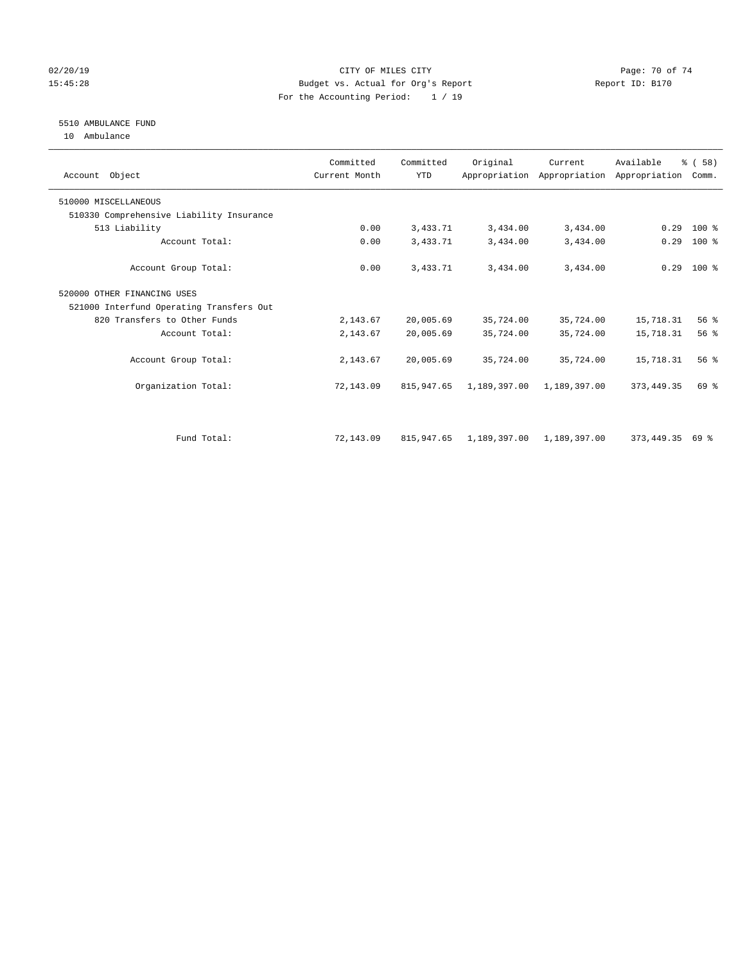### $O(2/20/19$  Page: 70 of 74 15:45:28 Budget vs. Actual for Org's Report Report ID: B170 For the Accounting Period: 1 / 19

# 5510 AMBULANCE FUND

10 Ambulance

| Account Object                           | Committed<br>Current Month | Committed<br><b>YTD</b> | Original     | Current      | Available<br>Appropriation Appropriation Appropriation | % (58)<br>Comm. |  |
|------------------------------------------|----------------------------|-------------------------|--------------|--------------|--------------------------------------------------------|-----------------|--|
| 510000 MISCELLANEOUS                     |                            |                         |              |              |                                                        |                 |  |
| 510330 Comprehensive Liability Insurance |                            |                         |              |              |                                                        |                 |  |
| 513 Liability                            | 0.00                       | 3,433.71                | 3,434.00     | 3,434.00     | 0.29                                                   | $100*$          |  |
| Account Total:                           | 0.00                       | 3,433.71                | 3,434.00     | 3,434.00     | 0.29                                                   | $100$ %         |  |
| Account Group Total:                     | 0.00                       | 3,433.71                | 3,434.00     | 3,434.00     |                                                        | $0.29$ 100 %    |  |
| 520000 OTHER FINANCING USES              |                            |                         |              |              |                                                        |                 |  |
| 521000 Interfund Operating Transfers Out |                            |                         |              |              |                                                        |                 |  |
| 820 Transfers to Other Funds             | 2,143.67                   | 20,005.69               | 35,724.00    | 35,724.00    | 15,718.31                                              | 56%             |  |
| Account Total:                           | 2,143.67                   | 20,005.69               | 35,724.00    | 35,724.00    | 15,718.31                                              | 56 <sup>8</sup> |  |
| Account Group Total:                     | 2,143.67                   | 20,005.69               | 35,724.00    | 35,724.00    | 15,718.31                                              | 56 <sup>8</sup> |  |
| Organization Total:                      | 72,143.09                  | 815,947.65              | 1,189,397.00 | 1,189,397.00 | 373, 449. 35                                           | 69 %            |  |
|                                          |                            |                         |              |              |                                                        |                 |  |
| Fund Total:                              | 72,143.09                  | 815, 947.65             | 1,189,397.00 | 1,189,397.00 | 373,449.35                                             | 69 %            |  |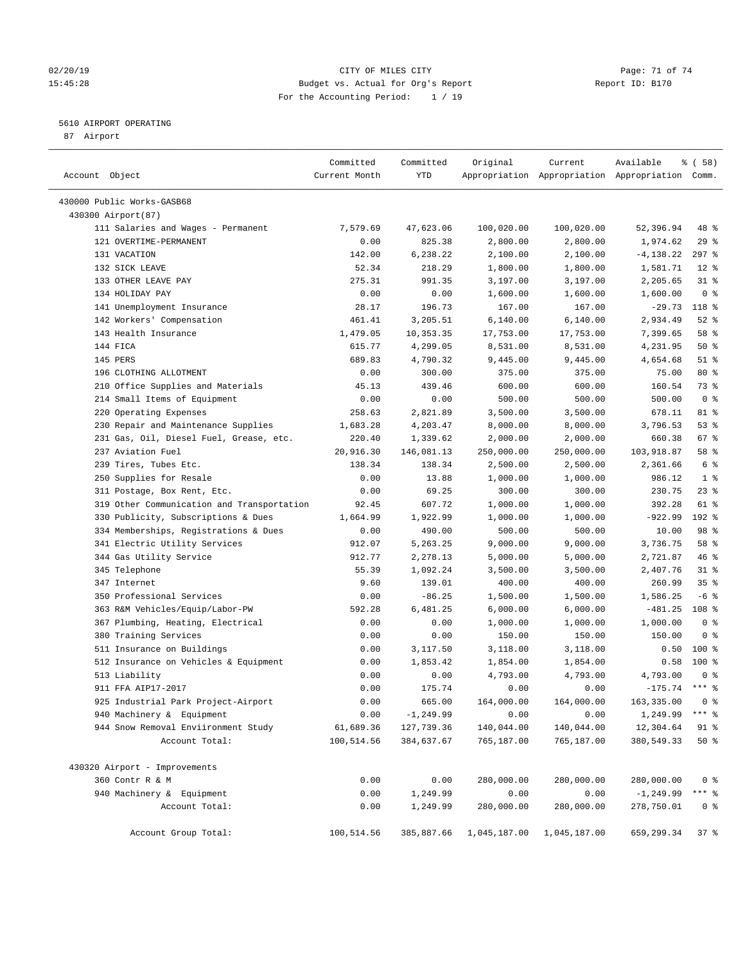#### $O(2/20/19$  Page: 71 of 74 15:45:28 Budget vs. Actual for Org's Report Report ID: B170 For the Accounting Period: 1 / 19

————————————————————————————————————————————————————————————————————————————————————————————————————————————————————————————————————

#### 5610 AIRPORT OPERATING

87 Airport

|                                            | Committed     | Committed    | Original     | Current      | Available                                       | १ ( 58)         |
|--------------------------------------------|---------------|--------------|--------------|--------------|-------------------------------------------------|-----------------|
| Account Object                             | Current Month | YTD          |              |              | Appropriation Appropriation Appropriation Comm. |                 |
| 430000 Public Works-GASB68                 |               |              |              |              |                                                 |                 |
| 430300 Airport (87)                        |               |              |              |              |                                                 |                 |
| 111 Salaries and Wages - Permanent         | 7,579.69      | 47,623.06    | 100,020.00   | 100,020.00   | 52,396.94                                       | 48 %            |
| 121 OVERTIME-PERMANENT                     | 0.00          | 825.38       | 2,800.00     | 2,800.00     | 1,974.62                                        | 29%             |
| 131 VACATION                               | 142.00        | 6,238.22     | 2,100.00     | 2,100.00     | $-4, 138.22$                                    | $297$ %         |
| 132 SICK LEAVE                             | 52.34         | 218.29       | 1,800.00     | 1,800.00     | 1,581.71                                        | $12*$           |
| 133 OTHER LEAVE PAY                        | 275.31        | 991.35       | 3,197.00     | 3,197.00     | 2,205.65                                        | $31$ %          |
| 134 HOLIDAY PAY                            | 0.00          | 0.00         | 1,600.00     | 1,600.00     | 1,600.00                                        | 0 <sup>8</sup>  |
| 141 Unemployment Insurance                 | 28.17         | 196.73       | 167.00       | 167.00       | $-29.73$                                        | 118 %           |
| 142 Workers' Compensation                  | 461.41        | 3,205.51     | 6,140.00     | 6,140.00     | 2,934.49                                        | $52$ $%$        |
| 143 Health Insurance                       | 1,479.05      | 10,353.35    | 17,753.00    | 17,753.00    | 7,399.65                                        | 58 %            |
| 144 FICA                                   | 615.77        | 4,299.05     | 8,531.00     | 8,531.00     | 4,231.95                                        | 50%             |
| 145 PERS                                   | 689.83        | 4,790.32     | 9,445.00     | 9,445.00     | 4,654.68                                        | $51$ %          |
| 196 CLOTHING ALLOTMENT                     | 0.00          | 300.00       | 375.00       | 375.00       | 75.00                                           | $80*$           |
| 210 Office Supplies and Materials          | 45.13         | 439.46       | 600.00       | 600.00       | 160.54                                          | 73 %            |
| 214 Small Items of Equipment               | 0.00          | 0.00         | 500.00       | 500.00       | 500.00                                          | 0 <sup>8</sup>  |
| 220 Operating Expenses                     | 258.63        | 2,821.89     | 3,500.00     | 3,500.00     | 678.11                                          | 81 %            |
| 230 Repair and Maintenance Supplies        | 1,683.28      | 4,203.47     | 8,000.00     | 8,000.00     | 3,796.53                                        | 53%             |
| 231 Gas, Oil, Diesel Fuel, Grease, etc.    | 220.40        | 1,339.62     | 2,000.00     | 2,000.00     | 660.38                                          | $67$ %          |
| 237 Aviation Fuel                          | 20,916.30     | 146,081.13   | 250,000.00   | 250,000.00   | 103,918.87                                      | 58 %            |
| 239 Tires, Tubes Etc.                      | 138.34        | 138.34       | 2,500.00     | 2,500.00     | 2,361.66                                        | 6 %             |
| 250 Supplies for Resale                    | 0.00          | 13.88        | 1,000.00     | 1,000.00     | 986.12                                          | 1 <sup>8</sup>  |
| 311 Postage, Box Rent, Etc.                | 0.00          | 69.25        | 300.00       | 300.00       | 230.75                                          | $23$ %          |
| 319 Other Communication and Transportation | 92.45         | 607.72       | 1,000.00     | 1,000.00     | 392.28                                          | 61 %            |
| 330 Publicity, Subscriptions & Dues        | 1,664.99      | 1,922.99     | 1,000.00     | 1,000.00     | $-922.99$                                       | 192 %           |
| 334 Memberships, Registrations & Dues      | 0.00          | 490.00       | 500.00       | 500.00       | 10.00                                           | 98 %            |
| 341 Electric Utility Services              | 912.07        | 5,263.25     | 9,000.00     | 9,000.00     | 3,736.75                                        | 58 %            |
| 344 Gas Utility Service                    | 912.77        | 2,278.13     | 5,000.00     | 5,000.00     | 2,721.87                                        | 46 %            |
| 345 Telephone                              | 55.39         | 1,092.24     | 3,500.00     | 3,500.00     | 2,407.76                                        | $31$ %          |
| 347 Internet                               | 9.60          | 139.01       | 400.00       | 400.00       | 260.99                                          | 35 <sup>8</sup> |
| 350 Professional Services                  | 0.00          | $-86.25$     | 1,500.00     | 1,500.00     | 1,586.25                                        | $-6$ %          |
| 363 R&M Vehicles/Equip/Labor-PW            | 592.28        | 6,481.25     | 6,000.00     | 6,000.00     | $-481.25$                                       | 108 %           |
| 367 Plumbing, Heating, Electrical          | 0.00          | 0.00         | 1,000.00     | 1,000.00     | 1,000.00                                        | 0 <sup>8</sup>  |
| 380 Training Services                      | 0.00          | 0.00         | 150.00       | 150.00       | 150.00                                          | 0 <sup>8</sup>  |
| 511 Insurance on Buildings                 | 0.00          | 3,117.50     | 3,118.00     | 3,118.00     | 0.50                                            | 100%            |
| 512 Insurance on Vehicles & Equipment      | 0.00          | 1,853.42     | 1,854.00     | 1,854.00     | 0.58                                            | 100 %           |
| 513 Liability                              | 0.00          | 0.00         | 4,793.00     | 4,793.00     | 4,793.00                                        | 0 <sup>8</sup>  |
| 911 FFA AIP17-2017                         | 0.00          | 175.74       | 0.00         | 0.00         | $-175.74$ *** %                                 |                 |
| 925 Industrial Park Project-Airport        | 0.00          | 665.00       | 164,000.00   | 164,000.00   | 163,335.00 0 %                                  |                 |
| 940 Machinery & Equipment                  | 0.00          | $-1, 249.99$ | 0.00         | 0.00         | 1,249.99                                        | *** 응           |
| 944 Snow Removal Enviironment Study        | 61,689.36     | 127,739.36   | 140,044.00   | 140,044.00   | 12,304.64                                       | 91 %            |
| Account Total:                             | 100,514.56    | 384,637.67   | 765,187.00   | 765,187.00   | 380,549.33                                      | $50*$           |
| 430320 Airport - Improvements              |               |              |              |              |                                                 |                 |
| 360 Contr R & M                            | 0.00          | 0.00         | 280,000.00   | 280,000.00   | 280,000.00                                      | 0 <sup>8</sup>  |
| 940 Machinery & Equipment                  | 0.00          | 1,249.99     | 0.00         | 0.00         | $-1, 249.99$                                    | $***$ $8$       |
| Account Total:                             | 0.00          | 1,249.99     | 280,000.00   | 280,000.00   | 278,750.01                                      | 0 <sup>8</sup>  |
| Account Group Total:                       | 100,514.56    | 385,887.66   | 1,045,187.00 | 1,045,187.00 | 659,299.34                                      | 37%             |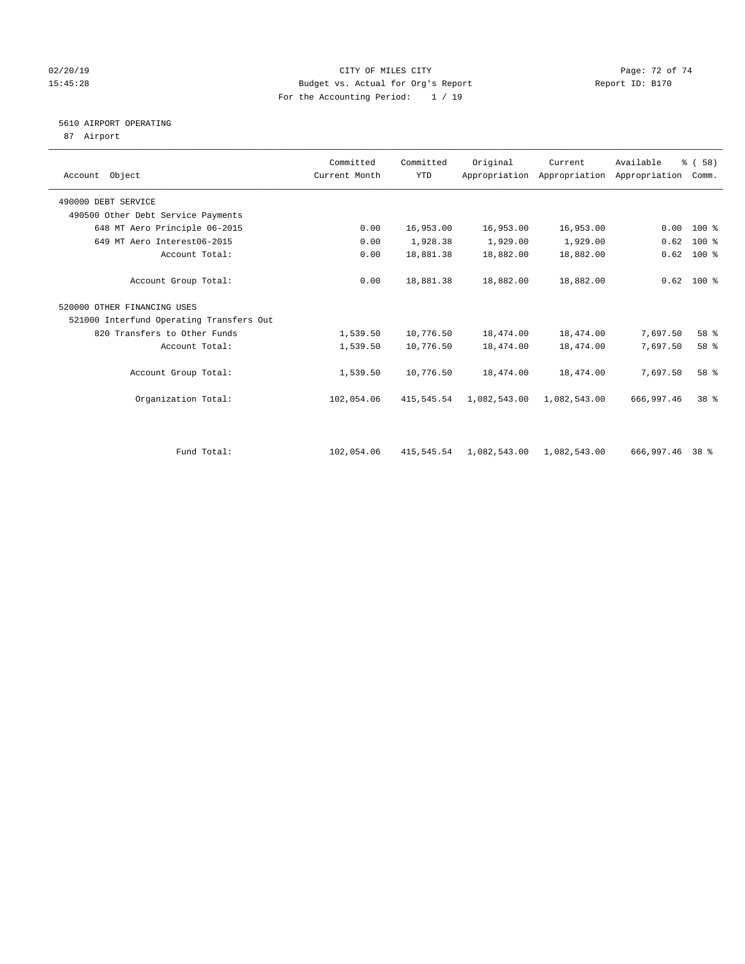#### 02/20/19 **Page: 72 of 74** CITY OF MILES CITY **CITY Page: 72 of 74** 15:45:28 Budget vs. Actual for Org's Report Report ID: B170 For the Accounting Period: 1 / 19

## 5610 AIRPORT OPERATING

87 Airport

| Account Object                           | Committed<br>Current Month | Committed<br><b>YTD</b> | Original     | Current      | Available<br>Appropriation Appropriation Appropriation | % (58)<br>Comm. |  |
|------------------------------------------|----------------------------|-------------------------|--------------|--------------|--------------------------------------------------------|-----------------|--|
| 490000 DEBT SERVICE                      |                            |                         |              |              |                                                        |                 |  |
| 490500 Other Debt Service Payments       |                            |                         |              |              |                                                        |                 |  |
| 648 MT Aero Principle 06-2015            | 0.00                       | 16,953.00               | 16,953.00    | 16,953.00    | 0.00                                                   | $100*$          |  |
| 649 MT Aero Interest06-2015              | 0.00                       | 1,928.38                | 1,929.00     | 1,929.00     | 0.62                                                   | $100$ %         |  |
| Account Total:                           | 0.00                       | 18,881.38               | 18,882.00    | 18,882.00    | 0.62                                                   | 100 %           |  |
| Account Group Total:                     | 0.00                       | 18,881.38               | 18,882.00    | 18,882.00    |                                                        | $0.62$ 100 %    |  |
| 520000 OTHER FINANCING USES              |                            |                         |              |              |                                                        |                 |  |
| 521000 Interfund Operating Transfers Out |                            |                         |              |              |                                                        |                 |  |
| 820 Transfers to Other Funds             | 1,539.50                   | 10,776.50               | 18,474.00    | 18,474.00    | 7,697.50                                               | 58 %            |  |
| Account Total:                           | 1,539.50                   | 10,776.50               | 18,474.00    | 18,474.00    | 7,697.50                                               | 58 %            |  |
| Account Group Total:                     | 1,539.50                   | 10,776.50               | 18,474.00    | 18,474.00    | 7,697.50                                               | 58 %            |  |
| Organization Total:                      | 102,054.06                 | 415,545.54              | 1,082,543.00 | 1,082,543.00 | 666,997.46                                             | 38 <sup>8</sup> |  |
|                                          |                            |                         |              |              |                                                        |                 |  |
| Fund Total:                              | 102,054.06                 | 415,545.54              | 1,082,543.00 | 1,082,543.00 | 666,997.46 38 %                                        |                 |  |